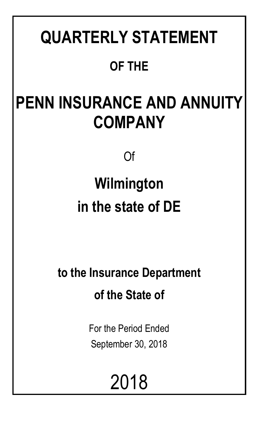# **QUARTERLY STATEMENT**

## **OF THE**

## **PENN INSURANCE AND ANNUITY COMPANY**

Of

## **Wilmington in the state of DE**

**to the Insurance Department of the State of**

> For the Period Ended September 30, 2018

> > 2018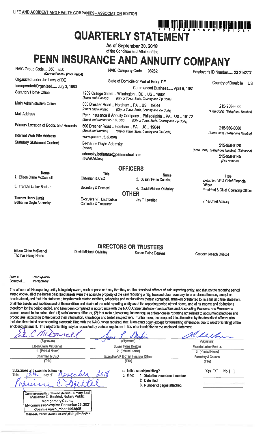## <u>, jina <sup>A</sup>ni Înd Înd Înd Înd Înd ûnd Înd Înd Înd Înd Înd În</u> **QUARTERLY STATEMENT**

As of September 30, 2018 of the Condition and Affairs of the

## PENN INSURANCE AND ANNUITY COMPANY

| NAIC Group Code850, 850<br>(Current Period) (Prior Period) |                                                                      | NAIC Company Code 93262                                                                                      | Employer's ID Number 23-2142731                            |  |
|------------------------------------------------------------|----------------------------------------------------------------------|--------------------------------------------------------------------------------------------------------------|------------------------------------------------------------|--|
| Organized under the Laws of DE                             |                                                                      | State of Domicile or Port of Entry DE                                                                        | Country of Domicile                                        |  |
| Incorporated/Organized July 3, 1980                        |                                                                      | Commenced Business April 9, 1981                                                                             | US.                                                        |  |
| <b>Statutory Home Office</b>                               | 1209 Orange Street  Wilmington  DE  US  19801<br>(Street and Number) | (City or Town, State, Country and Zip Code)                                                                  |                                                            |  |
| Main Administrative Office                                 | 600 Dresher Road  Horsham  PA  US  19044<br>(Street and Number)      | (City or Town, State, Country and Zip Code)                                                                  | 215-956-8000<br>(Area Code) (Telephone Number)             |  |
| Mail Address                                               | (Street and Number or P. O. Box)                                     | Penn Insurance & Annuity Company  Philadelphia  PA  US  19172<br>(City or Town, State, Country and Zip Code) |                                                            |  |
| Primary Location of Books and Records                      | 600 Dresher Road  Horsham  PA  US  19044<br>(Street and Number)      | (City or Town, State, Country and Zip Code)                                                                  | 215-956-8000                                               |  |
| Internet Web Site Address                                  | www.pennmutual.com                                                   |                                                                                                              | (Area Code) (Telephone Number)                             |  |
| <b>Statutory Statement Contact</b>                         | Bethanne Doyle Adamsky<br>(Name)                                     |                                                                                                              | 215-956-8120<br>(Area Code) (Telephone Number) (Extension) |  |
|                                                            | (E-Mail Address)                                                     | adamsky.bethanne@pennmutual.com                                                                              |                                                            |  |
|                                                            |                                                                      | <b>OFFICERS</b>                                                                                              |                                                            |  |
| <b>Name</b>                                                | <b>Title</b>                                                         | <b>Name</b>                                                                                                  |                                                            |  |
| 1. Eileen Claire McDonnell                                 | Chairman & CEO                                                       | 2. Susan Twine Deakins                                                                                       | <b>Title</b><br>Executive VP & Chief Financial             |  |
| 3. Franklin Luther Best Jr.                                | Secretary & Counsel                                                  | 4. David Michael O'Malley                                                                                    | Officer<br>President & Chief Operating Officer             |  |
|                                                            |                                                                      | <b>OTHER</b>                                                                                                 |                                                            |  |
| Thomas Henry Harris<br>Bethanne Doyle Adamsky              | Executive VP, Distribution<br>Controller & Treasurer                 | Jay T Lewellen                                                                                               | VP & Chief Actuary                                         |  |

Eileen Claire McDonnell Thomas Henry Harris

#### **DIRECTORS OR TRUSTEES**

David Michael O'Malley

**Susan Twine Deakins** 

Gregory Joseph Driscoll

State of .. Pennsylvania County of..... Montgomery

The officers of this reporting entity being duly swom, each depose and say that they are the described officers of said reporting entity, and that on the reporting period stated above, all of the herein described assets were the absolute property of the said reporting entity, free and clear from any liens or claims thereon, except as herein stated, and that this statement, together with related exhibits, schedules and explanations therein contained, annexed or referred to, is a full and true statement of all the assets and liabilities and of the condition and affairs of the said reporting entity as of the reporting period stated above, and of its income and deductions therefrom for the period ended, and have been completed in accordance with the NAIC Annual Statement Instructions and Accounting Practices and Procedures manual except to the extent that: (1) state law may differ; or, (2) that state rules or regulations require differences in reporting not related to accounting practices and procedures, according to the best of their information, knowledge and belief, respectively. Furthermore, the scope of this attestation by the described officers also includes the related corresponding electronic filing with the NAIC, when required, that is an exact copy (except for formatting differences due to electronic filing) of the enclosed statement. The electronic filing may be requested by various regulators in lieu of or in addition to the enclosed statement.

HCATH  $\overline{\phantom{a}}$ I A (Signature) (Signature) (Signature) Eileen Claire McDonnell **Susan Twine Deakins** Franklin Luther Best Jr. 1. (Printed Name) 2. (Printed Name) 3. (Printed Name) Chairman & CEO Executive VP & Chief Financial Officer Secretary & Counsel  $(Title)$ (Title) (Title) a. Is this an original filing? Subscribed and swom to before me Yes  $[X]$  No  $[ ]$  $018$ This day of b. If no: 1. State the amendment number 2. Date filed 3. Number of pages attached

Commonwealth of Pennsylvania - Notary Seal<br>Marianne C. Bechtel, Notary Public **Montgomery County** My commission expires December 26, 2021 Commission number 1008805 Member, Pennsylvania Association of Notaries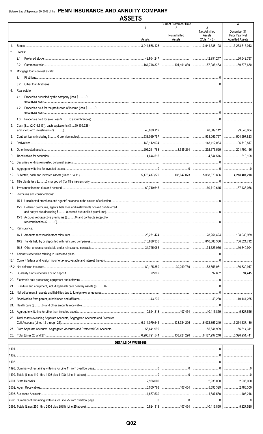|                |                                                                                   |                             | <b>Current Statement Date</b>             |                                                       | 4                                                       |
|----------------|-----------------------------------------------------------------------------------|-----------------------------|-------------------------------------------|-------------------------------------------------------|---------------------------------------------------------|
|                |                                                                                   | Assets                      | Nonadmitted<br>Assets                     | 3<br><b>Net Admitted</b><br>Assets<br>$(Cols. 1 - 2)$ | December 31<br>Prior Year Net<br><b>Admitted Assets</b> |
| 1.             |                                                                                   | 3,941,538,128               |                                           | $1.1$ 3,941,538,128                                   | $\ldots$ 3,233,616,043                                  |
| 2.             | Stocks:                                                                           |                             |                                           |                                                       |                                                         |
|                | 2.1                                                                               |                             |                                           |                                                       | $\ldots$ 30,642,787                                     |
|                | 2.2                                                                               |                             | 104,461,839 57,286,483                    |                                                       | 50,578,680                                              |
| 3.             | Mortgage loans on real estate:                                                    |                             |                                           |                                                       |                                                         |
|                | 3.1                                                                               |                             |                                           |                                                       |                                                         |
|                | 3.2                                                                               |                             |                                           |                                                       |                                                         |
| 4.             | Real estate:                                                                      |                             |                                           |                                                       |                                                         |
|                | Properties occupied by the company (less \$0<br>4.1                               |                             |                                           |                                                       |                                                         |
|                | Properties held for the production of income (less \$0<br>4.2                     |                             |                                           |                                                       |                                                         |
|                | 4.3                                                                               |                             |                                           |                                                       |                                                         |
| 5.             | Cash (\$(2,016,617)), cash equivalents (\$50,105,728)                             |                             |                                           |                                                       |                                                         |
|                |                                                                                   |                             |                                           |                                                       |                                                         |
| 6.             |                                                                                   |                             |                                           |                                                       | $\ldots$ 504,597,823                                    |
| 7 <sub>1</sub> |                                                                                   |                             |                                           |                                                       |                                                         |
|                |                                                                                   |                             |                                           |                                                       |                                                         |
| 9.             |                                                                                   |                             |                                           |                                                       |                                                         |
| 10.            |                                                                                   |                             |                                           |                                                       |                                                         |
| 11.            |                                                                                   |                             |                                           |                                                       |                                                         |
| 12.            |                                                                                   |                             |                                           |                                                       |                                                         |
| 13.            |                                                                                   |                             |                                           |                                                       |                                                         |
| 14.            |                                                                                   |                             |                                           |                                                       |                                                         |
|                | 15. Premiums and considerations:                                                  |                             |                                           |                                                       |                                                         |
|                |                                                                                   |                             |                                           |                                                       |                                                         |
|                | 15.2 Deferred premiums, agents' balances and installments booked but deferred     |                             |                                           |                                                       |                                                         |
|                |                                                                                   |                             |                                           |                                                       |                                                         |
|                | 15.3 Accrued retrospective premiums (\$0) and contracts subject to                |                             |                                           |                                                       |                                                         |
|                | 16. Reinsurance:                                                                  |                             |                                           |                                                       |                                                         |
|                |                                                                                   |                             |                                           |                                                       |                                                         |
|                |                                                                                   |                             |                                           |                                                       | 1.1766,821,712                                          |
|                |                                                                                   |                             |                                           |                                                       |                                                         |
| 17.            |                                                                                   |                             |                                           |                                                       |                                                         |
| 18.1           |                                                                                   |                             |                                           |                                                       |                                                         |
|                |                                                                                   |                             | $\ldots$ 30,269,769 58,856,081 56,330,947 |                                                       |                                                         |
| 19.            |                                                                                   |                             |                                           |                                                       | $$ $$ $94,445$                                          |
| 20.            |                                                                                   |                             |                                           |                                                       |                                                         |
| 21.            |                                                                                   |                             |                                           |                                                       |                                                         |
| 22.            |                                                                                   |                             |                                           |                                                       |                                                         |
| 23.            |                                                                                   |                             |                                           |                                                       |                                                         |
| 24.            |                                                                                   |                             |                                           |                                                       |                                                         |
| 25.            |                                                                                   |                             |                                           |                                                       |                                                         |
| 26.            | Total assets excluding Separate Accounts, Segregated Accounts and Protected       |                             |                                           |                                                       |                                                         |
| 27.            | From Separate Accounts, Segregated Accounts and Protected Cell Accounts55,641,999 |                             |                                           |                                                       |                                                         |
| 28.            |                                                                                   |                             |                                           |                                                       |                                                         |
|                |                                                                                   | <b>DETAILS OF WRITE-INS</b> |                                           |                                                       |                                                         |
|                |                                                                                   |                             |                                           |                                                       |                                                         |
|                |                                                                                   |                             |                                           |                                                       |                                                         |
|                |                                                                                   |                             |                                           |                                                       |                                                         |
|                |                                                                                   |                             |                                           |                                                       |                                                         |
|                |                                                                                   |                             |                                           |                                                       |                                                         |
|                |                                                                                   |                             |                                           |                                                       |                                                         |
|                |                                                                                   |                             |                                           |                                                       | 2,786,309                                               |
|                |                                                                                   |                             |                                           |                                                       |                                                         |
|                |                                                                                   |                             |                                           |                                                       |                                                         |

 $.10,824,313$ 

 $.407,454$ 

 $.10,416,859$ 

 $.5,827,525$ 

2599. Totals (Lines 2501 thru 2503 plus 2598) (Line 25 above).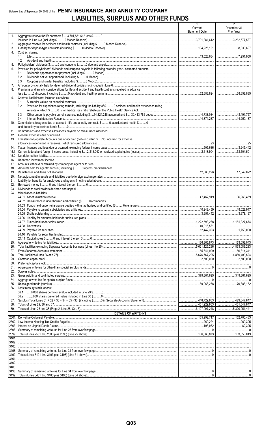### Statement as of September 30, 2018 of the PENN INSURANCE AND ANNUITY COMPANY LIABILITIES, SURPLUS AND OTHER FUNDS

|             |                                                                                                                       | $\mathbf{1}$<br>Current<br><b>Statement Date</b> | $\overline{2}$<br>December 31<br>Prior Year |
|-------------|-----------------------------------------------------------------------------------------------------------------------|--------------------------------------------------|---------------------------------------------|
| 1.          | Aggregate reserve for life contracts \$3,791,881,612 less \$0                                                         |                                                  |                                             |
| 2.<br>3.    |                                                                                                                       |                                                  |                                             |
| 4.          | Contract claims:                                                                                                      |                                                  |                                             |
|             | 4.1                                                                                                                   |                                                  |                                             |
| 5.          | 4.2                                                                                                                   |                                                  |                                             |
| 6.          | Provision for policyholders' dividends and coupons payable in following calendar year - estimated amounts:            |                                                  |                                             |
|             | 6.1                                                                                                                   |                                                  |                                             |
|             | 6.2<br>6.3                                                                                                            |                                                  |                                             |
| 7.          |                                                                                                                       |                                                  |                                             |
| 8.          | Premiums and annuity considerations for life and accident and health contracts received in advance                    |                                                  |                                             |
| 9.          | Contract liabilities not included elsewhere:                                                                          |                                                  |                                             |
|             | 9.1                                                                                                                   |                                                  |                                             |
|             | Provision for experience rating refunds, including the liability of \$ O accident and health experience rating<br>9.2 |                                                  |                                             |
|             |                                                                                                                       |                                                  |                                             |
|             | 9.3<br>9.4                                                                                                            |                                                  |                                             |
| 10.         | Commissions to agents due or accrued - life and annuity contracts \$0, accident and health \$0                        |                                                  |                                             |
|             |                                                                                                                       |                                                  |                                             |
| 11.<br>12.  |                                                                                                                       |                                                  |                                             |
| 13.         | Transfers to Separate Accounts due or accrued (net) (including \$(93) accrued for expense                             |                                                  |                                             |
|             |                                                                                                                       |                                                  |                                             |
| 14.<br>15.1 |                                                                                                                       |                                                  |                                             |
| 15.2        |                                                                                                                       |                                                  |                                             |
| 16.         |                                                                                                                       |                                                  |                                             |
| 17.         |                                                                                                                       |                                                  |                                             |
| 18.<br>19.  |                                                                                                                       |                                                  |                                             |
| 20.         |                                                                                                                       |                                                  |                                             |
| 21.         |                                                                                                                       |                                                  |                                             |
| 22.<br>23.  |                                                                                                                       |                                                  |                                             |
| 24.         | Miscellaneous liabilities:                                                                                            |                                                  |                                             |
|             |                                                                                                                       |                                                  |                                             |
|             |                                                                                                                       |                                                  |                                             |
|             |                                                                                                                       |                                                  |                                             |
|             |                                                                                                                       |                                                  |                                             |
|             |                                                                                                                       |                                                  |                                             |
|             |                                                                                                                       |                                                  |                                             |
|             |                                                                                                                       |                                                  |                                             |
|             |                                                                                                                       |                                                  |                                             |
| 25.         |                                                                                                                       |                                                  |                                             |
| 26.         |                                                                                                                       |                                                  |                                             |
| 27.<br>28.  |                                                                                                                       | 5,676,767,295                                    | 56,314,311<br>4.889.403.594                 |
| 29.         |                                                                                                                       |                                                  |                                             |
| 30.         |                                                                                                                       |                                                  |                                             |
| 31.<br>32.  |                                                                                                                       |                                                  |                                             |
| 33.         |                                                                                                                       |                                                  |                                             |
| 34.         |                                                                                                                       |                                                  |                                             |
| 35.<br>36.  | Less treasury stock, at cost:                                                                                         | 69,068,258                                       | 79,386,152                                  |
|             | 36.1                                                                                                                  |                                                  |                                             |
|             |                                                                                                                       |                                                  |                                             |
| 37.<br>38.  |                                                                                                                       |                                                  |                                             |
| 39.         |                                                                                                                       |                                                  | $\ldots$ 5,320,951,441                      |
|             | <b>DETAILS OF WRITE-INS</b>                                                                                           |                                                  |                                             |
|             |                                                                                                                       | 269,224                                          |                                             |
|             |                                                                                                                       |                                                  |                                             |
|             |                                                                                                                       |                                                  |                                             |
|             |                                                                                                                       |                                                  |                                             |
|             |                                                                                                                       |                                                  |                                             |
|             |                                                                                                                       |                                                  |                                             |
|             |                                                                                                                       |                                                  |                                             |
|             |                                                                                                                       |                                                  |                                             |
|             |                                                                                                                       |                                                  |                                             |
| 3403.       |                                                                                                                       |                                                  |                                             |
|             |                                                                                                                       |                                                  |                                             |
|             |                                                                                                                       |                                                  |                                             |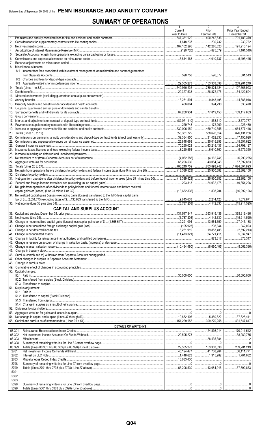## **SUMMARY OF OPERATIONS**

| 490,242,636<br>701,183,379<br>1.<br>230,732<br>1,648,237<br>230.732<br>142,285,623<br>191,916,194<br>167,102,298<br>4.<br>5.<br>5.495.445<br>6.<br>8. Miscellaneous Income:<br>8.1 Income from fees associated with investment management, administration and contract guarantees<br>598,758<br>596,377<br>801.513<br><br><br>153,333,398<br>209,201,249<br>789,824,124<br>29,327,533<br>28,872,176<br>$\ldots$ 34,422,504<br>9,848,198<br>14,386,918<br>13,281,594<br>394.790<br>530,478<br>77,819,456<br>109,117,683<br>2.670.777<br>1.858.710<br>$\ldots$ 225,480<br>$\ldots$ 558,381,722<br>$\ldots$ 588,676,654<br>326,131,256<br>31,452,830<br>47.150.920<br>35,015,856<br>45,551,622<br>25,848,668<br>94,798,127<br>63,215,437<br>6,610,760<br>1.1.1.1.1.1.0.579.350<br>13,084,946<br>65,206,530<br>57,892,853<br>763,893,742<br>1,074,804,893<br>25,930,382<br>32,862,100<br>32,862,100<br>31. Net gain from operations after dividends to policyholders and before federal income taxes (Line 29 minus Line 30)    (13,339,523)<br>25,930,382<br>24,032,178<br>49,854,296<br>33. Net gain from operations after dividends to policyholders and federal income taxes and before realized<br>1,898,204<br>$\ldots$ (16,992,196)<br>34. Net realized capital gains (losses) (excluding gains (losses) transferred to the IMR) less capital gains<br>12,244,126<br>1,077,671<br>1.142,330<br><b>CAPITAL AND SURPLUS ACCOUNT</b><br>393,919,436 393,919,436<br>37. Net income (Line 35)<br>50. Capital changes:<br>51. Surplus adjustment:<br><b>DETAILS OF WRITE-INS</b><br>08.301.<br>08.302.<br>08.303.<br>08.398.<br>08.399.<br>$\ldots$ 41,768,964   56,111,771<br>2701.<br>2702.<br>2703.<br>2798.<br>2799.<br>5301.<br>5302.<br>5303.<br>5398.<br>5399. |  | 1<br>Current | 2<br>Prior   | 3<br>Prior Year Ended |
|--------------------------------------------------------------------------------------------------------------------------------------------------------------------------------------------------------------------------------------------------------------------------------------------------------------------------------------------------------------------------------------------------------------------------------------------------------------------------------------------------------------------------------------------------------------------------------------------------------------------------------------------------------------------------------------------------------------------------------------------------------------------------------------------------------------------------------------------------------------------------------------------------------------------------------------------------------------------------------------------------------------------------------------------------------------------------------------------------------------------------------------------------------------------------------------------------------------------------------------------------------------------------------------------------------------------------------------------------------------------------------------------------------------------------------------------------------------------------------------------------------------------------------------------------------------------------------------------------------------------------------------------------------------------------------------------------------------------------------------------------------------------|--|--------------|--------------|-----------------------|
|                                                                                                                                                                                                                                                                                                                                                                                                                                                                                                                                                                                                                                                                                                                                                                                                                                                                                                                                                                                                                                                                                                                                                                                                                                                                                                                                                                                                                                                                                                                                                                                                                                                                                                                                                                    |  | Year to Date | Year to Date | December 31           |
|                                                                                                                                                                                                                                                                                                                                                                                                                                                                                                                                                                                                                                                                                                                                                                                                                                                                                                                                                                                                                                                                                                                                                                                                                                                                                                                                                                                                                                                                                                                                                                                                                                                                                                                                                                    |  |              |              |                       |
|                                                                                                                                                                                                                                                                                                                                                                                                                                                                                                                                                                                                                                                                                                                                                                                                                                                                                                                                                                                                                                                                                                                                                                                                                                                                                                                                                                                                                                                                                                                                                                                                                                                                                                                                                                    |  |              |              |                       |
|                                                                                                                                                                                                                                                                                                                                                                                                                                                                                                                                                                                                                                                                                                                                                                                                                                                                                                                                                                                                                                                                                                                                                                                                                                                                                                                                                                                                                                                                                                                                                                                                                                                                                                                                                                    |  |              |              |                       |
|                                                                                                                                                                                                                                                                                                                                                                                                                                                                                                                                                                                                                                                                                                                                                                                                                                                                                                                                                                                                                                                                                                                                                                                                                                                                                                                                                                                                                                                                                                                                                                                                                                                                                                                                                                    |  |              |              |                       |
|                                                                                                                                                                                                                                                                                                                                                                                                                                                                                                                                                                                                                                                                                                                                                                                                                                                                                                                                                                                                                                                                                                                                                                                                                                                                                                                                                                                                                                                                                                                                                                                                                                                                                                                                                                    |  |              |              |                       |
|                                                                                                                                                                                                                                                                                                                                                                                                                                                                                                                                                                                                                                                                                                                                                                                                                                                                                                                                                                                                                                                                                                                                                                                                                                                                                                                                                                                                                                                                                                                                                                                                                                                                                                                                                                    |  |              |              |                       |
|                                                                                                                                                                                                                                                                                                                                                                                                                                                                                                                                                                                                                                                                                                                                                                                                                                                                                                                                                                                                                                                                                                                                                                                                                                                                                                                                                                                                                                                                                                                                                                                                                                                                                                                                                                    |  |              |              |                       |
|                                                                                                                                                                                                                                                                                                                                                                                                                                                                                                                                                                                                                                                                                                                                                                                                                                                                                                                                                                                                                                                                                                                                                                                                                                                                                                                                                                                                                                                                                                                                                                                                                                                                                                                                                                    |  |              |              |                       |
|                                                                                                                                                                                                                                                                                                                                                                                                                                                                                                                                                                                                                                                                                                                                                                                                                                                                                                                                                                                                                                                                                                                                                                                                                                                                                                                                                                                                                                                                                                                                                                                                                                                                                                                                                                    |  |              |              |                       |
|                                                                                                                                                                                                                                                                                                                                                                                                                                                                                                                                                                                                                                                                                                                                                                                                                                                                                                                                                                                                                                                                                                                                                                                                                                                                                                                                                                                                                                                                                                                                                                                                                                                                                                                                                                    |  |              |              |                       |
|                                                                                                                                                                                                                                                                                                                                                                                                                                                                                                                                                                                                                                                                                                                                                                                                                                                                                                                                                                                                                                                                                                                                                                                                                                                                                                                                                                                                                                                                                                                                                                                                                                                                                                                                                                    |  |              |              |                       |
|                                                                                                                                                                                                                                                                                                                                                                                                                                                                                                                                                                                                                                                                                                                                                                                                                                                                                                                                                                                                                                                                                                                                                                                                                                                                                                                                                                                                                                                                                                                                                                                                                                                                                                                                                                    |  |              |              |                       |
|                                                                                                                                                                                                                                                                                                                                                                                                                                                                                                                                                                                                                                                                                                                                                                                                                                                                                                                                                                                                                                                                                                                                                                                                                                                                                                                                                                                                                                                                                                                                                                                                                                                                                                                                                                    |  |              |              |                       |
|                                                                                                                                                                                                                                                                                                                                                                                                                                                                                                                                                                                                                                                                                                                                                                                                                                                                                                                                                                                                                                                                                                                                                                                                                                                                                                                                                                                                                                                                                                                                                                                                                                                                                                                                                                    |  |              |              |                       |
|                                                                                                                                                                                                                                                                                                                                                                                                                                                                                                                                                                                                                                                                                                                                                                                                                                                                                                                                                                                                                                                                                                                                                                                                                                                                                                                                                                                                                                                                                                                                                                                                                                                                                                                                                                    |  |              |              |                       |
|                                                                                                                                                                                                                                                                                                                                                                                                                                                                                                                                                                                                                                                                                                                                                                                                                                                                                                                                                                                                                                                                                                                                                                                                                                                                                                                                                                                                                                                                                                                                                                                                                                                                                                                                                                    |  |              |              |                       |
|                                                                                                                                                                                                                                                                                                                                                                                                                                                                                                                                                                                                                                                                                                                                                                                                                                                                                                                                                                                                                                                                                                                                                                                                                                                                                                                                                                                                                                                                                                                                                                                                                                                                                                                                                                    |  |              |              |                       |
|                                                                                                                                                                                                                                                                                                                                                                                                                                                                                                                                                                                                                                                                                                                                                                                                                                                                                                                                                                                                                                                                                                                                                                                                                                                                                                                                                                                                                                                                                                                                                                                                                                                                                                                                                                    |  |              |              |                       |
|                                                                                                                                                                                                                                                                                                                                                                                                                                                                                                                                                                                                                                                                                                                                                                                                                                                                                                                                                                                                                                                                                                                                                                                                                                                                                                                                                                                                                                                                                                                                                                                                                                                                                                                                                                    |  |              |              |                       |
|                                                                                                                                                                                                                                                                                                                                                                                                                                                                                                                                                                                                                                                                                                                                                                                                                                                                                                                                                                                                                                                                                                                                                                                                                                                                                                                                                                                                                                                                                                                                                                                                                                                                                                                                                                    |  |              |              |                       |
|                                                                                                                                                                                                                                                                                                                                                                                                                                                                                                                                                                                                                                                                                                                                                                                                                                                                                                                                                                                                                                                                                                                                                                                                                                                                                                                                                                                                                                                                                                                                                                                                                                                                                                                                                                    |  |              |              |                       |
|                                                                                                                                                                                                                                                                                                                                                                                                                                                                                                                                                                                                                                                                                                                                                                                                                                                                                                                                                                                                                                                                                                                                                                                                                                                                                                                                                                                                                                                                                                                                                                                                                                                                                                                                                                    |  |              |              |                       |
|                                                                                                                                                                                                                                                                                                                                                                                                                                                                                                                                                                                                                                                                                                                                                                                                                                                                                                                                                                                                                                                                                                                                                                                                                                                                                                                                                                                                                                                                                                                                                                                                                                                                                                                                                                    |  |              |              |                       |
|                                                                                                                                                                                                                                                                                                                                                                                                                                                                                                                                                                                                                                                                                                                                                                                                                                                                                                                                                                                                                                                                                                                                                                                                                                                                                                                                                                                                                                                                                                                                                                                                                                                                                                                                                                    |  |              |              |                       |
|                                                                                                                                                                                                                                                                                                                                                                                                                                                                                                                                                                                                                                                                                                                                                                                                                                                                                                                                                                                                                                                                                                                                                                                                                                                                                                                                                                                                                                                                                                                                                                                                                                                                                                                                                                    |  |              |              |                       |
|                                                                                                                                                                                                                                                                                                                                                                                                                                                                                                                                                                                                                                                                                                                                                                                                                                                                                                                                                                                                                                                                                                                                                                                                                                                                                                                                                                                                                                                                                                                                                                                                                                                                                                                                                                    |  |              |              |                       |
|                                                                                                                                                                                                                                                                                                                                                                                                                                                                                                                                                                                                                                                                                                                                                                                                                                                                                                                                                                                                                                                                                                                                                                                                                                                                                                                                                                                                                                                                                                                                                                                                                                                                                                                                                                    |  |              |              |                       |
|                                                                                                                                                                                                                                                                                                                                                                                                                                                                                                                                                                                                                                                                                                                                                                                                                                                                                                                                                                                                                                                                                                                                                                                                                                                                                                                                                                                                                                                                                                                                                                                                                                                                                                                                                                    |  |              |              |                       |
|                                                                                                                                                                                                                                                                                                                                                                                                                                                                                                                                                                                                                                                                                                                                                                                                                                                                                                                                                                                                                                                                                                                                                                                                                                                                                                                                                                                                                                                                                                                                                                                                                                                                                                                                                                    |  |              |              |                       |
|                                                                                                                                                                                                                                                                                                                                                                                                                                                                                                                                                                                                                                                                                                                                                                                                                                                                                                                                                                                                                                                                                                                                                                                                                                                                                                                                                                                                                                                                                                                                                                                                                                                                                                                                                                    |  |              |              |                       |
|                                                                                                                                                                                                                                                                                                                                                                                                                                                                                                                                                                                                                                                                                                                                                                                                                                                                                                                                                                                                                                                                                                                                                                                                                                                                                                                                                                                                                                                                                                                                                                                                                                                                                                                                                                    |  |              |              |                       |
|                                                                                                                                                                                                                                                                                                                                                                                                                                                                                                                                                                                                                                                                                                                                                                                                                                                                                                                                                                                                                                                                                                                                                                                                                                                                                                                                                                                                                                                                                                                                                                                                                                                                                                                                                                    |  |              |              |                       |
|                                                                                                                                                                                                                                                                                                                                                                                                                                                                                                                                                                                                                                                                                                                                                                                                                                                                                                                                                                                                                                                                                                                                                                                                                                                                                                                                                                                                                                                                                                                                                                                                                                                                                                                                                                    |  |              |              |                       |
|                                                                                                                                                                                                                                                                                                                                                                                                                                                                                                                                                                                                                                                                                                                                                                                                                                                                                                                                                                                                                                                                                                                                                                                                                                                                                                                                                                                                                                                                                                                                                                                                                                                                                                                                                                    |  |              |              |                       |
|                                                                                                                                                                                                                                                                                                                                                                                                                                                                                                                                                                                                                                                                                                                                                                                                                                                                                                                                                                                                                                                                                                                                                                                                                                                                                                                                                                                                                                                                                                                                                                                                                                                                                                                                                                    |  |              |              |                       |
|                                                                                                                                                                                                                                                                                                                                                                                                                                                                                                                                                                                                                                                                                                                                                                                                                                                                                                                                                                                                                                                                                                                                                                                                                                                                                                                                                                                                                                                                                                                                                                                                                                                                                                                                                                    |  |              |              |                       |
|                                                                                                                                                                                                                                                                                                                                                                                                                                                                                                                                                                                                                                                                                                                                                                                                                                                                                                                                                                                                                                                                                                                                                                                                                                                                                                                                                                                                                                                                                                                                                                                                                                                                                                                                                                    |  |              |              |                       |
|                                                                                                                                                                                                                                                                                                                                                                                                                                                                                                                                                                                                                                                                                                                                                                                                                                                                                                                                                                                                                                                                                                                                                                                                                                                                                                                                                                                                                                                                                                                                                                                                                                                                                                                                                                    |  |              |              |                       |
|                                                                                                                                                                                                                                                                                                                                                                                                                                                                                                                                                                                                                                                                                                                                                                                                                                                                                                                                                                                                                                                                                                                                                                                                                                                                                                                                                                                                                                                                                                                                                                                                                                                                                                                                                                    |  |              |              |                       |
|                                                                                                                                                                                                                                                                                                                                                                                                                                                                                                                                                                                                                                                                                                                                                                                                                                                                                                                                                                                                                                                                                                                                                                                                                                                                                                                                                                                                                                                                                                                                                                                                                                                                                                                                                                    |  |              |              |                       |
|                                                                                                                                                                                                                                                                                                                                                                                                                                                                                                                                                                                                                                                                                                                                                                                                                                                                                                                                                                                                                                                                                                                                                                                                                                                                                                                                                                                                                                                                                                                                                                                                                                                                                                                                                                    |  |              |              |                       |
|                                                                                                                                                                                                                                                                                                                                                                                                                                                                                                                                                                                                                                                                                                                                                                                                                                                                                                                                                                                                                                                                                                                                                                                                                                                                                                                                                                                                                                                                                                                                                                                                                                                                                                                                                                    |  |              |              |                       |
|                                                                                                                                                                                                                                                                                                                                                                                                                                                                                                                                                                                                                                                                                                                                                                                                                                                                                                                                                                                                                                                                                                                                                                                                                                                                                                                                                                                                                                                                                                                                                                                                                                                                                                                                                                    |  |              |              |                       |
|                                                                                                                                                                                                                                                                                                                                                                                                                                                                                                                                                                                                                                                                                                                                                                                                                                                                                                                                                                                                                                                                                                                                                                                                                                                                                                                                                                                                                                                                                                                                                                                                                                                                                                                                                                    |  |              |              |                       |
|                                                                                                                                                                                                                                                                                                                                                                                                                                                                                                                                                                                                                                                                                                                                                                                                                                                                                                                                                                                                                                                                                                                                                                                                                                                                                                                                                                                                                                                                                                                                                                                                                                                                                                                                                                    |  |              |              |                       |
|                                                                                                                                                                                                                                                                                                                                                                                                                                                                                                                                                                                                                                                                                                                                                                                                                                                                                                                                                                                                                                                                                                                                                                                                                                                                                                                                                                                                                                                                                                                                                                                                                                                                                                                                                                    |  |              |              |                       |
|                                                                                                                                                                                                                                                                                                                                                                                                                                                                                                                                                                                                                                                                                                                                                                                                                                                                                                                                                                                                                                                                                                                                                                                                                                                                                                                                                                                                                                                                                                                                                                                                                                                                                                                                                                    |  |              |              |                       |
|                                                                                                                                                                                                                                                                                                                                                                                                                                                                                                                                                                                                                                                                                                                                                                                                                                                                                                                                                                                                                                                                                                                                                                                                                                                                                                                                                                                                                                                                                                                                                                                                                                                                                                                                                                    |  |              |              |                       |
|                                                                                                                                                                                                                                                                                                                                                                                                                                                                                                                                                                                                                                                                                                                                                                                                                                                                                                                                                                                                                                                                                                                                                                                                                                                                                                                                                                                                                                                                                                                                                                                                                                                                                                                                                                    |  |              |              |                       |
|                                                                                                                                                                                                                                                                                                                                                                                                                                                                                                                                                                                                                                                                                                                                                                                                                                                                                                                                                                                                                                                                                                                                                                                                                                                                                                                                                                                                                                                                                                                                                                                                                                                                                                                                                                    |  |              |              |                       |
|                                                                                                                                                                                                                                                                                                                                                                                                                                                                                                                                                                                                                                                                                                                                                                                                                                                                                                                                                                                                                                                                                                                                                                                                                                                                                                                                                                                                                                                                                                                                                                                                                                                                                                                                                                    |  |              |              |                       |
|                                                                                                                                                                                                                                                                                                                                                                                                                                                                                                                                                                                                                                                                                                                                                                                                                                                                                                                                                                                                                                                                                                                                                                                                                                                                                                                                                                                                                                                                                                                                                                                                                                                                                                                                                                    |  |              |              |                       |
|                                                                                                                                                                                                                                                                                                                                                                                                                                                                                                                                                                                                                                                                                                                                                                                                                                                                                                                                                                                                                                                                                                                                                                                                                                                                                                                                                                                                                                                                                                                                                                                                                                                                                                                                                                    |  |              |              |                       |
|                                                                                                                                                                                                                                                                                                                                                                                                                                                                                                                                                                                                                                                                                                                                                                                                                                                                                                                                                                                                                                                                                                                                                                                                                                                                                                                                                                                                                                                                                                                                                                                                                                                                                                                                                                    |  |              |              |                       |
|                                                                                                                                                                                                                                                                                                                                                                                                                                                                                                                                                                                                                                                                                                                                                                                                                                                                                                                                                                                                                                                                                                                                                                                                                                                                                                                                                                                                                                                                                                                                                                                                                                                                                                                                                                    |  |              |              |                       |
|                                                                                                                                                                                                                                                                                                                                                                                                                                                                                                                                                                                                                                                                                                                                                                                                                                                                                                                                                                                                                                                                                                                                                                                                                                                                                                                                                                                                                                                                                                                                                                                                                                                                                                                                                                    |  |              |              |                       |
|                                                                                                                                                                                                                                                                                                                                                                                                                                                                                                                                                                                                                                                                                                                                                                                                                                                                                                                                                                                                                                                                                                                                                                                                                                                                                                                                                                                                                                                                                                                                                                                                                                                                                                                                                                    |  |              |              |                       |
|                                                                                                                                                                                                                                                                                                                                                                                                                                                                                                                                                                                                                                                                                                                                                                                                                                                                                                                                                                                                                                                                                                                                                                                                                                                                                                                                                                                                                                                                                                                                                                                                                                                                                                                                                                    |  |              |              |                       |
|                                                                                                                                                                                                                                                                                                                                                                                                                                                                                                                                                                                                                                                                                                                                                                                                                                                                                                                                                                                                                                                                                                                                                                                                                                                                                                                                                                                                                                                                                                                                                                                                                                                                                                                                                                    |  |              |              |                       |
|                                                                                                                                                                                                                                                                                                                                                                                                                                                                                                                                                                                                                                                                                                                                                                                                                                                                                                                                                                                                                                                                                                                                                                                                                                                                                                                                                                                                                                                                                                                                                                                                                                                                                                                                                                    |  |              |              |                       |
|                                                                                                                                                                                                                                                                                                                                                                                                                                                                                                                                                                                                                                                                                                                                                                                                                                                                                                                                                                                                                                                                                                                                                                                                                                                                                                                                                                                                                                                                                                                                                                                                                                                                                                                                                                    |  |              |              |                       |
|                                                                                                                                                                                                                                                                                                                                                                                                                                                                                                                                                                                                                                                                                                                                                                                                                                                                                                                                                                                                                                                                                                                                                                                                                                                                                                                                                                                                                                                                                                                                                                                                                                                                                                                                                                    |  |              |              |                       |
|                                                                                                                                                                                                                                                                                                                                                                                                                                                                                                                                                                                                                                                                                                                                                                                                                                                                                                                                                                                                                                                                                                                                                                                                                                                                                                                                                                                                                                                                                                                                                                                                                                                                                                                                                                    |  |              |              |                       |
|                                                                                                                                                                                                                                                                                                                                                                                                                                                                                                                                                                                                                                                                                                                                                                                                                                                                                                                                                                                                                                                                                                                                                                                                                                                                                                                                                                                                                                                                                                                                                                                                                                                                                                                                                                    |  |              |              |                       |
|                                                                                                                                                                                                                                                                                                                                                                                                                                                                                                                                                                                                                                                                                                                                                                                                                                                                                                                                                                                                                                                                                                                                                                                                                                                                                                                                                                                                                                                                                                                                                                                                                                                                                                                                                                    |  |              |              |                       |
|                                                                                                                                                                                                                                                                                                                                                                                                                                                                                                                                                                                                                                                                                                                                                                                                                                                                                                                                                                                                                                                                                                                                                                                                                                                                                                                                                                                                                                                                                                                                                                                                                                                                                                                                                                    |  |              |              |                       |
|                                                                                                                                                                                                                                                                                                                                                                                                                                                                                                                                                                                                                                                                                                                                                                                                                                                                                                                                                                                                                                                                                                                                                                                                                                                                                                                                                                                                                                                                                                                                                                                                                                                                                                                                                                    |  |              |              |                       |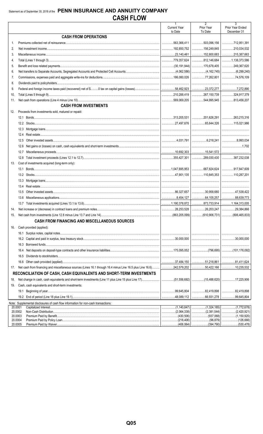|                    |                                                                                    | $\mathbf{1}$           | $\overline{2}$                   | $\overline{3}$                       |
|--------------------|------------------------------------------------------------------------------------|------------------------|----------------------------------|--------------------------------------|
|                    |                                                                                    | <b>Current Year</b>    | Prior Year                       | Prior Year Ended                     |
|                    | <b>CASH FROM OPERATIONS</b>                                                        | to Date                | To Date                          | December 31                          |
|                    |                                                                                    |                        |                                  |                                      |
| $1_{-}$            |                                                                                    | 563,366,411            | 503,096,156                      | 12,951,391                           |
| 2.                 |                                                                                    | 192,850,752            | 156,249,845                      | 210,034,532                          |
| 3.                 |                                                                                    |                        |                                  |                                      |
| 4.                 |                                                                                    |                        |                                  |                                      |
| 5.                 |                                                                                    |                        |                                  |                                      |
| 6.                 |                                                                                    |                        |                                  |                                      |
| 7.                 |                                                                                    |                        | 77,262,801                       | 74,576,109                           |
| 8.                 |                                                                                    |                        |                                  |                                      |
| 9.                 |                                                                                    |                        |                                  | 1.17,272,890                         |
| 10.                |                                                                                    |                        | 267,150,739                      | 324,917,379                          |
| 11.                |                                                                                    |                        | $\ldots$ 544,995,945             | $\ldots$ 813,456,207                 |
|                    | <b>CASH FROM INVESTMENTS</b>                                                       |                        |                                  |                                      |
| 12.                | Proceeds from investments sold, matured or repaid:                                 |                        |                                  |                                      |
|                    |                                                                                    |                        | $\ldots$ 201,626,291 263,215,316 |                                      |
|                    |                                                                                    |                        |                                  |                                      |
|                    |                                                                                    |                        |                                  |                                      |
|                    | 12.4                                                                               |                        |                                  |                                      |
|                    | 12.5                                                                               |                        |                                  |                                      |
|                    | 12.6                                                                               |                        |                                  | 1.702                                |
|                    | 12.7                                                                               |                        |                                  |                                      |
|                    |                                                                                    |                        |                                  |                                      |
|                    |                                                                                    |                        |                                  |                                      |
| 13.                | Cost of investments acquired (long-term only):                                     |                        |                                  |                                      |
|                    | 13.1                                                                               |                        |                                  |                                      |
|                    |                                                                                    |                        | $\dots$ 110,845,353 110,287,201  |                                      |
|                    |                                                                                    |                        |                                  |                                      |
|                    |                                                                                    |                        |                                  |                                      |
|                    | 13.5                                                                               |                        | $\ldots$ 30,958,680 47,538,422   |                                      |
|                    | 13.6                                                                               |                        |                                  | 88,639,773                           |
|                    |                                                                                    |                        | $\ldots$ 873,733,914             | 1,164,313,005                        |
| 14.                |                                                                                    |                        |                                  |                                      |
| 15.                |                                                                                    | $\ldots$ (863,205,099) |                                  | $\ldots$ (610,906,731) (806,465,833) |
|                    | <b>CASH FROM FINANCING AND MISCELLANEOUS SOURCES</b>                               |                        |                                  |                                      |
| 16.                | Cash provided (applied):                                                           |                        |                                  |                                      |
|                    |                                                                                    |                        |                                  |                                      |
|                    |                                                                                    |                        |                                  | $\ldots$ 30.000.000                  |
|                    | 16.3                                                                               |                        |                                  |                                      |
|                    | 16.4                                                                               |                        |                                  |                                      |
|                    | 16.5                                                                               |                        |                                  |                                      |
|                    | 16.6                                                                               |                        | $\ldots$ 51,218,861 81,411,624   |                                      |
| 17.                |                                                                                    |                        | $\ldots$ 50.422.166              |                                      |
|                    | RECONCILIATION OF CASH, CASH EQUIVALENTS AND SHORT-TERM INVESTMENTS                |                        |                                  |                                      |
|                    |                                                                                    |                        |                                  |                                      |
| 18.                |                                                                                    |                        |                                  |                                      |
| 19.                | Cash, cash equivalents and short-term investments:                                 |                        |                                  |                                      |
|                    | 19.1                                                                               |                        | 82,419,898                       | .82,419,898<br>.                     |
|                    |                                                                                    |                        | 66,931,278                       | .99,645,804<br>.                     |
|                    | Note: Supplemental disclosures of cash flow information for non-cash transactions: |                        |                                  |                                      |
| 20.0001<br>20.0002 |                                                                                    | (2,064,338)            | .(2,381,544)<br>.                | (2,420,921)<br>.                     |
| 20.0003            |                                                                                    |                        |                                  |                                      |
| 20.0004            |                                                                                    |                        |                                  |                                      |
| 20.0005            |                                                                                    |                        | .                                | (530, 478)                           |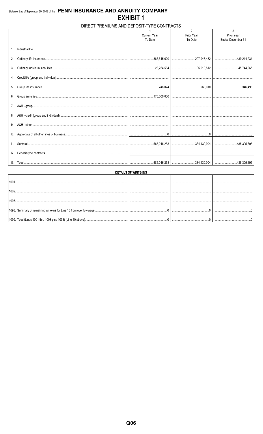#### DIRECT PREMIUMS AND DEPOSIT-TYPE CONTRACTS

|     |                     | $\overline{2}$                                                                                                                                                                                                   | 3                 |
|-----|---------------------|------------------------------------------------------------------------------------------------------------------------------------------------------------------------------------------------------------------|-------------------|
|     | <b>Current Year</b> | Prior Year                                                                                                                                                                                                       | Prior Year        |
|     | To Date             | To Date                                                                                                                                                                                                          | Ended December 31 |
|     |                     |                                                                                                                                                                                                                  |                   |
|     |                     |                                                                                                                                                                                                                  |                   |
|     |                     |                                                                                                                                                                                                                  |                   |
| 2.  |                     |                                                                                                                                                                                                                  |                   |
|     |                     |                                                                                                                                                                                                                  |                   |
| 3.  |                     |                                                                                                                                                                                                                  |                   |
|     |                     |                                                                                                                                                                                                                  |                   |
|     |                     |                                                                                                                                                                                                                  |                   |
|     |                     |                                                                                                                                                                                                                  |                   |
|     |                     |                                                                                                                                                                                                                  |                   |
| 5.  |                     |                                                                                                                                                                                                                  |                   |
|     |                     |                                                                                                                                                                                                                  |                   |
|     |                     |                                                                                                                                                                                                                  |                   |
|     |                     |                                                                                                                                                                                                                  |                   |
| 7.  |                     |                                                                                                                                                                                                                  |                   |
|     |                     |                                                                                                                                                                                                                  |                   |
|     |                     |                                                                                                                                                                                                                  |                   |
|     |                     |                                                                                                                                                                                                                  |                   |
| 9.  |                     |                                                                                                                                                                                                                  |                   |
|     |                     |                                                                                                                                                                                                                  |                   |
| 10. |                     |                                                                                                                                                                                                                  |                   |
|     |                     |                                                                                                                                                                                                                  |                   |
| 11. |                     |                                                                                                                                                                                                                  |                   |
|     |                     |                                                                                                                                                                                                                  |                   |
| 12. |                     |                                                                                                                                                                                                                  |                   |
|     |                     |                                                                                                                                                                                                                  |                   |
|     |                     | $\ldots \ldots \ldots \ldots \ldots \ldots \ldots \ldots 585,046,258 \mid \ldots \ldots \ldots \ldots \ldots \ldots \ldots 334,130,004 \mid \ldots \ldots \ldots \ldots \ldots \ldots \ldots \ldots 485,305,695$ |                   |
|     |                     |                                                                                                                                                                                                                  |                   |

| <b>DETAILS OF WRITE-INS</b> |  |  |  |  |  |  |  |  |  |  |
|-----------------------------|--|--|--|--|--|--|--|--|--|--|
| 100 <sup>2</sup>            |  |  |  |  |  |  |  |  |  |  |
| 1002                        |  |  |  |  |  |  |  |  |  |  |
| 1003                        |  |  |  |  |  |  |  |  |  |  |
|                             |  |  |  |  |  |  |  |  |  |  |
|                             |  |  |  |  |  |  |  |  |  |  |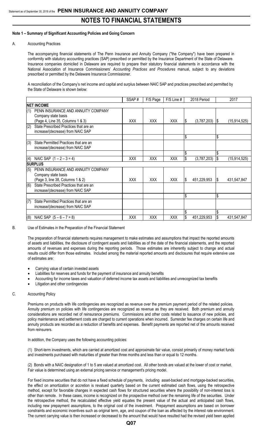#### **Note 1 – Summary of Significant Accounting Policies and Going Concern**

#### A. Accounting Practices

The accompanying financial statements of The Penn Insurance and Annuity Company ("the Company") have been prepared in conformity with statutory accounting practices (SAP) prescribed or permitted by the Insurance Department of the State of Delaware. Insurance companies domiciled in Delaware are required to prepare their statutory financial statements in accordance with the National Association of Insurance Commissioners' *Accounting Practices and Procedures* manual, subject to any deviations prescribed or permitted by the Delaware Insurance Commissioner.

A reconciliation of the Company's net income and capital and surplus between NAIC SAP and practices prescribed and permitted by the State of Delaware is shown below:

|     |                                                                             | SSAP#      | F/S Page   | F/S Line # |     | 2018 Period |     | 2017           |
|-----|-----------------------------------------------------------------------------|------------|------------|------------|-----|-------------|-----|----------------|
|     | <b>NET INCOME</b>                                                           |            |            |            |     |             |     |                |
| (1) | PENN INSURANCE AND ANNUITY COMPANY                                          |            |            |            |     |             |     |                |
|     | Company state basis<br>(Page 4, Line 35, Columns 1 & 3)                     | <b>XXX</b> | <b>XXX</b> | <b>XXX</b> | IS. | (3,787,203) | - 1 | (15, 914, 525) |
| (2) | State Prescribed Practices that are an<br>increase/(decrease) from NAIC SAP |            |            |            |     |             |     |                |
|     |                                                                             |            |            |            | Ŝ.  |             | \$  |                |
| (3) | State Permitted Practices that are an<br>increase/(decrease) from NAIC SAP  |            |            |            |     |             |     |                |
|     |                                                                             |            |            |            | \$  |             | \$  |                |
| (4) | NAIC SAP $(1 – 2 – 3 = 4)$                                                  | XXX        | <b>XXX</b> | <b>XXX</b> |     | (3,787,203) |     | (15, 914, 525) |
|     | <b>SURPLUS</b>                                                              |            |            |            |     |             |     |                |
| (5) | PENN INSURANCE AND ANNUITY COMPANY                                          |            |            |            |     |             |     |                |
|     | Company state basis                                                         |            |            |            |     |             |     |                |
|     | (Page 3, line 38, Columns 1 & 2)                                            | <b>XXX</b> | <b>XXX</b> | <b>XXX</b> | S   | 451,229,953 | 1\$ | 431,547,847    |
| (6) | State Prescribed Practices that are an                                      |            |            |            |     |             |     |                |
|     | increase/(decrease) from NAIC SAP                                           |            |            |            |     |             |     |                |
|     |                                                                             |            |            |            | S,  |             | \$  |                |
| (7) | State Permitted Practices that are an                                       |            |            |            |     |             |     |                |
|     | increase/(decrease) from NAIC SAP                                           |            |            |            |     |             |     |                |
|     |                                                                             |            |            |            |     |             |     |                |
| (8) | NAIC SAP $(5 - 6 - 7 = 8)$                                                  | <b>XXX</b> | XXX        | XXX        | \$  | 451,229,953 | l\$ | 431,547,847    |

B. Use of Estimates in the Preparation of the Financial Statement

The preparation of financial statements requires management to make estimates and assumptions that impact the reported amounts of assets and liabilities, the disclosure of contingent assets and liabilities as of the date of the financial statements, and the reported amounts of revenues and expenses during the reporting periods. Those estimates are inherently subject to change and actual results could differ from those estimates. Included among the material reported amounts and disclosures that require extensive use of estimates are:

- Carrying value of certain invested assets
- Liabilities for reserves and funds for the payment of insurance and annuity benefits
- Accounting for income taxes and valuation of deferred income tax assets and liabilities and unrecognized tax benefits
- Litigation and other contingencies

#### C. Accounting Policy

Premiums on products with life contingencies are recognized as revenue over the premium payment period of the related policies. Annuity premium on policies with life contingencies are recognized as revenue as they are received. Both premium and annuity considerations are recorded net of reinsurance premiums. Commissions and other costs related to issuance of new policies, and policy maintenance and settlement costs are charged to current operations when incurred. Surrender fee charges on certain life and annuity products are recorded as a reduction of benefits and expenses. Benefit payments are reported net of the amounts received from reinsurers.

In addition, the Company uses the following accounting policies:

(1) Short-term investments, which are carried at amortized cost and approximate fair value, consist primarily of money market funds and investments purchased with maturities of greater than three months and less than or equal to 12 months.

(2) Bonds with a NAIC designation of 1 to 5 are valued at amortized cost. All other bonds are valued at the lower of cost or market. Fair value is determined using an external pricing service or management's pricing model.

For fixed income securities that do not have a fixed schedule of payments, including asset-backed and mortgage-backed securities, the effect on amortization or accretion is revalued quarterly based on the current estimated cash flows, using the retrospective method, except for favorable changes in expected cash flows for structured securities where the possibility of non-interest loss is other than remote. In these cases, income is recognized on the prospective method over the remaining life of the securities. Under the retrospective method, the recalculated effective yield equates the present value of the actual and anticipated cash flows, including new prepayment assumptions, to the original cost of the investment. Prepayment assumptions are based on borrower constraints and economic incentives such as original term, age, and coupon of the loan as affected by the interest rate environment. The current carrying value is then increased or decreased to the amount that would have resulted had the revised yield been applied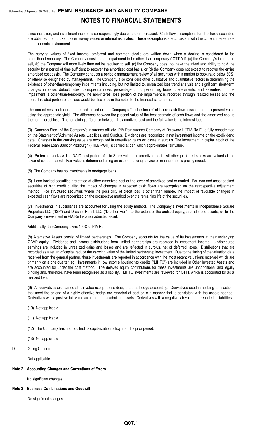since inception, and investment income is correspondingly decreased or increased. Cash flow assumptions for structured securities are obtained from broker dealer survey values or internal estimates. These assumptions are consistent with the current interest rate and economic environment.

The carrying values of fixed income, preferred and common stocks are written down when a decline is considered to be other-than-temporary. The Company considers an impairment to be other than temporary ("OTTI") if: (a) the Company's intent is to sell, (b) the Company will more likely than not be required to sell, (c) the Company does not have the intent and ability to hold the security for a period of time sufficient to recover the amortized cost basis, or (d) the Company does not expect to recover the entire amortized cost basis. The Company conducts a periodic management review of all securities with a market to book ratio below 80%, or otherwise designated by management. The Company also considers other qualitative and quantitative factors in determining the existence of other-than-temporary impairments including, but not limited to, unrealized loss trend analysis and significant short-term changes in value, default rates, delinquency rates, percentage of nonperforming loans, prepayments, and severities. If the impairment is other-than-temporary, the non-interest loss portion of the impairment is recorded through realized losses and the interest related portion of the loss would be disclosed in the notes to the financial statements.

The non-interest portion is determined based on the Company's "best estimate" of future cash flows discounted to a present value using the appropriate yield. The difference between the present value of the best estimate of cash flows and the amortized cost is the non-interest loss. The remaining difference between the amortized cost and the fair value is the interest loss.

(3) Common Stock of the Company's insurance affiliate, PIA Reinsurance Company of Delaware I ("PIA Re I") is fully nonadmitted on the Statement of Admitted Assets, Liabilities, and Surplus. Dividends are recognized in net investment income on the ex-dividend date. Changes in the carrying value are recognized in unrealized gains or losses in surplus. The investment in capital stock of the Federal Home Loan Bank of Pittsburgh (FHLB-PGH) is carried at par, which approximates fair value.

(4) Preferred stocks with a NAIC designation of 1 to 3 are valued at amortized cost. All other preferred stocks are valued at the lower of cost or market. Fair value is determined using an external pricing service or management's pricing model.

(5) The Company has no investments in mortgage loans.

(6) Loan-backed securities are stated at either amortized cost or the lower of amortized cost or market. For loan and asset-backed securities of high credit quality, the impact of changes in expected cash flows are recognized on the retrospective adjustment method. For structured securities where the possibility of credit loss is other than remote, the impact of favorable changes in expected cash flows are recognized on the prospective method over the remaining life of the securities.

(7) Investments in subsidiaries are accounted for using the equity method. The Company's investments in Independence Square Properties LLC ("ISP") and Dresher Run I, LLC ("Dresher Run"), to the extent of the audited equity, are admitted assets, while the Company's investment in PIA Re I is a nonadmitted asset.

Additionally, the Company owns 100% of PIA Re I.

(8) Alternative Assets consist of limited partnerships. The Company accounts for the value of its investments at their underlying GAAP equity. Dividends and income distributions from limited partnerships are recorded in investment income. Undistributed earnings are included in unrealized gains and losses and are reflected in surplus, net of deferred taxes. Distributions that are recorded as a return of capital reduce the carrying value of the limited partnership investment. Due to the timing of the valuation data received from the general partner, these investments are reported in accordance with the most recent valuations received which are primarily on a one quarter lag. Investments in low income housing tax credits ("LIHTC") are included in Other Invested Assets and are accounted for under the cost method. The delayed equity contributions for these investments are unconditional and legally binding and, therefore, have been recognized as a liability. LIHTC investments are reviewed for OTTI, which is accounted for as a realized loss.

(9) All derivatives are carried at fair value except those designated as hedge accounting. Derivatives used in hedging transactions that meet the criteria of a highly effective hedge are reported at cost or in a manner that is consistent with the assets hedged. Derivatives with a positive fair value are reported as admitted assets. Derivatives with a negative fair value are reported in liabilities**.**

- (10) Not applicable
- (11) Not applicable
- (12) The Company has not modified its capitalization policy from the prior period.
- (13) Not applicable
- D. Going Concern

Not applicable

#### **Note 2 – Accounting Changes and Corrections of Errors**

No significant changes

#### **Note 3 – Business Combinations and Goodwill**

No significant changes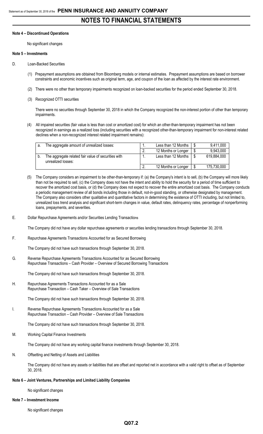#### **Note 4 – Discontinued Operations**

No significant changes

#### **Note 5 – Investments**

- D. Loan-Backed Securities
	- (1) Prepayment assumptions are obtained from Bloomberg models or internal estimates. Prepayment assumptions are based on borrower constraints and economic incentives such as original term, age, and coupon of the loan as affected by the interest rate environment.
	- (2) There were no other than temporary impairments recognized on loan-backed securities for the period ended September 30, 2018.
	- (3) Recognized OTTI securities

There were no securities through September 30, 2018 in which the Company recognized the non-interest portion of other than temporary impairments.

(4) All impaired securities (fair value is less than cost or amortized cost) for which an other-than-temporary impairment has not been recognized in earnings as a realized loss (including securities with a recognized other-than-temporary impairment for non-interest related declines when a non-recognized interest related impairment remains):

| The aggregate amount of unrealized losses:                                | . . | Less than 12 Months | 9,411,000   |
|---------------------------------------------------------------------------|-----|---------------------|-------------|
|                                                                           |     | 12 Months or Longer | 9,943,000   |
| The aggregate related fair value of securities with<br>unrealized losses: | . . | Less than 12 Months | 619,884,000 |
|                                                                           |     | 12 Months or Longer | 175,730,000 |

- (5) The Company considers an impairment to be other-than-temporary if: (a) the Company's intent is to sell, (b) the Company will more likely than not be required to sell, (c) the Company does not have the intent and ability to hold the security for a period of time sufficient to recover the amortized cost basis, or (d) the Company does not expect to recover the entire amortized cost basis. The Company conducts a periodic management review of all bonds including those in default, not-in-good standing, or otherwise designated by management. The Company also considers other qualitative and quantitative factors in determining the existence of OTTI including, but not limited to, unrealized loss trend analysis and significant short-term changes in value, default rates, delinquency rates, percentage of nonperforming loans, prepayments, and severities.
- E. Dollar Repurchase Agreements and/or Securities Lending Transactions

The Company did not have any dollar repurchase agreements or securities lending transactions through September 30, 2018.

F. Repurchase Agreements Transactions Accounted for as Secured Borrowing

The Company did not have such transactions through September 30, 2018.

G. Reverse Repurchase Agreements Transactions Accounted for as Secured Borrowing Repurchase Transactions – Cash Provider – Overview of Secured Borrowing Transactions

The Company did not have such transactions through September 30, 2018.

H. Repurchase Agreements Transactions Accounted for as a Sale Repurchase Transaction – Cash Taker – Overview of Sale Transactions

The Company did not have such transactions through September 30, 2018.

I. Reverse Repurchase Agreements Transactions Accounted for as a Sale Repurchase Transaction – Cash Provider – Overview of Sale Transactions

The Company did not have such transactions through September 30, 2018.

M. Working Capital Finance Investments

The Company did not have any working capital finance investments through September 30, 2018.

N. Offsetting and Netting of Assets and Liabilities

The Company did not have any assets or liabilities that are offset and reported net in accordance with a valid right to offset as of September 30, 2018.

#### **Note 6 – Joint Ventures, Partnerships and Limited Liability Companies**

No significant changes

**Note 7 – Investment Income**

No significant changes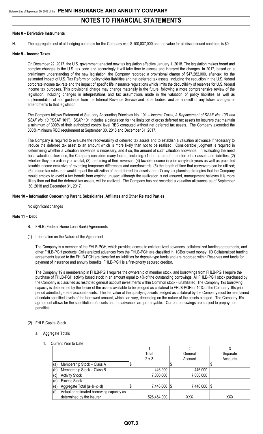#### **Note 8 – Derivative Instruments**

H. The aggregate cost of all hedging contracts for the Company was \$ 100,037,000 and the value for all discontinued contracts is \$0.

#### **Note 9 – Income Taxes**

On December 22, 2017, the U.S. government enacted new tax legislation effective January 1, 2018. The legislation makes broad and complex changes to the U.S. tax code and accordingly it will take time to assess and interpret the changes. In 2017, based on a preliminary understanding of the new legislation, the Company recorded a provisional charge of \$47,282,000, after-tax, for the estimated impact of U.S. Tax Reform on policyholder liabilities and net deferred tax assets, including the reduction in the U.S. federal corporate income tax rate and the impact of specific life insurance regulations which limits the deductibility of reserves for U.S. federal income tax purposes. This provisional charge may change materially in the future, following a more comprehensive review of the legislation, including changes in interpretations and tax assumptions made in the valuation of policy liabilities as well as implementation of and guidance from the Internal Revenue Service and other bodies, and as a result of any future changes or amendments to that legislation.

The Company follows Statement of Statutory Accounting Principles No. 101 – *Income Taxes, A Replacement of SSAP No. 10R and SSAP No. 10* ("SSAP 101"). SSAP 101 includes a calculation for the limitation of gross deferred tax assets for insurers that maintain a minimum of 300% of their authorized control level RBC computed without net deferred tax assets. The Company exceeded the 300% minimum RBC requirement at September 30, 2018 and December 31, 2017.

The Company is required to evaluate the recoverability of deferred tax assets and to establish a valuation allowance if necessary to reduce the deferred tax asset to an amount which is more likely than not to be realized. Considerable judgment is required in determining whether a valuation allowance is necessary, and if so, the amount of such valuation allowance. In evaluating the need for a valuation allowance, the Company considers many factors, including: (1) the nature of the deferred tax assets and liabilities; (2) whether they are ordinary or capital; (3) the timing of their reversal; (4) taxable income in prior carryback years as well as projected taxable income exclusive of reversing temporary differences and carryforwards; (5) the length of time that carryovers can be utilized; (6) unique tax rules that would impact the utilization of the deferred tax assets; and (7) any tax planning strategies that the Company would employ to avoid a tax benefit from expiring unused; although the realization is not assured, management believes it is more likely than not that the deferred tax assets, will be realized. The Company has not recorded a valuation allowance as of September 30, 2018 and December 31, 2017.

#### **Note 10 – Information Concerning Parent, Subsidiaries, Affiliates and Other Related Parties**

No significant changes

#### **Note 11 – Debt**

- B. FHLB (Federal Home Loan Bank) Agreements
- (1) Information on the Nature of the Agreement

The Company is a member of the FHLB-PGH, which provides access to collateralized advances, collateralized funding agreements, and other FHLB-PGH products. Collateralized advances from the FHLB-PGH are classified in 1CBorrowed money. 1D Collateralized funding agreements issued to the FHLB-PGH are classified as liabilities for deposit-type funds and are recorded within Reserves and funds for payment of insurance and annuity benefits. FHLB-PGH is a first-priority secured creditor.

The Company 19 s membership in FHLB-PGH requires the ownership of member stock, and borrowings from FHLB-PGH require the purchase of FHLB-PGH activity based stock in an amount equal to 4% of the outstanding borrowings. All FHLB-PGH stock purchased by the Company is classified as restricted general account investments within Common stock - unaffiliated. The Company 19s borrowing capacity is determined by the lesser of the assets available to be pledged as collateral to FHLB-PGH or 10% of the Company 19s prior period admitted general account assets. The fair value of the qualifying assets pledged as collateral by the Company must be maintained at certain specified levels of the borrowed amount, which can vary, depending on the nature of the assets pledged. The Company 19s agreement allows for the substitution of assets and the advances are pre-payable. Current borrowings are subject to prepayment penalties.

#### (2) FHLB Capital Stock

- a. Aggregate Totals
	- 1. Current Year to Date

|     |                                           | Total       | General   | Separate |
|-----|-------------------------------------------|-------------|-----------|----------|
|     |                                           | $2 + 3$     | Account   | Accounts |
| (a) | Membership Stock - Class A                |             |           |          |
| (b) | Membership Stock - Class B                | 446,000     | 446,000   |          |
| (c) | <b>Activity Stock</b>                     | 7,000,000   | 7,000,000 |          |
|     | <b>Excess Stock</b>                       |             |           |          |
| (e) | Aggregate Total (a+b+c+d)                 | 7,446,000   | 7,446,000 | 1\$      |
| (f) | Actual or estimated borrowing capacity as |             |           |          |
|     | determined by the insurer                 | 526,464,000 | XXX       | XXX      |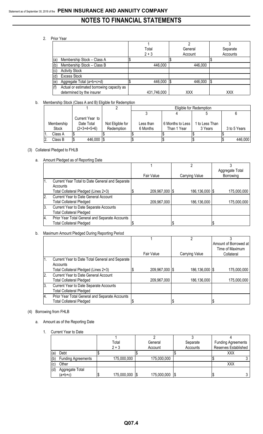#### 2. Prior Year

|     |                                           | Total       | General | Separate |
|-----|-------------------------------------------|-------------|---------|----------|
|     |                                           | $2 + 3$     | Account | Accounts |
| (a) | Membership Stock - Class A                |             |         |          |
| (b) | Membership Stock - Class B                | 446,000     | 446,000 |          |
| (c) | <b>Activity Stock</b>                     |             |         |          |
| (d) | <b>Excess Stock</b>                       |             |         |          |
| (e) | Aggregate Total (a+b+c+d)                 | 446,000 \$  | 446,000 | S        |
| (f) | Actual or estimated borrowing capacity as |             |         |          |
|     | determined by the insurer                 | 431,746,000 | XXX     | XXX      |

#### b. Membership Stock (Class A and B) Eligible for Redemption

|            |                 |                  | Eligible for Redemption |                  |                |              |  |
|------------|-----------------|------------------|-------------------------|------------------|----------------|--------------|--|
|            |                 |                  |                         |                  |                |              |  |
|            | Current Year to |                  |                         |                  |                |              |  |
| Membership | Date Total      | Not Eligible for | Less than               | 6 Months to Less | I to Less Than |              |  |
| Stock      | (2+3+4+5+6)     | Redemption       | 6 Months                | Than 1 Year      | 3 Years        | 3 to 5 Years |  |
| Class A    |                 |                  |                         |                  |                |              |  |
| Class B    | 446,000         |                  |                         |                  |                | 446,000      |  |

#### (3) Collateral Pledged to FHLB

#### a. Amount Pledged as of Reporting Date

|     |                                                 |                |                  | Aggregate Total |
|-----|-------------------------------------------------|----------------|------------------|-----------------|
|     |                                                 | Fair Value     | Carrying Value   | Borrowing       |
|     | Current Year Total to Date General and Separate |                |                  |                 |
|     | Accounts                                        |                |                  |                 |
|     | Total Collateral Pledged (Lines 2+3)            | 209,967,000 \$ | 186,136,000   \$ | 175,000,000     |
| 2.  | <b>Current Year to Date General Account</b>     |                |                  |                 |
|     | <b>Total Collateral Pledged</b>                 | 209,967,000    | 186,136,000      | 175,000,000     |
| 13. | Current Year to Date Separate Accounts          |                |                  |                 |
|     | <b>Total Collateral Pledged</b>                 |                |                  |                 |
| 14. | Prior Year Total General and Separate Accounts  |                |                  |                 |
|     | <b>Total Collateral Pledged</b>                 |                |                  |                 |

#### b. Maximum Amount Pledged During Reporting Period

|    |                                                 |                |                  | Amount of Borrowed at |
|----|-------------------------------------------------|----------------|------------------|-----------------------|
|    |                                                 |                |                  | Time of Maximum       |
|    |                                                 | Fair Value     | Carrying Value   | Collateral            |
|    | Current Year to Date Total General and Separate |                |                  |                       |
|    | Accounts                                        |                |                  |                       |
|    | Total Collateral Pledged (Lines 2+3)            | 209,967,000 \$ | 186,136,000   \$ | 175,000,000           |
| 2. | Current Year to Date General Account            |                |                  |                       |
|    | <b>Total Collateral Pledged</b>                 | 209,967,000    | 186,136,000      | 175,000,000           |
| 3. | Current Year to Date Separate Accounts          |                |                  |                       |
|    | <b>Total Collateral Pledged</b>                 |                |                  |                       |
| 4. | Prior Year Total General and Separate Accounts  |                |                  |                       |
|    | <b>Total Collateral Pledged</b>                 |                |                  |                       |

#### (4) Borrowing from FHLB

#### a. Amount as of the Reporting Date

1. Current Year to Date

|     |                           | Total          | General        | Separate | <b>Funding Agreements</b> |
|-----|---------------------------|----------------|----------------|----------|---------------------------|
|     |                           | $2 + 3$        | Account        | Accounts | Reserves Established      |
| (a) | Debt                      |                |                |          | XXX                       |
| (b) | <b>Funding Agreements</b> | 175,000,000    | 175,000,000    |          |                           |
| (c) | Other                     |                |                |          | XXX                       |
| (d) | Aggregate Total           |                |                |          |                           |
|     | $(a+b+c)$                 | 175,000,000 \$ | 175,000,000 \$ |          |                           |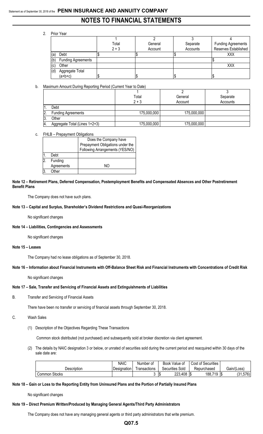#### 2. Prior Year

|     |                           | Total   | General | Separate | <b>Funding Agreements</b> |
|-----|---------------------------|---------|---------|----------|---------------------------|
|     |                           | $2 + 3$ | Account | Accounts | Reserves Established      |
| (a) | Debt                      |         |         |          | XXX                       |
| (b) | <b>Funding Agreements</b> |         |         |          |                           |
| (c) | Other                     |         |         |          | XXX                       |
| (d) | Aggregate Total           |         |         |          |                           |
|     | $(a+b+c)$                 |         |         |          |                           |

#### b. Maximum Amount During Reporting Period (Current Year to Date)

|       |                               | Total       | General     | Separate |
|-------|-------------------------------|-------------|-------------|----------|
|       |                               | $2 + 3$     | Account     | Accounts |
|       | Debt                          |             |             |          |
| 12.   | <b>Funding Agreements</b>     | 175,000,000 | 175,000,000 |          |
| - 13. | Other                         |             |             |          |
| -14.  | Aggregate Total (Lines 1+2+3) | 175,000,000 | 175,000,000 |          |

#### c. FHLB – Prepayment Obligations

|    |            | Does the Company have            |
|----|------------|----------------------------------|
|    |            | Prepayment Obligations under the |
|    |            | Following Arrangements (YES/NO)  |
|    | Debt       |                                  |
| 12 | Funding    |                                  |
|    | Agreements | NIC                              |
|    | )ther      |                                  |

**Note 12 – Retirement Plans, Deferred Compensation, Postemployment Benefits and Compensated Absences and Other Postretirement Benefit Plans**

The Company does not have such plans.

#### **Note 13 – Capital and Surplus, Shareholder's Dividend Restrictions and Quasi-Reorganizations**

No significant changes

#### **Note 14 – Liabilities, Contingencies and Assessments**

No significant changes

#### **Note 15 – Leases**

The Company had no lease obligations as of September 30, 2018.

#### **Note 16 – Information about Financial Instruments with Off-Balance Sheet Risk and Financial Instruments with Concentrations of Credit Risk**

No significant changes

#### **Note 17 – Sale, Transfer and Servicing of Financial Assets and Extinguishments of Liabilities**

B. Transfer and Servicing of Financial Assets

There have been no transfer or servicing of financial assets through September 30, 2018.

#### C. Wash Sales

(1) Description of the Objectives Regarding These Transactions

Common stock distributed (not purchased) and subsequently sold at broker discretion via client agreement.

(2) The details by NAIC designation 3 or below, or unrated of securities sold during the current period and reacquired within 30 days of the sale date are:

|               | <b>NAIC</b> | Number of     | Book Value of        | Cost of Securities |                           |
|---------------|-------------|---------------|----------------------|--------------------|---------------------------|
| Description   | Designation | ' ransactions | Securities<br>Sold   | Repurchased        | Gain/(Loss)               |
| Common Stocks |             |               | 223,408<br>l a<br>ש. | 188,719<br>- 1\$   | 101<br>1,576<br>- 15<br>J |

#### **Note 18 – Gain or Loss to the Reporting Entity from Uninsured Plans and the Portion of Partially Insured Plans**

No significant changes

#### **Note 19 – Direct Premium Written/Produced by Managing General Agents/Third Party Administrators**

The Company does not have any managing general agents or third party administrators that write premium.

#### **Q07.5**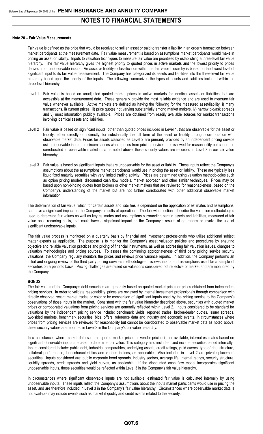#### **Note 20 – Fair Value Measurements**

Fair value is defined as the price that would be received to sell an asset or paid to transfer a liability in an orderly transaction between market participants at the measurement date. Fair value measurement is based on assumptions market participants would make in pricing an asset or liability. Inputs to valuation techniques to measure fair value are prioritized by establishing a three-level fair value hierarchy. The fair value hierarchy gives the highest priority to quoted prices in active markets and the lowest priority to prices derived from unobservable inputs. An asset or liability's classification within the fair value hierarchy is based on the lowest level of significant input to its fair value measurement. The Company has categorized its assets and liabilities into the three-level fair value hierarchy based upon the priority of the inputs. The following summarizes the types of assets and liabilities included within the three-level hierarchy.

- Level 1 Fair value is based on unadjusted quoted market prices in active markets for identical assets or liabilities that are accessible at the measurement date. These generally provide the most reliable evidence and are used to measure fair value whenever available. Active markets are defined as having the following for the measured asset/liability: i) many transactions, ii) current prices, iii) price quotes not varying substantially among market makers, iv) narrow bid/ask spreads and v) most information publicly available. Prices are obtained from readily available sources for market transactions involving identical assets and liabilities.
- Level 2 Fair value is based on significant inputs, other than quoted prices included in Level 1, that are observable for the asset or liability, either directly or indirectly, for substantially the full term of the asset or liability through corroboration with observable market data. Prices for assets classified as Level 2 are primarily provided by an independent pricing service using observable inputs. In circumstances where prices from pricing services are reviewed for reasonability but cannot be corroborated to observable market data as noted above, these security values are recorded in Level 3 in our fair value hierarchy.
- Level 3 Fair value is based on significant inputs that are unobservable for the asset or liability. These inputs reflect the Company's assumptions about the assumptions market participants would use in pricing the asset or liability. These are typically less liquid fixed maturity securities with very limited trading activity. Prices are determined using valuation methodologies such as option pricing models, discounted cash flow models, market approach and other similar techniques. Prices may be based upon non-binding quotes from brokers or other market makers that are reviewed for reasonableness, based on the Company's understanding of the market but are not further corroborated with other additional observable market information.

The determination of fair value, which for certain assets and liabilities is dependent on the application of estimates and assumptions, can have a significant impact on the Company's results of operations. The following sections describe the valuation methodologies used to determine fair values as well as key estimates and assumptions surrounding certain assets and liabilities, measured at fair value on a recurring basis, that could have a significant impact on the Company's results of operations or involve the use of significant unobservable inputs.

The fair value process is monitored on a quarterly basis by financial and investment professionals who utilize additional subject matter experts as applicable. The purpose is to monitor the Company's asset valuation policies and procedures by ensuring objective and reliable valuation practices and pricing of financial instruments, as well as addressing fair valuation issues, changes to valuation methodologies and pricing sources. To assess the continuing appropriateness of third party pricing service security valuations, the Company regularly monitors the prices and reviews price variance reports. In addition, the Company performs an initial and ongoing review of the third party pricing services methodologies, reviews inputs and assumptions used for a sample of securities on a periodic basis. Pricing challenges are raised on valuations considered not reflective of market and are monitored by the Company.

#### **BONDS**

The fair values of the Company's debt securities are generally based on quoted market prices or prices obtained from independent pricing services. In order to validate reasonability, prices are reviewed by internal investment professionals through comparison with directly observed recent market trades or color or by comparison of significant inputs used by the pricing service to the Company's observations of those inputs in the market. Consistent with the fair value hierarchy described above, securities with quoted market prices or corroborated valuations from pricing services are generally reflected within Level 2. Inputs considered to be standard for valuations by the independent pricing service include: benchmark yields, reported trades, broker/dealer quotes, issuer spreads, two-sided markets, benchmark securities, bids, offers, reference data and industry and economic events. In circumstances where prices from pricing services are reviewed for reasonability but cannot be corroborated to observable market data as noted above, these security values are recorded in Level 3 in the Company's fair value hierarchy.

In circumstances where market data such as quoted market prices or vendor pricing is not available, internal estimates based on significant observable inputs are used to determine fair value. This category also includes fixed income securities priced internally. Inputs considered include: public debt, industrial comparables, underlying assets, credit ratings, yield curves, type of deal structure, collateral performance, loan characteristics and various indices, as applicable. Also included in Level 2 are private placement securities. Inputs considered are: public corporate bond spreads, industry sectors, average life, internal ratings, security structure, liquidity spreads, credit spreads and yield curves, as applicable. If the discounted cash flow model incorporates significant unobservable inputs, these securities would be reflected within Level 3 in the Company's fair value hierarchy.

In circumstances where significant observable inputs are not available, estimated fair value is calculated internally by using unobservable inputs. These inputs reflect the Company's assumptions about the inputs market participants would use in pricing the asset, and are therefore included in Level 3 in the Company's fair value hierarchy. Circumstances where observable market data is not available may include events such as market illiquidity and credit events related to the security.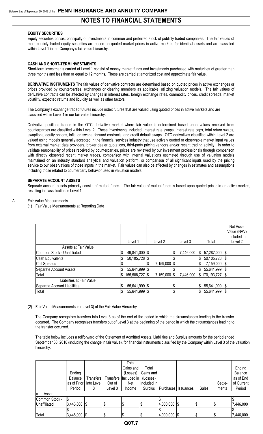#### **EQUITY SECURITIES**

Equity securities consist principally of investments in common and preferred stock of publicly traded companies. The fair values of most publicly traded equity securities are based on quoted market prices in active markets for identical assets and are classified within Level 1 in the Company's fair value hierarchy.

#### **CASH AND SHORT-TERM INVESTMENTS**

Short-term investments carried at Level 1 consist of money market funds and investments purchased with maturities of greater than three months and less than or equal to 12 months. These are carried at amortized cost and approximate fair value.

**DERIVATIVE INSTRUMENTS** The fair values of derivative contracts are determined based on quoted prices in active exchanges or prices provided by counterparties, exchanges or clearing members as applicable, utilizing valuation models. The fair values of derivative contracts can be affected by changes in interest rates, foreign exchange rates, commodity prices, credit spreads, market volatility, expected returns and liquidity as well as other factors.

The Company's exchange traded futures include index futures that are valued using quoted prices in active markets and are classified within Level 1 in our fair value hierarchy.

Derivative positions traded in the OTC derivative market where fair value is determined based upon values received from counterparties are classified within Level 2. These investments included: interest rate swaps, interest rate caps, total return swaps, swaptions, equity options, inflation swaps, forward contracts, and credit default swaps. OTC derivatives classified within Level 2 are valued using models generally accepted in the financial services industry that use actively quoted or observable market input values from external market data providers, broker dealer quotations, third-party pricing vendors and/or recent trading activity. In order to validate reasonability of prices received by counterparties, prices are reviewed by our investment professionals through comparison with directly observed recent market trades, comparison with internal valuations estimated through use of valuation models maintained on an industry standard analytical and valuation platform, or comparison of all significant inputs used by the pricing service to our observations of those inputs in the market. Fair values can also be affected by changes in estimates and assumptions including those related to counterparty behavior used in valuation models.

#### **SEPARATE ACCOUNT ASSETS**

Separate account assets primarily consist of mutual funds. The fair value of mutual funds is based upon quoted prices in an active market, resulting in classification in Level 1**.**

#### A. Fair Value Measurements

(1) Fair Value Measurements at Reporting Date

|                              |    | Level 1        | Level 2      | Level 3         | Total            |     | Net Asset<br>Value (NAV)<br>Included in<br>Level <sub>2</sub> |
|------------------------------|----|----------------|--------------|-----------------|------------------|-----|---------------------------------------------------------------|
| Assets at Fair Value         |    |                |              |                 |                  |     |                                                               |
| Common Stock - Unaffiliated  | \$ | 49,841,000 \$  |              | \$<br>7,446,000 | \$<br>57,287,000 | Ι\$ |                                                               |
| Cash Equivalents             | \$ | 50,105,728 \$  |              |                 | \$<br>50,105,728 | 1\$ |                                                               |
| Call Spreads                 |    |                | 7,159,000 \$ |                 | 7,159,000        | Ι\$ |                                                               |
| Separate Account Assets      | \$ | 55,641,999 \$  |              |                 | \$<br>55,641,999 | Ι\$ |                                                               |
| Total                        | S. | 155,588,727 \$ | 7,159,000 \$ | 7,446,000       | \$170,193,727    | 1\$ |                                                               |
| Liabilities at Fair Value    |    |                |              |                 |                  |     |                                                               |
| Separate Account Liabilities | \$ | 55,641,999 \$  |              | \$              | \$<br>55,641,999 | l\$ |                                                               |
| Total                        | \$ | 55,641,999 \$  |              | \$              | \$<br>55,641,999 | 1\$ |                                                               |

#### (2) Fair Value Measurements in (Level 3) of the Fair Value Hierarchy

The Company recognizes transfers into Level 3 as of the end of the period in which the circumstances leading to the transfer occurred. The Company recognizes transfers out of Level 3 at the beginning of the period in which the circumstances leading to the transfer occurred.

The table below includes a rollforward of the Statement of Admitted Assets, Liabilities and Surplus amounts for the period ended September 30, 2018 (including the change in fair value), for financial instruments classified by the Company within Level 3 of the valuation hierarchy:

|                |                 |            |         | Total                              |             |                 |                     |       |         |            |
|----------------|-----------------|------------|---------|------------------------------------|-------------|-----------------|---------------------|-------|---------|------------|
|                |                 |            |         | Gains and                          | Total       |                 |                     |       |         | Ending     |
|                | Ending          |            |         | (Losses)                           | Gains and   |                 |                     |       |         | Balance    |
|                | <b>Balance</b>  | Transfers  |         | Transfers   Included in   (Losses) |             |                 |                     |       |         | as of End  |
|                | as of Prior     | Into Level | Out of  | Net                                | Included in |                 |                     |       | Settle- | of Current |
|                | Period          |            | Level 3 | Income                             | Surplus     |                 | Purchases Issuances | Sales | ments   | Period     |
| Assets<br>la.  |                 |            |         |                                    |             |                 |                     |       |         |            |
| Common Stock - | l\$             |            |         |                                    |             |                 |                     |       |         |            |
| Unaffiliated   | $3,446,000$ \\$ |            | \$      | Φ                                  | 1\$         | $4,000,000$ \\$ |                     |       | 1\$     | 7,446,000  |
|                |                 |            |         |                                    |             |                 |                     |       |         |            |
| Total          | $3,446,000$ \$  |            | \$      | Φ                                  | 1\$         | $4,000,000$ \$  |                     | S     | 1\$     | 7,446,000  |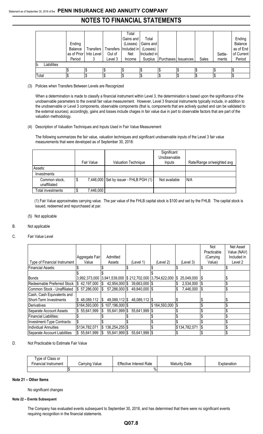|                    | Ending<br>Balance<br>Period | as of Prior   Into Level | Out of<br>Level 3 | Total<br>Gains and<br>(Losses)<br>Transfers   Transfers   Included in   (Losses)<br>Net<br>Income | Total<br>Gains and<br>Included in<br>Surplus | Purchases   Issuances | Sales | Settle-<br>ments | Ending<br>Balance<br>as of End<br>of Current<br>Period |
|--------------------|-----------------------------|--------------------------|-------------------|---------------------------------------------------------------------------------------------------|----------------------------------------------|-----------------------|-------|------------------|--------------------------------------------------------|
| Liabilities<br>Ib. |                             |                          |                   |                                                                                                   |                                              |                       |       |                  |                                                        |
|                    |                             |                          |                   |                                                                                                   |                                              |                       |       |                  |                                                        |
| Total              |                             |                          | ΙP                |                                                                                                   |                                              |                       |       |                  |                                                        |

(3) Policies when Transfers Between Levels are Recognized

When a determination is made to classify a financial instrument within Level 3, the determiniation is based upon the significance of the unobservable parameters to the overall fair value measurement. However, Level 3 financial instruments typically include, in addition to the unobservable or Level 3 components, observable components (that is, components that are actively quoted and can be validated to the external sources); accordingly, gains and losses include chages in fair value due in part to observable factors that are part of the valuation methodology.

(4) Description of Valuation Techniques and Inputs Used in Fair Value Measurement

The following summarizes the fair value, valuation techniques and significant unobservable inputs of the Level 3 fair value measurements that were developed as of September 30, 2018:

|                               | <b>Fair Value</b> | <b>Valuation Technique</b>               | Significant<br>Unobservable<br>Inputs | Rate/Range or/weighted avg |
|-------------------------------|-------------------|------------------------------------------|---------------------------------------|----------------------------|
| Assets:                       |                   |                                          |                                       |                            |
| Investments                   |                   |                                          |                                       |                            |
| Common stock,<br>unaffiliated | \$                | 7,446,000   Set by issuer - FHLB PGH (1) | Not available                         | N/A                        |
| Total investments             | 7,446,000         |                                          |                                       |                            |

(1) Fair Value approximates carrying value. The par value of the FHLB capital stock is \$100 and set by the FHLB. The capital stock is issued, redeemed and repurchased at par.

(5) Not applicable

#### B. Not applicable

#### C. Fair Value Level

|                               |                   |                                                          |               |               |                   | Not         | Net Asset   |
|-------------------------------|-------------------|----------------------------------------------------------|---------------|---------------|-------------------|-------------|-------------|
|                               |                   |                                                          |               |               |                   | Practicable | Value (NAV) |
|                               | Aggregate Fair    | Admitted                                                 |               |               |                   | (Carrying   | Included in |
| Type of Financial Instrument  | Value             | Assets                                                   | (Level 1)     | (Level 2)     | (Level 3)         | Value)      | Level 2     |
| <b>Financial Assets:</b>      |                   |                                                          |               |               |                   |             |             |
|                               |                   |                                                          |               |               |                   |             |             |
| <b>Bonds</b>                  |                   | 3,992,373,000 3,941,539,000 \$ 212,702,000 3,754,622,000 |               |               | 25,049,000<br>1\$ | -15         |             |
| Redeemable Preferred Stock    | $$42,197,000$ $$$ | 42,954,000 \$                                            | 39,663,000 \$ |               | 2,534,000         |             |             |
| Common Stock - Unaffiliated   | \$57,286,000      | 57,286,000 \$<br>I\$                                     | 49,840,000 \$ |               | 7,446,000<br>\$   |             |             |
| Cash, Cash Equivalents and    |                   |                                                          |               |               |                   |             |             |
| Short-Term Investments        | 48,089,112        | 48,089,112 \$<br>I\$                                     | 48,089,112 \$ |               |                   |             |             |
| Derivatives                   | \$164,593,000     | $\$\,107,196,000\,]\$                                    |               | \$164,593,000 |                   |             |             |
| Separate Account Assets       | 55,641,999        | 55,641,999 \$<br>S.                                      | 55,641,999 \$ |               |                   |             |             |
| <b>Financial Liabilities:</b> |                   |                                                          |               |               |                   |             |             |
| Investment-Type Contracts:    |                   |                                                          |               |               |                   |             |             |
| Individual Annuities          | \$134,782,071     | 136,254,255 \$<br>\$                                     |               |               | \$134,782,071     |             |             |
| Separate Account Liabilities  | \$55,641,999      | 55,641,999 \$<br>I\$                                     | 55,641,999 \$ |               |                   |             |             |

D. Not Practicable to Estimate Fair Value

| Type of Class or<br>-<br>Financial Instrument | Value<br>'arryingب | <b>Effective Interest Rate</b> | <b>Maturity Date</b> | Explanation |
|-----------------------------------------------|--------------------|--------------------------------|----------------------|-------------|
|                                               |                    | %                              |                      |             |

#### **Note 21 – Other Items**

No significant changes

#### **Note 22 – Events Subsequent**

The Company has evaluated events subsequent to September 30, 2018, and has determined that there were no significant events requiring recognition in the financial statements.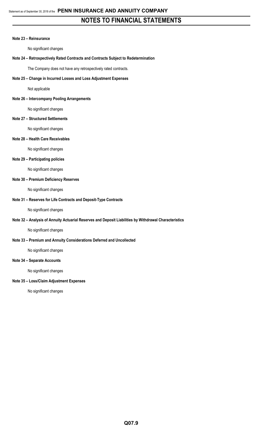#### **Note 23 – Reinsurance**

No significant changes

#### **Note 24 – Retrospectively Rated Contracts and Contracts Subject to Redetermination**

The Company does not have any retrospectively rated contracts.

#### **Note 25 – Change in Incurred Losses and Loss Adjustment Expenses**

Not applicable

#### **Note 26 – Intercompany Pooling Arrangements**

No significant changes

#### **Note 27 – Structured Settlements**

No significant changes

#### **Note 28 – Health Care Receivables**

No significant changes

#### **Note 29 – Participating policies**

No significant changes

#### **Note 30 – Premium Deficiency Reserves**

No significant changes

#### **Note 31 – Reserves for Life Contracts and Deposit-Type Contracts**

No significant changes

#### **Note 32 – Analysis of Annuity Actuarial Reserves and Deposit Liabilities by Withdrawal Characteristics**

No significant changes

#### **Note 33 – Premium and Annuity Considerations Deferred and Uncollected**

No significant changes

#### **Note 34 – Separate Accounts**

No significant changes

#### **Note 35 – Loss/Claim Adjustment Expenses**

No significant changes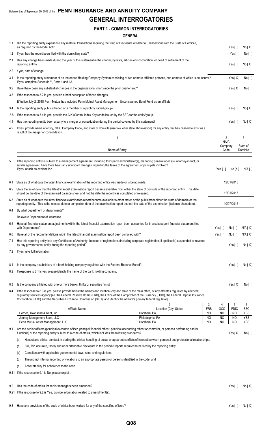#### Statement as of September 30, 2018 of the **PENN INSURANCE AND ANNUITY COMPANY GENERAL INTERROGATORIES**

#### **PART 1 - COMMON INTERROGATORIES**

#### **GENERAL**

|     | UCNCRAL                                                                                                                                                                                                                                                                                                                                                                                                                                      |                                       |                  |                       |                        |                      |
|-----|----------------------------------------------------------------------------------------------------------------------------------------------------------------------------------------------------------------------------------------------------------------------------------------------------------------------------------------------------------------------------------------------------------------------------------------------|---------------------------------------|------------------|-----------------------|------------------------|----------------------|
| 1.1 | Did the reporting entity experience any material transactions requiring the filing of Disclosure of Material Transactions with the State of Domicile,<br>as required by the Model Act?                                                                                                                                                                                                                                                       |                                       |                  |                       | Yes $\lceil \ \rceil$  | No[X]                |
| 1.2 | If yes, has the report been filed with the domiciliary state?                                                                                                                                                                                                                                                                                                                                                                                |                                       |                  |                       | Yes [ ]                | No[ ]                |
| 2.1 | Has any change been made during the year of this statement in the charter, by-laws, articles of incorporation, or deed of settlement of the<br>reporting entity?                                                                                                                                                                                                                                                                             |                                       |                  |                       | Yes $\lceil \; \rceil$ | No[X]                |
| 2.2 | If yes, date of change:                                                                                                                                                                                                                                                                                                                                                                                                                      |                                       |                  |                       |                        |                      |
| 3.1 | Is the reporting entity a member of an Insurance Holding Company System consisting of two or more affiliated persons, one or more of which is an insurer?<br>If yes, complete Schedule Y, Parts 1 and 1A.                                                                                                                                                                                                                                    |                                       |                  |                       | Yes $[X]$              | No [ ]               |
| 3.2 | Have there been any substantial changes in the organizational chart since the prior quarter end?                                                                                                                                                                                                                                                                                                                                             |                                       |                  |                       | Yes[X]                 | No [ ]               |
| 3.3 | If the response to 3.2 is yes, provide a brief description of those changes.                                                                                                                                                                                                                                                                                                                                                                 |                                       |                  |                       |                        |                      |
|     | Effective July 2, 2018 Penn Mutual has included Penn Mutual Asset Management Unconstrained Bond Fund as an affiliate.                                                                                                                                                                                                                                                                                                                        |                                       |                  |                       |                        |                      |
| 3.4 | Is the reporting entity publicly traded or a member of a publicly traded group?                                                                                                                                                                                                                                                                                                                                                              |                                       |                  |                       | Yes $[ ]$              | No[X]                |
| 3.5 | If the response to 3.4 is yes, provide the CIK (Central Index Key) code issued by the SEC for the entity/group.                                                                                                                                                                                                                                                                                                                              |                                       |                  |                       |                        |                      |
| 4.1 | Has the reporting entity been a party to a merger or consolidation during the period covered by this statement?                                                                                                                                                                                                                                                                                                                              |                                       |                  |                       | Yes $[ ]$              | No[X]                |
| 4.2 | If yes, provide name of entity, NAIC Company Code, and state of domicile (use two letter state abbreviation) for any entity that has ceased to exist as a<br>result of the merger or consolidation.                                                                                                                                                                                                                                          |                                       |                  |                       |                        |                      |
|     | $\mathbf{1}$                                                                                                                                                                                                                                                                                                                                                                                                                                 |                                       |                  | 2<br><b>NAIC</b>      |                        | 3                    |
|     | Name of Entity                                                                                                                                                                                                                                                                                                                                                                                                                               |                                       |                  | Company<br>Code       |                        | State of<br>Domicile |
|     |                                                                                                                                                                                                                                                                                                                                                                                                                                              |                                       |                  |                       |                        |                      |
| 5.  | If the reporting entity is subject to a management agreement, including third-party administrator(s), managing general agent(s), attorney-in-fact, or<br>similar agreement, have there been any significant changes regarding the terms of the agreement or principals involved?<br>If yes, attach an explanation.                                                                                                                           |                                       |                  | Yes $\lceil \ \rceil$ | No[X]                  | N/A [ ]              |
| 6.1 | State as of what date the latest financial examination of the reporting entity was made or is being made.                                                                                                                                                                                                                                                                                                                                    |                                       |                  |                       | 12/31/2015             |                      |
| 6.2 | State the as of date that the latest financial examination report became available from either the state of domicile or the reporting entity. This date<br>should be the date of the examined balance sheet and not the date the report was completed or released.                                                                                                                                                                           |                                       |                  |                       | 12/31/2015             |                      |
| 6.3 | State as of what date the latest financial examination report became available to other states or the public from either the state of domicile or the<br>reporting entity. This is the release date or completion date of the examination report and not the date of the examination (balance sheet date).                                                                                                                                   |                                       |                  |                       | 10/07/2016             |                      |
| 6.4 | By what department or departments?                                                                                                                                                                                                                                                                                                                                                                                                           |                                       |                  |                       |                        |                      |
|     | Delaware Department of Insurance                                                                                                                                                                                                                                                                                                                                                                                                             |                                       |                  |                       |                        |                      |
| 6.5 | Have all financial statement adjustments within the latest financial examination report been accounted for in a subsequent financial statement filed<br>with Departments?                                                                                                                                                                                                                                                                    |                                       |                  | Yes $[ \ ]$           | No [ ]                 | N/A[X]               |
| 6.6 | Have all of the recommendations within the latest financial examination report been complied with?                                                                                                                                                                                                                                                                                                                                           |                                       |                  | Yes [ ]               | No[ ]                  | N/A[X]               |
| 7.1 | Has this reporting entity had any Certificates of Authority, licenses or registrations (including corporate registration, if applicable) suspended or revoked<br>by any governmental entity during the reporting period?                                                                                                                                                                                                                     |                                       |                  |                       | Yes $[ ]$              | No[X]                |
| 7.2 | If yes, give full information:                                                                                                                                                                                                                                                                                                                                                                                                               |                                       |                  |                       |                        |                      |
| 8.1 | Is the company a subsidiary of a bank holding company regulated with the Federal Reserve Board?                                                                                                                                                                                                                                                                                                                                              |                                       |                  |                       | Yes [ ]                | No[X]                |
| 8.2 | If response to 8.1 is yes, please identify the name of the bank holding company.                                                                                                                                                                                                                                                                                                                                                             |                                       |                  |                       |                        |                      |
| 8.3 | Is the company affiliated with one or more banks, thrifts or securities firms?                                                                                                                                                                                                                                                                                                                                                               |                                       |                  |                       | Yes $[X]$              | No[ ]                |
| 8.4 | If the response to 8.3 is yes, please provide below the names and location (city and state of the main office) of any affiliates regulated by a federal<br>regulatory services agency [i.e. the Federal Reserve Board (FRB), the Office of the Comptroller of the Currency (OCC), the Federal Deposit Insurance<br>Corporation (FDIC) and the Securities Exchange Commission (SEC)] and identify the affiliate's primary federal regulator]. |                                       |                  |                       |                        |                      |
|     | Affiliate Name                                                                                                                                                                                                                                                                                                                                                                                                                               |                                       | 3                | 4<br>OCC              | 5                      | 6<br><b>SEC</b>      |
|     | Hornor, Townsend & Kent, Inc.                                                                                                                                                                                                                                                                                                                                                                                                                | Location (City, State)<br>Horsham, PA | <b>FRB</b><br>NO | NO                    | <b>FDIC</b><br>NO      | <b>YES</b>           |
|     | Janney Montgomery Scott, LLC                                                                                                                                                                                                                                                                                                                                                                                                                 | Philadelphia, PA                      | <b>NO</b>        | <b>NO</b>             | NO                     | <b>YES</b>           |
|     | Penn Mutual Asset Management, LLC                                                                                                                                                                                                                                                                                                                                                                                                            | Horsham, PA                           | N <sub>O</sub>   | N <sub>O</sub>        | NO.                    | <b>YES</b>           |
| 9.1 | Are the senior officers (principal executive officer, principal financial officer, principal accounting officer or controller, or persons performing similar<br>functions) of the reporting entity subject to a code of ethics, which includes the following standards?                                                                                                                                                                      |                                       |                  |                       | Yes[X]                 | No [ ]               |
|     | Honest and ethical conduct, including the ethical handling of actual or apparent conflicts of interest between personal and professional relationships;<br>(a)                                                                                                                                                                                                                                                                               |                                       |                  |                       |                        |                      |
|     | Full, fair, accurate, timely and understandable disclosure in the periodic reports required to be filed by the reporting entity;<br>(b)                                                                                                                                                                                                                                                                                                      |                                       |                  |                       |                        |                      |
|     | Compliance with applicable governmental laws, rules and regulations;<br>(c)                                                                                                                                                                                                                                                                                                                                                                  |                                       |                  |                       |                        |                      |
|     | The prompt internal reporting of violations to an appropriate person or persons identified in the code; and<br>(d)                                                                                                                                                                                                                                                                                                                           |                                       |                  |                       |                        |                      |
|     | Accountability for adherence to the code.<br>(e)                                                                                                                                                                                                                                                                                                                                                                                             |                                       |                  |                       |                        |                      |
|     | 9.11 If the response to 9.1 is No, please explain:                                                                                                                                                                                                                                                                                                                                                                                           |                                       |                  |                       |                        |                      |

9.2 Has the code of ethics for senior managers been amended? Yes [ ] No [ X ]

9.21 If the response to 9.2 is Yes, provide information related to amendment(s).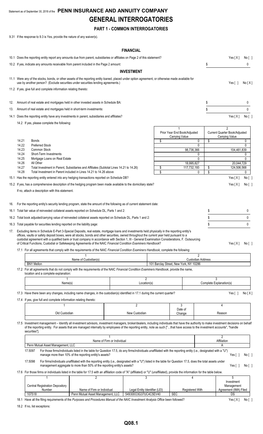### Statement as of September 30, 2018 of the **PENN INSURANCE AND ANNUITY COMPANY GENERAL INTERROGATORIES**

#### **PART 1 - COMMON INTERROGATORIES**

9.31 If the response to 9.3 is Yes, provide the nature of any waiver(s).

#### **FINANCIAL**

|     |                |                                                                                                                                                                                                                                                                                                                                                                                                                                                 |                                                                                                                                                                                                                                          |                            | <b>FINANCIAL</b>                                      |                                                |                          |                                                      |               |
|-----|----------------|-------------------------------------------------------------------------------------------------------------------------------------------------------------------------------------------------------------------------------------------------------------------------------------------------------------------------------------------------------------------------------------------------------------------------------------------------|------------------------------------------------------------------------------------------------------------------------------------------------------------------------------------------------------------------------------------------|----------------------------|-------------------------------------------------------|------------------------------------------------|--------------------------|------------------------------------------------------|---------------|
|     |                | 10.1 Does the reporting entity report any amounts due from parent, subsidiaries or affiliates on Page 2 of this statement?                                                                                                                                                                                                                                                                                                                      |                                                                                                                                                                                                                                          |                            |                                                       |                                                |                          | Yes[X]                                               | No [ ]        |
|     |                | 10.2 If yes, indicate any amounts receivable from parent included in the Page 2 amount:                                                                                                                                                                                                                                                                                                                                                         |                                                                                                                                                                                                                                          |                            |                                                       |                                                | \$                       |                                                      | 0             |
|     |                |                                                                                                                                                                                                                                                                                                                                                                                                                                                 |                                                                                                                                                                                                                                          |                            | <b>INVESTMENT</b>                                     |                                                |                          |                                                      |               |
|     |                | 11.1 Were any of the stocks, bonds, or other assets of the reporting entity loaned, placed under option agreement, or otherwise made available for<br>use by another person? (Exclude securities under securities lending agreements.)                                                                                                                                                                                                          |                                                                                                                                                                                                                                          |                            |                                                       |                                                |                          | Yes $\lceil \; \rceil$                               | No[X]         |
|     |                | 11.2 If yes, give full and complete information relating thereto:                                                                                                                                                                                                                                                                                                                                                                               |                                                                                                                                                                                                                                          |                            |                                                       |                                                |                          |                                                      |               |
|     |                |                                                                                                                                                                                                                                                                                                                                                                                                                                                 |                                                                                                                                                                                                                                          |                            |                                                       |                                                |                          |                                                      |               |
| 12. |                | Amount of real estate and mortgages held in other invested assets in Schedule BA:                                                                                                                                                                                                                                                                                                                                                               |                                                                                                                                                                                                                                          |                            |                                                       |                                                | \$                       |                                                      | 0             |
| 13. |                | Amount of real estate and mortgages held in short-term investments:                                                                                                                                                                                                                                                                                                                                                                             |                                                                                                                                                                                                                                          |                            |                                                       |                                                | \$                       |                                                      | 0             |
|     |                | 14.1 Does the reporting entity have any investments in parent, subsidiaries and affiliates?                                                                                                                                                                                                                                                                                                                                                     |                                                                                                                                                                                                                                          |                            |                                                       |                                                |                          | Yes[X]                                               | No [ ]        |
|     |                | 14.2 If yes, please complete the following:                                                                                                                                                                                                                                                                                                                                                                                                     |                                                                                                                                                                                                                                          |                            |                                                       |                                                |                          |                                                      |               |
|     |                |                                                                                                                                                                                                                                                                                                                                                                                                                                                 |                                                                                                                                                                                                                                          |                            |                                                       | Prior Year End Book/Adjusted<br>Carrying Value |                          | 2<br>Current Quarter Book/Adjusted<br>Carrying Value |               |
|     | 14.21<br>14.22 | <b>Bonds</b><br><b>Preferred Stock</b>                                                                                                                                                                                                                                                                                                                                                                                                          |                                                                                                                                                                                                                                          |                            |                                                       | \$                                             | 0<br>\$<br>$\Omega$      |                                                      | 0<br>$\Omega$ |
|     | 14.23          | Common Stock                                                                                                                                                                                                                                                                                                                                                                                                                                    |                                                                                                                                                                                                                                          |                            |                                                       | 98,736,366                                     |                          | 104,461,839                                          |               |
|     | 14.24          | Short-Term Investments                                                                                                                                                                                                                                                                                                                                                                                                                          |                                                                                                                                                                                                                                          |                            |                                                       |                                                | 0                        |                                                      | 0             |
|     | 14.25<br>14.26 | Mortgage Loans on Real Estate<br>All Other                                                                                                                                                                                                                                                                                                                                                                                                      |                                                                                                                                                                                                                                          |                            |                                                       | 18,995,827                                     | 0                        | 20,044,729                                           | 0             |
|     | 14.27          | Total Investment in Parent, Subsidiaries and Affiliates (Subtotal Lines 14.21 to 14.26)                                                                                                                                                                                                                                                                                                                                                         |                                                                                                                                                                                                                                          |                            |                                                       | \$<br>117,732,193                              | \$                       | 124,506,568                                          |               |
|     | 14.28          | Total Investment in Parent included in Lines 14.21 to 14.26 above                                                                                                                                                                                                                                                                                                                                                                               |                                                                                                                                                                                                                                          |                            |                                                       | \$                                             | \$<br>0                  |                                                      | 0             |
|     |                | 15.1 Has the reporting entity entered into any hedging transactions reported on Schedule DB?                                                                                                                                                                                                                                                                                                                                                    |                                                                                                                                                                                                                                          |                            |                                                       |                                                |                          | Yes[X]                                               | No [ ]        |
|     |                | 15.2 If yes, has a comprehensive description of the hedging program been made available to the domiciliary state?                                                                                                                                                                                                                                                                                                                               |                                                                                                                                                                                                                                          |                            |                                                       |                                                |                          | Yes[X]                                               | No[]          |
|     |                | If no, attach a description with this statement.                                                                                                                                                                                                                                                                                                                                                                                                |                                                                                                                                                                                                                                          |                            |                                                       |                                                |                          |                                                      |               |
| 16. |                | For the reporting entity's security lending program, state the amount of the following as of current statement date:                                                                                                                                                                                                                                                                                                                            |                                                                                                                                                                                                                                          |                            |                                                       |                                                |                          |                                                      |               |
|     |                | 16.1 Total fair value of reinvested collateral assets reported on Schedule DL, Parts 1 and 2:                                                                                                                                                                                                                                                                                                                                                   |                                                                                                                                                                                                                                          |                            |                                                       |                                                | \$                       |                                                      | 0             |
|     |                | 16.2 Total book adjusted/carrying value of reinvested collateral assets reported on Schedule DL, Parts 1 and 2:                                                                                                                                                                                                                                                                                                                                 |                                                                                                                                                                                                                                          |                            |                                                       |                                                | \$                       |                                                      | 0             |
|     |                | 16.3 Total payable for securities lending reported on the liability page:                                                                                                                                                                                                                                                                                                                                                                       |                                                                                                                                                                                                                                          |                            |                                                       |                                                | \$                       |                                                      | $\mathbf{0}$  |
| 17. |                | Excluding items in Schedule E-Part 3-Special Deposits, real estate, mortgage loans and investments held physically in the reporting entity's<br>offices, vaults or safety deposit boxes, were all stocks, bonds and other securities, owned throughout the current year held pursuant to a<br>custodial agreement with a qualified bank or trust company in accordance with Section 1, III - General Examination Considerations, F. Outsourcing |                                                                                                                                                                                                                                          |                            |                                                       |                                                |                          |                                                      |               |
|     |                | of Critical Functions, Custodial or Safekeeping Agreements of the NAIC Financial Condition Examiners Handbook?<br>17.1 For all agreements that comply with the requirements of the NAIC Financial Condition Examiners Handbook, complete the following:                                                                                                                                                                                         |                                                                                                                                                                                                                                          |                            |                                                       |                                                |                          | Yes[X] No[]                                          |               |
|     |                |                                                                                                                                                                                                                                                                                                                                                                                                                                                 |                                                                                                                                                                                                                                          |                            |                                                       |                                                | 2                        |                                                      |               |
|     |                | <b>BNY Mellon</b>                                                                                                                                                                                                                                                                                                                                                                                                                               | Name of Custodian(s)                                                                                                                                                                                                                     |                            |                                                       | 101 Barclay Street, New York, NY 10286         | <b>Custodian Address</b> |                                                      |               |
|     |                | 17.2 For all agreements that do not comply with the requirements of the NAIC Financial Condition Examiners Handbook, provide the name,<br>location and a complete explanation:                                                                                                                                                                                                                                                                  |                                                                                                                                                                                                                                          |                            |                                                       |                                                |                          |                                                      |               |
|     |                |                                                                                                                                                                                                                                                                                                                                                                                                                                                 |                                                                                                                                                                                                                                          |                            | $\overline{2}$                                        |                                                |                          | 3                                                    |               |
|     |                | Name(s)                                                                                                                                                                                                                                                                                                                                                                                                                                         |                                                                                                                                                                                                                                          |                            | Location(s)                                           |                                                |                          | Complete Explanation(s)                              |               |
|     |                | 17.3 Have there been any changes, including name changes, in the custodian(s) identified in 17.1 during the current quarter?                                                                                                                                                                                                                                                                                                                    |                                                                                                                                                                                                                                          |                            |                                                       |                                                |                          | Yes $[ ]$                                            | No[X]         |
|     |                | 17.4 If yes, give full and complete information relating thereto:                                                                                                                                                                                                                                                                                                                                                                               |                                                                                                                                                                                                                                          |                            | $\overline{2}$                                        | 3                                              |                          | 4                                                    |               |
|     |                |                                                                                                                                                                                                                                                                                                                                                                                                                                                 |                                                                                                                                                                                                                                          |                            |                                                       | Date of                                        |                          |                                                      |               |
|     |                | Old Custodian                                                                                                                                                                                                                                                                                                                                                                                                                                   |                                                                                                                                                                                                                                          |                            | New Custodian                                         | Change                                         |                          | Reason                                               |               |
|     |                | 17.5 Investment management - Identify all investment advisors, investment managers, broker/dealers, including individuals that have the authority to make investment decisions on behalf<br>of the reporting entity. For assets that are managed internally by employees of the reporting entity, note as such ["that have access to the investment accounts", "handle<br>securities"].                                                         |                                                                                                                                                                                                                                          |                            |                                                       |                                                |                          |                                                      |               |
|     |                |                                                                                                                                                                                                                                                                                                                                                                                                                                                 |                                                                                                                                                                                                                                          | Name of Firm or Individual |                                                       |                                                |                          | $\overline{2}$<br>Affiliation                        |               |
|     |                | Penn Mutual Asset Management, LLC                                                                                                                                                                                                                                                                                                                                                                                                               |                                                                                                                                                                                                                                          |                            |                                                       |                                                |                          | Α                                                    |               |
|     |                | 17.5097                                                                                                                                                                                                                                                                                                                                                                                                                                         | For those firms/individuals listed in the table for Question 17.5, do any firms/individuals unaffiliated with the reporting entity (i.e., designated with a "U")<br>manage more than 10% of the reporting entity's assets?               |                            |                                                       |                                                |                          | Yes $\lceil$ $\rceil$                                | No[ ]         |
|     |                | 17.5098                                                                                                                                                                                                                                                                                                                                                                                                                                         | For firms/individuals unaffiliated with the reporting entity (i.e., designated with a "U") listed in the table for Question 17.5, does the total assets under<br>management aggregate to more than 50% of the reporting entity's assets? |                            |                                                       |                                                |                          | Yes $[ ]$                                            | No [ ]        |
|     |                | 17.6 For those firms or individuals listed in the table for 17.5 with an affiliation code of "A" (affiliated) or "U" (unaffiliated), provide the information for the table below.                                                                                                                                                                                                                                                               |                                                                                                                                                                                                                                          |                            |                                                       |                                                |                          |                                                      |               |
|     |                | 1                                                                                                                                                                                                                                                                                                                                                                                                                                               | $\overline{c}$                                                                                                                                                                                                                           |                            | 3                                                     | 4                                              |                          | 5<br>Investment                                      |               |
|     |                | <b>Central Registration Depository</b>                                                                                                                                                                                                                                                                                                                                                                                                          |                                                                                                                                                                                                                                          |                            |                                                       |                                                |                          | Management                                           |               |
|     |                | Number<br>107518                                                                                                                                                                                                                                                                                                                                                                                                                                | Name of Firm or Individual<br>Penn Mutual Asset Management, LLC                                                                                                                                                                          |                            | Legal Entity Identifier (LEI)<br>549300O3G37UC4C5EV40 | <b>Registered With</b><br><b>SEC</b>           |                          | Agreement (IMA) Filed<br>DS                          |               |
|     |                |                                                                                                                                                                                                                                                                                                                                                                                                                                                 |                                                                                                                                                                                                                                          |                            |                                                       |                                                |                          |                                                      |               |

18.1 Have all the filing requirements of the Purposes and Procedures Manual of the NAIC Investment Analysis Office been followed? Yes [X] No [ ]

18.2 If no, list exceptions: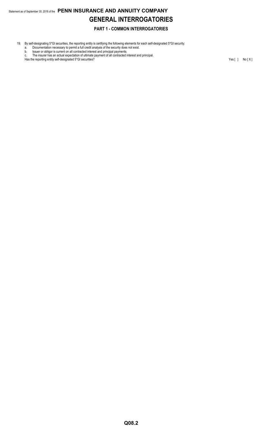## Statement as of September 30, 2018 of the **PENN INSURANCE AND ANNUITY COMPANY GENERAL INTERROGATORIES**

#### **PART 1 - COMMON INTERROGATORIES**

- 19. By self-designating 5\*GI securities, the reporting entity is certifying the following elements for each self-designated 5\*GI security:
	- a. Documentation necessary to permit a full credit analysis of the security does not exist.
	- b. Issuer or obligor is current on all contracted interest and principal payments. c. The insurer has an actual expectation of ultimate payment of all contracted interest and principal.

Has the reporting entity self-designated 5\*GI securities? Yes [ ] No [ X ]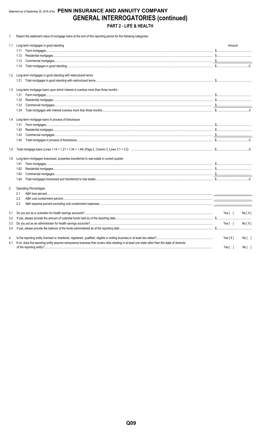#### Statement as of September 30, 2018 of the PENN INSURANCE AND ANNUITY COMPANY **GENERAL INTERROGATORIES (continued)** PART 2 - LIFE & HEALTH

1. Report the statement value of mortgage loans at the end of this reporting period for the following categories:

| 1.1 | Long-term mortgages in good standing                                                                                                           | Amount                    |        |
|-----|------------------------------------------------------------------------------------------------------------------------------------------------|---------------------------|--------|
|     | 1.11                                                                                                                                           |                           |        |
|     | 1.12                                                                                                                                           |                           |        |
|     | 1.13                                                                                                                                           |                           |        |
|     | 1.14                                                                                                                                           |                           |        |
|     | 1.2 Long-term mortgages in good standing with restructured terms                                                                               |                           |        |
|     |                                                                                                                                                |                           |        |
|     | 1.3 Long-term mortgage loans upon which interest is overdue more than three months                                                             |                           |        |
|     | 1.31                                                                                                                                           |                           |        |
|     | 1.32                                                                                                                                           |                           |        |
|     | 1.33                                                                                                                                           |                           |        |
|     | 1.34                                                                                                                                           |                           |        |
|     | 1.4 Long-term mortgage loans in process of foreclosure                                                                                         |                           |        |
|     | 1.41                                                                                                                                           |                           |        |
|     | 1.42                                                                                                                                           |                           |        |
|     | 1.43                                                                                                                                           |                           |        |
|     | 1.44                                                                                                                                           |                           |        |
| 1.5 |                                                                                                                                                |                           |        |
| 1.6 | Long-term mortgages foreclosed, properties transferred to real estate in current quarter                                                       |                           |        |
|     | 1.61                                                                                                                                           |                           |        |
|     | 1.62                                                                                                                                           |                           |        |
|     | 1.63                                                                                                                                           |                           |        |
|     | 1.64                                                                                                                                           |                           |        |
| 2.  | <b>Operating Percentages:</b>                                                                                                                  |                           |        |
|     | 2.1                                                                                                                                            |                           |        |
|     | 2.2                                                                                                                                            |                           |        |
|     | 2.3                                                                                                                                            |                           |        |
| 3.1 |                                                                                                                                                | Yes [ ]                   | No[X]  |
| 3.2 |                                                                                                                                                |                           |        |
| 3.3 |                                                                                                                                                | Yes[ ]                    | No[X]  |
| 3.4 |                                                                                                                                                |                           |        |
| 4.  |                                                                                                                                                | Yes $[X]$                 | No [ ] |
| 4.1 | If no, does the reporting entity assume reinsurance business that covers risks residing in at least one state other than the state of domicile | Yes $\lceil \quad \rceil$ | No[    |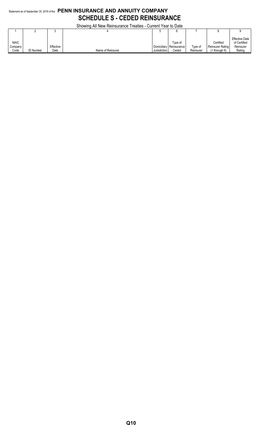#### Statement as of September 30, 2018 of the **PENN INSURANCE AND ANNUITY COMPANY SCHEDULE S - CEDED REINSURANCE**

Showing All New Reinsurance Treaties - Current Year to Date

|                                |                  |                   | <b>OUDWING AN INGWINGING ILCANGS - CUITENT LCAL TO DATE</b> |                             |                                 |                         |                                                    |                                                              |
|--------------------------------|------------------|-------------------|-------------------------------------------------------------|-----------------------------|---------------------------------|-------------------------|----------------------------------------------------|--------------------------------------------------------------|
|                                |                  |                   |                                                             |                             |                                 |                         |                                                    |                                                              |
| <b>NAIC</b><br>Company<br>Code | <b>ID Number</b> | Effective<br>Date | Name of Reinsurer                                           | Domiciliary<br>Jurisdiction | Tvpe of<br>Reinsurance<br>Ceded | $T$ ype of<br>Reinsurer | Certified<br>Reinsurer Rating<br>$(1$ through $6)$ | <b>Effective Date</b><br>of Certified<br>Reinsurer<br>Rating |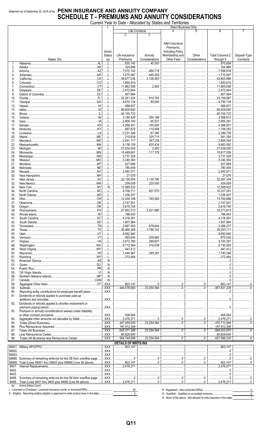#### Statement as of September 30, 2018 of the PENN INSURANCE AND ANNUITY COMPANY **SCHEDULE T - PREMIUMS AND ANNUITY CONSIDERATIONS** Current Year to Date - Allocated by States and Territories

|            |                                                                      |                |                                                |                                      |                         | <b>Direct Business Only</b>                                                                                                                                                                                                                                                                                                           |                |                                                   |                |
|------------|----------------------------------------------------------------------|----------------|------------------------------------------------|--------------------------------------|-------------------------|---------------------------------------------------------------------------------------------------------------------------------------------------------------------------------------------------------------------------------------------------------------------------------------------------------------------------------------|----------------|---------------------------------------------------|----------------|
|            |                                                                      |                |                                                |                                      | Life Contracts          |                                                                                                                                                                                                                                                                                                                                       | 5              | 6                                                 | $\overline{7}$ |
|            |                                                                      |                |                                                | 2                                    | 3                       |                                                                                                                                                                                                                                                                                                                                       |                |                                                   |                |
|            |                                                                      |                |                                                |                                      |                         | A&H Insurance                                                                                                                                                                                                                                                                                                                         |                |                                                   |                |
|            |                                                                      |                |                                                |                                      |                         | Premiums.                                                                                                                                                                                                                                                                                                                             |                |                                                   |                |
|            |                                                                      |                | Active                                         |                                      |                         | <b>Including Policy</b>                                                                                                                                                                                                                                                                                                               |                |                                                   |                |
|            |                                                                      |                | <b>Status</b>                                  | Life Insurance                       | Annuity                 | Membership and                                                                                                                                                                                                                                                                                                                        | Other          | <b>Total Columns 2</b>                            | Deposit-Type   |
|            | States, Etc.                                                         |                | (a)                                            | Premiums                             | Considerations          | Other Fees                                                                                                                                                                                                                                                                                                                            | Considerations | through 5                                         | Contracts      |
| 1.         |                                                                      | $\overline{A}$ | $\perp$                                        | 835,145                              | 40.553                  |                                                                                                                                                                                                                                                                                                                                       |                | .875,698                                          |                |
| 2.         |                                                                      |                |                                                | 324,866                              |                         |                                                                                                                                                                                                                                                                                                                                       |                | 324,866                                           |                |
| 3.         |                                                                      |                | . L                                            | 7,072,102                            | .484,716<br>.           |                                                                                                                                                                                                                                                                                                                                       |                |                                                   |                |
| 4.         |                                                                      |                | . 1.                                           | 1,275,597                            | 440,000<br>3,128,953    |                                                                                                                                                                                                                                                                                                                                       |                | 1,715,597<br>42,805,989                           |                |
| 5.<br>6.   |                                                                      |                |                                                | 39,677,036<br>1,850,819              | .<br>.                  |                                                                                                                                                                                                                                                                                                                                       |                | 1,850,819                                         |                |
| 7.         |                                                                      |                | . L                                            | 11,862,506                           | 2,500                   |                                                                                                                                                                                                                                                                                                                                       |                | 11,865,006                                        |                |
| 8.         |                                                                      |                |                                                | 2,472,644                            |                         |                                                                                                                                                                                                                                                                                                                                       |                | 2,472,644                                         |                |
| 9.         |                                                                      |                | . 1.                                           | 657,994                              |                         |                                                                                                                                                                                                                                                                                                                                       |                | $\ldots$ 657,994                                  |                |
| 10.        |                                                                      |                |                                                | .22,241,204                          | 918,783                 |                                                                                                                                                                                                                                                                                                                                       |                | 23,159,987<br>1, 1, 1, 1, 1, 1                    |                |
| 11.        |                                                                      |                | L                                              | $\dots$ 4,670,134                    | 80,000                  |                                                                                                                                                                                                                                                                                                                                       |                | 4,750,134                                         |                |
| 12.        |                                                                      |                |                                                | 488,827                              |                         |                                                                                                                                                                                                                                                                                                                                       |                | 488,827<br>$\ldots$ 60,626,640                    |                |
| 13.<br>14. |                                                                      |                | . L                                            | $\ldots$ 60,626,640<br>40,155,722    |                         |                                                                                                                                                                                                                                                                                                                                       |                | 40,155,722                                        |                |
| 15.        |                                                                      |                | L                                              | 3,184,426                            | 384,186                 |                                                                                                                                                                                                                                                                                                                                       |                | 3,568,612                                         |                |
| 16.        |                                                                      |                |                                                | 2,909,740                            | 45,521                  |                                                                                                                                                                                                                                                                                                                                       |                | 2,955,261                                         |                |
| 17.        |                                                                      |                | L                                              | 4,268,931                            | 100,000                 |                                                                                                                                                                                                                                                                                                                                       |                | 1, 4, 368, 931                                    |                |
| 18.        |                                                                      |                |                                                | 997,875                              | 110,408                 |                                                                                                                                                                                                                                                                                                                                       |                | 1,108,283                                         |                |
| 19.        |                                                                      |                | L                                              | $1.11$ , 2,221,346                   | 67,380                  |                                                                                                                                                                                                                                                                                                                                       |                | 2,288,726                                         |                |
| 20.        |                                                                      |                |                                                | 215,639                              | 325,715                 |                                                                                                                                                                                                                                                                                                                                       |                | 541,354                                           |                |
| 21.        |                                                                      |                | L                                              | 2,451,117                            | .357,238<br>.           |                                                                                                                                                                                                                                                                                                                                       |                | 2,808,355                                         |                |
| 22.<br>23. |                                                                      |                | . L                                            | 9,138,158<br>27.634.000<br>.         | 825,434<br>2,000        |                                                                                                                                                                                                                                                                                                                                       | <br>           | 3,963,592<br>$\ldots$ 27,636,000                  |                |
| 24.        |                                                                      |                |                                                | 10,499,681                           | 117.378                 |                                                                                                                                                                                                                                                                                                                                       |                | 10,617,059                                        |                |
| 25.        |                                                                      |                | . 1.                                           | 3,737,328                            |                         |                                                                                                                                                                                                                                                                                                                                       |                | $\ldots$ 3,737,328                                |                |
| 26.        |                                                                      |                |                                                | 3,340,383                            |                         |                                                                                                                                                                                                                                                                                                                                       |                | 3,340,383<br>.                                    |                |
| 27.        |                                                                      |                |                                                | $\ldots$ 527,666                     |                         |                                                                                                                                                                                                                                                                                                                                       |                | 527,666                                           |                |
| 28.        |                                                                      |                |                                                | 780,409                              |                         |                                                                                                                                                                                                                                                                                                                                       |                | 780,409                                           |                |
| 29.        |                                                                      |                |                                                | 2,563,571                            |                         |                                                                                                                                                                                                                                                                                                                                       |                | 2,563,571                                         |                |
| 30.        |                                                                      |                |                                                | 27,076<br>.                          |                         |                                                                                                                                                                                                                                                                                                                                       |                | 27,076                                            |                |
| 31.<br>32. |                                                                      |                | . L                                            | 32,136,554<br>209,009                | 3,130,780<br>220.000    |                                                                                                                                                                                                                                                                                                                                       |                | 35,267,334<br>429,009                             |                |
| 33.        |                                                                      |                | N                                              | 12,588,422                           |                         |                                                                                                                                                                                                                                                                                                                                       |                | 12,588,422                                        |                |
| 34.        |                                                                      |                |                                                | $$ 9,709,711                         | 627.570                 |                                                                                                                                                                                                                                                                                                                                       |                | 10,337,281                                        |                |
| 35.        |                                                                      |                | L                                              | 1,036,937                            |                         |                                                                                                                                                                                                                                                                                                                                       | <br>           | 1,036,937                                         |                |
| 36.        |                                                                      |                |                                                | 12,439,188                           | 745,500                 |                                                                                                                                                                                                                                                                                                                                       |                | 13,184,688                                        |                |
| 37.        |                                                                      |                | L                                              | $\ldots$ 2,747,501                   |                         |                                                                                                                                                                                                                                                                                                                                       |                | $\ldots$ 2.747.501                                |                |
| 38.        |                                                                      |                |                                                | 2,618,745                            |                         |                                                                                                                                                                                                                                                                                                                                       |                | 2,618,745                                         |                |
| 39.        |                                                                      |                | .                                              | 27,852,313                           | 3,421,660               |                                                                                                                                                                                                                                                                                                                                       | 1              | $1$ 33,273,973                                    |                |
| 40.<br>41. |                                                                      |                | L                                              | 4,318,391                            |                         |                                                                                                                                                                                                                                                                                                                                       |                | 796,543<br>4,318,391                              |                |
| 42.        |                                                                      |                |                                                | .1,807,984                           |                         |                                                                                                                                                                                                                                                                                                                                       |                | 1,807,984                                         |                |
| 43.        |                                                                      |                | L                                              | .2,687,593                           | .678,644                |                                                                                                                                                                                                                                                                                                                                       |                | 3,366,237                                         |                |
| 44.        |                                                                      |                | . L                                            | 35,466,369                           | .3,786,742              |                                                                                                                                                                                                                                                                                                                                       |                | 39,253,111                                        |                |
| 45.        |                                                                      |                | L                                              | 8,692,845                            |                         |                                                                                                                                                                                                                                                                                                                                       |                | 3,692,845                                         |                |
| 46.        |                                                                      |                | L                                              | 465,644                              | .209,882                |                                                                                                                                                                                                                                                                                                                                       |                | 675,526                                           |                |
| 47.        |                                                                      |                | L                                              | 2,813,780                            | .289,601<br>.           |                                                                                                                                                                                                                                                                                                                                       |                | 1.1111.3.103.381                                  |                |
| 48.        |                                                                      |                | L                                              | 3,712,544                            | 418.039                 |                                                                                                                                                                                                                                                                                                                                       |                | 9,130,583<br>$\ldots$ 447.412                     |                |
| 49.<br>50. |                                                                      |                | L<br>L                                         | 447,412<br>1, 7, 444, 967            | 295,381                 |                                                                                                                                                                                                                                                                                                                                       |                | 7,740,348                                         |                |
| 51.        |                                                                      |                | L                                              | 272,484                              |                         |                                                                                                                                                                                                                                                                                                                                       |                | 272,484                                           |                |
| 52.        |                                                                      |                | N                                              |                                      |                         |                                                                                                                                                                                                                                                                                                                                       |                |                                                   |                |
| 53.        |                                                                      | .GU            | N                                              |                                      |                         |                                                                                                                                                                                                                                                                                                                                       |                |                                                   |                |
| 54.        |                                                                      |                | N                                              |                                      |                         |                                                                                                                                                                                                                                                                                                                                       |                |                                                   |                |
| 55.        |                                                                      |                | N                                              |                                      |                         |                                                                                                                                                                                                                                                                                                                                       |                |                                                   |                |
| 56.        |                                                                      |                | N                                              |                                      |                         |                                                                                                                                                                                                                                                                                                                                       |                |                                                   |                |
| 57.        |                                                                      |                | N                                              |                                      |                         |                                                                                                                                                                                                                                                                                                                                       |                | 0                                                 |                |
| 58.<br>59. |                                                                      |                | $.$ $XXX$<br>$\overline{.}$ XXX $\overline{.}$ | 603,147<br>.444,576,665              | <u></u> 0<br>23,254,564 | $\begin{array}{l} \rule{0.2cm}{0.15mm} \ldots \end{array} \qquad \begin{array}{ll} \rule{0.2cm}{0.15mm} \ldots \end{array} \qquad \begin{array}{ll} \rule{0.2cm}{0.15mm} \ldots \end{array} \qquad \begin{array}{ll} \rule{0.2cm}{0.15mm} \ldots \end{array} \qquad \begin{array}{ll} \rule{0.2cm}{0.15mm} \ldots \end{array}$<br>. 0 | 0<br>. 0       | .603,147<br>467.831.229                           | . 0            |
| 90.        | Reporting entity contributions for employee benefit plans            |                | $.$ $XXX$                                      | .                                    |                         |                                                                                                                                                                                                                                                                                                                                       |                |                                                   |                |
| 91.        | Dividends or refunds applied to purchase paid-up                     |                |                                                |                                      |                         |                                                                                                                                                                                                                                                                                                                                       |                |                                                   |                |
|            |                                                                      |                | XXX                                            |                                      |                         |                                                                                                                                                                                                                                                                                                                                       |                |                                                   |                |
| 92.        | Dividends or refunds applied to shorten endowment or                 |                |                                                |                                      |                         |                                                                                                                                                                                                                                                                                                                                       |                |                                                   |                |
|            |                                                                      |                | .XXX.                                          |                                      |                         |                                                                                                                                                                                                                                                                                                                                       |                |                                                   |                |
| 93.        | Premium or annuity considerations waived under disability            |                |                                                |                                      |                         |                                                                                                                                                                                                                                                                                                                                       |                |                                                   |                |
|            |                                                                      |                | .XXX<br>.XXX.                                  | .406,064                             | 0                       |                                                                                                                                                                                                                                                                                                                                       |                | 406,064<br>2,476,271                              | $\overline{0}$ |
| 94.<br>95. |                                                                      |                | XXX                                            | 2,476,271<br>.447,459,000            | .23,254,564             | 00                                                                                                                                                                                                                                                                                                                                    | . 0            | .470,713,564                                      |                |
| 96.        |                                                                      |                | $.$ $XXX$                                      | 197,912,306                          |                         |                                                                                                                                                                                                                                                                                                                                       |                | 197,912,306                                       |                |
| 97.        |                                                                      |                | .XXX.                                          | .645,371,306                         | .23,254,564             |                                                                                                                                                                                                                                                                                                                                       | . 0            | 668,625,870                                       |                |
| 98.        |                                                                      |                | $.$ $XXX$                                      | 60,626,640                           |                         |                                                                                                                                                                                                                                                                                                                                       |                | $\ldots$ 60,626,640                               |                |
| 99.        |                                                                      |                | $.$ $XXX$                                      | .584,744,666                         | .23,254,564             |                                                                                                                                                                                                                                                                                                                                       |                | $\ldots$ 607,999,230                              |                |
|            |                                                                      |                |                                                | <b>DETAILS OF WRITE-INS</b>          |                         |                                                                                                                                                                                                                                                                                                                                       |                |                                                   |                |
|            |                                                                      |                | .XXX.                                          |                                      |                         |                                                                                                                                                                                                                                                                                                                                       |                | .603.147<br>.                                     |                |
| 58002.     |                                                                      |                | .XXX                                           |                                      |                         |                                                                                                                                                                                                                                                                                                                                       |                |                                                   |                |
| 58003.     |                                                                      |                | .XXX.                                          |                                      |                         |                                                                                                                                                                                                                                                                                                                                       |                |                                                   |                |
|            | 58998. Summary of remaining write-ins for line 58 from overflow page |                | XXX                                            |                                      | 0                       |                                                                                                                                                                                                                                                                                                                                       |                | 0                                                 |                |
| 9401.      | 58999. Total (Lines 58001 thru 58003 plus 58998) (Line 58 above)     |                | .XXX.<br>XXX                                   | 603,147<br>$\frac{1}{2}$ , 2,476,271 |                         |                                                                                                                                                                                                                                                                                                                                       |                | 2.476.271                                         | $0$ 0          |
| 9402.      |                                                                      |                | $.$ $XXX$                                      |                                      |                         |                                                                                                                                                                                                                                                                                                                                       |                |                                                   |                |
| 9403.      |                                                                      |                | .XXX.                                          |                                      |                         |                                                                                                                                                                                                                                                                                                                                       |                | $0$                                               |                |
|            | 9498. Summary of remaining write-ins for line 94 from overflow page  |                | $.$ $XXX$                                      | 0                                    |                         |                                                                                                                                                                                                                                                                                                                                       |                | 0                                                 | 0              |
|            | 9499. Total (Lines 9401 thru 9403 plus 9498) (Line 94 above)         |                | XXX                                            | 2,476,271                            | 0                       |                                                                                                                                                                                                                                                                                                                                       |                | 2.476.271                                         | 00             |
| (a)        | <b>Active Status Count</b>                                           |                |                                                |                                      |                         |                                                                                                                                                                                                                                                                                                                                       |                |                                                   |                |
|            |                                                                      |                |                                                | 50                                   |                         |                                                                                                                                                                                                                                                                                                                                       |                |                                                   | $\mathbf 0$    |
|            |                                                                      |                |                                                | $\mathbf{0}$                         |                         |                                                                                                                                                                                                                                                                                                                                       |                | Q - Qualified - Qualified or accredited reinsurer | $\Omega$       |

 $\frac{0}{7}$ 

N - None of the above - Not allowed to write business in the state \_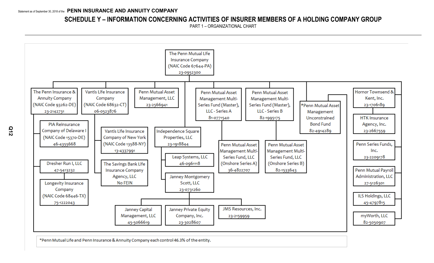#### **SCHEDULE Y – INFORMATION CONCERNING ACTIVITIES OF INSURER MEMBERS OF A HOLDING COMPANY GROUP**

PART 1 – ORGANIZATIONAL CHART



\*Penn Mutual Life and Penn Insurance & Annuity Company each control 46.3% of the entity.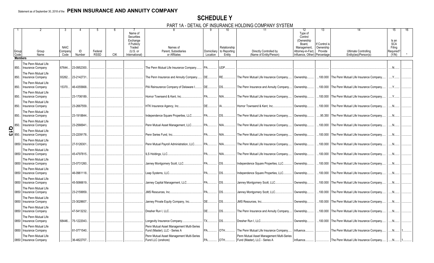#### **SCHEDULE Y**

PART 1A - DETAIL OF INSURANCE HOLDING COMPANY SYSTEM

|                     | Group<br>Code  | Group<br>Name                                                            | <b>NAIC</b><br>Compan<br>Code | ID<br>Number | Federal<br><b>RSSD</b> | <b>CIK</b> | Name of<br>Securities<br>Exchange<br>if Publicly<br>Traded<br>$(U.S.$ or<br>International) | Names of<br>Parent, Subsidiaries<br>or Affiliates                          | Location         | 10<br>Relationship<br>Domiciliary to Reporting<br>Entity | 11<br>Directly Controlled by<br>(Name of Entity/Person)                    | 12<br>Type of<br>Control<br>(Ownership<br>Board.<br>Management,<br>Attorney-in-Fact,<br>Influence, Other) | 13<br>lf Control is<br>Ownership<br>Provide<br>Percentage | <b>Ultimate Controlling</b><br>Entity(ies)/Person(s) | 15<br>Is an<br><b>SCA</b><br>Filing<br>Required?<br>(Y/N) |  |
|---------------------|----------------|--------------------------------------------------------------------------|-------------------------------|--------------|------------------------|------------|--------------------------------------------------------------------------------------------|----------------------------------------------------------------------------|------------------|----------------------------------------------------------|----------------------------------------------------------------------------|-----------------------------------------------------------------------------------------------------------|-----------------------------------------------------------|------------------------------------------------------|-----------------------------------------------------------|--|
|                     | <b>Members</b> |                                                                          |                               |              |                        |            |                                                                                            |                                                                            |                  |                                                          |                                                                            |                                                                                                           |                                                           |                                                      |                                                           |  |
|                     |                |                                                                          |                               |              |                        |            |                                                                                            |                                                                            |                  |                                                          |                                                                            |                                                                                                           |                                                           |                                                      |                                                           |  |
|                     | 850.           | The Penn Mutual Life<br><b>Insurance Company</b><br>The Penn Mutual Life | 67644.                        | 23-0952300.  |                        |            |                                                                                            | The Penn Mutual Life Insurance Company.                                    | PA.              | UDP.                                                     |                                                                            |                                                                                                           |                                                           |                                                      |                                                           |  |
|                     | 850.           | Insurance Company                                                        | 93262.                        | 23-2142731   |                        |            |                                                                                            | The Penn Insurance and Annuity Company                                     | IDE.             | RE.                                                      | The Penn Mutual Life Insurance Company.                                    | Ownership.                                                                                                |                                                           | .100.000 The Penn Mutual Life Insurance Company.     | Y                                                         |  |
|                     | 850.           | The Penn Mutual Life<br><b>Insurance Company</b>                         | 15370.                        | 46-4355668.  |                        |            |                                                                                            | PIA Reinsurance Company of Delaware I                                      | DE               | DS                                                       | The Penn Insurance and Annuity Company                                     | Ownership.                                                                                                |                                                           | .100.000 The Penn Mutual Life Insurance Company      | $Y_{\cdot\cdot\cdot}$                                     |  |
|                     | 850.           | The Penn Mutual Life<br>Insurance Company                                |                               | 23-1706189.  |                        |            |                                                                                            | Hornor Townsend & Kent. Inc                                                | PA               | NIA.                                                     | The Penn Mutual Life Insurance Company.                                    | Ownership.                                                                                                | .100.000                                                  | The Penn Mutual Life Insurance Company               |                                                           |  |
|                     | 850.           | The Penn Mutual Life<br>Insurance Company                                |                               | 23-2667559.  |                        |            |                                                                                            | HTK Insurance Agency, Inc                                                  | DE               | <b>IA</b>                                                | Hornor Townsend & Kent, Inc                                                | Ownership.                                                                                                |                                                           | .100.000 The Penn Mutual Life Insurance Company.     | $\mathbb{N}$ .                                            |  |
|                     | 850.           | The Penn Mutual Life<br>Insurance Company                                |                               | 23-1918844.  |                        |            |                                                                                            | Independence Square Properties, LLC                                        | <b>PA</b>        | <b>DS</b>                                                | The Penn Mutual Life Insurance Company.                                    | Ownership.                                                                                                | .95.350                                                   | The Penn Mutual Life Insurance Company               | .N                                                        |  |
|                     | 850.           | The Penn Mutual Life<br><b>Insurance Company</b>                         |                               | 23-2566941   |                        |            |                                                                                            | Penn Mutual Asset Management, LLC                                          | <b>PA</b>        | NIA.                                                     | The Penn Mutual Life Insurance Company.                                    | Ownership.                                                                                                | .100.000                                                  | The Penn Mutual Life Insurance Company               |                                                           |  |
| $\frac{5}{10}$ 850. |                | The Penn Mutual Life<br><b>Insurance Company</b>                         |                               | 23-2209178.  |                        |            |                                                                                            | Penn Series Fund. Inc                                                      | $PA$ <sub></sub> | NIA                                                      | The Penn Mutual Life Insurance Company.                                    | Ownership.                                                                                                |                                                           | .100.000 The Penn Mutual Life Insurance Company.     | .N.                                                       |  |
|                     | 0850           | The Penn Mutual Life<br><b>Insurance Company</b>                         |                               | 27-5126301.  |                        |            |                                                                                            | Penn Mutual Payroll Administration, LLC                                    | <b>PA</b>        | NIA                                                      | The Penn Mutual Life Insurance Company.                                    | Ownership.                                                                                                |                                                           | .100.000 The Penn Mutual Life Insurance Company.     | N                                                         |  |
|                     | 0850           | The Penn Mutual Life<br>Insurance Company                                |                               | 45-4797815.  |                        |            |                                                                                            | LS Holdings, LLC                                                           | <b>PA</b>        | NIA                                                      | The Penn Mutual Life Insurance Company                                     | Ownership.                                                                                                | .100.000                                                  | The Penn Mutual Life Insurance Company               |                                                           |  |
|                     | 0850           | The Penn Mutual Life<br><b>Insurance Company</b>                         |                               | 23-0731260.  |                        |            |                                                                                            | Janney Montgomery Scott, LLC PA                                            |                  | <b>DS</b>                                                | Independence Square Properties, LLC.                                       | Ownership.                                                                                                |                                                           | .100.000 The Penn Mutual Life Insurance Company.     | .N.                                                       |  |
|                     | 0850           | The Penn Mutual Life<br><b>Insurance Company</b>                         |                               | 46-0961118.  |                        |            |                                                                                            | eap Systems, LLC                                                           | PA               | DS.                                                      | Independence Square Properties, LLC.                                       | Ownership.                                                                                                |                                                           | .100.000 The Penn Mutual Life Insurance Company      | .N                                                        |  |
|                     | 0850           | The Penn Mutual Life<br>Insurance Company                                |                               | 45-5066619.  |                        |            |                                                                                            | Janney Capital Management, LLC PA                                          |                  | <b>DS</b>                                                | Janney Montgomery Scott, LLC                                               | Ownership.                                                                                                | .100.000                                                  | The Penn Mutual Life Insurance Company               | N                                                         |  |
|                     | 0850           | The Penn Mutual Life<br><b>Insurance Company</b>                         |                               | 23-2159959.  |                        |            |                                                                                            |                                                                            |                  | <b>DS</b>                                                | Janney Montgomery Scott, LLC                                               | Ownership.                                                                                                |                                                           | .100.000 The Penn Mutual Life Insurance Company.     | .N.                                                       |  |
|                     | 0850           | The Penn Mutual Life<br>Insurance Company                                |                               | 23-3028607.  |                        |            |                                                                                            | Janney Private Equity Company, Inc                                         | DE               | DS.                                                      | JMS Resources, Inc                                                         | Ownership.                                                                                                |                                                           | .100.000 The Penn Mutual Life Insurance Company      | .N                                                        |  |
|                     | 0850           | The Penn Mutual Life<br>Insurance Company                                |                               | 47-5413232.  |                        |            |                                                                                            | Dresher Run I. LLC                                                         | DE               | <b>DS</b>                                                | The Penn Insurance and Annuity Company                                     | Ownership.                                                                                                | .100.000                                                  | The Penn Mutual Life Insurance Company               | N                                                         |  |
|                     | 0850           | The Penn Mutual Life<br><b>Insurance Company</b>                         | 68446.                        | 75-1222043.  |                        |            |                                                                                            | ongevity Insurance Company                                                 | $\mathsf{TX}$    | <b>DS</b>                                                | Dresher Run I. LLC                                                         | Ownership.                                                                                                |                                                           | .100.000 The Penn Mutual Life Insurance Company.     | .N.                                                       |  |
|                     | 0850           | The Penn Mutual Life<br>Insurance Company                                |                               | 81-0771540.  |                        |            |                                                                                            | Penn Mutual Asset Management Multi-Series<br>Fund (Master), LLC - Series A | <b>PA</b>        | OTH                                                      | The Penn Mutual Life Insurance Company.                                    | Influence.                                                                                                |                                                           | The Penn Mutual Life Insurance Company               | N                                                         |  |
|                     |                | The Penn Mutual Life<br>0850   Insurance Company                         |                               | 36-4822707.  |                        |            |                                                                                            | Penn Mutual Asset Management Multi-Series<br>Fund LLC (onshore)            | IPA              | OTH                                                      | Penn Mutual Asset Management Multi-Series<br>Fund (Master), LLC - Series A | Influence.                                                                                                |                                                           | The Penn Mutual Life Insurance Company               |                                                           |  |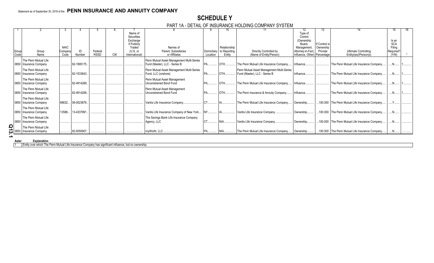#### **SCHEDULE Y**

PART 1A - DETAIL OF INSURANCE HOLDING COMPANY SYSTEM

|        |                          |             |             |             |            |                       |                                           |           |                          |                                           | 12                           | 13                         |                                                  | 15                   |  |
|--------|--------------------------|-------------|-------------|-------------|------------|-----------------------|-------------------------------------------|-----------|--------------------------|-------------------------------------------|------------------------------|----------------------------|--------------------------------------------------|----------------------|--|
|        |                          |             |             |             |            | Name of               |                                           |           |                          |                                           | Type of                      |                            |                                                  |                      |  |
|        |                          |             |             |             |            | Securities            |                                           |           |                          |                                           | Control                      |                            |                                                  |                      |  |
|        |                          |             |             |             |            | Exchange              |                                           |           |                          |                                           | (Ownership                   |                            |                                                  | Is an                |  |
|        |                          | <b>NAIC</b> |             |             |            | if Publicly<br>Traded | Names of                                  |           | Relationship             |                                           | Board.<br>Management         | If Control is<br>Ownership |                                                  | <b>SCA</b><br>Filing |  |
| Group  | Group                    | Compan      | ID          | Federal     |            | (U.S. or              | Parent, Subsidiaries                      |           | Domiciliary to Reporting | Directly Controlled by                    | Attorney-in-Fact,            | Provide                    | <b>Ultimate Controlling</b>                      | Required?            |  |
| Code   | Name                     | Code        | Number      | <b>RSSD</b> | <b>CIK</b> | International)        | or Affiliates                             | Location  | Entity                   | (Name of Entity/Person)                   | Influence, Other) Percentage |                            | Entity(ies)/Person(s)                            | (Y/N)                |  |
|        |                          |             |             |             |            |                       |                                           |           |                          |                                           |                              |                            |                                                  |                      |  |
|        | The Penn Mutual Life     |             |             |             |            |                       | Penn Mutual Asset Management Multi-Series |           |                          |                                           |                              |                            |                                                  |                      |  |
|        | 0850   Insurance Company |             | 82-1995175. |             |            |                       | Fund (Master), LLC - Series B             | PA.       | <b>OTH</b>               | The Penn Mutual Life Insurance Company    | Influence                    |                            | The Penn Mutual Life Insurance Company.          | N                    |  |
|        | The Penn Mutual Life     |             |             |             |            |                       | Penn Mutual Asset Management Multi-Series |           |                          | Penn Mutual Asset Management Multi-Series |                              |                            |                                                  |                      |  |
|        | 0850   Insurance Company |             | 82-1533643. |             |            |                       | Fund, LLC (onshore)                       |           | <b>OTH</b>               | Fund (Master), LLC - Series B             | Influence.                   |                            | The Penn Mutual Life Insurance Company           | N                    |  |
|        | The Penn Mutual Life     |             |             |             |            |                       | Penn Mutual Asset Management              |           |                          |                                           |                              |                            |                                                  |                      |  |
|        | 0850   Insurance Company |             | 82-4914289. |             |            |                       | <b>Unconstrained Bond Fund</b>            |           | <b>OTH</b>               | The Penn Mutual Life Insurance Company    | Influence.                   |                            | The Penn Mutual Life Insurance Company           | $N_{\cdots}$         |  |
|        |                          |             |             |             |            |                       |                                           |           |                          |                                           |                              |                            |                                                  |                      |  |
|        | The Penn Mutual Life     |             |             |             |            |                       | Penn Mutual Asset Management              |           |                          |                                           |                              |                            |                                                  |                      |  |
|        | 0850   Insurance Company |             | 82-4914289. |             |            |                       | Unconstrained Bond Fund                   |           | $OTH$                    | The Penn Insurance & Annuity Company      | Influence                    |                            | The Penn Mutual Life Insurance Company           | .N                   |  |
|        | The Penn Mutual Life     |             |             |             |            |                       |                                           |           |                          |                                           |                              |                            |                                                  |                      |  |
|        | 0850   Insurance Company | 68632.      | 06-0523876. |             |            |                       | Vantis Life Insurance Company             |           |                          | The Penn Mutual Life Insurance Company    | Ownership                    |                            | .100.000 The Penn Mutual Life Insurance Company. | $\checkmark$         |  |
|        | The Penn Mutual Life     |             |             |             |            |                       |                                           |           |                          |                                           |                              |                            |                                                  |                      |  |
|        | 0850   Insurance Company | 13588.      | 13-4337991  |             |            |                       | Vantis Life Insurance Company of New York |           |                          | Vantis Life Insurance Company.            | Ownership                    |                            | 100.000 The Penn Mutual Life Insurance Company.  | $N_{\cdot}$          |  |
|        |                          |             |             |             |            |                       |                                           |           |                          |                                           |                              |                            |                                                  |                      |  |
|        | The Penn Mutual Life     |             |             |             |            |                       | The Savings Bank Life Insurance Company   |           |                          |                                           |                              |                            |                                                  |                      |  |
| 0850   | Insurance Company        |             |             |             |            |                       | Agency, LLC                               | <b>CT</b> | NIA                      | Vantis Life Insurance Company             | Ownership                    |                            | .100.000 The Penn Mutual Life Insurance Company  |                      |  |
| O      | The Penn Mutual Life     |             |             |             |            |                       |                                           |           |                          |                                           |                              |                            |                                                  |                      |  |
|        | 0850 Insurance Company   |             | 82-5050907  |             |            |                       | myWorth, LLC.                             |           |                          | The Penn Mutual Life Insurance Company    | Ownership                    |                            | 100.000 The Penn Mutual Life Insurance Company.  |                      |  |
|        |                          |             |             |             |            |                       |                                           |           |                          |                                           |                              |                            |                                                  |                      |  |
| Asteri | Explanation              |             |             |             |            |                       |                                           |           |                          |                                           |                              |                            |                                                  |                      |  |

1 Entity over which The Penn Mutual Life Insurance Company has significant influence, but no ownership.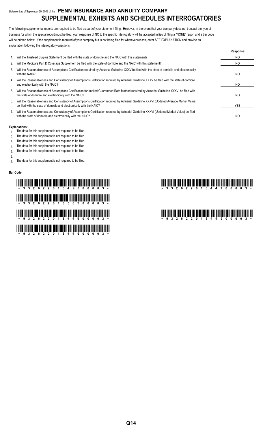#### Statement as of September 30, 2018 of the **PENN INSURANCE AND ANNUITY COMPANY SUPPLEMENTAL EXHIBITS AND SCHEDULES INTERROGATORIES**

The following supplemental reports are required to be filed as part of your statement filing. However, in the event that your company does not transact the type of business for which the special report must be filed, your response of NO to the specific interrogatory will be accepted in lieu of filing a "NONE" report and a bar code will be printed below. If the supplement is required of your company but is not being filed for whatever reason, enter SEE EXPLANATION and provide an explanation following the interrogatory questions.

|    |                                                                                                                                                                                                                    | Response       |
|----|--------------------------------------------------------------------------------------------------------------------------------------------------------------------------------------------------------------------|----------------|
|    | Will the Trusteed Surplus Statement be filed with the state of domicile and the NAIC with this statement?                                                                                                          | N <sub>O</sub> |
| 2. | Will the Medicare Part D Coverage Supplement be filed with the state of domicile and the NAIC with this statement?                                                                                                 | NO             |
| 3. | Will the Reasonableness of Assumptions Certification required by Actuarial Guideline XXXV be filed with the state of domicile and electronically<br>with the NAIC?                                                 | NO.            |
| 4. | Will the Reasonableness and Consistency of Assumptions Certification required by Actuarial Guideline XXXV be filed with the state of domicile<br>and electronically with the NAIC?                                 | NO             |
| 5. | Will the Reasonableness of Assumptions Certification for Implied Guaranteed Rate Method required by Actuarial Guideline XXXVI be filed with<br>the state of domicile and electronically with the NAIC?             | NO.            |
| 6. | Will the Reasonableness and Consistency of Assumptions Certification required by Actuarial Guideline XXXVI (Updated Average Market Value)<br>be filed with the state of domicile and electronically with the NAIC? | YES.           |
|    | Will the Reasonableness and Consistency of Assumptions Certification required by Actuarial Guideline XXXVI (Updated Market Value) be filed<br>with the state of domicile and electronically with the NAIC?         | N <sub>O</sub> |

#### **Explanations:**

- 1. The data for this supplement is not required to be filed.
- 2. The data for this supplement is not required to be filed.
- 3. The data for this supplement is not required to be filed.
- 4. The data for this supplement is not required to be filed.
- 5. The data for this supplement is not required to be filed.
- 6.

7. The data for this supplement is not required to be filed.

#### **Bar Code:**

## \*93262201849000003\* \*93262201844700003\* \* The first and the first transport in the first transportance of the first transportance of the first transpor \*93262201844500003\* \*93262201844900003\* \* The first and had fire had the Kinding and the Kinding fine fire fire fine fine the fire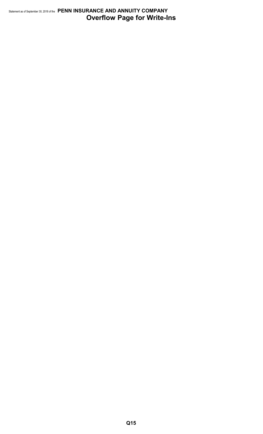#### Statement as of September 30, 2018 of the **PENN INSURANCE AND ANNUITY COMPANY Overflow Page for Write-Ins**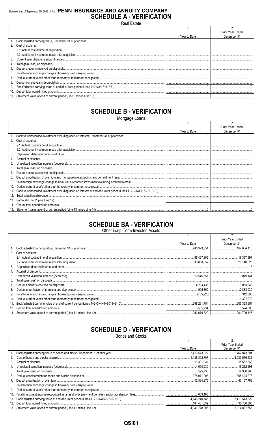#### Statement as of September 30, 2018 of the PENN INSURANCE AND ANNUITY COMPANY **SCHEDULE A - VERIFICATION**

**Real Estate** 

|    |                      |              | Prior Year Ended |
|----|----------------------|--------------|------------------|
|    |                      | Year to Date | December 31      |
|    |                      |              |                  |
|    | 2. Cost of acquired: |              |                  |
|    |                      |              |                  |
|    |                      |              |                  |
|    |                      |              |                  |
|    |                      |              |                  |
| 5. |                      |              |                  |
| 6. |                      |              |                  |
|    |                      |              |                  |
| 8. |                      |              |                  |
| 9. |                      |              |                  |
|    |                      |              |                  |
|    |                      |              |                  |

## **SCHEDULE B - VERIFICATION**

Mortgage Loans

|     |                   |              | Prior Year Ended |
|-----|-------------------|--------------|------------------|
|     |                   | Year to Date | December 31      |
|     |                   |              |                  |
| 2.  | Cost of acquired: |              |                  |
|     |                   |              |                  |
|     |                   |              |                  |
| 3.  |                   |              |                  |
|     |                   |              |                  |
| 5.  |                   |              |                  |
| 6.  |                   |              |                  |
|     |                   |              |                  |
| 8.  |                   |              |                  |
| 9.  |                   |              |                  |
| 10. |                   |              |                  |
| 11. |                   |              |                  |
| 12. |                   |              |                  |
| 13. |                   |              |                  |
| 14. |                   |              |                  |
| 15. |                   |              |                  |

### **SCHEDULE BA - VERIFICATION**

Other Long-Term Invested Assets

|     |                   |              | Prior Year Ended |
|-----|-------------------|--------------|------------------|
|     |                   | Year to Date | December 31      |
|     |                   | 205.323.654  | .167.634.110     |
| 2.  | Cost of acquired: |              |                  |
|     |                   |              |                  |
|     |                   |              |                  |
| 3.  |                   |              |                  |
| 4.  |                   |              |                  |
| 5.  |                   |              |                  |
| 6.  |                   |              |                  |
|     |                   |              |                  |
| 8.  |                   |              |                  |
| 9.  |                   |              |                  |
| 10. |                   |              | .1.327.272       |
| 11. |                   |              |                  |
| 12. |                   |              |                  |
| 13. |                   |              |                  |

### **SCHEDULE D - VERIFICATION**

**Bonds and Stocks** 

|     |               | Prior Year Ended |
|-----|---------------|------------------|
|     | Year to Date  | December 31      |
|     |               |                  |
| 2.  | 1,136.892,707 |                  |
| 3.  | 11.331.231    |                  |
| 4.  |               |                  |
| 5.  |               |                  |
| 6.  |               |                  |
| 7.  |               |                  |
| 8.  |               |                  |
| 9.  |               |                  |
| 10. |               |                  |
| 11. |               | 3.413.573.922    |
| 12. |               |                  |
|     |               |                  |

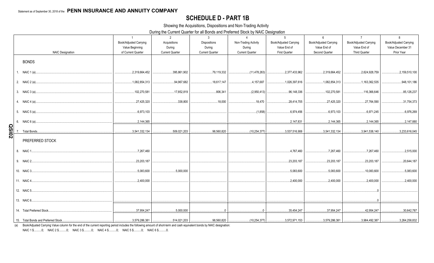#### **SCHEDULE D - PART 1B**

Showing the Acquisitions, Dispositions and Non-Trading Activity

During the Current Quarter for all Bonds and Preferred Stock by NAIC Designation

|              |                                     | $\overline{1}$                            | 2                        | $\mathbf{3}$                  | $\Delta$                       | $\overline{5}$                                                                         | 6                                             | $\overline{7}$                                | 8                                                  |
|--------------|-------------------------------------|-------------------------------------------|--------------------------|-------------------------------|--------------------------------|----------------------------------------------------------------------------------------|-----------------------------------------------|-----------------------------------------------|----------------------------------------------------|
|              |                                     | Book/Adjusted Carrying<br>Value Beginning | Acquisitions<br>During   | <b>Dispositions</b><br>During | Non-Trading Activity<br>During | <b>Book/Adjusted Carrying</b><br>Value End of                                          | <b>Book/Adjusted Carrying</b><br>Value End of | <b>Book/Adjusted Carrying</b><br>Value End of | <b>Book/Adjusted Carrying</b><br>Value December 31 |
|              | <b>NAIC Designation</b>             | of Current Quarter                        | <b>Current Quarter</b>   | <b>Current Quarter</b>        | <b>Current Quarter</b>         | <b>First Quarter</b>                                                                   | Second Quarter                                | <b>Third Quarter</b>                          | Prior Year                                         |
|              | <b>BONDS</b>                        |                                           |                          |                               |                                |                                                                                        |                                               |                                               |                                                    |
|              | 1. NAIC 1 (a)                       | 2,319,664,452                             | 395,861,902              | 79,119,332                    | (11,478,263)<br>.              | 2,377,433,962                                                                          | 2,319,664,452                                 | 2,624,928,759                                 | 2,159,510,100                                      |
|              |                                     | .1.082.854.313                            | 94,967,682               |                               | 4,157,687<br>.                 | 1,026,397,616                                                                          | 1,082,854,313                                 |                                               | 948,101,186                                        |
|              |                                     | 102,270,581                               | 17,852,819               | 806.341                       | (2,950,413)                    | 96.148.336                                                                             | 102,270,581                                   | 116,366,646                                   | 85,126,237                                         |
|              |                                     | 27,425,320                                | 338,800                  | 18,000                        |                                | 28,414,705<br>.                                                                        | 27,425,320                                    | 27.764.590                                    | 31,754,373                                         |
|              |                                     | 6,973,103                                 |                          |                               | (1,858)                        | 6,974,456                                                                              | $\dots 6.973.103$                             | 6,971,245                                     | 6,976,269                                          |
|              | 6. NAIC 6 (a)                       | 2.144.365                                 |                          |                               |                                |                                                                                        |                                               | 2.144.365                                     | 2,147,880                                          |
| <b>QSI02</b> |                                     | .3,541,332,134<br>.                       | 509,021,203              | 98,560,820                    | .                              | $\ldots$ (10,254,377) $\ldots$ 3,537,516,906                                           | $\ldots$ 3,541,332,134                        | 3,941,538,140                                 | 3,233,616,045                                      |
|              | PREFERRED STOCK                     |                                           |                          |                               |                                |                                                                                        |                                               |                                               |                                                    |
|              |                                     | 7,267,460                                 |                          |                               |                                | .4,767,460                                                                             | 7,267,460                                     | , 7, 267, 460                                 | 2,515,000                                          |
|              |                                     | 23,203,187                                |                          |                               |                                | 23,203,187                                                                             | 23,203,187                                    | 23,203,187                                    | 20,644,187                                         |
|              |                                     | 5,083,600                                 | 0.5,000,000              |                               |                                | 5,083,600                                                                              | 5,083,600                                     | 10,083,600                                    | 5,083,600                                          |
|              |                                     | 2,400,000                                 |                          |                               |                                | .2,400,000                                                                             | 0.2,400,000                                   | 0.2,400,000                                   | .2,400,000                                         |
|              | 12. NAIC 5                          |                                           |                          |                               |                                |                                                                                        |                                               |                                               |                                                    |
|              |                                     |                                           |                          |                               |                                |                                                                                        |                                               |                                               |                                                    |
|              | 14. Total Preferred Stock           | 37,954,247                                | 5,000,000                | $\Omega$                      | $\Omega$                       | 35,454,247                                                                             | 37,954,247                                    | 42,954,247                                    | 30,642,787                                         |
|              | 15. Total Bonds and Preferred Stock | $\ldots$ 3,579,286,381                    | $\dots$ 514,021,203<br>. | 98,560,820                    |                                | (10,254,377) $\vert$ 3,572,971,153 $\vert$ 3,579,286,381 $\vert$ 3,984,492,387 $\vert$ |                                               |                                               | $\ldots$ 3,264,258,832                             |

(a) Book/Adjusted Carrying Value column for the end of the current reporting period includes the following amount of short-term and cash equivalent bonds by NAIC designation:

NAIC 1 \$...........0; NAIC 2 \$..........0; NAIC 3 \$...........0; NAIC 4 \$..........0; NAIC 5 \$..........0; NAIC 6 \$..........0.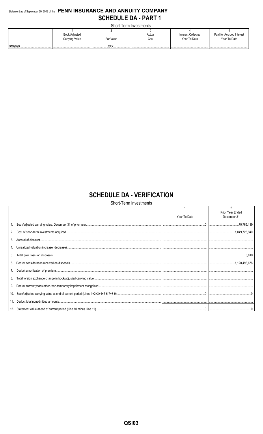#### Statement as of September 30, 2018 of the PENN INSURANCE AND ANNUITY COMPANY **SCHEDULE DA - PART 1**

Short-Term Investments

| <u> UITUL I UITILIITUU UU IITU</u> |                |            |        |                    |                           |  |  |  |  |  |  |  |  |  |
|------------------------------------|----------------|------------|--------|--------------------|---------------------------|--|--|--|--|--|--|--|--|--|
|                                    |                |            |        |                    |                           |  |  |  |  |  |  |  |  |  |
|                                    | Book/Adjusted  |            | Actual | Interest Collected | Paid for Accrued Interest |  |  |  |  |  |  |  |  |  |
|                                    | Carrying Value | Par Value  | Cost   | Year To Date       | Year To Date              |  |  |  |  |  |  |  |  |  |
|                                    |                | <b>VVV</b> |        |                    |                           |  |  |  |  |  |  |  |  |  |
|                                    |                |            |        |                    |                           |  |  |  |  |  |  |  |  |  |

## **SCHEDULE DA - VERIFICATION**

#### Short-Term Investments

|     |              | Prior Year Ended |
|-----|--------------|------------------|
|     | Year To Date | December 31      |
| 1.  |              |                  |
| 2.  |              |                  |
| 3.  |              |                  |
|     |              |                  |
| 5.  |              |                  |
| 6.  |              |                  |
| 7.  |              |                  |
| 8.  |              |                  |
| 9.  |              |                  |
| 10. |              |                  |
|     |              |                  |
|     |              |                  |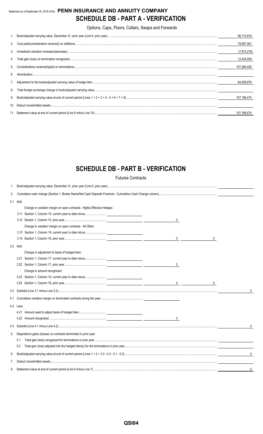#### Statement as of September 30, 2018 of the **PENN INSURANCE AND ANNUITY COMPANY SCHEDULE DB - PART A - VERIFICATION**

Options, Caps, Floors, Collars, Swaps and Forwards

|    |                                                                                                                                                                                                                                                                                                                                                                                                   | 96.710.818    |
|----|---------------------------------------------------------------------------------------------------------------------------------------------------------------------------------------------------------------------------------------------------------------------------------------------------------------------------------------------------------------------------------------------------|---------------|
|    |                                                                                                                                                                                                                                                                                                                                                                                                   | 79.087.481    |
| 3. |                                                                                                                                                                                                                                                                                                                                                                                                   | (7, 815, 219) |
|    |                                                                                                                                                                                                                                                                                                                                                                                                   | 12,434,938    |
|    |                                                                                                                                                                                                                                                                                                                                                                                                   | 157,280,420   |
| 6  |                                                                                                                                                                                                                                                                                                                                                                                                   |               |
|    |                                                                                                                                                                                                                                                                                                                                                                                                   | 84.058.876    |
| 8. |                                                                                                                                                                                                                                                                                                                                                                                                   |               |
| 9. |                                                                                                                                                                                                                                                                                                                                                                                                   | 107,196,474   |
| 10 | $\textbf{Deduct nonadmitted assets} \textit{} \textit{} \textit{} \textit{} \textit{} \textit{} \textit{} \textit{} \textit{} \textit{} \textit{} \textit{} \textit{} \textit{} \textit{} \textit{} \textit{} \textit{} \textit{} \textit{} \textit{} \textit{} \textit{} \textit{} \textit{} \textit{} \textit{} \textit{} \textit{} \textit{} \textit{} \textit{} \textit{} \textit{} \textit{$ |               |
|    |                                                                                                                                                                                                                                                                                                                                                                                                   | 107.196.474   |

## **SCHEDULE DB - PART B - VERIFICATION**

Futures Contracts

| 1. |           |                                                                         |                |   |   |
|----|-----------|-------------------------------------------------------------------------|----------------|---|---|
| 2. |           |                                                                         |                |   |   |
|    | 3.1 Add:  |                                                                         |                |   |   |
|    |           | Change in variation margin on open contracts - Highly Effective Hedges: |                |   |   |
|    |           |                                                                         |                |   |   |
|    |           |                                                                         | 0              |   |   |
|    |           | Change in variation margin on open contracts - All Other:               |                |   |   |
|    |           |                                                                         |                |   |   |
|    |           |                                                                         | 0              | 0 |   |
|    | 3.2 Add:  |                                                                         |                |   |   |
|    |           | Change in adjustment to basis of hedged item:                           |                |   |   |
|    | 3.21      |                                                                         |                |   |   |
|    |           |                                                                         | 0              |   |   |
|    |           | Change in amount recognized:                                            |                |   |   |
|    |           |                                                                         |                |   |   |
|    |           |                                                                         | $\overline{0}$ | 0 |   |
|    |           |                                                                         |                |   | 0 |
|    |           |                                                                         |                |   |   |
|    | 4.2 Less: |                                                                         |                |   |   |
|    |           |                                                                         |                |   |   |
|    |           |                                                                         |                |   |   |
|    |           |                                                                         |                |   | 0 |
| 5. |           | Dispositions gains (losses) on contracts terminated in prior year:      |                |   |   |
|    | 5.1       |                                                                         |                |   |   |
|    | 5.2       |                                                                         |                |   |   |
| 6. |           |                                                                         |                |   | 0 |
| 7. |           |                                                                         |                |   |   |
| 8. |           |                                                                         |                |   | 0 |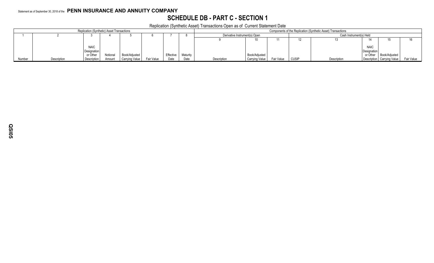### **SCHEDULE DB - PART C - SECTION 1**

Replication (Synthetic Asset) Transactions Open as of Current Statement Date

|        |             | Replication (Synthetic) Asset Transactions |          | . .            |            | Components of the Replication (Synthetic Asset) Transactions |          |                               |                       |                         |              |             |             |                              |            |
|--------|-------------|--------------------------------------------|----------|----------------|------------|--------------------------------------------------------------|----------|-------------------------------|-----------------------|-------------------------|--------------|-------------|-------------|------------------------------|------------|
|        |             |                                            |          |                |            |                                                              |          | Derivative Instrument(s) Open |                       | Cash Instrument(s) Held |              |             |             |                              |            |
|        |             |                                            |          |                |            |                                                              |          |                               |                       |                         |              |             |             |                              |            |
|        |             |                                            |          |                |            |                                                              |          |                               |                       |                         |              |             |             |                              |            |
|        |             | <b>NAIC</b>                                |          |                |            |                                                              |          |                               |                       |                         |              |             | <b>NAIC</b> |                              |            |
|        |             | <b>Designation</b>                         |          |                |            |                                                              |          |                               |                       |                         |              |             | Designation |                              |            |
|        |             | or Other                                   | Notional | Book/Adjusted  |            | Effectiv                                                     | Maturity |                               | Book/Adjusted         |                         |              |             | or Other    | Book/Adjusted                |            |
| Number | Description | Description                                | Amount   | Carrying Value | Fair Value | Date                                                         | Date     | Description                   | <b>Carrying Value</b> | Fair Value              | <b>CUSIP</b> | Description |             | Description   Carrying Value | Fair Value |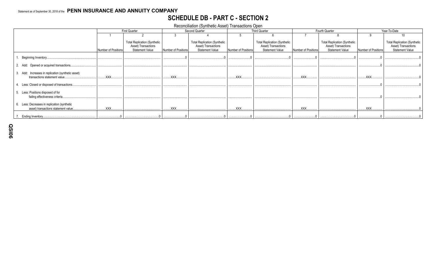### **SCHEDULE DB - PART C - SECTION 2**

Reconciliation (Synthetic Asset) Transactions Open

|                                                                                     |                     | <b>First Quarter</b>                                                                 |                     | Second Quarter                                                                       |                     | <b>Third Quarter</b>                                                                 |                     | Fourth Quarter                                                                       |                     | Year-To-Date                                                                         |
|-------------------------------------------------------------------------------------|---------------------|--------------------------------------------------------------------------------------|---------------------|--------------------------------------------------------------------------------------|---------------------|--------------------------------------------------------------------------------------|---------------------|--------------------------------------------------------------------------------------|---------------------|--------------------------------------------------------------------------------------|
|                                                                                     |                     |                                                                                      |                     |                                                                                      |                     |                                                                                      |                     |                                                                                      |                     | 10                                                                                   |
|                                                                                     | Number of Positions | <b>Total Replication (Synthetic</b><br>Asset) Transactions<br><b>Statement Value</b> | Number of Positions | <b>Total Replication (Synthetic</b><br>Asset) Transactions<br><b>Statement Value</b> | Number of Positions | <b>Total Replication (Synthetic</b><br>Asset) Transactions<br><b>Statement Value</b> | Number of Positions | <b>Total Replication (Synthetic</b><br>Asset) Transactions<br><b>Statement Value</b> | Number of Positions | <b>Total Replication (Synthetic</b><br>Asset) Transactions<br><b>Statement Value</b> |
| Beginning Inventory.                                                                |                     |                                                                                      |                     |                                                                                      |                     |                                                                                      |                     |                                                                                      |                     |                                                                                      |
| 2. Add: Opened or acquired transactions.                                            |                     |                                                                                      |                     |                                                                                      |                     |                                                                                      |                     |                                                                                      |                     |                                                                                      |
| 3. Add: Increases in replication (synthetic asset)<br>transactions statement value. | XXX.                |                                                                                      | XXX.                |                                                                                      | XXX.                |                                                                                      | <b>XXX</b>          |                                                                                      | <b>XXX</b>          |                                                                                      |
| Less: Closed or disposed of transactions.                                           |                     |                                                                                      |                     |                                                                                      |                     |                                                                                      |                     |                                                                                      |                     |                                                                                      |
| Less: Positions disposed of for<br>failing effectiveness criteria.                  |                     |                                                                                      |                     |                                                                                      |                     |                                                                                      |                     |                                                                                      |                     |                                                                                      |
| Less: Decreases in replication (synthetic<br>asset) transactions statement value.   | .XXX.               |                                                                                      | <b>XXX</b>          |                                                                                      | XXX.                |                                                                                      | XXX.                |                                                                                      | XXX.                |                                                                                      |
| Ending Inventory.                                                                   |                     |                                                                                      |                     |                                                                                      |                     |                                                                                      |                     |                                                                                      |                     |                                                                                      |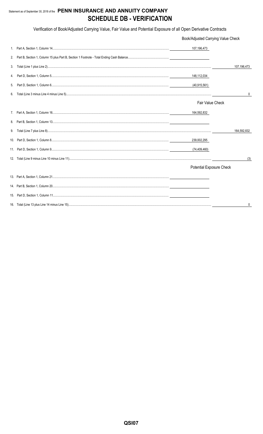#### Statement as of September 30, 2018 of the PENN INSURANCE AND ANNUITY COMPANY **SCHEDULE DB - VERIFICATION**

Verification of Book/Adjusted Carrying Value, Fair Value and Potential Exposure of all Open Derivative Contracts

|    | Book/Adjusted Carrying Value Check |              |
|----|------------------------------------|--------------|
|    | 107,196,473                        |              |
| 2. |                                    |              |
| 3. |                                    | 107,196,473  |
| 4. | 148,112,034                        |              |
| 5. | (40, 915, 561)                     |              |
| 6. |                                    | $\mathbf{0}$ |
|    | <b>Fair Value Check</b>            |              |
|    | 164,592,832                        |              |
| 8. |                                    |              |
| 9. |                                    | 164,592,832  |
|    | 239,002,295                        |              |
|    |                                    |              |
|    |                                    | (3)          |
|    | <b>Potential Exposure Check</b>    |              |
|    |                                    |              |
|    |                                    |              |
|    |                                    |              |
|    |                                    | 0            |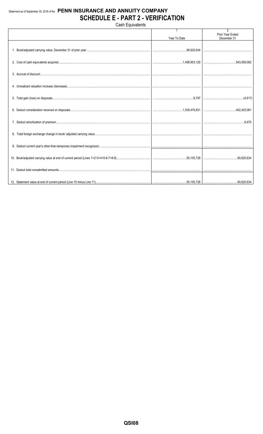#### Statement as of September 30, 2018 of the PENN INSURANCE AND ANNUITY COMPANY **SCHEDULE E - PART 2 - VERIFICATION**

Cash Equivalents

|  |              | $\overline{2}$                  |
|--|--------------|---------------------------------|
|  | Year To Date | Prior Year Ended<br>December 31 |
|  |              |                                 |
|  |              |                                 |
|  |              |                                 |
|  |              |                                 |
|  |              |                                 |
|  |              |                                 |
|  |              |                                 |
|  |              |                                 |
|  |              |                                 |
|  |              |                                 |
|  |              |                                 |
|  |              |                                 |
|  |              |                                 |
|  |              |                                 |
|  |              |                                 |
|  |              |                                 |
|  |              |                                 |
|  |              |                                 |
|  |              |                                 |
|  |              |                                 |
|  |              |                                 |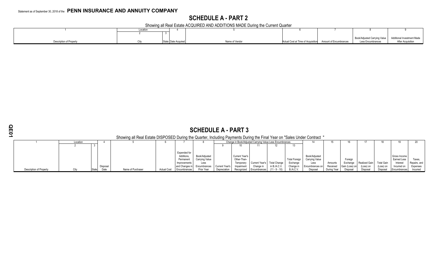### **SCHEDULE A - PART 2**

Showing all Real Estate ACQUIRED AND ADDITIONS MADE During the Current Quarter

|                                | Locatio |                     |                |                                    |                        |                                                           |                   |
|--------------------------------|---------|---------------------|----------------|------------------------------------|------------------------|-----------------------------------------------------------|-------------------|
|                                |         |                     |                |                                    |                        |                                                           |                   |
|                                |         |                     |                |                                    |                        | Book/Adjusted Carrying Value   Additional Investment Made |                   |
| <b>Description of Property</b> |         | State Date Acquired | Name of Vendor | Actual Cost at Time of Acquisition | Amount of Encumbrances | Less Encumbrances                                         | After Acquisition |

|                                                                                                                          | <b>SCHEDULE A - PART 3</b>                                           |  |          |                   |                    |                                         |                                 |                |                                      |                                          |                 |                       |                                        |                     |                            |                            |                                |                             |                          |
|--------------------------------------------------------------------------------------------------------------------------|----------------------------------------------------------------------|--|----------|-------------------|--------------------|-----------------------------------------|---------------------------------|----------------|--------------------------------------|------------------------------------------|-----------------|-----------------------|----------------------------------------|---------------------|----------------------------|----------------------------|--------------------------------|-----------------------------|--------------------------|
| Showing all Real Estate DISPOSED During the Quarter, Including Payments During the Final Year on "Sales Under Contract " |                                                                      |  |          |                   |                    |                                         |                                 |                |                                      |                                          |                 |                       |                                        |                     |                            |                            |                                |                             |                          |
|                                                                                                                          | Change in Book/Adjusted Carrying Value Less Encumbrances<br>Location |  |          |                   |                    |                                         |                                 |                |                                      |                                          |                 |                       |                                        |                     |                            |                            |                                |                             |                          |
|                                                                                                                          |                                                                      |  |          |                   |                    |                                         |                                 |                |                                      |                                          |                 |                       |                                        |                     |                            |                            |                                |                             |                          |
|                                                                                                                          |                                                                      |  |          |                   |                    | Expended for<br>Additions.<br>Permanent | Book/Adiusted<br>Carrying Value |                | <b>Current Year's</b><br>Other-Than- |                                          |                 | <b>Total Foreign</b>  | Book/Adjusted<br><b>Carrying Value</b> |                     | Foreign                    |                            |                                | Gross Income<br>Earned Less | Taxes,                   |
|                                                                                                                          |                                                                      |  | Disposal |                   |                    | Improvements<br>and Changes in          | Less<br>Encumbrances            | Current Year's | Temporary<br>Impairment              | Current Year's Total Change<br>Change in | in $B.A.C.V$    | Exchange<br>Change in | Less<br>Encumbrances on                | Amounts<br>Received | Exchange<br>Gain (Loss) on | Realized Gain<br>(Loss) on | <b>Total Gain</b><br>(Loss) on | Interest<br>Incurred on     | Repairs, and<br>Expenses |
| Description of Property                                                                                                  |                                                                      |  |          | Name of Purchaser | <b>Actual Cost</b> | <b>Encumbrances</b>                     | Prior Year                      | Depreciation   | Recognized                           | Encumbrances                             | $(11 - 9 - 10)$ | B./A.C.V.             | Disposal                               | During Year         | Disposal                   | Disposal                   | Disposal                       | Encumbrances                | Incurred                 |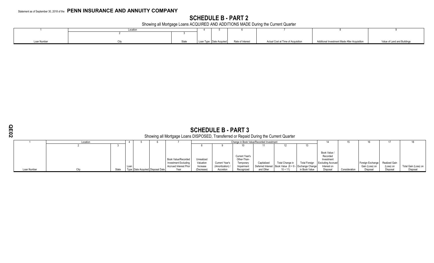#### **SCHEDULE B - PART 2**

Showing all Mortgage Loans ACQUIRED AND ADDITIONS MADE During the Current Quarter

|            | Locatior |                                          |                                    |                                              |                             |
|------------|----------|------------------------------------------|------------------------------------|----------------------------------------------|-----------------------------|
|            |          |                                          |                                    |                                              |                             |
|            |          |                                          |                                    |                                              |                             |
| oan Number | State    | Loan Type Date Acquired Rate of Interest | Actual Cost at Time of Acquisition | Additional Investment Made After Acquisition | Value of Land and Buildings |

 **SCHEDULE B - PART 3** Showing all Mortgage Loans DISPOSED, Transferred or Repaid During the Current Quarter

|             | Location |       |                                  |                               |            |                  |                       | Change in Book Value/Recorded Investment |                                                              |               |                                   |               |                                |           |                      |
|-------------|----------|-------|----------------------------------|-------------------------------|------------|------------------|-----------------------|------------------------------------------|--------------------------------------------------------------|---------------|-----------------------------------|---------------|--------------------------------|-----------|----------------------|
|             |          |       |                                  |                               |            |                  |                       |                                          |                                                              |               |                                   |               |                                |           |                      |
|             |          |       |                                  |                               |            |                  |                       |                                          |                                                              |               |                                   |               |                                |           |                      |
|             |          |       |                                  |                               |            |                  |                       |                                          |                                                              |               | <b>Book Value</b>                 |               |                                |           |                      |
|             |          |       |                                  |                               |            |                  | <b>Current Year's</b> |                                          |                                                              |               | Recorded                          |               |                                |           |                      |
|             |          |       |                                  | <b>Book Value/Recorded</b>    | Unrealized |                  | Other-Than-           |                                          |                                                              |               | Investment                        |               |                                |           |                      |
|             |          |       |                                  | Investment Excluding          | Valuation  | Current Year's   | Temporary             | Capitalized                              | Total Change in                                              |               | Total Foreign   Excluding Accrued |               | Foreign Exchange Realized Gain |           |                      |
|             |          |       |                                  | <b>Accrued Interest Prior</b> | Increase   | (Amortization) / | Impairment            |                                          | Deferred Interest   Book Value $(8 + 9 - 1)$ Exchange Change |               | Interest on                       |               | Gain (Loss) on                 | (Loss) on | Total Gain (Loss) on |
| Loan Number |          | State | Tvne Date Acquired Disposal Date | Year                          | (Decrease) | Accretion        | Recognized            | and Other                                | 10 + 11)                                                     | in Book Value | Disposal                          | Consideration | Disposal                       | Disposa   | Disposal             |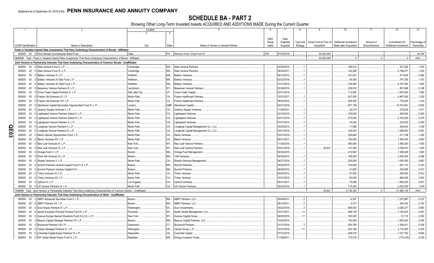### **SCHEDULE BA - PART 2**

Showing Other Long-Term Invested Assets ACQUIRED AND ADDITIONS MADE During the Current Quarter

|             |                             |        | 2                                                                                                                           | Location       |              | $\overline{5}$                         | 6           |             | 8        | -9                     | 10 <sup>1</sup>        | 11           | 12                                             | 13            |
|-------------|-----------------------------|--------|-----------------------------------------------------------------------------------------------------------------------------|----------------|--------------|----------------------------------------|-------------|-------------|----------|------------------------|------------------------|--------------|------------------------------------------------|---------------|
|             |                             |        |                                                                                                                             | $\mathcal{A}$  | 4            |                                        |             |             |          |                        |                        |              |                                                |               |
|             |                             |        |                                                                                                                             |                |              |                                        |             |             |          |                        |                        |              |                                                |               |
|             |                             |        |                                                                                                                             |                |              |                                        | <b>NAIC</b> | Date        |          |                        |                        |              |                                                |               |
|             | <b>CUSIP</b> Identification |        |                                                                                                                             |                |              | Name of Vendor or General Partner      | Desig-      | Originally  | Type and | Actual Cost at Time of | Additional Investment  | Amount of    | Commitment for<br><b>Additional Investment</b> | Percentage of |
|             |                             |        | Name or Description                                                                                                         | City           | <b>State</b> |                                        | nation      | Acquired    | Strategy | Acquisition            | Made after Acquisition | Encumbrances |                                                | Ownership     |
|             |                             |        | Fixed or Variable Interest Rate Investments That Have Underlying Characteristics of Bonds - Affiliated                      |                |              |                                        |             |             |          |                        |                        |              |                                                |               |
|             |                             |        | 000000 00 0 Penn Mutual Unconstrained Bond Fund.                                                                            | Oaks.          |              | PA Advisors Inner Circle Fund III      | 2FE.        | 07/02/2018. |          | 50.000.000             |                        |              |                                                | .46.300       |
|             |                             |        | 0899999. Total - Fixed or Variable Interest Rate Investments That Have Underlying Characteristics of Bonds - Affiliated.    |                |              |                                        |             |             |          | 50.000.000             |                        |              | 0                                              | .XXX          |
|             |                             |        | Joint Venture or Partnership Interests That Have Underlying Characteristics of Common Stocks - Unaffiliated                 |                |              |                                        |             |             |          |                        |                        |              |                                                |               |
|             | 000000                      |        | 00 0 Atlas Venture Fund X, L.P                                                                                              | Cambridge      | <b>MA</b>    | <b>Atlas Venture Partners</b>          |             | 03/20/2015. |          |                        | 186,514                |              | .337,292                                       | .1.200        |
|             | 000000                      | $00\,$ | 0 Atlas Venture Fund XI. L.P.                                                                                               | Cambridge      | <b>MA</b>    | <b>Atlas Venture Partners</b>          |             | 06/30/2017. |          |                        | 142,086                |              | .2,756,677                                     | .1.000        |
|             | 000000                      | $00\,$ | 0 Battery Ventures X, L.P.                                                                                                  | Waltham        | MA           | <b>Battery Ventures</b>                |             | 06/13/2013. |          |                        | 161,401                |              | .417,600                                       | .0.462        |
|             | 000000                      | $00\,$ | 0 Battery Ventures XI Side Fund, L.P.                                                                                       | Waltham        | MA           | <b>Battery Ventures.</b>               |             | 02/22/2016. |          |                        | .45,500                |              | 747.250                                        | .1.167        |
|             | 000000                      | $00\,$ | 0 Battery Ventures XII Side Fund, L.P.                                                                                      | Waltham        | MA           | <b>Battery Ventures.</b>               |             | 01/31/2018. |          |                        | 728,000                |              | .5,707,000                                     | .1.625        |
|             | 000000                      | $00\,$ | Bessemer Venture Partners IX, L.P                                                                                           | Larchmont.     | <b>NY</b>    | <b>Bessemer Venture Partners</b>       |             | 02/28/2015. |          |                        | 229.916                |              | .857.868                                       | .0.188        |
|             | 000000                      | $00\,$ | Cross Creek Capital Partners IV, L.P                                                                                        | Salt Lake City | UT           | Cross Creek Capital.                   |             | 03/31/2016. |          |                        | 112,920                |              | .1,053,920                                     | .1.882        |
|             | 000000                      | $00\,$ | 0 Frazier Life Sciences IX, L.P.                                                                                            | Menlo Park     | CA.          | <b>Frazier Healthcare Partners</b>     |             | 10/31/2017. |          |                        | .247,500               |              | .4,467,500                                     | .1.250        |
|             | 000000                      | $00\,$ | Frazier Life Sciences VIII. L.P                                                                                             | Menlo Park     | CA.          | <b>Frazier Healthcare Partners</b>     |             | 09/30/2015. |          |                        | 265,500                |              | 732,000                                        | .1.333        |
|             |                             |        |                                                                                                                             | London.        |              |                                        |             |             |          |                        |                        |              |                                                |               |
|             | 000000                      | $00\,$ | Glendower Capital Secondary Opportunities Fund IV, L.P.                                                                     |                | GBR.         | Glendower Capital.                     |             | 04/01/2018. |          |                        | .927,159               |              | 10,472,841                                     | .0.600        |
|             | 000000                      | $00\,$ | Jackson Square Ventures I, L.P.                                                                                             | Menlo Park     | CA           | Jackson Square Ventures                |             | 11/28/2011. |          |                        | .32,215                |              | .278,625                                       | .1.611        |
|             | 000000                      | $00\,$ | Lightspeed Venture Partners Select II, L.P                                                                                  | Menlo Park     | CA.          | Lightspeed Ventures                    |             | 03/10/2016. |          |                        | 100,000                |              | .400,000                                       | .0.500        |
|             | 000000                      | $00\,$ | Lightspeed Venture Partners Select III, L.P.                                                                                | Menlo Park     | CA.          | Lightspeed Ventures                    |             | 03/31/2018. |          |                        | 275,000                |              | .2,100,000                                     | .0.278        |
|             | 000000                      | $00\,$ | Lightspeed Venture Partners X, L.P                                                                                          | Menlo Park     | CA.          | Lightspeed Ventures.                   |             | 07/07/2014. |          |                        | 75,000                 |              | .225,000                                       | .0.480        |
|             | 000000                      | $00\,$ | Longitude Venture Partners II, L.P.                                                                                         | Menlo Park     | CA           | Longitude Capital Management Co., LLC. |             | 04/25/2013. |          |                        | 71,688                 |              | .260,643                                       | .1.039        |
|             | 000000                      | $00\,$ | Longitude Venture Partners III, L.P.                                                                                        | Menlo Park     | CA.          | Longitude Capital Management Co., LLC. |             | 03/31/2016. |          |                        | 149,524                |              | 1,299,803                                      | .0.381        |
| <b>QE03</b> | 000000                      | $00\,$ | 0 Menlo Special Opportunities Fund, L.P.                                                                                    | Menlo Park     | CA.          | Menlo Ventures                         |             | 03/31/2016. |          |                        | 229,680                |              | .417,188                                       | .1.000        |
|             | 000000                      | 00     | Menlo Ventures XIV, L.P.                                                                                                    | Menlo Park     | CA.          | Menlo Ventures.                        |             | 05/31/2017. |          |                        | 150,000                |              | .1,950,000                                     | .0.667        |
|             | 000000                      | $00\,$ | New Leaf Ventures III. L.P.                                                                                                 | New York.      | $NY$         | New Leaf Venture Partners              |             | 11/30/2014. |          |                        | 480,000                |              | .1,560,000                                     | 1.600         |
|             | 000000                      | $00\,$ | New Leaf Ventures IV. L.P.                                                                                                  | New York.      | NY.          | New Leaf Venture Partners              |             | 03/31/2018. |          | .93.92                 | 137,269                |              | .3,768,810                                     | .1.455        |
|             | 000000                      | $00\,$ | Omega Fund V, L.P.                                                                                                          | Boston.        | MA           | Omega Fund Management                  |             | 04/30/2015. |          |                        | 413,560                |              | .1,939,429                                     | .1.600        |
|             | 000000                      | $00\,$ | Point 406 Ventures III, L.P.                                                                                                | Boston.        | MA.          | .406 Ventures.                         |             | 04/30/2015. |          |                        | 196,000                |              | .2,544,000                                     | .2.286        |
|             | 000000                      | $00\,$ | Shasta Ventures V. L.P.                                                                                                     | Menlo Park     | CA.          | Shasta Ventures Management             |             | 06/27/2016. |          |                        | 200,000                |              | .1,000,000                                     | .0.667        |
|             | 000000                      | $00\,$ | Summit Partners Venture Capital Fund IV-A, L.P.                                                                             | Boston.        | MA.          | Summit Partners.                       |             | 09/30/2015. |          |                        | 104,600                |              | .947,137                                       | .0.333        |
|             | 000000                      | $00\,$ | 0 Summit Partners Venture Capital III-A                                                                                     | Boston.        | MA.          | <b>Summit Partners</b>                 |             | 06/28/2012. |          |                        | .41,600                |              | .229,265                                       | .0.473        |
|             | 000000                      | $00\,$ | 0 Trinity Ventures XI, L.P.                                                                                                 | Menlo Park     | CA.          | <b>Trinity Ventures.</b>               |             | 04/04/2013. |          |                        | .97,500                |              | .450,000                                       | .0.914        |
|             | 000000                      | $00\,$ | 0 Trinity Ventures XII, L.P.                                                                                                | Menlo Park     | CA.          | <b>Trinity Ventures</b>                |             | 10/31/2015. |          |                        | .90.000                |              | .960,000                                       | .0.500        |
|             | 000000                      | $00\,$ | 0 Upfront VI, L.P.                                                                                                          | Los Angeles    | CA.          |                                        |             | 05/31/2017. |          |                        | 70,088                 |              | .1,590,252                                     | .0.001        |
|             |                             |        |                                                                                                                             |                | CA           | <b>Upfront Ventures</b>                |             |             |          |                        |                        |              |                                                |               |
|             | 000000                      |        | 00 0 US Venture Partners XI. L.P.                                                                                           | Menlo Park     |              | US Venture Partners                    |             | 05/20/2015  |          |                        | .175,000               |              | .2,225,000                                     | .1.818        |
|             |                             |        | 599999. Total - Joint Venture or Partnership Interests That Have Underlying Characteristics of Common Stocks - Unaffiliated |                |              |                                        |             |             |          | .93.921                | .6,135,220             |              | .51,695,100                                    | XXX           |
|             |                             |        | Joint Venture or Partnership Interests That Have Underlying Characteristics of Other - Unaffiliated                         |                |              |                                        |             |             |          |                        |                        |              |                                                |               |
|             | 000000                      | $00\,$ | 0 ABRY Advanced Securities Fund II. L.P.                                                                                    | Boston.        | MA.          | <b>ABRY Partners, LLC</b>              |             | 05/04/2011  |          |                        | .6,257                 |              | 1,337,687                                      | .0.237        |
|             | 000000                      | $00\,$ | ABRY Partners VII. L.P.                                                                                                     | Boston.        | MA.          | <b>ABRY Partners, LLC.</b>             |             | 08/10/2011. |          |                        | .4.273                 |              | 240,343                                        | .0.184        |
|             | 000000                      | $00\,$ | Acon Equity Partners IV, L.P.                                                                                               | Washington     | DC           | Acon Investments                       |             | 04/22/2016. |          |                        | 846,520                |              | .3,026,277                                     | .0.865        |
|             | 000000                      | $00\,$ | Apollo European Principal Finance Fund III, L.P                                                                             | Purchase       | NY           | Apollo Global Management, LLC          |             | 03/31/2017. | 11       |                        | 368.736                |              | .7,100,200                                     | .0.001        |
|             | 000000                      | $00\,$ | Avenue Europe Special Situations Fund III (U.S.), L.P.                                                                      | New York.      | NY           | Avenue Capital Group.                  |             | 06/05/2015. | 11       |                        | 160,000                |              | 72,112                                         | .0.200        |
|             | 000000                      | $00\,$ | Beacon Capital Strategic Partners VII, L.P.                                                                                 | Boston.        | <b>MA</b>    | Beacon Capital Partners, LLC.          |             | 10/20/2015. |          |                        | 150.000                |              | .1.650.000                                     | .0.500        |
|             | 000000                      | $00\,$ | 0 Brynwood Partners VIII L.P.                                                                                               | Greenwich.     | CT           | <b>Brynwood Partners</b>               |             | 01/31/2018. |          |                        | 400,765                |              | .1,295,811                                     | .0.308        |
|             | 000000                      | $00\,$ | 0 Carlyle Strategic Partners IV, L.P.                                                                                       | Wilmington     | DE           | Carlyle Group, L.P.                    |             | 03/31/2016. | .11      |                        | 233,184                |              | .3,172,400                                     | .0.200        |
|             | 000000                      | $00\,$ | 0 Columbia Capital Equity Partners VI, L.P                                                                                  | Alexandria     | <b>VA</b>    | Columbia Capital.                      |             | 07/31/2015. |          |                        | 268.579                |              | 1,237,792                                      | .0.600        |
|             | 000000                      |        | 00 0 EIF United States Power Fund IV, L.P                                                                                   | Needham        |              | MA Energy Investors Funds              |             | 11/28/2011. |          |                        | 175,019                |              | (175, 019)                                     | .0.234        |
|             |                             |        |                                                                                                                             |                |              |                                        |             |             |          |                        |                        |              |                                                |               |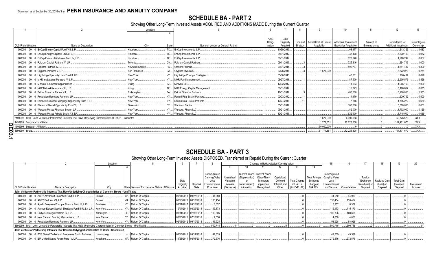#### **SCHEDULE BA - PART 2**

Showing Other Long-Term Invested Assets ACQUIRED AND ADDITIONS MADE During the Current Quarter

|                                                                    |                                                                                                                      | Location        |       |                                   |             |             |          |             | 10                                                        |              | $12 \overline{ }$            | 13           |
|--------------------------------------------------------------------|----------------------------------------------------------------------------------------------------------------------|-----------------|-------|-----------------------------------|-------------|-------------|----------|-------------|-----------------------------------------------------------|--------------|------------------------------|--------------|
|                                                                    |                                                                                                                      |                 |       |                                   |             |             |          |             |                                                           |              |                              |              |
|                                                                    |                                                                                                                      |                 |       |                                   | <b>NAIC</b> | Date        |          |             |                                                           |              |                              |              |
|                                                                    |                                                                                                                      |                 |       |                                   | Desia-      | Originally  |          |             | Type and   Actual Cost at Time of   Additional Investment | Amount of    | Commitment for               | Percentage o |
| <b>CUSIP</b> Identification                                        | Name or Description                                                                                                  | City            | State | Name of Vendor or General Partner | nation      | Acquired    | Strategy | Acquisition | Made after Acquisition                                    | Encumbrances | <b>Additional Investment</b> | Ownership    |
|                                                                    | 000000 00 0 EnCap Energy Capital Fund VIII, L.P                                                                      | Houston.        |       | TX EnCap Investments, L.P         |             | 11/30/2010. |          |             | 68.177                                                    |              | .213,326                     | 0.083        |
| 000000                                                             | 00 0 EnCap Energy Capital Fund XI, L.P                                                                               | Houston.        |       | TX EnCap Investments, L.P         |             | 01/31/2017. |          |             | .37.178                                                   |              | .3.630.159                   | .0.062       |
| 000000                                                             | 00 0 EnCap Flatrock Midstream Fund IV, L.P                                                                           | Houston.        |       | TX EnCap Investments, L.P         |             | 08/31/2017. |          |             | .623,220                                                  |              | .1.288.249                   | 0.067        |
|                                                                    | 000000 00 0 Fulcrum Capital Partners V, LP                                                                           | Toronto.        |       | ON Fulcrum Capital Partners.      |             | 06/11/2015  |          |             | .325.816                                                  |              | .994.746                     | .1.000       |
|                                                                    | 000000 00 0 Graham Partners IV. L.P                                                                                  | Newtown Saaure. |       | PA Graham Partners                |             | 07/31/2015. |          |             | .892.797                                                  |              | .1.341.437                   | .0.800       |
|                                                                    | 000000 00 0 Gryphon Partners V, L.P                                                                                  | San Francisco.  | CA.   | Gryphon Investors                 |             | 02/28/2018. |          | 1.677.930   |                                                           |              | .3.322.070                   | 0.251        |
| 000000                                                             | 00 0 Highbridge Specialty Loan Fund III LP                                                                           | New York        |       | Highbridge Principal Strategies.  |             | 05/06/2013  |          |             | .40.331                                                   |              | 116,414                      | 0.899        |
| 000000                                                             | 00 0 MHR Institutional Partners IV. L.P.                                                                             | New York        | NY    | MHR Fund Management               |             | 06/27/2016  |          |             | .187.500                                                  |              | .2.905.576                   | .0.556       |
| 000000                                                             | 00 0 Miravast ILS Credit Opportunities L.P.                                                                          | Ewing           |       | Miravast LLC                      |             | 12/02/2017. |          |             | 14.093                                                    |              | .1.966.169                   | .2.000       |
| 000000                                                             | 00 0 NGP Natural Resources XII. L.P.                                                                                 | <b>I</b> Irving |       | TX NGP Energy Capital Management. |             | 08/31/2017  |          |             | (15, 373)                                                 |              | .3.198.837                   | 0.075        |
| 000000                                                             | 00 0 Patriot Financial Partners III, L.P.                                                                            | Philadelphia.   |       | PA Patriot Financial Partners     |             | 11/01/2017. |          |             | .400.000                                                  |              | .3,200,000                   | 1.333        |
| 000000                                                             | 00 0 Resolution Recovery Partners, LP                                                                                | New York        | NY.   | Ranieri Real Estate Partners.     |             | 02/03/2012  |          |             | .11.170                                                   |              | 609,762                      | .0.500       |
|                                                                    | 000000 00 0 Selene Residential Mortgage Opportunity Fund II L.P.                                                     | New York.       | NY    | Ranieri Real Estate Partners.     |             | 12/27/2010  |          |             | .7.846                                                    |              | .1.795.222                   | .0.630       |
| 000000                                                             | 00 0 Starwood Global Opportunity Fund XI, L.P.                                                                       | Greenwich       |       | Starwood Capital.                 |             | 05/31/2017. |          |             | .180.000                                                  |              | .5,820,000                   | .0.001       |
|                                                                    | 000000 00 0 Warburg Pincus Financial Sector, L.P                                                                     | New York.       |       | NY Warburg, Pincus LLC            |             | 09/21/2017. |          |             | 82.000                                                    |              | .1.702.000                   | .0.125       |
|                                                                    | 000000 00 0 Warburg Pincus Private Equity XII, LP                                                                    | New York        |       | NY Warburg, Pincus LLC            |             | 12/21/2015  |          |             | .622.500                                                  |              | .1.715.000                   | 0.039        |
|                                                                    | 2199999. Total - Joint Venture or Partnership Interests That Have Underlying Characteristics of Other - Unaffiliated |                 |       |                                   |             |             |          | .1.677.930  | .6,090,588                                                |              | 52,776,570                   | .XXX         |
| 4499999. Subtotal - Unaffiliated.                                  |                                                                                                                      |                 |       |                                   |             |             |          | .1.771.851  | .12.225.808                                               |              | .104,471,670                 | $.$ $XXX$    |
| 4499999. Subtotal - Unaffiliate<br>14599999. Subtotal - Affiliated |                                                                                                                      |                 |       |                                   |             |             |          | .50.000.000 |                                                           |              |                              | $.$ $XXX$    |
| 4699999. Totals                                                    |                                                                                                                      |                 |       |                                   |             |             |          | 51.771.851  | .12,225,808                                               |              | $.104,471,670$ .             | XXX          |
| ω                                                                  |                                                                                                                      |                 |       |                                   |             |             |          |             |                                                           |              |                              |              |
|                                                                    |                                                                                                                      |                 |       |                                   |             |             |          |             |                                                           |              |                              |              |

#### **SCHEDULE BA - PART 3**

Showing Other Long-Term Invested Assets DISPOSED, Transferred or Repaid During the Current Quarter

|                             |                                                                                                                               | Location    |                                               |                    |                       |                                                                |                                     |                                        |                                                                           | Changes in Book/Adjusted Carrying Value |                                     |                                               | 15                                                             |               |                                       | 18                                | 19                             | 20         |
|-----------------------------|-------------------------------------------------------------------------------------------------------------------------------|-------------|-----------------------------------------------|--------------------|-----------------------|----------------------------------------------------------------|-------------------------------------|----------------------------------------|---------------------------------------------------------------------------|-----------------------------------------|-------------------------------------|-----------------------------------------------|----------------------------------------------------------------|---------------|---------------------------------------|-----------------------------------|--------------------------------|------------|
|                             |                                                                                                                               |             |                                               |                    |                       |                                                                |                                     |                                        |                                                                           |                                         |                                     | 14                                            |                                                                |               |                                       |                                   |                                |            |
|                             |                                                                                                                               |             |                                               | Date<br>Originally | Disposal              | Book/Adjusted<br><b>Carrying Value</b><br>Less<br>Encumbrances | Unrealized<br>Valuation<br>Increase | (Depreciation)<br>or<br>(Amortization) | Current Year's   Current Year's<br>Other-Than-<br>Temporary<br>Impairment | Capitalized<br>Deferred<br>Interest and | <b>Total Change</b><br>in B./A.C.V. | <b>Total Foreign</b><br>Exchange<br>Change in | Book/Adjusted<br><b>Carrying Value</b><br>Less<br>Encumbrances |               | Foreign<br>Exchange<br>Gain (Loss) on | <b>Realized Gain</b><br>(Loss) on | <b>Total Gain</b><br>(Loss) on | Investment |
| <b>CUSIP</b> Identification | Name or Description                                                                                                           |             | State Name of Purchaser or Nature of Disposal | Acquired           | Date                  | Prior Year                                                     | (Decrease)                          | Accretion                              | Recognized                                                                | Other                                   | $(9+10-11+12)$                      | B/AC                                          | on Disposal                                                    | Consideration | Disposal                              | Disposal                          | Disposal                       | Income     |
|                             | Joint Venture or Partnership Interests That Have Underlying Characteristics of Common Stocks - Unaffiliated                   |             |                                               |                    |                       |                                                                |                                     |                                        |                                                                           |                                         |                                     |                                               |                                                                |               |                                       |                                   |                                |            |
|                             | 000000 00 0 ABRY Advanced Securities Fund II, L.P.                                                                            | Boston.     | MA. Return Of Capital.                        |                    | 05/04/2011 09/27/2018 | 44.950                                                         |                                     |                                        |                                                                           |                                         |                                     |                                               | .44,950                                                        | 44.950        |                                       |                                   |                                |            |
| 000000                      | 00 0 ABRY Partners VII, L.P.                                                                                                  | Boston.     | MA. Return Of Capital.                        |                    | 08/10/2011 08/17/2018 | 133.454                                                        |                                     |                                        |                                                                           |                                         |                                     |                                               | 133,454                                                        | .133,454      |                                       |                                   |                                |            |
| 000000                      | 00 0 Apollo European Principal Finance Fund III, L.P                                                                          | Purchase    | NY Return Of Capital.                         |                    | 03/31/2017 09/13/2018 | 8,357                                                          |                                     |                                        |                                                                           |                                         |                                     |                                               | .8,357                                                         | 8,357         |                                       |                                   |                                |            |
| 000000                      | 00 0 Avenue Europe Special Situations Fund II (U.S.), L.P.                                                                    | New York    | NY Return Of Capital.                         |                    | 10/04/2011 08/29/2018 | 115.173                                                        |                                     |                                        |                                                                           |                                         |                                     |                                               | 115,173                                                        | .115,173      |                                       |                                   |                                |            |
|                             | 000000 00 0 Carlyle Strategic Partners IV, L.P                                                                                | Wilmington  | DE Return Of Capital.                         |                    | 03/31/2016 07/03/2018 | 100.806                                                        |                                     |                                        |                                                                           |                                         |                                     |                                               | 100,806                                                        | 100,806       |                                       |                                   |                                |            |
| 000000                      | 00 0 New Canaan Funding Mezzanine V, L.P                                                                                      | New Canaan. | CT Return Of Capital                          |                    | 08/05/2011 07/13/2018 | .4.050                                                         |                                     |                                        |                                                                           |                                         |                                     |                                               | 4,050                                                          | 4.050         |                                       |                                   |                                |            |
|                             | 000000 00 0 Resolution Recovery Partners, LP.                                                                                 | New York    | NY Return Of Capital.                         |                    | 02/03/2012 09/10/2018 | .93,928                                                        |                                     |                                        |                                                                           |                                         |                                     |                                               | .93,928                                                        | 93,928        |                                       |                                   |                                |            |
|                             | 1599999. Total - Joint Venture or Partnership Interests That Have Underlying Characteristics of Common Stocks - Unaffiliated. |             |                                               |                    |                       | 500,718                                                        |                                     |                                        |                                                                           |                                         |                                     |                                               | 500,718                                                        | .500,718      |                                       |                                   |                                |            |
|                             | Joint Venture or Partnership Interests That Have Underlying Characteristics of Other - Unaffiliated                           |             |                                               |                    |                       |                                                                |                                     |                                        |                                                                           |                                         |                                     |                                               |                                                                |               |                                       |                                   |                                |            |
|                             | 000000 00 0 BTG Global Timberland Resources Fund - B shares                                                                   | Luxembourg. | Lux. Return Of Capital.                       |                    | 01/13/2011 09/14/2018 | .49.339                                                        |                                     |                                        |                                                                           |                                         |                                     |                                               | .49,339                                                        | .49.339       |                                       |                                   |                                |            |
|                             | 000000 00 0 EIF United States Power Fund IV, L.P.                                                                             | Needham.    | MA. Return Of Capital.                        |                    | 11/28/2011 08/03/2018 | .272.576                                                       |                                     |                                        |                                                                           |                                         |                                     |                                               | 272,576                                                        | 272,576       |                                       |                                   |                                |            |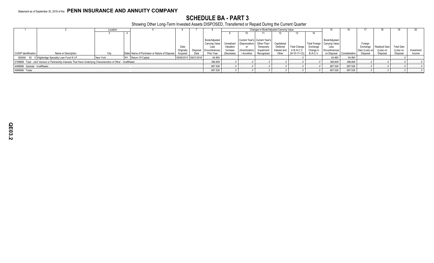#### **SCHEDULE BA - PART 3**

Showing Other Long-Term Invested Assets DISPOSED, Transferred or Repaid During the Current Quarter

|                                  |                                                                                                                      | Location |                                                            |            |                       |                        |            |                               | Changes in Book/Adjusted Carrying Value |              |                     |           |                                |               |                |               |                   |            |
|----------------------------------|----------------------------------------------------------------------------------------------------------------------|----------|------------------------------------------------------------|------------|-----------------------|------------------------|------------|-------------------------------|-----------------------------------------|--------------|---------------------|-----------|--------------------------------|---------------|----------------|---------------|-------------------|------------|
|                                  |                                                                                                                      |          |                                                            |            |                       |                        |            |                               |                                         |              |                     |           |                                |               |                |               |                   |            |
|                                  |                                                                                                                      |          |                                                            |            |                       |                        |            |                               |                                         |              |                     |           |                                |               |                |               |                   |            |
|                                  |                                                                                                                      |          |                                                            |            |                       | Book/Adiusted          |            | Current Year's Current Year's |                                         |              |                     |           | Book/Adjusted                  |               |                |               |                   |            |
|                                  |                                                                                                                      |          |                                                            |            |                       | Carrying Value         | Unrealized | I (Depreciation) Other-Than-  |                                         | Capitalized  |                     |           | Total Foreign   Carrying Value |               | Foreign        |               |                   |            |
|                                  |                                                                                                                      |          |                                                            | Date       |                       | Less                   | Valuation  |                               | Temporary                               | Deferred     | <b>Total Change</b> | Exchange  | Less                           |               | Exchange       | Realized Gain | <b>Total Gain</b> |            |
|                                  |                                                                                                                      |          |                                                            | Originally |                       | Disposal Encumbrances. | Increase   | (Amortization)                | Impairment                              | Interest and | in $B.A.C.V.$       | Change in | Encumbrances                   |               | Gain (Loss) on | (Loss) on     | (Loss) on         | Investment |
| CUSIP Identification             | Name or Description                                                                                                  |          | State   Name of Purchaser or Nature of Disposal   Acquired |            | Date                  | Prior Year             | (Decrease) | Accretion                     | Recognized                              | Other        | $(9+10-11+12)$      | B./A.C.V. | on Disposal                    | Consideration | Disposal       | Disposal      | Disposal          | Income     |
|                                  | 000000 00 0 Highbridge Specialty Loan Fund III LP                                                                    | New York | NY Return Of Capital.                                      |            | 05/06/2013 09/21/2018 | .64,893                |            |                               |                                         |              |                     |           | .64,893                        | 64,893        |                |               |                   |            |
|                                  | 2199999. Total - Joint Venture or Partnership Interests That Have Underlying Characteristics of Other - Unaffiliated |          |                                                            |            |                       | .386,808               |            |                               |                                         |              |                     |           | .386,808                       | .386,808      |                |               |                   |            |
| 4499999. Subtotal - Unaffiliated |                                                                                                                      |          |                                                            |            |                       | .887,526               |            |                               |                                         |              |                     |           | .887,526                       | .887,526      |                |               |                   |            |
| 4699999. Totals                  |                                                                                                                      |          |                                                            |            |                       | .887,526               |            |                               |                                         |              |                     |           | .887,526                       | .887,526      |                |               |                   |            |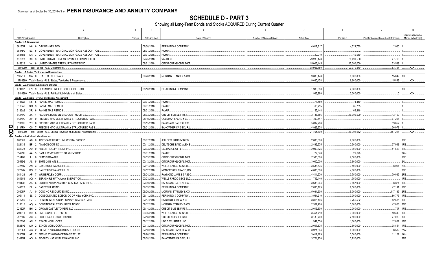**SCHEDULE D - PART 3**<br>Showing all Long-Term Bonds and Stocks ACQUIRED During Current Quarter

| $\overline{1}$              | $\overline{2}$                                                                                | 3       | $\overline{4}$ | 5                               | 6                         | $\overline{7}$      | 8            | 9                                       | 10                                          |
|-----------------------------|-----------------------------------------------------------------------------------------------|---------|----------------|---------------------------------|---------------------------|---------------------|--------------|-----------------------------------------|---------------------------------------------|
| <b>CUSIP</b> Identification | Description                                                                                   | Foreign | Date Acquired  | Name of Vendor                  | Number of Shares of Stock | <b>Actual Cost</b>  | Par Value    | Paid for Accrued Interest and Dividends | NAIC Designation or<br>Market Indicator (a) |
|                             | Bonds - U.S. Governmen                                                                        |         |                |                                 |                           |                     |              |                                         |                                             |
| 36183R                      | 6 GINNIE MAE I POOL<br>N6                                                                     |         | 08/30/2018.    | PERSHING & COMPANY.             |                           | .4,617,817          | 4,521,730    | 0.2,060                                 |                                             |
| 38375U                      | 5 GOVERNMENT NATIONAL MORTGAGE ASSOCIATION<br>SC                                              |         | 08/01/2018.    | PAYUP.                          |                           |                     |              |                                         |                                             |
| 38378B                      | M6<br>GOVERNMENT NATIONAL MORTGAGE ASSOCIATION                                                |         | 09/01/2018.    | PAYUP.                          |                           | 49.010              | .49.010      |                                         |                                             |
| 912828                      | 3 UNITED STATES TREASURY INFLATION INDEXED<br>K <sub>3</sub>                                  |         | 07/25/2018.    | VARIOUS.                        |                           | .79,280,478         | .80,499,500  | 27,768                                  |                                             |
| 912828                      | Y4 6 UNITED STATES TREASURY NOTE/BOND.                                                        |         | 08/21/2018.    | CITIGROUP GLOBAL MKT            |                           | .15,006,445         | .15,000,000  | 23,539                                  |                                             |
|                             | 0599999. Total - Bonds - U.S. Government.                                                     |         |                |                                 |                           | .98,953,750         | .100,070,240 | .53,367                                 | XXX.                                        |
|                             |                                                                                               |         |                |                                 |                           |                     |              |                                         |                                             |
| 196711                      | Bonds - U.S. States. Territories and Possessions<br>MA 0 STATE OF COLORADO                    |         | 09/26/2018.    | <b>MORGAN STANLEY &amp; CO.</b> |                           | 9.080.478           | 6.600.000    | .15.849 1FE.                            |                                             |
|                             | 1799999. Total - Bonds - U.S. States, Territories & Possessions                               |         |                |                                 |                           | .9,080,478          | .6,600,000   | .15,849                                 | XXX.                                        |
|                             |                                                                                               |         |                |                                 |                           |                     |              |                                         |                                             |
|                             | Bonds - U.S. Political Subdivisions of States<br>074437 FN 9 BEAUMONT UNIFIED SCHOOL DISTRICT |         | 08/10/2018     | PERSHING & COMPANY              |                           | 1,986,880           | .2.000.000   |                                         | 1FE.                                        |
|                             | 2499999. Total - Bonds - U.S. Political Subdivisions of States                                |         |                |                                 |                           | 1.986.880           | .2.000.000   | 0                                       | $\overline{XX}$                             |
|                             |                                                                                               |         |                |                                 |                           |                     |              |                                         |                                             |
| 3136A8                      | Bonds - U.S. Special Revenue and Special Assessment<br>N5 5 FANNIE MAE REMICS                 |         | 09/01/2018.    | PAYUP.                          |                           | .71,459             | 71,459       |                                         |                                             |
|                             | <b>SM</b>                                                                                     |         | 09/01/2018.    |                                 |                           |                     |              |                                         |                                             |
| 3136A8<br>3136A8            | 3 FANNIE MAE REMICS<br>XR 6 FANNIE MAE REMICS                                                 |         | 09/01/2018.    | PAYUP.<br>PAYUP.                |                           | .65,755<br>.165,448 | .65,755      |                                         |                                             |
|                             |                                                                                               |         |                |                                 |                           |                     | .165,448     |                                         |                                             |
| 3137FG                      | ZK<br>FEDERAL HOME LN MTG CORP MULTI 0.00.                                                    |         | 08/03/2018.    | <b>CREDIT SUISSE FIRST</b>      |                           | .3,736,656          | 16,000,000   | .13,100                                 |                                             |
| 3137FG                      | FREDDIE MAC MULTIFAMILY STRUCTURED PASS.<br>ZV                                                |         | 08/10/2018.    | <b>GOLDMAN SACHS &amp; CO.</b>  |                           | .7,409,547          |              | .67,294                                 |                                             |
| 3137FH<br>Q                 | 2C<br>FREDDIE MAC MULTIFAMILY STRUCTURED PASS.                                                |         | 08/15/2018.    | BARCLAYS CAPITAL FIX.           |                           | .5,092,266          |              | .39,857                                 |                                             |
| 3137FH<br>Ш                 | Q9 7 FREDDIE MAC MULTIFAMILY STRUCTURED PASS.                                                 |         | 09/21/2018.    | <b>BANC/AMERICA SECUR.L</b>     |                           | .4.922.978          |              | .36.973                                 |                                             |
| $\bullet$                   | 3199999. Total - Bonds - U.S. Special Revenue and Special Assessments                         |         |                |                                 |                           | .21,464,109         | .16,302,662  | .157,224                                | XXX.                                        |
| 4                           | <b>Bonds - Industrial and Miscellaneous</b>                                                   |         |                |                                 |                           |                     |              |                                         |                                             |
| 007589                      | AB<br>0 ADVOCATE HEALTH & HOSPITALS CORP                                                      |         | 08/07/2018.    | JPM SECURITIES-FIXED            |                           | .2,000,000          | .2,000,000   |                                         | 1FE.                                        |
| 023135                      | 2 AMAZON.COM INC.<br>BF                                                                       |         | 07/11/2018.    | DEUTSCHE BANC/ALEX B            |                           | .2,499,575          | 2,500,000    | .37,943                                 | 1FE.                                        |
| 038923                      | AD<br>0 ARBOR REALTY TRUST INC.                                                               |         | 07/03/2018.    | <b>EXCHANGE OFFER.</b>          |                           | .2,999,325          | .3,000,000   | .51,563                                 | 1FE.                                        |
| 05491H                      | 5 BAMLL RE-REMIC TRUST 2016-FRR13.<br>AA                                                      |         | 08/01/2018.    | PAYUP.                          |                           | .29,678             | .29,678      |                                         | 2AM                                         |
| 05549G                      | 0 BHMS 2018-ATLS<br>AJ                                                                        |         | 07/13/2018.    | CITIGROUP GLOBAL MKT            |                           | .7,500,000          | .7,500,000   |                                         | 1FE.                                        |
| 05549G                      | AL<br>5 BHMS 2018-ATLS.                                                                       |         | 07/13/2018.    | CITIGROUP GLOBAL MKT            |                           | .3,600,000          | .3,600,000   |                                         | 2AM                                         |
| 07274N                      | 3 BAYER US FINANCE II LLC.<br>AN                                                              |         | 07/11/2018.    | <b>WELLS FARGO SECS LLC</b>     |                           | .3,538,535          | .3,500,000   | .8,094                                  | 2FE                                         |
| 07274N                      | BAYER US FINANCE II LLC.<br>BG                                                                |         | 07/12/2018.    | NON-BROKER TRADE, BO            |                           | .4,000,000          | .4,000,000   |                                         | 2FE.                                        |
| 084423                      | WR BERKLEY CORP<br>AP                                                                         |         | 09/24/2018.    | RAYMOND JAMES & ASSO            |                           | .4,411,570          | .3,750,000   | .70,095                                 | 2FE.                                        |
| 084659                      | BERKSHIRE HATHAWAY ENERGY CO.<br>AQ                                                           |         | 07/23/2018.    | WELLS FARGO SECS LLC            |                           | 1,749,440           | 1,750,000    |                                         | 1FE.                                        |
| 11043H                      | AA<br>6 BRITISH AIRWAYS 2018-1 CLASS A PASS THRO                                              |         | 07/09/2018.    | <b>BARCLAYS CAPITAL FIX.</b>    |                           | .3,633,264          | .3,667,000   | .8,824                                  | 1FE.                                        |
| 149123                      | CATERPILLAR INC.<br>BL                                                                        |         | 07/19/2018.    | PERSHING & COMPANY              |                           | .2,890,175          | .2,500,000   | 47,111                                  | 1FE.                                        |
| 20605P                      | 0 CONCHO RESOURCES INC.<br>AJ                                                                 |         | 09/20/2018.    | <b>MORGAN STANLEY &amp; CO</b>  |                           | .5,034,600          | 5,000,000    | .117,135 2FE.                           |                                             |
| 209111                      | EL.<br>CONSOLIDATED EDISON CO OF NEW YORK INC<br>$\mathbf{3}$                                 |         | 09/11/2018.    | PERSHING & COMPANY              |                           | .3,564,210          | .3,000,000   | .86,775                                 | 1FE.                                        |
| 210795                      | <b>PZ</b><br>CONTINENTAL AIRLINES 2012-1 CLASS A PASS                                         |         | 07/17/2018.    | BAIRD ROBERT W & CO.            |                           | .3,815,106          | .3,769,532   | .42,585                                 | 1FE.                                        |
| 212015                      | AQ<br>CONTINENTAL RESOURCES INC/OK                                                            |         | 09/12/2018.    | <b>MORGAN STANLEY &amp; CO</b>  |                           | .2,959,200          | .3,000,000   | .42,058                                 | 2FE.                                        |
| 22822R                      | <b>BH</b><br><b>CROWN CASTLE TOWERS LLC.</b>                                                  |         | 09/14/2018.    | CREDIT SUISSE FIRST             |                           | .2,015,300          | .2,000,000   | 707                                     | 1FE.                                        |
| 291011                      | <b>BD</b><br>5 EMERSON ELECTRIC CO.                                                           |         | 09/06/2018.    | WELLS FARGO SECS LLC            |                           | .3,451,710          | .3,000,000   | .50,313                                 | 1FE.                                        |
| 29736R                      | AC<br><b>ESTEE LAUDER COS INC/THE</b>                                                         |         | 07/18/2018.    | CREDIT SUISSE FIRST             |                           | .3,130,700          | .2,500,000   | .27,083                                 | 1FE.                                        |
| 30231G                      | 2 EXXON MOBIL CORP.<br>AN                                                                     |         | 07/12/2018.    | UBS SECURITIES LLC.             |                           | .949,550            | 1,000,000    | .12,881                                 | 1FE.                                        |
| 30231G                      | 2 EXXON MOBIL CORP.<br>AW                                                                     |         | 07/13/2018.    | CITIGROUP GLOBAL MKT            |                           | .2,607,375          | .2,500,000   | .38,854                                 | 1FE.                                        |
| 30296X                      | 2 FREMF 2018-K78 MORTGAGE TRUST<br>AG                                                         |         | 07/10/2018.    | BARCLAYS BANK NEW YO            |                           | .3,921,844          | .4,000,000   | .8,532                                  | 2AM                                         |
| 30307R                      | AE<br>FREMF 2018-K80 MORTGAGE TRUST                                                           |         | 09/26/2018.    | PERSHING & COMPANY.             |                           | .3,419,199          | .3,500,000   | .11,101                                 | 1AM                                         |
| 31620R                      | 0 FIDELITY NATIONAL FINANCIAL INC.<br>AG                                                      |         | 08/08/2018.    | <b>BANC/AMERICA SECUR.I</b>     |                           | .3,721,950          | .3,750,000   |                                         | 2FE.                                        |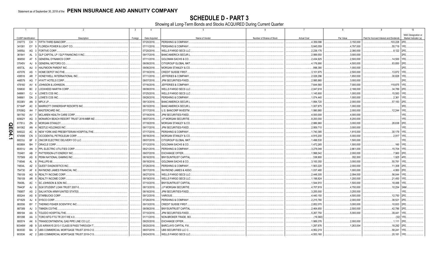SCHEDULE D - PART 3<br>Showing all Long-Term Bonds and Stocks ACQUIRED During Current Quarter

|            |                             |                       | $\overline{2}$                               | $\overline{3}$ | $\overline{4}$ | - 5                             |                           | $\overline{7}$     | -8         | -9                                      |                                             |
|------------|-----------------------------|-----------------------|----------------------------------------------|----------------|----------------|---------------------------------|---------------------------|--------------------|------------|-----------------------------------------|---------------------------------------------|
|            | <b>CUSIP</b> Identification |                       | Description                                  | Foreign        | Date Acquired  | Name of Vendor                  | Number of Shares of Stock | <b>Actual Cost</b> | Par Value  | Paid for Accrued Interest and Dividends | NAIC Designation or<br>Market Indicator (a) |
|            | 316773                      |                       | CH 1 FIFTH THIRD BANCORP.                    |                | 07/20/2018.    | PERSHING & COMPANY.             |                           | .4,359,096         | .3,150,000 | .103,228 2FE                            |                                             |
|            | 341081                      | EY<br>- 9             | <b>FLORIDA POWER &amp; LIGHT CO.</b>         |                | 07/11/2018     | PERSHING & COMPANY.             |                           | .5,845,059         | .4,797,000 | .55,719 1FE                             |                                             |
|            | 34959J                      | AG                    | 3 FORTIVE CORP.                              |                | 07/20/2018.    | <b>WELLS FARGO SECS LLC</b>     |                           | .2,238,176         | .2,380,000 | .8,122 2FE                              |                                             |
|            | 361841                      | AL 3                  | <b>GLP CAPITAL LP / GLP FINANCING II INC</b> |                | 09/17/2018     | <b>BANC/AMERICA SECUR.I</b>     |                           | .2,999,550         | .3,000,000 |                                         | 2FE                                         |
|            | 369550                      | AT                    | <b>GENERAL DYNAMICS CORP.</b>                |                | 07/11/2018.    | <b>GOLDMAN SACHS &amp; CO</b>   |                           | .2,434,925         | .2,500,000 | .14,500 1FE.                            |                                             |
|            | 37045V                      | AJ                    | <b>GENERAL MOTORS CO.</b>                    |                | 08/08/2018.    | CITIGROUP GLOBAL MKT            |                           | .4,176,990         | .4,500,000 | .83,850                                 | l 2FE                                       |
|            | 40573L                      | AU                    | HALFMOON PARENT INC.                         |                | 09/06/2018.    | <b>MORGAN STANLEY &amp; CO.</b> |                           | .998,390           | .1,000,000 |                                         | 2FE                                         |
|            | 437076                      | AS                    | HOME DEPOT INC/THE                           |                | 07/18/2018.    | CREDIT SUISSE FIRST.            |                           | .3,101,975         | .2,500,000 | .13,872 1FE.                            |                                             |
|            | 438516                      | AR                    | HONEYWELL INTERNATIONAL INC                  |                | 07/11/2018.    | <b>JEFFERIES &amp; COMPANY</b>  |                           | .2,028,296         | 1,650,000  | .30.828                                 | l 1FF                                       |
|            | 448579                      | AG                    | <b>HYATT HOTELS CORP.</b>                    |                | 08/07/2018.    | JPM SECURITIES-FIXED            |                           | .2,995,980         | .3,000,000 |                                         |                                             |
|            | 478160                      | AV                    | JOHNSON & JOHNSON.                           |                | 07/16/2018.    | <b>JEFFERIES &amp; COMPANY</b>  |                           | .7,644,560         | .7,000,000 | .119,875 1FE                            |                                             |
|            | 539830                      |                       | BC 2 LOCKHEED MARTIN CORP                    |                | 08/08/2018.    | <b>WELLS FARGO SECS LLC</b>     |                           | .2,047,618         | .2,188,000 | .34,789 2FE                             |                                             |
|            | 548661                      | CJ<br>$\Lambda$       | LOWE'S COS INC.                              |                | 07/25/2018.    | WELLS FARGO SECS LLC            |                           | .1,145,900         | .1,000,000 | .15,583                                 | 1FE                                         |
|            | 548661                      | DA                    | 2 LOWE'S COS INC.                            |                | 09/28/2018.    | PERSHING & COMPANY              |                           | .1,074,440         | .1,000,000 | .2,361                                  | 1FE.                                        |
|            | 55336V                      | AN<br>$\overline{0}$  | MPLX LP.                                     |                | 09/13/2018.    | <b>BANC/AMERICA SECUR.L</b>     |                           | .1,894,720         | .2,000,000 | .57,183 2FE                             |                                             |
|            | 57164P                      | AC.                   | MARRIOTT OWNERSHIP RESORTS INC               |                | 08/10/2018.    | <b>BANC/AMERICA SECUR.I</b>     |                           | .1,007,875         | .1,000,000 |                                         | 3FE                                         |
|            | 57636Q                      | AH                    | MASTERCARD INC                               |                | 07/17/2018     | U.S. BANCORP INVESTM.           |                           | .1,990,980         | .2,000,000 | .12,244                                 | 1FE.                                        |
|            | 581760                      | AV                    | MCLAREN HEALTH CARE CORP                     |                | 07/18/2018.    | JPM SECURITIES-FIXED            |                           | .4,000,000         | .4,000,000 |                                         | 1FE                                         |
|            | 60902Y                      | AG                    | MONARCH BEACH RESORT TRUST 2018-MBR MZ.      |                | 08/07/2018     | J.P MORGAN SECURITIE.           |                           | .8,200,000         | .8,200,000 |                                         | 1FE.                                        |
|            | 61761J                      | ZN                    | 2 MORGAN STANLEY.                            |                | 07/18/2018.    | <b>MORGAN STANLEY &amp; CO.</b> |                           | .2,886,960         | .3,000,000 | .28,638                                 | 2FE                                         |
| Q          | 641062                      | AN                    | NESTLE HOLDINGS INC                          |                | 09/17/2018.    | <b>JPM SECURITIES-FIXED</b>     |                           | .2,959,710         | .3,000,000 |                                         |                                             |
| m          | 649322                      | AC.                   | NEW YORK AND PRESBYTERIAN HOSPITAL/THE       |                | 07/17/2018.    | PERSHING & COMPANY.             |                           | .1,740,385         | .1,815,000 | .30,179 1FE                             |                                             |
| <b>D4.</b> | 674599                      | CN <sub>3</sub>       | <b>OCCIDENTAL PETROLEUM CORP.</b>            |                | 09/18/2018.    | MORGAN STANLEY & CO.            |                           | .4,915,200         | .5,000,000 | .2,917                                  |                                             |
| د          | 68233J                      | <b>BF</b><br>$\Omega$ | ONCOR ELECTRIC DELIVERY CO LLC.              |                | 08/07/2018     | CITIGROUP GLOBAL MKT            |                           | .1,498,530         | .1,500,000 |                                         | 1FE.                                        |
|            | 68389X                      | BH                    | 7 ORACLE CORP                                |                | 07/12/2018.    | <b>GOLDMAN SACHS &amp; CO</b>   |                           | .1,472,265         | .1,500,000 | .160                                    | 1FE                                         |
|            | 69351U                      | AN                    | 3 PPL ELECTRIC UTILITIES CORP.               |                | 08/21/2018.    | PERSHING & COMPANY              |                           | .3,278,048         | .2,861,000 | .15,704 1FE.                            |                                             |
|            | 703481                      | AB                    | 7 PATTERSON-UTI ENERGY INC                   |                | 09/07/2018.    | <b>EXCHANGE OFFER</b>           |                           | .1,998,542         | .2,000,000 | .7,900 2FE                              |                                             |
|            | 707569                      | AS<br>- 8             | PENN NATIONAL GAMING INC.                    |                | 08/16/2018.    | <b>BNY/SUNTRUST CAPITAL</b>     |                           | 338,800            | .352,000   | 1,925 4FE                               |                                             |
|            | 718546                      | AL 8                  | PHILLIPS 66.                                 |                | 09/18/2018.    | <b>GOLDMAN SACHS &amp; CO</b>   |                           | .3,100,350         | .3,000,000 | .50,781                                 | 11FE                                        |
|            | 74834L                      | AZ                    | <b>QUEST DIAGNOSTICS INC.</b>                |                | 07/26/2018.    | PERSHING & COMPANY.             |                           | .1,903,220         | .2,000,000 | .11,308 2FE                             |                                             |
|            | 754730                      | AF                    | RAYMOND JAMES FINANCIAL INC                  |                | 08/17/2018.    | RAYMOND JAMES & ASSO            |                           | .1,037,480         | 1,000,000  | .4,950 2FE                              |                                             |
|            | 756109                      | AG                    | 9   REALTY INCOME CORP.                      |                | 08/27/2018.    | <b>WELLS FARGO SECS LLC</b>     |                           | .2,448,305         | .2,094,000 | .56,044 1FE                             |                                             |
|            | 756109                      |                       | AR 5 REALTY INCOME CORP.                     |                | 09/19/2018.    | <b>WELLS FARGO SECS LLC</b>     |                           | .1,198,824         | 1,200,000  | .21,450 1FE                             |                                             |
|            | 78408L                      | AC                    | <b>ISC JOHNSON &amp; SON INC.</b>            |                | 07/10/2018.    | <b>BNY/SUNTRUST CAPITAL</b>     |                           | .1,544,910         | 1,500,000  | 18,488                                  | 1FE.                                        |
|            | 78443F                      | AJ<br>- 6             | SLM STUDENT LOAN TRUST 2007-5.               |                | 08/13/2018.    | J.P MORGAN SECURITIE.           |                           |                    |            | .10,254 3AM                             |                                             |
|            |                             |                       | AS 2 SALVATION ARMY/UNITED STATES.           |                |                | JPM SECURITIES-FIXED            |                           | .4,707,819         | .4,700,000 |                                         | 1FE                                         |
|            | 79585T                      |                       |                                              |                | 08/16/2018.    |                                 |                           | .3,255,000         | .3,255,000 |                                         |                                             |
|            | 855244                      |                       | AS 8 STARBUCKS CORP.                         |                | 09/12/2018.    | VARIOUS.                        |                           | .4,440,150         | .4,500,000 | .12,750 2FE                             |                                             |
|            | 871829                      | AJ.<br>- 6            | SYSCO CORP                                   |                | 07/26/2018.    | PERSHING & COMPANY              |                           | .2,215,780         | .2,000,000 | .38,521                                 | 12FE                                        |
|            | 883556                      | BY                    | 7 THERMO FISHER SCIENTIFIC INC               |                | 09/13/2018     | CREDIT SUISSE FIRST.            |                           | .2,852,070         | .3,000,000 | .10,933 2FE                             |                                             |
|            | 887389                      | AJ.                   | 3 TIMKEN CO/THE.                             |                | 08/08/2018.    | BNY/SUNTRUST CAPITAL            |                           | .2,464,650         | .2,500,000 | .42,786 2FE                             |                                             |
|            | 889184                      | AA                    | <b>TOLEDO HOSPITAL/THE.</b>                  |                | 07/10/2018.    | JPM SECURITIES-FIXED            |                           | .5,267,750         | .5,000,000 | .39,441                                 | 11FE                                        |
|            | 891098                      | AA                    | 3   TORO MTG FTG TR 2017-RE 4.0.             |                | 01/11/2018.    | NON-BROKER TRADE, BO            |                           | (19,360)           |            | $(32)$ 1FE                              |                                             |
|            | 893574                      | AK<br><b>Q</b>        | TRANSCONTINENTAL GAS PIPE LINE CO LLC.       |                | 09/20/2018     | <b>EXCHANGE OFFER.</b>          |                           | .1,989,376         | .2,000,000 | .1,111 2FE                              |                                             |
|            | 90346W                      | AB                    | US AIRWAYS 2013-1 CLASS B PASS THROUGH T     |                | 08/20/2018.    | <b>BARCLAYS CAPITAL FIX</b>     |                           | 1,297,876          | 1,263,004  | 18.292 2FE                              |                                             |
|            | 90353D                      | BA                    | 2 UBS COMMERCIAL MORTGAGE TRUST 2018-C12.    |                | 08/07/2018.    | UBS SECURITIES LLC C.           |                           | .4.952.219         |            | .58,241                                 |                                             |
|            | 90353K                      | $AZ$ 2                | UBS COMMERCIAL MORTGAGE TRUST 2018-C13.      |                | 09/24/2018.    | <b>WELLS FARGO SECS LLC</b>     |                           | .4,553,160         |            | .20.181                                 | 11FE                                        |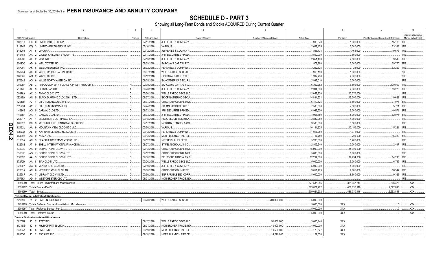**SCHEDULE D - PART 3**<br>Showing all Long-Term Bonds and Stocks ACQUIRED During Current Quarter

|                    | $\overline{1}$              | $\overline{2}$                                                    | 3       | $\overline{4}$ | -5                              | 6                         | $\overline{7}$     | $\mathbf{g}$ | $\mathbf{q}$                            | 10                                          |
|--------------------|-----------------------------|-------------------------------------------------------------------|---------|----------------|---------------------------------|---------------------------|--------------------|--------------|-----------------------------------------|---------------------------------------------|
|                    | <b>CUSIP</b> Identification | Description                                                       | Foreign | Date Acquired  | Name of Vendor                  | Number of Shares of Stock | <b>Actual Cost</b> | Par Value    | Paid for Accrued Interest and Dividends | NAIC Designation or<br>Market Indicator (a) |
|                    |                             | 907818 EB 0 UNION PACIFIC CORP.                                   |         | 07/11/2018.    | JEFFERIES & COMPANY.            |                           | .910.670           | .1,000,000   | .15,188                                 | 1FF                                         |
|                    | 91324P                      | CQ 3 UNITEDHEALTH GROUP INC.                                      |         | 07/16/2018.    | VARIOUS.                        |                           | .2,682,155         | .2,500,000   | .23,318                                 | 1FE.                                        |
|                    | 918204                      | AT 5 VF CORP.                                                     |         | 07/12/2018.    | JEFFERIES & COMPANY             |                           | .1,895,734         | .1,464,000   | 19,673                                  | 1FF                                         |
|                    | 919451                      | AA 2 VALLEY CHILDREN'S HOSPITAL                                   |         | 07/17/2018.    | <b>JPM SECURITIES-FIXED</b>     |                           | 3.500.000          | .3,500,000   |                                         | 1FE.                                        |
|                    | 92826C                      | AE 2 VISA INC.                                                    |         | 07/13/2018.    | JEFFERIES & COMPANY,            |                           | 2,651,400          | .2,500,000   | .9.510 1FE.                             |                                             |
|                    |                             |                                                                   |         |                | <b>BARCLAYS CAPITAL FIX.</b>    |                           |                    |              |                                         | 2FE                                         |
|                    | 95040Q                      | AD 6 WELLTOWER INC.                                               |         | 08/09/2018.    |                                 |                           | .1,978,960         | .2,000,000   | 29,750                                  |                                             |
|                    | 95709T                      | AK 6 WESTAR ENERGY INC.                                           |         | 08/02/2018.    | PERSHING & COMPANY.             |                           | .3,252,875         | 3,125,000    | .62,229                                 | 1FE                                         |
|                    | 958254                      | AK 0   WESTERN GAS PARTNERS LP.                                   |         | 08/07/2018.    | <b>WELLS FARGO SECS LLC</b>     |                           | .998,180           | 1,000,000    |                                         | 2FE.                                        |
|                    | 960386                      | AM 2 WABTEC CORP                                                  |         | 09/12/2018.    | <b>GOLDMAN SACHS &amp; CO.</b>  |                           | .1,997,780         | .2,000,000   |                                         | 2FE.                                        |
|                    | 970648                      | AG 6 WILLIS NORTH AMERICA INC.                                    |         | 09/05/2018.    | <b>BANC/AMERICA SECUR.</b>      |                           | .2,999,010         | .3,000,000   |                                         | 2FE.                                        |
|                    | 00908P                      | AB 3 AIR CANADA 2017-1 CLASS A PASS THROUGH T.                    |         | 07/09/2018.    | BARCLAYS CAPITAL FIX.           |                           | 6,302,282          | 6,592,000    | .130,009                                | 1FE.                                        |
|                    | 71644E                      | 9 PETRO-CANADA.<br>AF                                             |         | 09/28/2018.    | JEFFERIES & COMPANY,            |                           | .2,394,800         | .2,000,000   | .53,278                                 | 1FE.                                        |
|                    | 00176A                      | AX 3 AMMC CLO XI LTD.                                             |         | 07/26/2018.    | <b>WELLS FARGO SECS LLC</b>     |                           | 12,057,930         | 12,070,000   |                                         | 1FF                                         |
|                    | 09203W                      | AN 5 BLACK DIAMOND CLO 2016-1 LTD.                                |         | 08/07/2018.    | BK OF NY/MIZUHO SECU            |                           | 14,894,531         | 15,000,000   | .19.628                                 | 1FF                                         |
|                    | 12549H                      | 4 CIFC FUNDING 2013-IV LTD.<br>AJ                                 |         | 08/07/2018.    | CITIGROUP GLOBAL MKT            |                           | 6,410,625          | .6,500,000   | .97.971 3FE.                            |                                             |
|                    | 12549J                      | AY 7 CIFC FUNDING 2014 LTD.                                       |         | 07/24/2018.    | <b>SG AMERICAS SECURITI</b>     |                           | 7,500,000          | .7,500,000   | .5,721                                  | 1FE.                                        |
|                    | 146865                      | AG 5 CARVAL CLO LTD.                                              |         | 08/03/2018.    | JPM SECURITIES-FIXED            |                           | .4,962,500         | .5,000,000   | .40,571                                 | 2FE.                                        |
|                    | 14686P                      | AA 4 CARVAL CLO LTD.                                              |         | 08/03/2018.    | JPM SECURITIES-FIXED            |                           | .4,968,750         | .5,000,000   | .62,971                                 | 3FE.                                        |
|                    | 268317                      | ELECTRICITE DE FRANCE SA.<br>AT <sub>1</sub>                      |         | 09/18/2018.    | <b>HSBC SECURITIES (USA.</b>    |                           | .3.882.080         | .4,000,000   |                                         | 1FE.                                        |
|                    | 606822                      | MITSUBISHI UFJ FINANCIAL GROUP INC<br><b>BB</b><br>9              |         | 07/17/2018.    | <b>MORGAN STANLEY &amp; CO.</b> |                           | 3,500,000          | .3,500,000   |                                         | 1FE.                                        |
| QE04.              | 62432L                      | AA 9 MOUNTAIN VIEW CLO 2017-2 LLC                                 |         | 07/30/2018.    | VARIOUS                         |                           | 10,144,925         | .10,150,000  | 15,221                                  | 1FE.                                        |
|                    | 63859W                      | AE 9 NATIONWIDE BUILDING SOCIETY                                  |         | 09/12/2018.    | PERSHING & COMPANY.             |                           | .1,017,250         | .1,076,000   |                                         | 2FE.                                        |
| $\mathbf{\dot{v}}$ | 654902                      | AC 9 NOKIA OYJ                                                    |         | 09/12/2018.    | <b>MERRILL LYNCH PIERCE</b>     |                           | 757,750            | 700,000      | 15,330                                  | 3FE.                                        |
|                    | 81883A                      | 3 SHACKLETON 2015-VII-R CLO LTD<br>AC.                            |         | 07/12/2018.    | MITSUBISHI UFJ SECS.            |                           | 5,200,000          | .5,200,000   |                                         | 1FF                                         |
|                    | 822582                      | 9 SHELL INTERNATIONAL FINANCE BV<br>AT                            |         | 08/27/2018.    | STIFEL NICHOLAUS & C            |                           | 2.805.540          | .3,000,000   | .2.417                                  | 1FF                                         |
|                    | 83607E                      | AA<br>0 SOUND POINT CLO V-R LTD.                                  |         | 07/12/2018.    | CITIGROUP GLOBAL MKT            |                           | 15,000,000         | .15,000,000  |                                         | 1FE.                                        |
|                    | 83607E                      | AG 7 SOUND POINT CLOV-R LTD.                                      |         | 07/12/2018.    | CITIGROUP GLOBAL MKT            |                           | .5,000,000         | .5,000,000   |                                         | 2FE                                         |
|                    | 83609T                      | AA 5 SOUND POINT CLO XVIII LTD.                                   |         | 07/30/2018.    | DEUTSCHE BANC/ALEX B.           |                           | 12,294,000         | .12,294,000  | .14,210                                 | 1FE.                                        |
|                    | 87272H                      | AA 8   TIAA CLO III LTD                                           |         | 07/26/2018.    | <b>WELLS FARGO SECS LLC</b>     |                           | 5,000,000          | .5,000,000   | .6,785                                  | 1FF                                         |
|                    | 92330Y                      | AG 8 VENTURE 33 CLO LTD.                                          |         | 07/19/2018.    | JEFFERIES & COMPANY.            |                           | 5.000.000          | .5.000.000   |                                         | IFF.                                        |
|                    | 92331A                      | AC 8 VENTURE XXVIII CLO LTD.                                      |         | 08/06/2018.    | CITIGROUP GBL MKTS/S.           |                           | .9.051.403         | .9.065.000   | .16,542                                 | 1FE.                                        |
|                    | 92558F                      | AA 7 VIBRANT CLO VIII LTD.                                        |         | 07/30/2018.    | <b>BNP PARIBAS SEC CORP</b>     |                           | .8,600,000         | .8,600,000   | .9,326                                  | 1FE.                                        |
|                    | 95736X                      | AD 0 WESTCHESTER CLO LTD.                                         |         | 08/01/2018.    | NON-BROKER TRADE, BO            |                           |                    |              |                                         | 1FE.                                        |
|                    |                             | 3899999. Total - Bonds - Industrial and Miscellaneous.            |         |                |                                 |                           | 377,535,985        | 361.057.214  | .2,366,378                              | XXX.                                        |
|                    |                             | 8399997. Total - Bonds - Part 3.                                  |         |                |                                 |                           | .509.021.202       | .486.030.116 | 2.592.818                               | XXX.                                        |
|                    |                             | 8399999. Total - Bonds.                                           |         |                |                                 |                           | .509,021,202       | .486,030,116 | .2,592,818                              | .XXX.                                       |
|                    |                             | Preferred Stocks - Industrial and Miscellaneous                   |         |                |                                 |                           |                    |              |                                         |                                             |
|                    |                             | 125896 85 2 CMS ENERGY CORP                                       |         | 09/20/2018.    | <b>WELLS FARGO SECS LLC.</b>    | 200,000.000               | .5,000,000         |              |                                         |                                             |
|                    |                             | 8499999. Total - Preferred Stocks - Industrial and Miscellaneous. |         |                |                                 |                           | .5,000,000         | XXX          | $\Omega$                                | .XXX                                        |
|                    |                             | 8999997. Total - Preferred Stocks - Part 3.                       |         |                |                                 |                           | .5,000,000         | <b>XXX</b>   | $\Omega$                                | .XXX.                                       |
|                    |                             | 8999999. Total - Preferred Stocks.                                |         |                |                                 |                           | .5.000.000         | <b>XXX</b>   | $\Omega$                                | .XXX.                                       |
|                    |                             | <b>Common Stocks - Industrial and Miscellaneous</b>               |         |                |                                 |                           |                    |              |                                         |                                             |
|                    | 00206R                      | 10 2 AT&T INC.                                                    |         | 09/17/2018.    | WELLS FARGO SECS LLC.           | .91,000.000               | .3,060,148         | XXX          |                                         |                                             |
|                    | 31338@                      | 10 6 FHLB OF PITTSBURGH                                           |         | 08/01/2018.    | NON-BROKER TRADE, BO            | 40,000.000                | .4,000,000         | <b>XXX</b>   |                                         |                                             |
|                    | 83304A                      | 10 6 SNAP INC.                                                    |         | 09/19/2018.    | <b>MERRILL LYNCH PIERCE</b>     | 19,504.000                | .179,827           | <b>XXX</b>   |                                         |                                             |
|                    | 98980G                      | 10 2 ZSCALER INC.                                                 |         | 09/18/2018.    | <b>MERRILL LYNCH PIERCE</b>     | .4.270.000                | .182.350           | <b>XXX</b>   |                                         |                                             |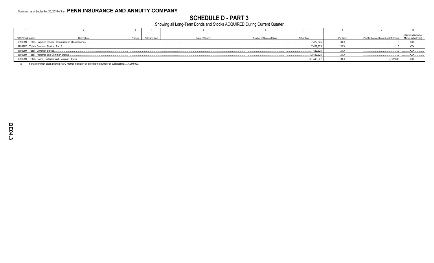### **SCHEDULE D - PART 3**

Showing all Long-Term Bonds and Stocks ACQUIRED During Current Quarter

| <b>CUSIP</b> Identification    | Description                                                   | Foreign Date Acquired | Name of Vendor | Number of Shares of Stock | <b>Actual Cost</b> | Par Value  | Paid for Accrued Interest and Dividends | NAIC Designation or<br>Market Indicator (a) |
|--------------------------------|---------------------------------------------------------------|-----------------------|----------------|---------------------------|--------------------|------------|-----------------------------------------|---------------------------------------------|
|                                | 9099999. Total - Common Stocks - Industrial and Miscellaneous |                       |                |                           | .7,422,325         | <b>XXX</b> |                                         | XXX                                         |
|                                | 9799997. Total - Common Stocks - Part 3                       | 7,422,325             | <b>XXX</b>     |                           | $\mathsf{XXX}$     |            |                                         |                                             |
| 9799999. Total - Common Stocks |                                                               |                       |                |                           | 7,422,325          | <b>XXX</b> |                                         | XXX                                         |
|                                | 9899999. Total - Preferred and Common Stocks                  |                       |                |                           | .12,422,325        | <b>XXX</b> |                                         | XXX                                         |
|                                | 9999999. Total - Bonds, Preferred and Common Stocks           |                       |                |                           | 521,443,527        | XXX        | .2,592,818                              | XXX                                         |

For all common stock bearing NAIC market indicator "U" provide the number of such issues:.....4,000,000.  $(a)$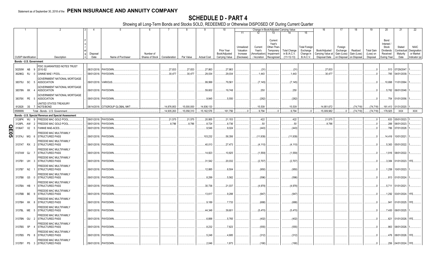|             |                             |                | $\overline{2}$                                            | $\mathcal{R}$<br>4   | -5                                | -6              |               | -8          |                    | 10             |            | 12                        | Change in Book/Adjusted Carrying Value<br>13 |                      | 16                | 17          | 18          | 19                | 20          | 21                   | 22            |
|-------------|-----------------------------|----------------|-----------------------------------------------------------|----------------------|-----------------------------------|-----------------|---------------|-------------|--------------------|----------------|------------|---------------------------|----------------------------------------------|----------------------|-------------------|-------------|-------------|-------------------|-------------|----------------------|---------------|
|             |                             |                |                                                           |                      |                                   |                 |               |             |                    |                | 11         |                           |                                              | 15                   |                   |             |             |                   |             |                      |               |
|             |                             |                |                                                           |                      |                                   |                 |               |             |                    |                |            |                           | Current                                      |                      |                   |             |             |                   | Bond        |                      |               |
|             |                             |                |                                                           |                      |                                   |                 |               |             |                    |                |            |                           | Year's                                       |                      |                   |             |             |                   | Interest /  |                      |               |
|             |                             |                |                                                           |                      |                                   |                 |               |             |                    |                | Unrealized | Current                   | Other-Than                                   | <b>Total Foreigr</b> |                   | Foreign     |             |                   | Stock       | Stated               | <b>NAIC</b>   |
|             |                             |                |                                                           |                      |                                   |                 |               |             |                    | Prior Year     | Valuation  | Year's                    | Temporary<br><b>Total Change</b>             | Exchange             | Book/Adjusted     | Exchange    | Realized    | <b>Total Gain</b> | Dividends   | Contractual          | Designation   |
|             |                             |                |                                                           | Disposal             |                                   | Number of       |               |             |                    | Book/Adjusted  | Increase   | Amortization <sup>®</sup> | in B./A.C.V.<br>Impairment                   | Change in            | Carrying Value at | Gain (Loss) | Gain (Loss) | (Loss) on         | Received    | Maturity             | or Market     |
|             | <b>CUSIP Identification</b> |                | Description                                               | Date                 | Name of Purchaser                 | Shares of Stock | Consideration | Par Value   | <b>Actual Cost</b> | Carrying Value | (Decrease) | Accretion                 | $(11+12-13)$<br>Recognized                   | B./A.C.V.            | Disposal Date     | on Disposal | on Disposa  | Disposal          | During Year | Date                 | Indicator (a) |
|             | Bonds - U.S. Government     |                |                                                           |                      |                                   |                 |               |             |                    |                |            |                           |                                              |                      |                   |             |             |                   |             |                      |               |
|             |                             |                | FDIC GUARANTEED NOTES TRUST                               |                      |                                   |                 |               |             |                    |                |            |                           |                                              |                      |                   |             |             |                   |             |                      |               |
|             | 30250W AB                   |                | 2010-S2<br>- 9                                            |                      | 08/31/2018. PAYDOWN               |                 | .27.833       | .27.833     | .27,863            | .27.863        |            | (31)                      | (31)                                         |                      | .27.833           |             |             |                   |             | .513 07/29/2047      |               |
|             | 36296Q                      | RJ             | GINNIE MAE I POOL                                         |                      | 09/01/2018. PAYDOWN               |                 | .30,477       | .30,477     | .29,034            | .29,034        |            | 1,443                     | .1,443                                       |                      | .30,477           |             |             | - 0               | .785        | 04/01/2039.          |               |
|             |                             |                |                                                           |                      |                                   |                 |               |             |                    |                |            |                           |                                              |                      |                   |             |             |                   |             |                      |               |
|             | 38375U SC                   |                | GOVERNMENT NATIONAL MORTGAGE<br><b>ASSOCIATION</b><br>- 5 | 09/01/2018. VARIOUS. |                                   |                 |               |             | .99,999            | .79,561        |            | (7, 145)                  | (7, 145)                                     |                      |                   |             |             | - 0               | 10,698      | 11/01/2064.          |               |
|             |                             |                |                                                           |                      |                                   |                 |               |             |                    |                |            |                           |                                              |                      |                   |             |             |                   |             |                      |               |
|             |                             |                | <b>GOVERNMENT NATIONAL MORTGAGE</b>                       |                      |                                   |                 |               |             |                    |                |            |                           |                                              |                      |                   |             |             |                   |             |                      |               |
|             | 38378N XK                   |                | <b>ASSOCIATION</b>                                        |                      | 09/01/2018. PAYDOWN               |                 |               |             | .59,602            | .19,748        |            | .250                      | .250                                         |                      |                   |             |             | .0                | .5,762      | 06/01/2048.          |               |
|             |                             |                | <b>GOVERNMENT NATIONAL MORTGAGE</b>                       |                      |                                   |                 |               |             |                    |                |            |                           |                                              |                      |                   |             |             |                   |             |                      |               |
|             | 38378X PE                   |                | <b>ASSOCIATION</b><br>- 5                                 |                      | 09/01/2018. PAYDOWN               |                 |               |             | .9,945             | .5,550         |            | (262)                     | (262)                                        |                      |                   |             |             | - 0               | .754        | 01/01/2056.          |               |
|             |                             |                | <b>JNITED STATES TREASURY</b>                             |                      |                                   |                 |               |             |                    |                |            |                           |                                              |                      |                   |             |             |                   |             |                      |               |
|             |                             |                | 912828 3S 7 NOTE/BOND                                     |                      | 08/14/2018. CITIGROUP GLOBAL MKT. |                 | 14,876,953    | .15,000,000 | .14.936.133        |                |            | .15,539                   | .15,539                                      |                      | 14,951,672        |             | (74.718)    | (74, 718)         | 161.413     | 01/31/2020.          |               |
|             | 0599999                     |                | Total - Bonds - U.S. Government                           |                      |                                   |                 | 14.935.263    | 15.058.310  | .15.162.576        | .161.756       | $\Omega$   | .9.794                    | .9.794                                       |                      | 15.009.982        | $0$ .       | (74.718)    | (74.718)          | .179.925    | <b>XXX</b>           | <b>XXX</b>    |
|             |                             |                | Bonds - U.S. Special Revenue and Special Assessment       |                      |                                   |                 |               |             |                    |                |            |                           |                                              |                      |                   |             |             |                   |             |                      |               |
|             | 3128PK                      | WJ             | FREDDIE MAC GOLD POOL<br><b>q</b>                         |                      | 09/01/2018. PAYDOWN               |                 | .21,575       | .21,575     | .20,955            | .21,153        |            | .422                      | .422                                         |                      | 21,575            |             |             | 0                 |             | .633 05/01/2023.     |               |
|             | 3128PL                      | AW             | FREDDIE MAC GOLD POOL                                     | 09/01/2018.          | PAYDOWN                           |                 | .8,786        | .8,786      | .8,724             | .8,736         |            | 50                        | 50                                           |                      | .8,786            |             |             | - 0               | .288        | 06/01/2023.          |               |
|             | 3136AT                      | X <sub>2</sub> | FANNIE MAE-ACES.<br>-5                                    |                      | 09/01/2018. PAYDOWN               |                 |               |             | .9,546             | .9,024         |            | (443)                     | (443)                                        |                      |                   |             |             | - 0               | .786        | 07/01/2028.          |               |
|             |                             |                |                                                           |                      |                                   |                 |               |             |                    |                |            |                           |                                              |                      |                   |             |             |                   |             |                      |               |
| <b>QE05</b> | 3137AJ                      | MG             | <b>REDDIE MAC MULTIFAMILY</b><br><b>STRUCTURED PASS</b>   |                      | 09/01/2018. PAYDOWN               |                 |               |             | 103,232            | .58,356        |            | (11,939)                  | (11, 939)                                    |                      |                   |             |             |                   |             | .14,416 10/01/2021.  |               |
|             |                             |                |                                                           |                      |                                   |                 |               |             |                    |                |            |                           |                                              |                      |                   |             |             |                   |             |                      |               |
|             |                             |                | FREDDIE MAC MULTIFAMILY                                   |                      |                                   |                 |               |             |                    |                |            |                           |                                              |                      |                   |             |             |                   | .5,363      |                      |               |
|             | 3137AT RX 2                 |                | <b>STRUCTURED PASS</b>                                    |                      | 09/01/2018. PAYDOWN               |                 |               |             | .40,013            | .27,473        |            | (4, 110)                  | (4, 110)                                     |                      |                   |             |             |                   |             | 05/01/2022.          |               |
|             |                             |                | FREDDIE MAC MULTIFAMILY                                   |                      |                                   |                 |               |             |                    |                |            |                           |                                              |                      |                   |             |             |                   |             |                      |               |
|             | 3137AW QJ                   |                | STRUCTURED PASS                                           |                      | 09/01/2018. PAYDOWN               |                 |               |             | 14,823             | .10,825        |            | (1,559)                   | (1,559)                                      |                      |                   |             |             |                   | .1,916      | 08/01/2022.          |               |
|             |                             |                | <b>REDDIE MAC MULTIFAMILY</b>                             |                      |                                   |                 |               |             |                    |                |            |                           |                                              |                      |                   |             |             |                   |             |                      |               |
|             | 3137B1 UH                   | - 3            | <b>STRUCTURED PASS</b>                                    |                      | 09/01/2018. PAYDOWN               |                 |               |             | .31,542            | .20,032        |            | (2,707)                   | (2,707)                                      |                      |                   |             |             |                   | .3.384      | 01/01/2023. 1FE      |               |
|             |                             |                | FREDDIE MAC MULTIFAMILY                                   |                      |                                   |                 |               |             |                    |                |            |                           |                                              |                      |                   |             |             |                   |             |                      |               |
|             | 3137B7 N2                   |                | <b>STRUCTURED PASS</b>                                    |                      | 09/01/2018. PAYDOWN               |                 |               |             | .12,885            | .8,504         |            | (950)                     | (950)                                        |                      |                   |             |             |                   | 1,258       | 10/01/2023.          |               |
|             |                             |                | FREDDIE MAC MULTIFAMILY                                   |                      |                                   |                 |               |             |                    |                |            |                           |                                              |                      |                   |             |             |                   |             |                      |               |
|             | 3137B8 G5                   |                | <b>STRUCTURED PASS</b>                                    |                      | 09/01/2018. PAYDOWN               |                 |               |             | .8,299             | .5,562         |            | (596)                     | (596)                                        |                      |                   |             |             |                   | .813        | 01/01/2024.          |               |
|             |                             |                | FREDDIE MAC MULTIFAMILY                                   |                      |                                   |                 |               |             |                    |                |            |                           |                                              |                      |                   |             |             |                   |             |                      |               |
|             | 3137BA HB                   |                | <b>STRUCTURED PASS</b>                                    |                      | 09/01/2018. PAYDOWN               |                 |               |             | .30,736            | 21,037         |            | (4,978)                   | (4,978)                                      |                      |                   |             |             |                   | .5,711      | 01/01/2021           |               |
|             |                             |                | FREDDIE MAC MULTIFAMILY                                   |                      |                                   |                 |               |             |                    |                |            |                           |                                              |                      |                   |             |             |                   |             |                      |               |
|             | 3137BB BE                   |                | <b>STRUCTURED PASS</b>                                    |                      | 09/01/2018. PAYDOWN               |                 |               |             | .13,617            | .9,288         |            | (947)                     | (947)                                        |                      |                   |             |             |                   | 1,292       | 03/01/2024. 1FE.     |               |
|             |                             |                | FREDDIE MAC MULTIFAMILY                                   |                      |                                   |                 |               |             |                    |                |            |                           |                                              |                      |                   |             |             |                   |             |                      |               |
|             | 3137BH XK 8                 |                | <b>STRUCTURED PASS</b>                                    |                      | 09/01/2018. PAYDOWN               |                 |               |             | .9,189             | .7,733         |            | (688)                     | (688)                                        |                      |                   |             |             |                   | .941        | 01/01/2025.          | 1FE.          |
|             |                             |                | FREDDIE MAC MULTIFAMILY                                   |                      |                                   |                 |               |             |                    |                |            |                           |                                              |                      |                   |             |             |                   |             |                      |               |
|             | 3137BL ME                   |                | <b>STRUCTURED PASS</b>                                    |                      | 09/01/2018. PAYDOWN               |                 |               |             | .44,348            | .39,601        |            | (5,470)                   | (5,470)                                      |                      |                   |             |             |                   | .7,400      | 08/01/2025.          |               |
|             |                             |                |                                                           |                      |                                   |                 |               |             |                    |                |            |                           |                                              |                      |                   |             |             |                   |             |                      |               |
|             | 3137BN GU                   |                | FREDDIE MAC MULTIFAMILY<br>STRUCTURED PASS                |                      | 09/01/2018. PAYDOWN               |                 |               |             | 6,888              | .5,765         |            | (402)                     | (402)                                        |                      |                   |             |             |                   | .621        | 01/01/2026. 1FE      |               |
|             |                             |                |                                                           |                      |                                   |                 |               |             |                    |                |            |                           |                                              |                      |                   |             |             |                   |             |                      |               |
|             |                             |                | FREDDIE MAC MULTIFAMILY                                   |                      |                                   |                 |               |             |                    |                |            |                           |                                              |                      |                   |             |             | - 0               |             |                      |               |
|             | 3137BS 5P                   |                | <b>STRUCTURED PASS</b>                                    |                      | 09/01/2018. PAYDOWN.              |                 |               |             | .8,232             | .7,823         |            | (555)                     | (555)                                        |                      |                   |             |             |                   | .863        | 08/01/2026.          |               |
|             |                             |                | FREDDIE MAC MULTIFAMILY                                   |                      |                                   |                 |               |             |                    |                |            |                           |                                              |                      |                   |             |             |                   |             |                      |               |
|             | 3137BS P9                   |                | <b>STRUCTURED PASS</b>                                    |                      | 09/01/2018. PAYDOWN               |                 |               |             | .5,248             | 4,685          |            | (312)                     | (312)                                        |                      |                   |             |             |                   |             | .476 08/01/2026. 1FE |               |
|             |                             |                | FREDDIE MAC MULTIFAMILY                                   |                      |                                   |                 |               |             |                    |                |            |                           |                                              |                      |                   |             |             |                   |             |                      |               |
|             | 3137BY PS 3                 |                | <b>STRUCTURED PASS</b>                                    |                      | 09/01/2018. PAYDOWN               |                 |               |             | .2.046             | 1.873          |            | (190)                     | (190)                                        |                      |                   |             |             | $\Omega$ .        |             | 256 04/01/2024. 1FE. |               |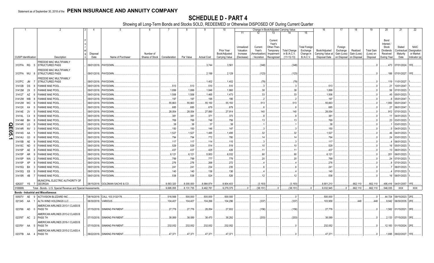|            |           |                             | $\overline{2}$                                               |             | 5                              |                 |               |            |                    | 10                |            |              |            | Change in Book/Adjusted Carrying Value |                               | 16                | 17                        | 18          | 19                | 20          | 21                       | 22            |
|------------|-----------|-----------------------------|--------------------------------------------------------------|-------------|--------------------------------|-----------------|---------------|------------|--------------------|-------------------|------------|--------------|------------|----------------------------------------|-------------------------------|-------------------|---------------------------|-------------|-------------------|-------------|--------------------------|---------------|
|            |           |                             |                                                              |             |                                |                 |               |            |                    |                   | 11         | 12           | 13         |                                        | 15                            |                   |                           |             |                   |             |                          |               |
|            |           |                             |                                                              |             |                                |                 |               |            |                    |                   |            |              |            |                                        |                               |                   |                           |             |                   |             |                          |               |
|            |           |                             |                                                              |             |                                |                 |               |            |                    |                   |            |              | Current    |                                        |                               |                   |                           |             |                   | Bond        |                          |               |
|            |           |                             |                                                              |             |                                |                 |               |            |                    |                   |            |              | Year's     |                                        |                               |                   |                           |             |                   | Interest /  |                          |               |
|            |           |                             |                                                              |             |                                |                 |               |            |                    |                   | Unrealized | Current      | Other-Than |                                        | <b>Total Foreign</b>          |                   | Foreign                   |             |                   | Stock       | Stated                   | <b>NAIC</b>   |
|            |           |                             |                                                              |             |                                |                 |               |            |                    | <b>Prior Year</b> | Valuation  | Year's       | Temporary  | <b>Total Change</b>                    | Exchange                      | Book/Adjusted     | Exchange                  | Realized    | <b>Total Gain</b> | Dividends   | Contractual              | Designation   |
|            |           | <b>CUSIP</b> Identification |                                                              | Disposal    |                                | Number of       |               |            |                    | Book/Adjusted     | Increase   | Amortization | Impairment | in B./A.C.V.                           | Change in<br><b>B./A.C.V.</b> | Carrying Value at | Gain (Loss)               | Gain (Loss) | (Loss) on         | Received    | Maturity                 | or Market     |
|            |           |                             | Description                                                  | Date        | Name of Purchaser              | Shares of Stock | Consideration | Par Value  | <b>Actual Cost</b> | Carrying Value    | (Decrease) | / Accretion  | Recognized | $(11+12-13)$                           |                               | Disposal Date     | on Disposal   on Disposal |             | Disposal          | During Year | Date                     | Indicator (a) |
|            |           |                             | FREDDIE MAC MULTIFAMILY                                      |             |                                |                 |               |            |                    |                   |            |              |            |                                        |                               |                   |                           |             |                   |             |                          |               |
|            |           | 3137FA RG 5                 | <b>STRUCTURED PASS</b>                                       |             | 09/01/2018. PAYDOWN.           |                 |               |            | .3,744             | .3,561            |            | (348)        |            | (348)                                  |                               |                   |                           |             |                   |             | .473 07/01/2024. 1FE     |               |
|            |           |                             | FREDDIE MAC MULTIFAMILY                                      |             |                                |                 |               |            |                    |                   |            |              |            |                                        |                               |                   |                           |             |                   |             |                          |               |
|            |           | 3137FA WU 8                 | <b>STRUCTURED PASS</b>                                       |             | 09/01/2018. PAYDOWN            |                 |               |            | .2,199             | .2,129            |            | (123)        |            | (123)                                  |                               |                   |                           |             |                   |             | 188   07/01/2027. 1FE.   |               |
|            |           |                             | <b>REDDIE MAC MULTIFAMILY</b>                                |             |                                |                 |               |            |                    |                   |            |              |            |                                        |                               |                   |                           |             |                   |             |                          |               |
|            | 3137FC JM |                             | <b>STRUCTURED PASS</b>                                       |             | 09/01/2018. PAYDOWN            |                 |               |            | .1,402             | .1,402            |            | (79)         |            | .(79)                                  |                               |                   |                           |             |                   |             | 119 11/01/2027           |               |
|            | 31412B    | DS<br>-8                    | <b>FANNIE MAE POOL</b>                                       |             | 09/01/2018. PAYDOWN            |                 | .513          | .513       | 510                | .510              |            |              |            |                                        |                               | .513              |                           |             |                   | .21         | 10/01/2047               |               |
|            | 31412M    | 2X<br>-5                    | <b>FANNIE MAE POOL</b>                                       | 09/01/2018. | PAYDOWN                        |                 | .1,899        | 1,899      | .1,846             | .1,860            |            | 38           |            | .38                                    |                               | 1,899             |                           |             |                   | .56         | 07/01/2023.              |               |
|            | 31412T    | AZ                          | <b>FANNIE MAE POOL</b>                                       | 09/01/2018. | PAYDOWN                        |                 | 1,506         | 1,506      | .1,465             | .1,473            |            | 33           |            | .33                                    |                               | 1,506             |                           |             |                   |             | 05/01/2023               |               |
|            |           |                             |                                                              |             |                                |                 |               |            |                    |                   |            |              |            |                                        |                               |                   |                           |             |                   | .45         |                          |               |
|            | 31412W    | WB                          | <b>FANNIE MAE POOL</b>                                       | 09/01/2018. | PAYDOWN                        |                 | .197          | .197       | 195                | .195              |            |              |            |                                        |                               | .197              |                           |             |                   |             | 05/01/2047               |               |
|            | 31412W    | WC                          | <b>FANNIE MAE POOI</b>                                       | 09/01/2018. | PAYDOWN.                       |                 | .55,663       | 55,663     | .55,150            | .55,150           |            | .513         |            | 513                                    |                               | .55,663           |                           |             |                   | 1,950       | 05/01/2047               |               |
|            | 31412X    | K4                          | <b>FANNIE MAE POOL</b>                                       | 09/01/2018. | PAYDOWN.                       |                 | .685          | .685       | 679                | .679              |            |              |            |                                        |                               | .685              |                           |             |                   | .27         | 06/01/2047               |               |
|            | 31414E    | 2V<br>-5                    | <b>FANNIE MAE POOL</b>                                       | 09/01/2018. | PAYDOWN                        |                 | .28,054       | 28,054     | .27,890            | .27,914           |            | 140          |            | 140                                    |                               | .28,054           |                           |             |                   | .912        | 07/01/2023.              |               |
|            | 31414L    | C4<br>8                     | <b>FANNIE MAE POOL</b>                                       | 09/01/2018. | PAYDOWN                        |                 | .381          | .381       | .371               | .373              |            | 8            |            |                                        |                               | .381              |                           |             |                   |             | 04/01/2023.              |               |
|            | 31414M    | <b>BH</b>                   | <b>FANNIE MAE POOL</b>                                       | 09/01/2018. | PAYDOWN.                       |                 | .769          | .769       | 748                | .756              |            | 13           |            | .13                                    |                               | .769              |                           |             |                   | .23         | 03/01/2023.              |               |
|            | 31414R    |                             | <b>FANNIE MAE POOL</b>                                       | 09/01/2018. | PAYDOWN                        |                 |               | 38         | 37                 | 38                |            |              |            |                                        |                               |                   |                           |             |                   |             | 03/01/2023.              |               |
| Q          |           | LG                          |                                                              |             |                                |                 | 38            |            |                    |                   |            |              |            |                                        |                               | 38                |                           |             |                   |             |                          |               |
| m          | 31414R    |                             | <b>FANNIE MAE POOL</b>                                       | 09/01/2018. | PAYDOWN                        |                 | .150          | .150       | 146                | .147              |            |              |            |                                        |                               | .150              |                           |             |                   |             | 04/01/2023               |               |
| <b>95.</b> | 31414S    |                             | <b>FANNIE MAE POOL</b>                                       | 09/01/2018. | PAYDOWN                        |                 | .1,527        | 1,527      | .1,485             | .1,495            |            | .32          |            | .32                                    |                               | 1,527             |                           |             |                   | .46         | 04/01/2023               |               |
|            | 31414U    | G3                          | <b>FANNIE MAE POOL</b>                                       | 09/01/2018. | PAYDOWN.                       |                 | .794          | .794       | 772                | .780              |            | 14           |            | 14                                     |                               | .794              |                           |             |                   |             | 03/01/2023.              |               |
|            | 31415B    | AE<br>-9                    | <b>FANNIE MAE POOL</b>                                       | 09/01/2018. | PAYDOWN.                       |                 | .117          | .117       | 114                | .115              |            |              |            |                                        |                               | .117              |                           |             |                   |             | 06/01/2023.              |               |
|            | 31415C    | <b>ND</b>                   | <b>FANNIE MAE POOL</b>                                       | 09/01/2018. | PAYDOWN                        |                 | .529          | .529       | 514                | .519              |            | .10          |            | .10                                    |                               | .529              |                           |             |                   | 16          | 05/01/2023               |               |
|            | 31415P    | AE                          | <b>FANNIE MAE POOL</b>                                       | 09/01/2018. | PAYDOWN                        |                 | .437          | .437       | .425               | .426              |            |              |            |                                        |                               | .437              |                           |             |                   | .13         | 06/01/2023               |               |
|            | 31415P    | AR<br>q                     | <b>FANNIE MAE POOL</b>                                       | 09/01/2018. | PAYDOWN                        |                 | .6,121        | .6,121     | .5,953             | .6,032            |            | 90           |            | .90                                    |                               | .6,121            |                           |             |                   | .201        | 06/01/2023               |               |
|            |           |                             | <b>FANNIE MAE POOL</b>                                       |             |                                |                 |               |            |                    |                   |            |              |            |                                        |                               |                   |                           |             |                   |             |                          |               |
|            | 31415P    | <b>WA</b>                   |                                                              | 09/01/2018. | PAYDOWN                        |                 | .799          | .799       | 777                | .779              |            | .20          |            | .20                                    |                               | .799              |                           |             |                   | . 24        | 07/01/2023               |               |
|            | 31415P    | XP                          | <b>FANNIE MAE POOL</b>                                       | 09/01/2018. | PAYDOWN                        |                 | .276          | .276       | 268                | .272              |            |              |            |                                        |                               | .276              |                           |             |                   |             | 07/01/2023.              |               |
|            | 31415Q    | BX<br>-3                    | <b>FANNIE MAE POOI</b>                                       | 09/01/2018. | PAYDOWN                        |                 | .241          | 241        | 234                | .235              |            |              |            |                                        |                               | .241              |                           |             |                   |             | 06/01/2023.              |               |
|            | 31415Q    | E8                          | <b>FANNIE MAE POOL</b>                                       | 09/01/2018. | PAYDOWN.                       |                 | 140           | 140        | .136               | 136               |            |              |            |                                        |                               | .140              |                           |             |                   |             | 07/01/2023.              |               |
|            | 31415R    | 4B                          | <b>FANNIE MAE POOL</b>                                       |             | 09/01/2018. PAYDOWN.           |                 | 538           | .538       | .524               | 526               |            | 12           |            | 12                                     |                               | .538              |                           |             |                   |             | 06/01/2023.              |               |
|            |           |                             | MUNICIPAL ELECTRIC AUTHORITY OF                              |             |                                |                 |               |            |                    |                   |            |              |            |                                        |                               |                   |                           |             |                   |             |                          |               |
|            | 626207    | YS                          | <b>GEORGIA</b>                                               |             | 08/15/2018. GOLDMAN SACHS & CO |                 | .9.563.320    | .8.000.000 | .8.984.874         | .8.904.403        |            | (3.193)      |            | (3, 193)                               |                               | 8.901.210         |                           | .662.110    | 662.110           | 495,416     | 04/01/2057.              |               |
|            | 3199999.  |                             | Total - Bonds - U.S. Special Revenue and Special Assessments |             |                                |                 | .9.695.055    | .8.131.735 | .9.462.781         | 9.279.375         | $\Omega$   | (38.151)     |            | (38, 151)                              |                               | 9.032.945         | $\Omega$                  | .662.110    | .662.110          | .546.035    | <b>XXX</b>               | <b>XXX</b>    |
|            |           |                             |                                                              |             |                                |                 |               |            |                    |                   |            |              |            |                                        |                               |                   |                           |             |                   |             |                          |               |
|            |           |                             | <b>Bonds - Industrial and Miscellaneous</b>                  |             |                                |                 |               |            |                    |                   |            |              |            |                                        |                               |                   |                           |             |                   |             |                          |               |
|            | 00507V    | AE<br>-9                    | <b>ACTIVISION BLIZZARD INC.</b>                              |             | 08/16/2018. CALL 103.3132178   |                 | .516,566      | .500,000   | .500,000           | .500,000          |            |              |            | $\Omega$ .                             |                               | .500,000          |                           |             | 0                 |             | .44,724 09/15/2023. 2FE  |               |
|            | 021345 AA |                             | ALTA WIND HOLDINGS LLC                                       |             | 06/30/2018. VARIOUS.           |                 | .104,407      | 104,407    | 104,266            | 104,296           |            | (337)        |            | (337)                                  |                               | 103,958           |                           | .448        | .448              | .9,942      | 06/30/2035. 2FE          |               |
|            |           |                             | AMERICAN AIRLINES 2013-1 CLASS B                             |             |                                |                 |               |            |                    |                   |            |              |            |                                        |                               |                   |                           |             |                   |             |                          |               |
|            | 023766 AD | - 0                         | <b>PASS TH</b>                                               |             | 07/15/2018. SINKING PAYMENT    |                 | .27,776       | 27,776     | 28,054             | .27,932           |            | (156)        |            | (156)                                  |                               | .27,776           |                           |             |                   |             | .1,562 01/15/2021. 3FE.  |               |
|            |           |                             | AMERICAN AIRLINES 2013-2 CLASS B                             |             |                                |                 |               |            |                    |                   |            |              |            |                                        |                               |                   |                           |             |                   |             |                          |               |
|            | 02376T AC | - 2                         | <b>PASS TH</b>                                               |             | 07/15/2018. SINKING PAYMENT    |                 | .38,089       | 38,089     | .38,470            | .38,292           |            | (203)        |            | (203)                                  |                               | .38,089           |                           |             |                   | .2,133      | 07/15/2020.              | 3FE.          |
|            |           |                             | <b>AMERICAN AIRLINES 2016-1 CLASS B</b>                      |             |                                |                 |               |            |                    |                   |            |              |            |                                        |                               |                   |                           |             |                   |             |                          |               |
|            | 02376Y AA | - 5                         | <b>PASS TH</b>                                               |             | 07/15/2018. SINKING PAYMENT    |                 | 232,052       | .232,052   | .232,052           | .232,052          |            |              |            |                                        |                               | .232,052          |                           |             |                   |             | .12,183 01/15/2024. 2FE. |               |
|            |           |                             |                                                              |             |                                |                 |               |            |                    |                   |            |              |            |                                        |                               |                   |                           |             |                   |             |                          |               |
|            |           |                             | AMERICAN AIRLINES 2015-2 CLASS A                             |             |                                |                 |               |            |                    |                   |            |              |            |                                        |                               |                   |                           |             |                   |             |                          |               |
|            |           |                             | 02377B AA 4 PASS TH                                          |             | 09/22/2018. SINKING PAYMENT    |                 | .47,371       | .47,371    | .47,371            | .47,371           |            |              |            |                                        |                               | .47,371           |                           |             |                   |             | 1,895 09/22/2027. 1FE.   |               |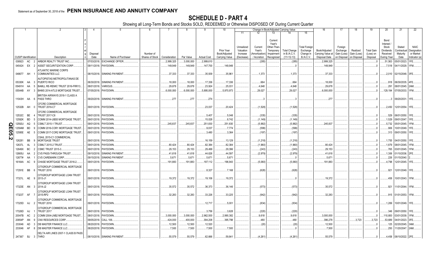|     |                             |           | 2                                                               | $\overline{4}$   | -5                          | 6                            | 7             | 8          | -9                 | 10                          |                                     |                                   |                                                            | Change in Book/Adjusted Carrying Value              |                                                            | 16                                 | 17                                 | 18                      | 19                             | 20                                                 | 21                                | 22                                      |
|-----|-----------------------------|-----------|-----------------------------------------------------------------|------------------|-----------------------------|------------------------------|---------------|------------|--------------------|-----------------------------|-------------------------------------|-----------------------------------|------------------------------------------------------------|-----------------------------------------------------|------------------------------------------------------------|------------------------------------|------------------------------------|-------------------------|--------------------------------|----------------------------------------------------|-----------------------------------|-----------------------------------------|
|     |                             |           |                                                                 |                  |                             |                              |               |            |                    |                             | 11                                  | 12                                | 13                                                         | 14                                                  | 15                                                         |                                    |                                    |                         |                                |                                                    |                                   |                                         |
|     | <b>CUSIP</b> Identification |           |                                                                 | Disposal<br>Date | Name of Purchaser           | Number of<br>Shares of Stock | Consideration | Par Value  |                    | Prior Year<br>Book/Adjusted | Unrealized<br>Valuation<br>Increase | Current<br>Year's<br>Amortization | Current<br>Year's<br>Other-Than<br>Temporary<br>Impairment | <b>Total Change</b><br>in B./A.C.V.<br>$(11+12-13)$ | <b>Total Foreign</b><br>Exchange<br>Change in<br>B./A.C.V. | Book/Adjusted<br>Carrying Value at | Foreign<br>Exchange<br>Gain (Loss) | Realized<br>Gain (Loss) | <b>Total Gain</b><br>(Loss) on | Bond<br>Interest<br>Stock<br>Dividends<br>Received | Stated<br>Contractual<br>Maturity | <b>NAIC</b><br>Designation<br>or Market |
|     |                             |           | Description                                                     |                  |                             |                              |               |            | <b>Actual Cost</b> | Carrying Value              | (Decrease)                          | / Accretion                       | Recognized                                                 |                                                     |                                                            | Disposal Date                      | on Disposal                        | on Disposal             | Disposal                       | During Year                                        | Date                              | Indicator (a)                           |
|     | 038923                      | AC        | ARBOR REALTY TRUST INC<br>2                                     |                  | 07/03/2018. EXCHANGE OFFER  |                              | 2,999,325     | .3,000,000 | 2,999,610          |                             |                                     | (285)                             |                                                            | (285)                                               |                                                            | .2,999,325                         |                                    |                         |                                | .51,563                                            | 05/01/2023.                       | 1FE.                                    |
|     | 045424 EX                   |           | <b>ASSET SECURITIZATION CORP</b><br>- 2                         |                  | 09/11/2018. PAYDOWN.        |                              | .149,949      | .149,949   | .147,700           | .149,949                    |                                     |                                   |                                                            |                                                     |                                                            | .149,949                           |                                    |                         |                                |                                                    | 7,518   04/11/2029. 1FM.          |                                         |
|     | 048677 AH                   |           | <b>ATLANTIC MARINE CORPS</b><br><b>COMMUNITIES LLC</b>          |                  | 08/15/2018. SINKING PAYMENT |                              | .37,333       | .37,333    | .35,939            | .35,961                     |                                     | .1,373                            |                                                            | .1,373                                              |                                                            | .37,333                            |                                    |                         |                                |                                                    | .2,010 02/15/2048. 3FE.           |                                         |
|     |                             |           | AUTOPISTAS METROPOLITANAS DE                                    |                  |                             |                              |               |            |                    |                             |                                     |                                   |                                                            |                                                     |                                                            |                                    |                                    |                         |                                |                                                    |                                   |                                         |
|     | 05330K AA 3                 |           | PUERTO RICO                                                     | 06/30/2018.      | <b>SINKING PAYMENT</b>      |                              | .18,000       | .18,000    | .17,336            | .17,336                     |                                     | 664                               |                                                            | 664                                                 |                                                            | .18,000                            |                                    |                         |                                |                                                    | .918 06/30/2035.                  | 4FE.                                    |
|     | 05491H                      | AA        | BAMLL RE-REMIC TRUST 2016-FRR13<br>- 5                          | 08/01/2018.      | VARIOUS.                    |                              | 29,678        | .29,678    | .23,924            | 25,031                      |                                     | .4,648                            |                                                            | .4,648                                              |                                                            | .29,678                            |                                    |                         |                                | 291                                                | 08/01/2045. 2AM.                  |                                         |
|     | 05544B AY                   |           | BHMS 2014-ATLS MORTGAGE TRUST.                                  | 07/05/2018.      | PAYDOWN.                    |                              | .6,000,000    | .6,000,000 | .5,895,000         | .5,970,973                  |                                     | .29,027                           |                                                            | .29,027                                             |                                                            | .6,000,000                         |                                    |                         |                                | .129,194                                           | 07/05/2033. 1FM.                  |                                         |
|     | 11043H AA 6                 |           | BRITISH AIRWAYS 2018-1 CLASS A<br>PASS THRO                     |                  | 09/20/2018. SINKING PAYMENT |                              | .277          | .277       | .274               |                             |                                     |                                   |                                                            |                                                     |                                                            | .277                               |                                    |                         |                                |                                                    | 09/20/2031.                       | 1FE.                                    |
|     | 12532B AH                   |           | CFCRE COMMERCIAL MORTGAGE<br><b>TRUST 2016-C7</b><br>- 0        |                  | 09/01/2018. PAYDOWN.        |                              |               |            | .23,037            | .20.424                     |                                     | (1,528)                           |                                                            | (1,528)                                             |                                                            |                                    |                                    |                         |                                |                                                    | .2.450   12/01/2054.   1FE.       |                                         |
|     | 12532C BE                   |           | CFCRE COMMERCIAL MORTGAGE<br><b>TRUST 2017-C8</b>               |                  | 09/01/2018. PAYDOWN.        |                              |               |            | .5,407             | .5,048                      |                                     | (335)                             |                                                            | (335)                                               |                                                            |                                    |                                    |                         |                                |                                                    | .529   06/01/2050.   1FE.         |                                         |
|     | 12592K                      | <b>BD</b> | COMM 2014-UBS5 MORTGAGE TRUST<br>-5                             |                  | 09/01/2018. PAYDOWN.        |                              |               |            | .15,028            | .8,742                      |                                     | (1, 149)                          |                                                            | (1, 149)                                            |                                                            |                                    |                                    |                         |                                |                                                    | .1,529 09/01/2047.                | 1FE.                                    |
| Q   | 12592U                      | AQ        | CSMLT 2015-1 TRUST                                              | 09/01/2018.      | PAYDOWN.                    |                              | 245,837       | .245.837   | .251,830           | .251,830                    |                                     | (5,992)                           |                                                            | (5,992)                                             |                                                            | .245,837                           |                                    |                         |                                | .5,732                                             | 05/01/2045.                       | 1FM.                                    |
| m   | 12594M                      | <b>BD</b> | COMM 2016-COR1 MORTGAGE TRUST                                   | 09/01/2018.      | PAYDOWN.                    |                              |               |            | 9,037              | .7,774                      |                                     | (599)                             |                                                            | (599)                                               |                                                            |                                    |                                    |                         |                                |                                                    | .906 10/01/2049.                  |                                         |
|     | 12595E                      | AE        | COMM 2017-COR2 MORTGAGE TRUST<br>- 5                            |                  | 09/01/2018. PAYDOWN.        |                              |               |            | .3,480             | .3,364                      |                                     | (197)                             |                                                            | (197)                                               |                                                            |                                    |                                    |                         |                                |                                                    | .313 09/01/2050. 1FE.             |                                         |
| 2.2 | 126281                      | BB        | <b>CSAIL 2015-C1 COMMERCIAL</b><br><b>MORTGAGE TRUST</b><br>- 9 |                  | 09/01/2018. PAYDOWN.        |                              |               |            | .16,159            | .13,129                     |                                     | (1,218)                           |                                                            | (1,218)                                             |                                                            |                                    |                                    |                         |                                |                                                    | .1,755   04/01/2050. 1FE.         |                                         |
|     | 12637L                      | <b>AL</b> | CSMLT 2015-2 TRUST<br>-3                                        |                  | 09/01/2018. PAYDOWN.        |                              | .80,424       | .80,424    | .82,384            | .82,384                     |                                     | (1,960)                           |                                                            | (1,960)                                             |                                                            | .80,424                            |                                    |                         |                                |                                                    | .1,879   08/01/2045. 1FM.         |                                         |
|     | 12649X                      | BC        | CSMC TRUST 2015-3.<br>$\overline{2}$                            |                  | 09/01/2018. PAYDOWN.        |                              | .29,153       | .29,153    | .29,499            | .29,396                     |                                     | (243)                             |                                                            | (243)                                               |                                                            | .29,153                            |                                    |                         |                                |                                                    | 765 03/01/2045.                   |                                         |
|     | 12665U                      | AA        | <b>CVS PASS-THROUGH TRUST</b><br>$\overline{2}$                 | 09/10/2018.      | <b>SINKING PAYMENT</b>      |                              | .41,618       | .41,618    | .44,626            | .44,597                     |                                     | (2,979)                           |                                                            | (2,979)                                             |                                                            | .41,618                            |                                    |                         |                                |                                                    | .1,306 01/10/2036. 2FE            |                                         |
|     | 12677#                      | AA        | CVS CAREMARK CORP.                                              | 09/15/2018.      | SINKING PAYMENT             |                              | .5,67         | .5,671     | .5,671             | .5,671                      |                                     |                                   |                                                            |                                                     |                                                            | .5,671                             |                                    |                         |                                | .226                                               | 01/15/2040.                       |                                         |
|     | 16164A AC                   |           | CHASE MORTGAGE TRUST 2016-2.<br>- 9                             |                  | 09/01/2018. PAYDOWN.        |                              | .191,883      | 191,883    | 197,112            | 196,943                     |                                     | (5,060)                           |                                                            | (5,060)                                             |                                                            | .191,883                           |                                    |                         |                                |                                                    | .4,798   12/01/2045. 1FE.         |                                         |
|     | 17291E BB                   |           | CITIGROUP COMMERCIAL MORTGAGE<br><b>TRUST 2016</b>              |                  | 09/01/2018. PAYDOWN.        |                              |               |            | .8,327             | .7,168                      |                                     | (628)                             |                                                            | (628)                                               |                                                            |                                    |                                    |                         |                                |                                                    | 921 32/01/2049. TFE.              |                                         |
|     | 17321L AE                   |           | CITIGROUP MORTGAGE LOAN TRUST<br>2013-J1<br>- Q                 |                  | 09/01/2018. PAYDOWN.        |                              | .19,372       | .19,372    | .19,106            | .19,372                     |                                     |                                   |                                                            |                                                     |                                                            | .19,372                            |                                    |                         |                                |                                                    | .458 10/01/2043. 1FM.             |                                         |
|     | 17323E AN 3                 |           | CITIGROUP MORTGAGE LOAN TRUST<br>2014-J2                        |                  | 09/01/2018. PAYDOWN.        |                              | .35,572       | .35,572    | .36,373            | .36,146                     |                                     | (573)                             |                                                            | (573)                                               |                                                            | .35,572                            |                                    |                         |                                |                                                    | 921   11/01/2044. 1FM.            |                                         |
|     | 17323T AF 7                 |           | CITIGROUP MORTGAGE LOAN TRUST<br>2015-RP2                       |                  | 09/01/2018. PAYDOWN.        |                              | .32,283       | .32.283    | .33,226            | .33,225                     |                                     | (942)                             |                                                            | (942)                                               |                                                            | .32,283                            |                                    |                         |                                |                                                    | 915   01/01/2053.   1FM.          |                                         |
|     | 17325D AJ                   |           | CITIGROUP COMMERCIAL MORTGAGE<br><b>TRUST 2016</b><br>- 2       |                  | 09/01/2018. PAYDOWN.        |                              |               |            | .12,717            | .5,001                      |                                     | (834)                             |                                                            | (834)                                               |                                                            |                                    |                                    |                         |                                |                                                    | .1,269   10/01/2049.   1FE.       |                                         |
|     | 17326D AJ                   |           | CITIGROUP COMMERCIAL MORTGAGE<br><b>TRUST 2017</b>              |                  | 09/01/2018. PAYDOWN.        |                              |               |            | .3,756             | 3,628                       |                                     | (220)                             |                                                            | (220)                                               |                                                            |                                    |                                    |                         |                                |                                                    | .346 09/01/2050. 1FE.             |                                         |
|     | 20047B                      | AC        | COMM 2004-LNB2 MORTGAGE TRUST<br>$\overline{2}$                 |                  | 08/01/2018. PAYDOWN.        |                              | .3,000,000    | .3,000,000 | .2,962,500         | 2,990,382                   |                                     | .9,618                            |                                                            | .9,618                                              |                                                            | .3,000,000                         |                                    |                         |                                | .110,800                                           | 03/01/2039.                       | 1FM.                                    |
|     | 20854P                      | AN        | CNX RESOURCES CORP                                              | 09/05/2018.      | <b>CALL 106</b>             |                              | .424,000      | 400,000    | .394,208           | .395,798                    |                                     | 480                               |                                                            | .480                                                |                                                            | .396,278                           |                                    | 3,723                   | .3,723                         | .53,689                                            | 04/01/2023.                       | 3FE.                                    |
|     | 233046                      | AD        | DB MASTER FINANCE LLC<br>-3.                                    | 08/20/2018.      | PAYDOWN.                    |                              | .12,500       | .12,500    | .12,520            |                             |                                     | (20)                              |                                                            | (20)                                                |                                                            | 12,500                             |                                    |                         |                                | .125                                               | 02/20/2045. 3AM.                  |                                         |
|     | 233046                      | AF        | DB MASTER FINANCE LLC.                                          | 08/20/2018.      | PAYDOWN.                    |                              | .7,500        | .7,500     | .7,500             | .7,500                      |                                     |                                   |                                                            |                                                     |                                                            | .7,500                             |                                    |                         |                                | .250                                               | 11/20/2047. 2AM.                  |                                         |
|     |                             |           | DELTA AIR LINES 2007-1 CLASS B PASS<br>247367 BJ 3 THRO         |                  | 08/10/2018. SINKING PAYMENT |                              | .55.579       | .55.579    | .62.666            | .59.841                     |                                     | (4,261)                           |                                                            | (4,261)                                             |                                                            | .55.579                            |                                    |                         |                                |                                                    | .4,458   08/10/2022. 2FE.         |                                         |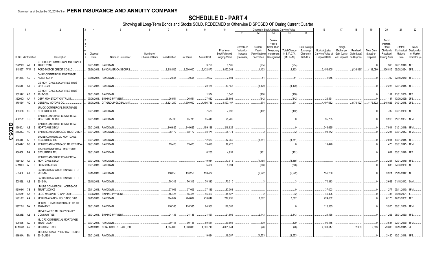|        |                             |           |                | 2                                                        |                  |                                 | 6                            |               |            |                    | 10                                            |                                                   |                                                  | Change in Book/Adjusted Carrying Value                                   |                                                     |                                                            | 16                                                  | -17                                               | 18                                     | 19                                         | 20                                                                | 21                                        | 22                                                       |
|--------|-----------------------------|-----------|----------------|----------------------------------------------------------|------------------|---------------------------------|------------------------------|---------------|------------|--------------------|-----------------------------------------------|---------------------------------------------------|--------------------------------------------------|--------------------------------------------------------------------------|-----------------------------------------------------|------------------------------------------------------------|-----------------------------------------------------|---------------------------------------------------|----------------------------------------|--------------------------------------------|-------------------------------------------------------------------|-------------------------------------------|----------------------------------------------------------|
|        |                             |           |                |                                                          |                  |                                 |                              |               |            |                    |                                               | 11                                                | 12                                               | 13                                                                       | 14                                                  | 15                                                         |                                                     |                                                   |                                        |                                            |                                                                   |                                           |                                                          |
|        | <b>CUSIP</b> Identification |           |                | Description                                              | Disposal<br>Date | Name of Purchaser               | Number of<br>Shares of Stock | Consideration | Par Value  | <b>Actual Cost</b> | Prior Year<br>Book/Adjusted<br>Carrying Value | Unrealized<br>Valuation<br>Increase<br>(Decrease) | Current<br>Year's<br>Amortization<br>/ Accretion | Current<br>Year's<br>Other-Than<br>Temporary<br>Impairment<br>Recognized | <b>Total Change</b><br>in B./A.C.V.<br>$(11+12-13)$ | <b>Total Foreigr</b><br>Exchange<br>Change in<br>B./A.C.V. | Book/Adjusted<br>Carrying Value at<br>Disposal Date | Foreign<br>Exchange<br>Gain (Loss)<br>on Disposal | Realized<br>Gain (Loss)<br>on Disposal | <b>Total Gain</b><br>(Loss) on<br>Disposal | Bond<br>Interest<br>Stock<br>Dividends<br>Received<br>During Year | Stated<br>Contractual<br>Maturity<br>Date | <b>NAIC</b><br>Designation<br>or Market<br>Indicator (a) |
|        |                             |           |                |                                                          |                  |                                 |                              |               |            |                    |                                               |                                                   |                                                  |                                                                          |                                                     |                                                            |                                                     |                                                   |                                        |                                            |                                                                   |                                           |                                                          |
|        | 29429C AJ 4                 |           |                | CITIGROUP COMMERCIAL MORTGAGE<br><b>TRUST 2016</b>       | 09/01/2018.      | PAYDOWN.                        |                              |               |            | .3,720             | 3,102                                         |                                                   | (234)                                            |                                                                          | (234)                                               |                                                            |                                                     |                                                   |                                        |                                            | .368                                                              | 04/01/2049. 1FE.                          |                                                          |
|        | 345397 WW                   |           | - 9            | FORD MOTOR CREDIT CO LLC.                                |                  | 08/30/2018. BANC/AMERICA SECUR. |                              | 3.318.525     | .3.500.000 | .3,432,870         | .3.452.201                                    |                                                   | 4.403                                            |                                                                          | .4,403                                              |                                                            | .3.456.605                                          |                                                   | (138,080)                              | (138,080)                                  | 126.815                                                           | 09/08/2024. 2FE                           |                                                          |
|        | 36186X AD                   |           |                | GMAC COMMERCIAL MORTGAGE<br>ASSET CORP                   |                  | 09/10/2018. PAYDOWN.            |                              | .2,655        | .2.655     | .2,602             | .2,604                                        |                                                   | .51                                              |                                                                          | 51                                                  |                                                            | 2,655                                               |                                                   |                                        |                                            |                                                                   | .92 07/10/2050. 1FE.                      |                                                          |
|        | 36251F AY                   |           | $\overline{2}$ | <b>GS MORTGAGE SECURITIES TRUST</b><br>2015-GC28         |                  | 09/01/2018. PAYDOWN.            |                              |               |            | .20,134            | .13,156                                       |                                                   | (1,479)                                          |                                                                          | (1,479)                                             |                                                            |                                                     |                                                   |                                        | $\Omega$                                   |                                                                   | .2,286 02/01/2048. 1FE.                   |                                                          |
|        | 36254K AP                   |           |                | GS MORTGAGE SECURITIES TRUST<br>2017-GS8                 | 09/01/2018.      | PAYDOWN.                        |                              |               |            | .1,574             | .1,546                                        |                                                   | (100)                                            |                                                                          | (100)                                               |                                                            |                                                     |                                                   |                                        | $\Omega$                                   | .151                                                              | 11/01/2050. 1FE                           |                                                          |
|        | 36298G AA                   |           |                | <b>GSPA MONETIZATION TRUST</b>                           | 09/09/2018.      | <b>SINKING PAYMENT</b>          |                              | .26,551       | .26.551    | .27,082            | .26.893                                       |                                                   | (342)                                            |                                                                          | (342)                                               |                                                            | 26.551                                              |                                                   |                                        | $\Omega$                                   | .1,137                                                            | 10/09/2029. 2FE                           |                                                          |
|        | 37045V AQ                   |           | -3             | GENERAL MOTORS CO.                                       | 08/08/2018.      | CITIGROUP GLOBAL MKT            |                              | 4,321,260     | 4,500,000  | .4,496,715         | 4,497,107                                     |                                                   | .574                                             |                                                                          | .574                                                |                                                            | .4,497,682                                          |                                                   | (176, 422)                             | (176, 422)                                 | 245,025                                                           | 04/01/2048. 2FE                           |                                                          |
|        |                             |           |                |                                                          |                  |                                 |                              |               |            |                    |                                               |                                                   |                                                  |                                                                          |                                                     |                                                            |                                                     |                                                   |                                        |                                            |                                                                   |                                           |                                                          |
|        | 465968 AG                   |           |                | JPMCC COMMERCIAL MORTGAGE<br>SECURITIES TRU              |                  | 09/01/2018. PAYDOWN.            |                              |               |            | 7,533              | .7,096                                        |                                                   | (462)                                            |                                                                          | (462)                                               |                                                            |                                                     |                                                   |                                        | - 0                                        |                                                                   | .732 09/01/2050. 1FE.                     |                                                          |
|        | 46625Y DG 5                 |           |                | JP MORGAN CHASE COMMERCIAL<br>MORTGAGE SECU              |                  | 09/01/2018. PAYDOWN             |                              | .95,705       | .95,705    | .85,416            | .95,705                                       |                                                   |                                                  |                                                                          |                                                     |                                                            | .95,705                                             |                                                   |                                        | - 0                                        |                                                                   | .3,266 01/01/2037. 1FM.                   |                                                          |
|        | 46630J                      | AE        | - 9            | JP MORGAN CHASE COMMERCIAL<br>MORTGAGE SECU              | 09/01/2018.      | PAYDOWN                         |                              | .246,625      | .246,625   | 199,188            | .246,625                                      |                                                   |                                                  |                                                                          |                                                     |                                                            | .246,625                                            |                                                   |                                        | $\Omega$                                   | .7,914                                                            | 01/01/2049. 1FM.                          |                                                          |
|        | 46639G                      | AG        |                | JP MORGAN MORTGAGE TRUST 2013-                           |                  | 09/01/2018. PAYDOWN             |                              | .98,172       | .98,172    | .98,174            | .98,174                                       |                                                   | (2)                                              |                                                                          | (2)                                                 |                                                            | .98,172                                             |                                                   |                                        |                                            | .2,288                                                            | 03/01/2043. 1FM.                          |                                                          |
| QE05.3 | 46644F                      | AF        | -8             | JPMBB COMMERCIAL MORTGAGE<br>SECURITIES TRU              |                  | 09/01/2018. PAYDOWN             |                              |               |            | .12,663            | 12,359                                        |                                                   | (1,511)                                          |                                                                          | (1,511)                                             |                                                            |                                                     |                                                   |                                        | - 0                                        | .2,011                                                            | 10/01/2048. 1FE                           |                                                          |
|        | 46644V                      | <b>BS</b> |                | JP MORGAN MORTGAGE TRUST 2015-4                          |                  | 09/01/2018. PAYDOWN.            |                              | .19,428       | .19,428    | 19,428             | 19,428                                        |                                                   |                                                  |                                                                          |                                                     |                                                            | 19,428                                              |                                                   |                                        |                                            |                                                                   | .470 06/01/2045. 1FM.                     |                                                          |
|        |                             |           |                | <b>JPMBB COMMERCIAL MORTGAGE</b>                         |                  |                                 |                              |               |            |                    |                                               |                                                   |                                                  |                                                                          |                                                     |                                                            |                                                     |                                                   |                                        |                                            |                                                                   |                                           |                                                          |
|        | 46645L BA                   |           |                | SECURITIES TRU                                           |                  | 09/01/2018. PAYDOWN.            |                              |               |            | .6,260             | 4,952                                         |                                                   | (401                                             |                                                                          | (401)                                               |                                                            |                                                     |                                                   |                                        |                                            | .682                                                              | 03/01/2049. 1FE.                          |                                                          |
|        | 46645U AV                   |           | <b>q</b>       | JP MORGAN CHASE COMMERCIAL<br>MORTGAGE SECU              | 09/01/2018.      | PAYDOWN.                        |                              |               |            | .19,944            | 17,915                                        |                                                   | (1,485)                                          |                                                                          | (1,485)                                             |                                                            |                                                     |                                                   |                                        |                                            | .2,291                                                            | 12/01/2049. 1FE                           |                                                          |
|        | 50190D                      | AL        | $\overline{0}$ | LCCM 2017-LC26.                                          |                  | 08/01/2018. PAYDOWN.            |                              |               |            | .5,464             | .5,094                                        |                                                   | (348)                                            |                                                                          | (348)                                               |                                                            |                                                     |                                                   |                                        |                                            | .636                                                              | 07/03/2050. 1FE                           |                                                          |
|        |                             |           |                |                                                          |                  |                                 |                              |               |            |                    |                                               |                                                   |                                                  |                                                                          |                                                     |                                                            |                                                     |                                                   |                                        |                                            |                                                                   |                                           |                                                          |
|        | 50543L AA                   |           | - 0            | <b>ABRADOR AVIATION FINANCE LTD</b><br>2016-1A           |                  | 09/15/2018. PAYDOWN.            |                              | .156,250      | 156,250    | 158,472            |                                               |                                                   | (2,222)                                          |                                                                          | (2,222)                                             |                                                            | .156,250                                            |                                                   |                                        |                                            | .3,921                                                            | 01/15/2042. 1FE.                          |                                                          |
|        | 50543L AB                   |           | - 8            | LABRADOR AVIATION FINANCE LTD<br>2016-1A                 |                  | 09/15/2018. PAYDOWN             |                              | .70,313       | .70,313    | .70,310            | 70,310                                        |                                                   |                                                  |                                                                          |                                                     |                                                            | 70,313                                              |                                                   |                                        | - 0                                        |                                                                   | 2,663 01/15/2042. 2AM.                    |                                                          |
|        | 52108H 7E                   |           | - 8            | LB-UBS COMMERCIAL MORTGAGE<br><b>TRUST 2005-C5</b>       | 09/11/2018.      | PAYDOWN.                        |                              | .37,003       | .37,003    | .37,119            | .37,003                                       |                                                   |                                                  |                                                                          |                                                     |                                                            | .37,003                                             |                                                   |                                        | $\Omega$ .                                 | 1,277                                                             | 09/11/2040. 1FM.                          |                                                          |
|        | 52465#                      | AZ        |                | LEGG MASON MTG CAP CORP                                  | 09/08/2018       | <b>SINKING PAYMENT</b>          |                              | .45,425       | .45,425    | .45,427            | .45,427                                       |                                                   | (2)                                              |                                                                          | (2)                                                 |                                                            | 45,425                                              |                                                   |                                        |                                            | .736                                                              | 06/10/2021                                |                                                          |
|        | 59010R AA                   |           | - 2            | MERLIN AVIATION HOLDINGS DAC.                            | 09/15/2018.      | PAYDOWN.                        |                              | .224,682      | .224,682   | .216,042           | .217,295                                      |                                                   | .7,387                                           |                                                                          | .7.387                                              |                                                            | .224,682                                            |                                                   |                                        | - 0                                        | 6,170                                                             | 12/15/2032. 1FE                           |                                                          |
|        | 59022H DX 7                 |           |                | <b>MERRILL LYNCH MORTGAGE TRUST</b><br>2004-KEY2         |                  | 09/01/2018. PAYDOWN.            |                              | .116,385      | .116,385   | .84,961            | .116,385                                      |                                                   |                                                  |                                                                          |                                                     |                                                            | .116,385                                            |                                                   |                                        | $\Omega$                                   | .3,920                                                            | 08/01/2039. 1FM.                          |                                                          |
|        | 59524E AB                   |           |                | MID-ATLANTIC MILITARY FAMILY<br><b>COMMUNITIES</b>       |                  | 08/01/2018. SINKING PAYMENT     |                              | .24,138       | .24,138    | .21,467            | .21,695                                       |                                                   | .2,443                                           |                                                                          | .2,443                                              |                                                            | 24,138                                              |                                                   |                                        | $\Omega$ .                                 |                                                                   | 1,265 08/01/2050. 1FE.                    |                                                          |
|        | 606935                      | AL        |                | <b>ML-CFC COMMERCIAL MORTGAGE</b><br><b>TRUST 2006-1</b> | 09/01/2018.      | PAYDOWN.                        |                              | .90,145       | .90,145    | .89,581            | .89,805                                       |                                                   | .339                                             |                                                                          | .339                                                |                                                            | .90,145                                             |                                                   |                                        | .0                                         | .3,537                                                            | 02/01/2039. 1FM.                          |                                                          |
|        | 61166W AV                   |           | $\mathbf{3}$   | MONSANTO CO.                                             | 07/12/2018.      | NON-BROKER TRADE. BO.           |                              | .4,004,000    | 4.000.000  | .4,001,710         | 4.001.644                                     |                                                   | (26)                                             |                                                                          | (26)                                                |                                                            | 4,001,617                                           |                                                   | .2,383                                 | .2,383                                     | .79,000                                                           | 04/15/2045. 2FE                           |                                                          |
|        | 61691A BM 4                 |           |                | MORGAN STANLEY CAPITAL I TRUST<br>2015-UBS8              |                  | 09/01/2018. PAYDOWN             |                              |               |            | 19,684             | 19.257                                        |                                                   | (1, 553)                                         |                                                                          | (1,553)                                             |                                                            |                                                     |                                                   |                                        | $\Omega$ .                                 |                                                                   | 2,420   12/01/2048. 1FE                   |                                                          |
|        |                             |           |                |                                                          |                  |                                 |                              |               |            |                    |                                               |                                                   |                                                  |                                                                          |                                                     |                                                            |                                                     |                                                   |                                        |                                            |                                                                   |                                           |                                                          |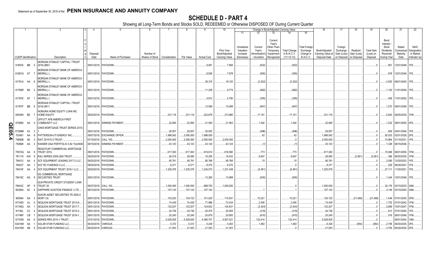|       |                             |    |                           | $\mathcal{P}$                                                        |                  |                             | -6                           |               |            |                    | 10                                            |                                                   |                                                  | Change in Book/Adjusted Carrying Value                                   |                                                     |                                                            | 16                                                  | -17                                               | 18                                     | 19                                         | 20                                                                | 21                                        | 22                                                       |
|-------|-----------------------------|----|---------------------------|----------------------------------------------------------------------|------------------|-----------------------------|------------------------------|---------------|------------|--------------------|-----------------------------------------------|---------------------------------------------------|--------------------------------------------------|--------------------------------------------------------------------------|-----------------------------------------------------|------------------------------------------------------------|-----------------------------------------------------|---------------------------------------------------|----------------------------------------|--------------------------------------------|-------------------------------------------------------------------|-------------------------------------------|----------------------------------------------------------|
|       |                             |    |                           |                                                                      |                  |                             |                              |               |            |                    |                                               | -11                                               |                                                  | 13                                                                       | 14                                                  | 15                                                         |                                                     |                                                   |                                        |                                            |                                                                   |                                           |                                                          |
|       | <b>CUSIP</b> Identification |    |                           | Description                                                          | Disposal<br>Date | Name of Purchaser           | Number of<br>Shares of Stock | Consideration | Par Value  | <b>Actual Cost</b> | Prior Year<br>Book/Adjusted<br>Carrying Value | Unrealized<br>Valuation<br>Increase<br>(Decrease) | Current<br>Year's<br>Amortization<br>/ Accretion | Current<br>Year's<br>Other-Than<br>Temporary<br>Impairment<br>Recognized | <b>Total Change</b><br>in B./A.C.V.<br>$(11+12-13)$ | <b>Total Foreigr</b><br>Exchange<br>Change in<br>B./A.C.V. | Book/Adjusted<br>Carrying Value at<br>Disposal Date | Foreign<br>Exchange<br>Gain (Loss)<br>on Disposal | Realized<br>Gain (Loss)<br>on Disposal | <b>Total Gain</b><br>(Loss) on<br>Disposal | Bond<br>Interest<br>Stock<br>Dividends<br>Received<br>During Year | Stated<br>Contractual<br>Maturity<br>Date | <b>NAIC</b><br>Designation<br>or Market<br>Indicator (a) |
|       |                             |    |                           |                                                                      |                  |                             |                              |               |            |                    |                                               |                                                   |                                                  |                                                                          |                                                     |                                                            |                                                     |                                                   |                                        |                                            |                                                                   |                                           |                                                          |
|       | 61691E BB 0                 |    | 2016-UBS1                 | <b>MORGAN STANLEY CAPITAL I TRUST</b>                                |                  | 09/01/2018. PAYDOWN         |                              |               |            | .9,061             | .7,884                                        |                                                   | (622)                                            |                                                                          | (622)                                               |                                                            |                                                     |                                                   |                                        |                                            | .951                                                              | 12/01/2049. 1FE                           |                                                          |
|       | 61691G AT 7                 |    | <b>MERRILL L</b>          | MORGAN STANLEY BANK OF AMERICA                                       |                  | 09/01/2018. PAYDOWN.        |                              |               |            | .8,936             | .7,878                                        |                                                   | (550)                                            |                                                                          | (550)                                               |                                                            |                                                     |                                                   |                                        |                                            |                                                                   | 878 12/01/2049. 1FE.                      |                                                          |
|       | 61761A AA                   |    | <b>MERRILL L</b><br>- 6   | MORGAN STANLEY BANK OF AMERICA                                       |                  | 09/01/2018. PAYDOWN.        |                              |               |            | .29,315            | 18,120                                        |                                                   | (2,242)                                          |                                                                          | (2,242)                                             |                                                            |                                                     |                                                   |                                        |                                            |                                                                   | .4,500 08/01/2045. 1FE.                   |                                                          |
|       | 61766R BA                   |    | <b>MERRILL L</b><br>- 3   | MORGAN STANLEY BANK OF AMERICA                                       |                  | 09/01/2018. PAYDOWN.        |                              |               |            | .11,238            | .9,774                                        |                                                   | (682)                                            |                                                                          | (682)                                               |                                                            |                                                     |                                                   |                                        |                                            |                                                                   | .1,120 11/01/2049. 1FE.                   |                                                          |
|       | 61767E AF                   |    | <b>MERRILL L</b>          | MORGAN STANLEY BANK OF AMERICA                                       |                  | 09/01/2018. PAYDOWN.        |                              |               |            | .4,912             | .4,780                                        |                                                   | (305)                                            |                                                                          | (305)                                               |                                                            |                                                     |                                                   |                                        |                                            |                                                                   | .458   11/01/2052.   1FE.                 |                                                          |
|       | 61767F BB                   |    | 2016-UB11                 | MORGAN STANLEY CAPITAL I TRUST                                       |                  | 09/01/2018. PAYDOWN.        |                              |               |            | 12,599             | .10,499                                       |                                                   | (847)                                            |                                                                          | (847)                                               |                                                            |                                                     |                                                   |                                        |                                            |                                                                   | .1,270 08/01/2049. 1FE.                   |                                                          |
|       | 65536H BE                   |    | <b>HOME EQUITY</b>        | NOMURA HOME EQUITY LOAN INC                                          |                  | 09/25/2018. PAYDOWN.        |                              | .331.116      | .331.116   | .222,676           | .313.965                                      |                                                   | .17,151                                          |                                                                          | .17,151                                             |                                                            | .331.116                                            |                                                   |                                        |                                            |                                                                   | .5,943 09/25/2035. 1FM.                   |                                                          |
| O     | 67085K AA 0                 |    | <b>COMMUNITY LLC</b>      | OFFUTT AFB AMERICA FIRST                                             |                  | 09/01/2018. SINKING PAYMENT |                              | .22,565       | .22,565    | .21,550            | .21,563                                       |                                                   | .1,002                                           |                                                                          | .1,002                                              |                                                            | .22,565                                             |                                                   |                                        |                                            |                                                                   | 1,232 09/01/2050. 2FE.                    |                                                          |
| m     |                             |    |                           | OAKS MORTGAGE TRUST SERIES 2015-                                     |                  |                             |                              |               |            |                    |                                               |                                                   |                                                  |                                                                          |                                                     |                                                            |                                                     |                                                   |                                        |                                            |                                                                   |                                           |                                                          |
|       | 67389M AV 3                 |    |                           |                                                                      | 09/01/2018.      | PAYDOWN.                    |                              | .29,557       | .29,557    | .30,053            |                                               |                                                   | (496)                                            |                                                                          | (496)                                               |                                                            | 29,557                                              |                                                   |                                        | .0                                         | .659                                                              | 04/01/2046. 1FE                           |                                                          |
| 505.4 | 703481                      | AA | -9                        | PATTERSON-UTI ENERGY INC.                                            | 09/07/2018.      | <b>EXCHANGE OFFER</b>       |                              | 1,998,542     | .2,000,000 | .1,998,500         |                                               |                                                   | .42                                              |                                                                          | .42                                                 |                                                            | .1,998,542                                          |                                                   |                                        | $\Omega$                                   | .50,033                                                           | 02/01/2028. 2FE                           |                                                          |
|       | 74890B                      | AE | RAIT 2015-FL5 TRUST.      |                                                                      | 07/16/2018       | <b>CALL 100</b>             |                              | .2,000,000    | .2,000,000 | .2,000,000         | .2,000,000                                    |                                                   |                                                  |                                                                          |                                                     |                                                            | .2,000,000                                          |                                                   |                                        |                                            | .74,964                                                           | 01/15/2031.                               |                                                          |
|       | 75086#                      | AA | $\mathbf{3}$              | RAINIER GSA PORTFOLIO 4.82 15JUN36                                   |                  | 09/15/2018. SINKING PAYMENT |                              | .43,123       | .43,123    | .43,124            | .43,124                                       |                                                   | .11                                              |                                                                          |                                                     |                                                            | .43,123                                             |                                                   |                                        |                                            |                                                                   | 1,328 06/15/2036.                         |                                                          |
|       |                             |    |                           | READYCAP COMMERCIAL MORTGAGE                                         |                  |                             |                              |               |            |                    |                                               |                                                   |                                                  |                                                                          |                                                     |                                                            |                                                     |                                                   |                                        |                                            |                                                                   |                                           |                                                          |
|       | 75574Q AA                   |    | <b>TRUST 2015-</b><br>- 8 |                                                                      |                  | 09/01/2018. PAYDOWN.        |                              | .617,363      | .617,363   | .616,612           | .616,590                                      |                                                   | 773                                              |                                                                          | 773                                                 |                                                            | 617,363                                             |                                                   |                                        | 0                                          |                                                                   | .15,948 06/01/2055. 1FM.                  |                                                          |
|       | 761118                      | AW |                           | RALI SERIES 2005-QS9 TRUST                                           | 09/25/2018       | PAYDOWN.                    |                              | .26,019       | .28,080    | .18,255            | .18,432                                       |                                                   | .9,647                                           |                                                                          | .9,647                                              |                                                            | .28,080                                             |                                                   | (2,061)                                | (2,061)                                    | .396                                                              | 06/25/2035. 1FM                           |                                                          |
|       | 784012 AA                   |    |                           | SCF EQUIPMENT LEASING 2017-2 LLC.                                    | 09/20/2018       | PAYDOWN.                    |                              | .95,781       | .95,781    | .95,766            | .95,766                                       |                                                   | .15                                              |                                                                          | .15                                                 |                                                            | .95,78'                                             |                                                   |                                        | .0                                         | .2,090                                                            | 12/20/2023.                               |                                                          |
|       | 784037                      | AA |                           | SCF RC FUNDING II LLC.                                               | 09/25/2018       | PAYDOWN.                    |                              | .8,371        | .8,371     | .8,370             | 8,370                                         |                                                   |                                                  |                                                                          | . 0                                                 |                                                            | .8,37'                                              |                                                   |                                        | - 0                                        | .229                                                              | 06/25/2047. 1FE                           |                                                          |
|       | 78410F AA                   |    |                           | SCF EQUIPMENT TRUST 2016-1 LLC.                                      | 09/20/2018       | PAYDOWN.                    |                              | .1,225,076    | 1,225,076  | 1,234,073          | 1,231,438                                     |                                                   | (6,361)                                          |                                                                          | (6,361)                                             |                                                            | .1,225,076                                          |                                                   |                                        |                                            | .27,111                                                           | 11/20/2021. 1FE                           |                                                          |
|       |                             |    |                           |                                                                      |                  |                             |                              |               |            |                    |                                               |                                                   |                                                  |                                                                          |                                                     |                                                            |                                                     |                                                   |                                        |                                            |                                                                   |                                           |                                                          |
|       | 78419C AG                   |    | <b>SECURITIES TRUST</b>   | SG COMMERCIAL MORTGAGE                                               |                  | 09/01/2018. PAYDOWN.        |                              |               |            | .13,265            | 10,998                                        |                                                   | (835)                                            |                                                                          | (835)                                               |                                                            |                                                     |                                                   |                                        |                                            | .1,344                                                            | 10/01/2048. 1FE.                          |                                                          |
|       |                             |    |                           | SLM PRIVATE CREDIT STUDENT LOAN                                      |                  |                             |                              |               |            |                    |                                               |                                                   |                                                  |                                                                          |                                                     |                                                            |                                                     |                                                   |                                        |                                            |                                                                   |                                           |                                                          |
|       | 78443C AP                   |    | TRUST 20                  |                                                                      | 09/27/2018.      | <b>CALL 100.</b>            |                              | .1,000,000    | .1,000,000 | .998,750           | .1,000,000                                    |                                                   |                                                  |                                                                          |                                                     |                                                            | 1,000,000                                           |                                                   |                                        | .0                                         |                                                                   | .30,176   03/15/2033.  2AM.               |                                                          |
|       | 80306A AC                   |    |                           | SAPPHIRE AVIATION FINANCE I LTD.<br>SAXON ASSET SECURITIES TR 2000-2 |                  | 09/15/2018. PAYDOWN.        |                              | .107,143      | 107,143    | 107,142            |                                               |                                                   |                                                  |                                                                          |                                                     |                                                            | .107,143                                            |                                                   |                                        |                                            |                                                                   | .3,149   03/15/2040. 3AM                  |                                                          |
|       | 805564                      | GA | <b>MORT LN</b><br>- 3     |                                                                      |                  | 09/01/2018. PAYDOWN.        |                              | .103,253      | 124,722    | .101,025           | .114,501                                      |                                                   | .10,221                                          |                                                                          | .10,221                                             |                                                            | .124,722                                            |                                                   | (21, 469)                              | (21, 469)                                  |                                                                   | .1,449   07/01/2030.   3FM.               |                                                          |
|       | 81745D                      | AJ | $\sqrt{ }$                | SEQUOIA MORTGAGE TRUST 2013-9.                                       | 09/01/2018.      | PAYDOWN.                    |                              | .74,439       | .74,439    | .71,996            | 72,434                                        |                                                   | .2,005                                           |                                                                          | .2,005                                              |                                                            | 74,439                                              |                                                   |                                        | $\cdot$ 0                                  |                                                                   | 1,752 07/01/2043. 1FM                     |                                                          |
|       | 81746G                      | AA |                           | SEQUOIA MORTGAGE TRUST 2017-7                                        | 09/01/2018       | PAYDOWN.                    |                              | .122,207      | 122,207    | 124,632            | .124,631                                      |                                                   | (2,424)                                          |                                                                          | (2,424)                                             |                                                            | .122,207                                            |                                                   |                                        |                                            | .2.869                                                            | 10/01/2047. 1FM                           |                                                          |
|       | 81746L                      | cc |                           | SEQUOIA MORTGAGE TRUST 2015-3.                                       | 09/01/2018       | PAYDOWN.                    |                              | .24,736       | .24,736    | .25,075            | .25,055                                       |                                                   | (319)                                            |                                                                          | (319)                                               |                                                            | 24,736                                              |                                                   |                                        | $\Omega$                                   | .613                                                              | 07/01/2045. 1FE                           |                                                          |
|       | 81746P                      | CB |                           | SEQUOIA MORTGAGE TRUST 2016-1                                        | 09/01/2018       | PAYDOWN.                    |                              | .20,240       | .20,240    | .20,879            | 20,850                                        |                                                   | (610)                                            |                                                                          | (610)                                               |                                                            | 20,240                                              |                                                   |                                        |                                            | .516                                                              | 06/01/2046. 1FM                           |                                                          |
|       | 81753N                      | AA | - 6                       | SERIES RRX 2014-1 TRUST                                              |                  | 07/01/2018. PAYDOWN         |                              | .5,029,935    | .5,029,935 | 4,090,751          | 4,907,521                                     |                                                   | 122,414                                          |                                                                          | 122,414                                             |                                                            | .5,029,935                                          |                                                   |                                        |                                            |                                                                   | 08/01/2044.                               |                                                          |
|       | 83416W                      | AA |                           | SOLAR STAR FUNDING LLC.                                              | 06/30/2018.      | <b>VARIOUS</b>              |                              | .5,372        | .5,372     | .5,238             | .5,263                                        |                                                   | .1,063                                           |                                                                          | .1,063                                              |                                                            | .6,326                                              |                                                   | (954)                                  | (954)                                      | .2,795                                                            | 06/30/2035. 2FE                           |                                                          |
|       | 83416W AB                   |    | q                         | <b>SOLAR STAR FUNDING LLC</b>                                        | 06/30/2018.      | <b>VARIOUS</b>              |                              | .21,053       | .21,053    | .21,053            | .21,053                                       |                                                   |                                                  |                                                                          |                                                     |                                                            | .21,053                                             |                                                   |                                        |                                            | .3,754                                                            | 06/30/2035.                               |                                                          |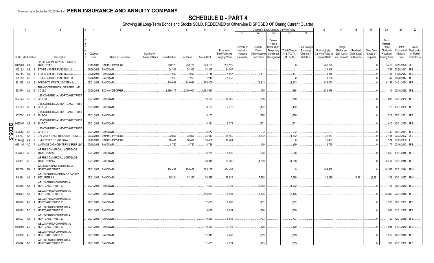|          |                             |          |                |                                                                  |                           | 5                           | 6               |               |            | -9                 | 10                          |                                     |                                   | Change in Book/Adjusted Carrying Value                      |                                     |                                               | 16                                 | 17                                 | 18                      | 19                             | 20                                                 | 21                                | 22                                      |
|----------|-----------------------------|----------|----------------|------------------------------------------------------------------|---------------------------|-----------------------------|-----------------|---------------|------------|--------------------|-----------------------------|-------------------------------------|-----------------------------------|-------------------------------------------------------------|-------------------------------------|-----------------------------------------------|------------------------------------|------------------------------------|-------------------------|--------------------------------|----------------------------------------------------|-----------------------------------|-----------------------------------------|
|          |                             |          |                |                                                                  |                           |                             |                 |               |            |                    |                             | 11                                  |                                   | 13                                                          |                                     | 15                                            |                                    |                                    |                         |                                |                                                    |                                   |                                         |
|          |                             |          |                |                                                                  | Disposal                  |                             | Number of       |               |            |                    | Prior Year<br>Book/Adjusted | Unrealized<br>Valuation<br>Increase | Current<br>Year's<br>Amortization | Current<br>Year's<br>Other-Than-<br>Temporary<br>Impairment | <b>Total Change</b><br>in B./A.C.V. | <b>Total Foreign</b><br>Exchange<br>Change in | Book/Adjusted<br>Carrying Value at | Foreign<br>Exchange<br>Gain (Loss) | Realized<br>Gain (Loss) | <b>Total Gain</b><br>(Loss) on | Bond<br>Interest<br>Stock<br>Dividends<br>Received | Stated<br>Contractual<br>Maturity | <b>NAIC</b><br>Designation<br>or Market |
|          | <b>CUSIP</b> Identification |          |                | Description                                                      | Date                      | Name of Purchaser           | Shares of Stock | Consideration | Par Value  | <b>Actual Cost</b> | <b>Carrying Value</b>       | (Decrease)                          | / Accretion                       | Recognized                                                  | $(11+12-13)$                        | B./A.C.V.                                     | Disposal Date                      | on Disposal                        | on Disposal             | Disposal                       | During Year                                        | Date                              | Indicator (a)                           |
|          | 84859M AA                   |          | 5              | SPIRIT AIRLINES PASS THROUGH<br><b>TRUST 2017-</b>               |                           | 08/15/2018. SINKING PAYMENT |                 | .200,125      | .200,125   | .200,125           | 200,125                     |                                     |                                   |                                                             |                                     |                                               | .200,125                           |                                    |                         | $\cdot$ 0                      | .5,429                                             | 02/15/2026.                       | 2FE.                                    |
|          | 86212U                      | AB       |                | STORE MASTER FUNDING LLC.                                        | 09/20/2018                | PAYDOWN.                    |                 | .24,306       | .24,306    | .24,297            | .24,307                     |                                     | . (1)                             |                                                             |                                     |                                               | .24,306                            |                                    |                         |                                | .754                                               | 03/20/2043.                       |                                         |
|          | 86213A                      | AB       |                | STORE MASTER FUNDING LLC.                                        | 09/20/2018                | PAYDOWN.                    |                 | 4,550         | .4,550     | .4,715             | .4,667                      |                                     | (117)                             |                                                             | (117)                               |                                               | .4,550                             |                                    |                         |                                | 158                                                | 11/20/2043.                       |                                         |
|          | 86213B                      | AB       |                | STORE MASTER FUNDING LLC.                                        | 09/20/2018                | PAYDOWN.                    |                 | .1,250        | .1,250     | .1,249             | .1,250                      |                                     |                                   |                                                             |                                     |                                               | .1,250                             |                                    |                         |                                |                                                    | 04/20/2044                        |                                         |
|          | 891098                      | AA       |                | TORO MTG FTG TR 2017-RE 4.0.                                     | 09/01/2018.               | PAYDOWN.                    |                 | 249,093       | .249,093   | .250,406           |                             |                                     | (1,313)                           |                                                             | (1,313)                             |                                               | .249,093                           |                                    |                         |                                | .6,146                                             | 04/01/2074.                       |                                         |
|          | 893574 AJ                   |          | - 2            | TRANSCONTINENTAL GAS PIPE LINE<br>CO LLC                         | 09/20/2018.               | <b>EXCHANGE OFFER</b>       |                 | 1,989,376     | .2.000.000 | 1,988,920          |                             |                                     | .456                              |                                                             | .456                                |                                               | .1,989,376                         |                                    |                         | - 0                            | .41.111                                            | 03/15/2028. 2FE                   |                                         |
|          | 90276G AU                   |          | - 6            | <b>JBS COMMERCIAL MORTGAGE TRUST</b><br>2017-C3                  | 09/01/2018. PAYDOWN       |                             |                 |               |            | .10,130            | .10,060                     |                                     | (700)                             |                                                             | (700)                               |                                               |                                    |                                    |                         |                                | .996                                               | 08/01/2050. 1FE                   |                                         |
|          | 90276R BF                   |          |                | UBS COMMERCIAL MORTGAGE TRUST<br>2017-C4                         | 09/01/2018.               | PAYDOWN.                    |                 |               |            | .8,196             | .7,976                      |                                     | (492)                             |                                                             | (492)                               |                                               |                                    |                                    |                         |                                | .770                                               | 10/01/2050.                       | 1FE.                                    |
|          | 90276V AF                   |          | - 6            | UBS COMMERCIAL MORTGAGE TRUST<br>2018-C8                         | 09/01/2018.               | PAYDOWN.                    |                 |               |            | .8,163             |                             |                                     | (256)                             |                                                             | (256)                               |                                               |                                    |                                    |                         |                                | .713                                               | 02/01/2051                        | 1FE.                                    |
| $\Omega$ | 90276W                      | AT       |                | UBS COMMERCIAL MORTGAGE TRUST<br>2017-C7                         | 09/01/2018. PAYDOWN.      |                             |                 |               |            | .8,381             | .8,373                      |                                     | (531)                             |                                                             | (531                                |                                               |                                    |                                    |                         |                                |                                                    | .810 12/01/2050.                  | 1FE.                                    |
|          | 90353D                      |          |                | <b>JBS COMMERCIAL MORTGAGE TRUST</b>                             |                           |                             |                 |               |            | .2,272             |                             |                                     |                                   |                                                             |                                     |                                               |                                    |                                    |                         |                                |                                                    |                                   |                                         |
| 95.5     | 909287                      | BA<br>AA |                | 2018-C12<br>JAL 2007-1 PASS THROUGH TRUST                        | 09/01/2018.<br>07/02/2018 | PAYDOWN.<br>SINKING PAYMENT |                 | .32,867       | .32,867    | .35,613            | .34,459                     |                                     | (. (2))<br>(1, 592)               |                                                             | (. (2))                             |                                               | .32,867                            |                                    |                         |                                | .30<br>.2,181                                      | 08/01/2051<br>07/02/2022.         |                                         |
|          | 91474@                      | AA       |                | UNIVERSITY OF MICHIGAN                                           | 09/15/2018                | <b>SINKING PAYMENT</b>      |                 | .16,461       | 16,461     | .16,461            | .16,461                     |                                     |                                   |                                                             | (1,592)<br>. . (                    |                                               | .16,461                            |                                    |                         |                                | .374                                               | 06/15/2039.                       |                                         |
|          | 92211M AC                   |          |                | VANTAGE DATA CENTERS ISSUER LLC                                  | 09/15/2018.               | PAYDOWN.                    |                 | .8,750        | .8,750     | .8,789             |                             |                                     | (39)                              |                                                             | (39)                                |                                               | .8,750                             |                                    |                         | - 0                            | .177                                               | 02/16/2043.                       |                                         |
|          |                             |          |                | WFRBS COMMERCIAL MORTGAGE                                        |                           |                             |                 |               |            |                    |                             |                                     |                                   |                                                             |                                     |                                               |                                    |                                    |                         |                                |                                                    |                                   |                                         |
|          | 92930R AF                   |          |                | TRUST 2012-C9<br><b><i>NFRBS COMMERCIAL MORTGAGE</i></b>         | 09/01/2018. PAYDOWN       |                             |                 |               |            | .13,261            | .8,532                      |                                     | (998)                             |                                                             | (998)                               |                                               |                                    |                                    |                         |                                | 1,869                                              | 11/01/2045. 1FE.                  |                                         |
|          | 92936T                      | AF       |                | TRUST 2012-C7                                                    | 09/01/2018. PAYDOWN.      |                             |                 |               |            | .48,015            | .30,002                     |                                     | (4,050)                           |                                                             | (4,050)                             |                                               |                                    |                                    |                         |                                | .6,497                                             | 06/01/2045. 1FE                   |                                         |
|          | 929766 7N                   |          |                | WACHOVIA BANK COMMERCIAL<br><b>MORTGAGE TRUST</b>                | 09/01/2018. PAYDOWN.      |                             |                 | .404,409      | 404,409    | .383,178           | .404,409                    |                                     |                                   |                                                             |                                     |                                               | .404,409                           |                                    |                         | .0                             | .14,558                                            | 10/01/2044. 1FM.                  |                                         |
|          | 949834 AA                   |          | - 3            | <b><i>NELLS FARGO MORTGAGE BACKED</i></b><br><b>SECURITIES 2</b> | 09/01/2018. PAYDOWN       |                             |                 | .29,244       | .33,226    | .30,529            | .25,636                     |                                     | .7.589                            |                                                             | 7,589                               |                                               | .33,226                            |                                    | (3,981)                 | (3,981)                        |                                                    | .1,319   10/01/2037. 1FM.         |                                         |
|          | 94988X AX                   |          |                | <b><i>NELLS FARGO COMMERCIAL</i></b><br>MORTGAGE TRUST 20        | 09/01/2018. PAYDOWN.      |                             |                 |               |            | .11,290            | .9,153                      |                                     | (1,262)                           |                                                             | (1,262)                             |                                               |                                    |                                    |                         |                                | .1,797                                             | 08/01/2050. 1FE.                  |                                         |
|          | 94989D AZ                   |          | $\overline{2}$ | WELLS FARGO COMMERCIAL<br>MORTGAGE TRUST 20                      | 09/01/2018. PAYDOWN       |                             |                 |               |            | 145,059            | .100,481                    |                                     | (8, 125)                          |                                                             | (8, 125)                            |                                               |                                    |                                    |                         | - 0                            | .13,802                                            | 02/01/2048. 1FE                   |                                         |
|          | 94989V AG                   |          |                | <b>WELLS FARGO COMMERCIAL</b><br><b>MORTGAGE TRUST 20</b>        | 09/01/2018. PAYDOWN       |                             |                 |               |            | .12,600            | .8.968                      |                                     | (912)                             |                                                             | (912)                               |                                               |                                    |                                    |                         |                                | 1,390                                              | 09/01/2057.                       |                                         |
|          | 94989Y BC                   |          | - 6            | WELLS FARGO COMMERCIAL<br>MORTGAGE TRUST 20                      | 09/01/2018. PAYDOWN.      |                             |                 |               |            | .9,887             | .7,851                      |                                     | (620)                             |                                                             | (620)                               |                                               |                                    |                                    |                         |                                | .983                                               | 01/01/2059. 1FE.                  |                                         |
|          | 95000J AY                   |          |                | <b><i>NELLS FARGO COMMERCIAL</i></b><br>MORTGAGE TRUST 20        | 09/01/2018.               | PAYDOWN                     |                 |               |            | .10,269            | .8,906                      |                                     | (733)                             |                                                             | (733)                               |                                               |                                    |                                    |                         |                                | 1,120                                              | 12/01/2059.                       |                                         |
|          | 95000M BS                   |          | <b>q</b>       | <b><i>NELLS FARGO COMMERCIAL</i></b><br>MORTGAGE TRUST 20        | 09/01/2018. PAYDOWN       |                             |                 |               |            | .10,550            | .9,166                      |                                     | (529)                             |                                                             | (529)                               |                                               |                                    |                                    |                         |                                | 1,034                                              | 11/01/2059. 1FE.                  |                                         |
|          | 95000P AH                   |          |                | <b><i>NELLS FARGO COMMERCIAL</i></b><br><b>MORTGAGE TRUST 20</b> | 09/01/2018. PAYDOWN       |                             |                 |               |            | .11,045            | .9,463                      |                                     | (789)                             |                                                             | (789)                               |                                               |                                    |                                    |                         |                                | 1,252                                              | 12/01/2049.                       |                                         |
|          | 95001A BE                   |          | - 5            | WELLS FARGO COMMERCIAL<br>MORTGAGE TRUST 20                      | 09/01/2018. PAYDOWN.      |                             |                 |               |            | .11,655            | 4,871                       |                                     | (675)                             |                                                             | (675)                               |                                               |                                    |                                    |                         | 0.                             | .595                                               | 11/01/2050.                       | 1FE                                     |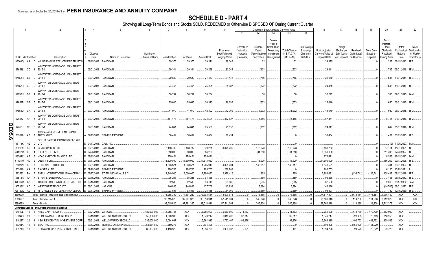|        |                             |           |                                                     |                     |                                       |             |               |             |                    | 10             |                         |                   | Change in Book/Adjusted Carrying Value |                     |                                  | 16                | 17                  | 18          | 19                | 20                 | 21                        | 22            |
|--------|-----------------------------|-----------|-----------------------------------------------------|---------------------|---------------------------------------|-------------|---------------|-------------|--------------------|----------------|-------------------------|-------------------|----------------------------------------|---------------------|----------------------------------|-------------------|---------------------|-------------|-------------------|--------------------|---------------------------|---------------|
|        |                             |           |                                                     |                     |                                       |             |               |             |                    |                | 11                      |                   | 13                                     |                     | 15                               |                   |                     |             |                   |                    |                           |               |
|        |                             |           |                                                     |                     |                                       |             |               |             |                    |                |                         |                   |                                        |                     |                                  |                   |                     |             |                   |                    |                           |               |
|        |                             |           |                                                     |                     |                                       |             |               |             |                    |                |                         |                   | Current                                |                     |                                  |                   |                     |             |                   | Bond               |                           |               |
|        |                             |           |                                                     |                     |                                       |             |               |             |                    |                |                         |                   | Year's                                 |                     |                                  |                   |                     |             |                   | Interest /         |                           | <b>NAIC</b>   |
|        |                             |           |                                                     |                     |                                       |             |               |             |                    | Prior Year     | Unrealized<br>Valuation | Current<br>Year's | Other-Than-<br>Temporary               | <b>Total Change</b> | <b>Total Foreign</b><br>Exchange | Book/Adjusted     | Foreign<br>Exchange | Realized    | <b>Total Gain</b> | Stock<br>Dividends | Stated<br>Contractual     | Designation   |
|        |                             |           |                                                     | Disposal            | Number of                             |             |               |             |                    | Book/Adjusted  | Increase                | Amortization      | Impairment                             | in B./A.C.V.        | Change in                        | Carrying Value at | Gain (Loss)         | Gain (Loss) | (Loss) on         | Received           | Maturity                  | or Market     |
|        | <b>CUSIP Identification</b> |           | Description                                         | Date                | Name of Purchaser<br>Shares of Stock  |             | Consideration | Par Value   | <b>Actual Cost</b> | Carrying Value | (Decrease)              | / Accretion       | Recognized                             | $(11+12-13)$        | <b>B./A.C.V.</b>                 | Disposal Date     | on Disposal         | on Disposal | Disposal          | During Year        | Date                      | Indicator (a) |
|        | 97063Q AA                   |           | WILLIS ENGINE STRUCTURED TRUST                      |                     | 09/15/2018. PAYDOWN.                  |             | .39,375       | .39.375     | .39,341            | .39,343        |                         | .32               |                                        | .32                 |                                  | .39,375           |                     |             |                   | .1,233             | 08/15/2042.               |               |
|        |                             |           |                                                     |                     |                                       |             |               |             |                    |                |                         |                   |                                        |                     |                                  |                   |                     |             |                   |                    |                           |               |
|        | 97651L CD                   |           | WINWATER MORTGAGE LOAN TRUST<br>2015-4              |                     | 09/01/2018. PAYDOWN                   |             | .29,341       | .29,341     | .30,258            | .30,244        |                         | (903)             |                                        | (903)               |                                  | .29.34            |                     |             |                   | .735               | 06/01/2045. 1FM.          |               |
|        |                             |           |                                                     |                     |                                       |             |               |             |                    |                |                         |                   |                                        |                     |                                  |                   |                     |             |                   |                    |                           |               |
|        |                             |           | WINWATER MORTGAGE LOAN TRUST                        |                     |                                       |             |               |             |                    |                |                         |                   |                                        |                     |                                  |                   |                     |             |                   |                    |                           |               |
|        | 97652R BB                   |           | 2014-3                                              |                     | 09/01/2018. PAYDOWN                   |             | .20,680       | .20,680     | .21,463            | .21,446        |                         | (766)             |                                        | (766)               |                                  | .20,680           |                     |             |                   |                    | .548   11/01/2044.   1FE  |               |
|        |                             |           | WINWATER MORTGAGE LOAN TRUST                        |                     |                                       |             |               |             |                    |                |                         |                   |                                        |                     |                                  |                   |                     |             |                   |                    |                           |               |
|        | 97652R BC                   | $\cap$    | 2014-3                                              |                     | 09/01/2018. PAYDOWN.                  |             | .24,465       | .24,465     | .25,095            | .25,087        |                         | (622)             |                                        | (622)               |                                  | .24,465           |                     |             |                   |                    | .648   11/01/2044.   1FE. |               |
|        |                             |           | WINWATER MORTGAGE LOAN TRUST                        |                     |                                       |             |               |             |                    |                |                         |                   |                                        |                     |                                  |                   |                     |             |                   |                    |                           |               |
|        | 97652U BG                   |           | 2015-2                                              |                     | 09/01/2018. PAYDOWN                   |             | .30,292       | .30,292     | .30,254            |                |                         | .38               |                                        | .38                 |                                  | .30,292           |                     |             |                   |                    | .593 02/01/2045. 2AM.     |               |
|        |                             |           | WINWATER MORTGAGE LOAN TRUST                        |                     |                                       |             |               |             |                    |                |                         |                   |                                        |                     |                                  |                   |                     |             |                   |                    |                           |               |
|        | 97653B CB                   | -5        | 2015-A                                              |                     | 09/01/2018. PAYDOWN                   |             | .25,646       | .25,646     | .26,340            | .26,299        |                         | (653)             |                                        | (653)               |                                  | .25,646           |                     |             |                   |                    | .650   06/01/2045.   1FM. |               |
|        |                             |           | WINWATER MORTGAGE LOAN TRUST                        |                     |                                       |             |               |             |                    |                |                         |                   |                                        |                     |                                  |                   |                     |             |                   |                    |                           |               |
|        | 97654D CA                   | - 2       | 2015-5                                              |                     | 09/01/2018. PAYDOWN                   |             | .41,070       | .41,070     | .42,302            | .42,302        |                         | (1,232)           |                                        | (1,232)             |                                  | .41,070           |                     |             |                   |                    | .1,039 08/01/2045. 1FM.   |               |
|        |                             |           | WINWATER MORTGAGE LOAN TRUST                        |                     |                                       |             |               |             |                    |                |                         |                   |                                        |                     |                                  |                   |                     |             |                   |                    |                           |               |
|        | 97655J AH                   | - 5       | 2016-1                                              |                     | 09/01/2018. PAYDOWN                   |             | .367,471      | .367,471    | .374,591           | .372,627       |                         | (5, 156)          |                                        | (5, 156)            |                                  | .367,471          |                     |             |                   |                    | 8,765 01/01/2046. 1FM.    |               |
|        |                             |           |                                                     |                     |                                       |             |               |             |                    |                |                         |                   |                                        |                     |                                  |                   |                     |             |                   |                    |                           |               |
|        | 97655J                      | CB<br>- 6 | WINWATER MORTGAGE LOAN TRUST<br>2016-1              |                     | 09/01/2018. PAYDOWN                   |             | .24,841       | .24,841     | .25,558            | .25,553        |                         | (712)             |                                        | (712)               |                                  | .24,841           |                     |             |                   |                    | .642 01/01/2046. 1FM.     |               |
|        |                             |           |                                                     |                     |                                       |             |               |             |                    |                |                         |                   |                                        |                     |                                  |                   |                     |             |                   |                    |                           |               |
| QE05.6 |                             |           | AIR CANADA 2015-1 CLASS B PASS                      |                     |                                       |             |               |             |                    |                |                         |                   |                                        |                     |                                  |                   |                     |             |                   |                    |                           |               |
|        | 009090                      | AB        | THROUGH T                                           |                     | A I 09/15/2018. I SINKING PAYMENT     |             | .38,434       | .38.434     | .38,434            | .38,434        |                         |                   |                                        |                     |                                  | .38,434           |                     |             |                   |                    |                           |               |
|        |                             |           | GOLUB CAPITAL PARTNERS CLO 26B                      |                     |                                       |             |               |             |                    |                |                         |                   |                                        |                     |                                  |                   |                     |             |                   |                    |                           |               |
|        | 38174K AG                   |           | LTD                                                 | D 04/17/2018.       | <b>CALL 100</b>                       |             |               |             |                    |                |                         |                   |                                        |                     |                                  |                   |                     |             |                   |                    | .(19) 11/05/2027.         | 1AM.          |
|        | 389669                      | AD        | GRAYSON CLO LTD.                                    | D 08/01/2018.       | <b>PAYDOWN</b>                        |             | 3,488,782     | .3,488,782  | .3,349,231         | .3,375,209     |                         | 113,573           |                                        | .113,573            |                                  | .3,488,782        |                     |             |                   | .67,114            | 11/01/2021                |               |
|        | 43132W                      | AC        | HILDENE CLO IV LTD.                                 | D 07/23/2018        | <b>PAYDOWN</b>                        |             | .6,850,000    | .6,850,000  | .6,884,250         |                |                         | (34,250)          |                                        | (34, 250)           |                                  | .6,850,000        |                     |             |                   | .211,495           | 07/23/2027                |               |
|        | 48244X                      | AB        | KDAC AVIATION FINANCE LTD                           | D 09/15/2018        | PAYDOWN.                              |             | .278,42'      | 278,421     | 278,421            |                |                         |                   |                                        |                     |                                  | 278,421           |                     |             |                   | .8,538             | 12/15/2042. 2AM.          |               |
|        | 67108W                      | AQ        | OZLM VII LTD.                                       | D 07/17/2018.       | PAYDOWN.                              |             | .11,600,000   | 11,600,000  | .11,613,920        |                |                         | (13,920)          |                                        | (13,920)            |                                  | .11,600,000       |                     |             |                   | 186,269            | 07/17/2026.               |               |
|        | 77426N                      | AC        | ROCKWALL CDO II LTD.                                | C 08/01/2018.       | PAYDOWN.                              |             | 4,543,521     | .4,543,521  | 4,265,940          | 4,395,204      |                         | .148,317          |                                        | 148,317             |                                  | 4,543,521         |                     |             |                   | .87,404            | 08/01/2024.               |               |
|        | 805649                      | AA        | SAYARRA LTD                                         | 07/29/2018          | <b>SINKING PAYMENT</b>                |             | .288,703      | .288,703    | .288,703           | .288,703       |                         |                   |                                        |                     |                                  | .288,703          |                     |             |                   | .6,130             | 10/29/2021                |               |
|        |                             |           |                                                     |                     |                                       |             |               |             |                    |                |                         |                   |                                        |                     |                                  |                   |                     |             |                   |                    |                           |               |
|        | 822582                      | BY        | SHELL INTERNATIONAL FINANCE BV.                     | D 08/27/2018        | <b>STIFEL NICHOLAUS &amp; C</b>       |             | .2,849,940    | 3,000,000   | 2,986,080          | .2,986,416     |                         | .265              |                                        | .265                |                                  | .2,986,681        |                     | (136,741)   | (136,741)         | 108,438            | 09/12/2046.               |               |
|        | 85572R                      | AA        | START LTD/BERMUDA                                   | 09/15/2018          | PAYDOWN.                              |             | .95,238       | .95,238     | .94,358            |                |                         | .880              |                                        | .880                |                                  | .95,238           |                     |             |                   | .455               | 05/15/2043.               |               |
|        | 88606W                      | AB        | <b>HUNDERBOLT AIRCRAFT LEASE LTD.</b>               | 09/15/2018.         | PAYDOWN.                              |             | .62,500       | .62,500     | .63,118            | .63,065        |                         | (565)             |                                        | (565)               |                                  | .62,500           |                     |             |                   | .2,396             | 05/17/2032.               |               |
|        | 95736X                      | AD        | WESTCHESTER CLO LTD                                 | 08/01/2018.         | <b>VARIOUS</b>                        |             | 146,886       | 146,886     | 137,706            | .140,993       |                         | .5,894            |                                        | .5,894              |                                  | 146,886           |                     |             |                   | (14,706)           | 08/01/2022.               |               |
|        | G6160K                      | AC        | <b>MITCHELLS &amp; BUTLERS FINANCE PLC.</b>         | D 09/17/2018.       | <b>SINKING PAYMENT</b>                |             | .93.897       | .93.897     | .78.585            | .84.009        |                         | .9.889            |                                        | .9.889              |                                  | .93.897           |                     |             |                   | .1.780             | 12/15/2030                |               |
|        | 3899999                     |           | Total - Bonds - Industrial and Miscellaneous        |                     |                                       |             | .74,085,302   | .74,591,280 | .73,393,554        | 48,099,873     |                         | .373,585          | $\sqrt{ }$                             | .373,585            | - 0                              | .74,517,891       | $0$ .               | (473,154)   | (473, 154)        | 1,986,419          | XXX                       | XXX           |
|        | 8399997                     |           | Total - Bonds - Part 4.                             |                     |                                       |             | .98,715,620   | .97,781,325 | .98,018,911        | .57,541,004    | $\Omega$ .              | .345,228          | $\mathbf{0}$                           | .345,228            | - 0                              | .98,560,818       | $0$ .               | .114,238    | 114,238           | 2,712,379          | XXX                       | <b>XXX</b>    |
|        | 8399999.                    |           | Total - Bonds.                                      |                     |                                       |             | .98,715,620   | .97,781,325 | .98,018,911        | .57.541.004    | $\Omega$                | .345.228          | $\Omega$                               | .345,228            | $\Omega$                         | .98,560,818       | $\Omega$            | 114.238     | 114,238           | .2,712,379         | <b>XXX</b>                | <b>XXX</b>    |
|        |                             |           | <b>Common Stocks - Industrial and Miscellaneous</b> |                     |                                       |             |               |             |                    |                |                         |                   |                                        |                     |                                  |                   |                     |             |                   |                    |                           |               |
|        | 04010L                      | 10        | <b>ARES CAPITAL CORP</b>                            | 09/21/2018. VARIOUS | 480,000.000                           |             | 8,258,731     | <b>XXX</b>  | 7,786,000          | 5,580,600      | .211,163                |                   |                                        | 211,163             |                                  | 7,786,000         |                     | .472,730    | .472,730          | .552,000           | XXX                       |               |
|        |                             |           |                                                     |                     |                                       |             |               |             |                    |                |                         |                   |                                        |                     |                                  |                   |                     |             |                   |                    |                           |               |
|        | 16934Q                      | 20        | CHIMERA INVESTMENT CORP.                            | 09/19/201           | WELLS FARGO SECS LLC                  | .55,000.000 | 1,020,908     | <b>XXX</b>  | .1,049,217         | .1,016,400     | .32,817                 |                   |                                        | .32,817             |                                  | .1,049,217        |                     | (28, 309)   | (28, 309)         | .218,250           | XXX                       |               |
|        | 64828T                      | 20        | NEW RESIDENTIAL INVESTMENT CORP                     | 09/21/2018.         | WELLS FARGO SECS LLC.<br>.335,000.000 |             | 6,064,667     | <b>XXX</b>  | .5,661,915         | 1,762,467      | (98,276)                |                   |                                        | (98, 276)           |                                  | 5,661,915         |                     | .402,752    | 402,752           | .339,586           | XXX                       |               |
|        | 83304A                      | 10        | <b>SNAP INC</b>                                     | 09/13/2018          | MERRILL LYNCH PIERCE                  | .55,074.000 | .650,277      | <b>XXX</b>  | .804,306           |                |                         |                   |                                        |                     |                                  | .804,306          |                     | (154, 029)  | (154, 029)        |                    | <b>XXX</b>                |               |
|        | 85571B                      | 10<br>-5  | STARWOOD PROPERTY TRUST INC.                        | 09/19/2018          | WELLS FARGO SECS LLC.                 | 65,087.000  | 1,418,370     | <b>XXX</b>  | 1,394,798          | 1.389.607      | .5.191                  |                   |                                        | .5.191              |                                  | 1,394,798         |                     | .23.572     | .23,572           | .93,725            | <b>XXX</b>                |               |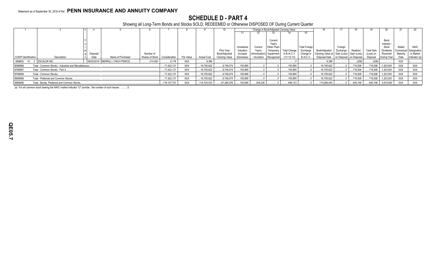### **SCHEDULE D - PART 4**

Showing all Long-Term Bonds and Stocks SOLD, REDEEMED or Otherwise DISPOSED OF During Current Quarter

|                             |                                                       |          |                                   |                 |               |            |                    |                |            |                |             | Change in Book/Adjusted Carrying Value |                      |                                               |             |             |                   | 20               |             |              |
|-----------------------------|-------------------------------------------------------|----------|-----------------------------------|-----------------|---------------|------------|--------------------|----------------|------------|----------------|-------------|----------------------------------------|----------------------|-----------------------------------------------|-------------|-------------|-------------------|------------------|-------------|--------------|
|                             |                                                       |          |                                   |                 |               |            |                    |                |            |                |             |                                        |                      |                                               |             |             |                   |                  |             |              |
|                             |                                                       |          |                                   |                 |               |            |                    |                |            |                |             |                                        |                      |                                               |             |             |                   |                  |             |              |
|                             |                                                       |          |                                   |                 |               |            |                    |                |            |                | Current     |                                        |                      |                                               |             |             |                   | Bond             |             |              |
|                             |                                                       |          |                                   |                 |               |            |                    |                |            |                | Year's      |                                        |                      |                                               |             |             |                   | Interest         |             |              |
|                             |                                                       |          |                                   |                 |               |            |                    |                | Unrealized | Current        | Other-Than- |                                        | <b>Total Foreign</b> |                                               | Foreian     |             |                   | Stock            | Stated      | <b>NAIC</b>  |
|                             |                                                       |          |                                   |                 |               |            |                    | Prior Year     | Valuation  | Year's         | Temporary   | <b>Total Change</b>                    | Exchange             | Book/Adiusted                                 | Exchange    | Realized    | <b>Total Gain</b> | <b>Dividends</b> | Contractual | Designation  |
|                             |                                                       | Disposal |                                   | Number of       |               |            |                    | Book/Adjusted  | Increase   | (Amortization) | Impairment  | in B./A.C.V.                           | Change in            | Carrying Value at   Gain (Loss)   Gain (Loss) |             |             | (Loss) on         | Received         | Maturity    | or Market    |
| <b>CUSIP Identification</b> | Description                                           | Date     | Name of Purchaser                 | Shares of Stock | Consideration | Par Value  | <b>Actual Cost</b> | Carrying Value | (Decrease) | Accretion      | Recognized  | 11+12-13)                              | <b>B./A.C.V.</b>     | Disposal Date                                 | on Disposal | on Disposal | Disposal          | During Year      | Date        | Indicator (a |
| 98980G 10                   | 2 I ZSCALER INC.                                      |          | 09/25/2018. MERRILL LYNCH PIERCE. | 214.000         | .9,178        | <b>XXX</b> | .9,386             |                |            |                |             |                                        |                      | .9.386                                        |             | (208)       | (208)             |                  | <b>XXX</b>  |              |
| 9099999.                    | Total - Common Stocks - Industrial and Miscellaneous. |          |                                   |                 | 17,422,131    | <b>XXX</b> | 6,705,622          | .9,749,074     | 150,895    |                |             | 150,895                                |                      | 16,705,622                                    |             | 716,508     | .716,508          | .1,203,561       | <b>XXX</b>  | <b>XXX</b>   |
| 9799997.                    | Total - Common Stocks - Part 4.                       |          |                                   |                 | 17,422,131    | <b>XXX</b> | 6,705,622          | .9,749,074     | 150,895    |                |             | 150,895                                |                      | 16,705,622                                    |             | .716,508    | .716,508          | .1,203,561       | <b>XXX</b>  | XXX          |
| 9799999.                    | Total - Common Stocks.                                |          |                                   |                 | 17,422,131    | <b>XXX</b> | 6,705,622          | .9,749,074     | 150,895    |                |             | 150.895                                |                      | 16,705,622                                    |             | .716,508    | .716,508          | 1,203,561        | <b>XXX</b>  | XXX          |
| 9899999.                    | Total - Preferred and Common Stocks.                  |          |                                   |                 | .17,422,131   | <b>XXX</b> | 3,705,622          | .9.749.074     | 150.895    |                |             | 150.895                                |                      | 16.705.622                                    |             | .716.508    | .716,508          | .1,203,561       | <b>XXX</b>  | XXX          |
| 9999999.                    | Total - Bonds, Preferred and Common Stocks.           |          |                                   |                 | 116, 137, 751 | <b>XXX</b> | 114,724,533        | 67,290,078     | 150,895    | .345,228       |             | .496,123                               |                      | 115.266.440                                   |             | 830,746     | .830,746          | 3,915,940        | <b>XXX</b>  | XXX          |

(a) For all common stock bearing the NAIC market indicator "U" provide: the number of such issues: ..........0.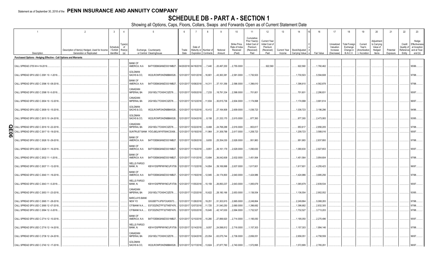### **SCHEDULE DB - PART A - SECTION 1**

|        | $\overline{1}$                                                                     | $\overline{2}$                                                             | $\overline{3}$<br>$\overline{4}$                          | $\sqrt{5}$                                                                                    |               |                                     |                                   | 9                        | 10                                                   | 11                                                                              | 12                                                                      | 13                     | 14                                | 16                     | 17                                                | 18                                                         | 19                                                | 20                                                      | 21                    | 22                                         | 23                                                                |
|--------|------------------------------------------------------------------------------------|----------------------------------------------------------------------------|-----------------------------------------------------------|-----------------------------------------------------------------------------------------------|---------------|-------------------------------------|-----------------------------------|--------------------------|------------------------------------------------------|---------------------------------------------------------------------------------|-------------------------------------------------------------------------|------------------------|-----------------------------------|------------------------|---------------------------------------------------|------------------------------------------------------------|---------------------------------------------------|---------------------------------------------------------|-----------------------|--------------------------------------------|-------------------------------------------------------------------|
|        | Description                                                                        | Description of Item(s) Hedged, Used for Income<br>Generation or Replicated | (rype(s<br>Schedule<br>/ Exhibit<br>Risk(s)<br>Identifier | Exchange, Counterparty<br>or Central Clearinghouse                                            | Trade<br>Date | Date of<br>Maturity or              | Number of<br>Expiration Contracts | Notional<br>Amount       | Strike Price,<br>Rate of Index<br>Received<br>(Paid) | Cumulative<br>Prior Year(s)<br>Initial Cost of<br>Premium<br>(Received)<br>Paid | <b>Current Year</b><br>Initial Cost of<br>Premium<br>(Received)<br>Paid | Current Year<br>Income | Book/Adjusted<br>Carrying Value e | Fair Value             | Unrealized<br>Valuation<br>Increase<br>(Decrease) | <b>Total Foreign</b><br>Exchange<br>Change in<br>B./A.C.V. | Current<br>Year's<br>(Amortization<br>/ Accretion | Adjustmer<br>to Carrying<br>Value of<br>Hedged<br>Items | Potential<br>Exposure | Credit<br>Quality o<br>Reference<br>Entity | Hedge<br>Effectiveness<br>at Inception<br>and at Year-<br>end (b) |
|        | Purchased Options - Hedging Effective - Call Options and Warrants                  |                                                                            |                                                           |                                                                                               |               |                                     |                                   |                          |                                                      |                                                                                 |                                                                         |                        |                                   |                        |                                                   |                                                            |                                                   |                                                         |                       |                                            |                                                                   |
|        | CALL SPREAD 2755 M 4-18-2019.                                                      |                                                                            |                                                           | <b>BANK OF</b><br>AMERICA, N.A<br>B4TYDEB6GKMZO031MB27                                        |               | 04/20/2018 04/18/2019               | 7,440                             | 20,497,200               | 2,755.0000                                           |                                                                                 | .922.560                                                                |                        | .922,560                          | 1,760,462              |                                                   |                                                            |                                                   |                                                         |                       |                                            | 95/96.                                                            |
|        | CALL SPREAD SPX USD C 2581 10 -1-2018.                                             |                                                                            |                                                           | <b>GOLDMAN</b><br>SACHS & CO,<br>W22LROWP2IHZNBB6K528                                         |               | 12/31/2017 10/01/2018               | 16,801                            | .43,363,381              | .2,581.0000                                          | , 1,730,503                                                                     |                                                                         |                        | 1,730,503                         | 5,594,608              |                                                   |                                                            |                                                   |                                                         |                       |                                            | 17/98.                                                            |
|        | CALL SPREAD SPX USD C 2596 10 -08-2018.                                            |                                                                            |                                                           | <b>BANK OF</b><br>AMERICA, N.A.<br>B4TYDEB6GKMZO031MB27                                       |               | 12/31/2017 10/08/2018 14,311        |                                   | 37,151,356               | 2,596.0000                                           | 1,396,610                                                                       |                                                                         |                        | 1,396,610                         | 4,562,878              |                                                   |                                                            |                                                   |                                                         |                       |                                            | 17/98                                                             |
|        | CALL SPREAD SPX USD C 2598 10 -5-2018.                                             |                                                                            |                                                           | CANADIAN<br><b>IMPERIAL BA</b><br>2IGI19DL77OX0HC3ZE78.                                       | 12/31/2017    | 10/05/2018                          | 7,233                             | 18,791,334               | 2,598.0000                                           | 701,601                                                                         |                                                                         |                        | 701,601                           | 2,286,831              |                                                   |                                                            |                                                   |                                                         |                       |                                            | 95/97                                                             |
|        | CALL SPREAD SPX USD C 2604 10 -12-2018.                                            |                                                                            |                                                           | CANADIAN<br><b>IMPERIAL BA</b><br>2IGI19DL77OX0HC3ZE78.                                       |               | 12/31/2017 10/12/2018 11,834        |                                   | 30,815,736               | 2,604.0000                                           | 1,174,998                                                                       |                                                                         |                        | 1,174,998                         | .3,681,614             |                                                   |                                                            |                                                   |                                                         |                       |                                            | 96/97.                                                            |
|        | CALL SPREAD SPX USD C 2609 10 -15-2018.                                            |                                                                            |                                                           | <b>GOLDMAN</b><br>SACHS & CO,<br>W22LROWP2IHZNBB6K528                                         |               | 12/31/2017 10/15/2018               | 10,412                            | 27,164,908               | .2,609.0000                                          | 1,036,723                                                                       |                                                                         |                        | 1,036,723                         | 3,196,296              |                                                   |                                                            |                                                   |                                                         |                       |                                            | 94/96.                                                            |
|        | CALL SPREAD SPX USD C 2615 10 -24-2018.                                            |                                                                            |                                                           | <b>GOLDMAN</b><br>SACHS & CO,<br>W22LROWP2IHZNBB6K528                                         |               | 12/31/2017 10/24/2018               | 8,158                             | 21,333,170               | 2,615.0000                                           | 877,393                                                                         |                                                                         |                        | .877,393                          | 2,473,083              |                                                   |                                                            |                                                   |                                                         |                       |                                            | 93/95                                                             |
| Ø<br>π | CALL SPREAD SPX USD C 2616 10 -22-2018.<br>CALL SPREAD SPX USD C 2617 10 -19-2018. |                                                                            |                                                           | CANADIAN<br><b>IMPERIAL BA</b><br>2IGI19DL77OX0HC3ZE78.<br>SUNTRUST BANK IYDOJBGJWY9T8XKCSX06 | 12/31/2017    | 10/22/2018<br>12/31/2017 10/19/2018 | 9,468<br>11,964                   | 24,768,288<br>31,309,788 | 2,616.0000<br>2,617.0000                             | 953,617<br>1,208,723                                                            |                                                                         |                        | .953,617<br>.1,208,723            | 2,856,205<br>3,588,016 |                                                   |                                                            |                                                   |                                                         |                       |                                            | 97/98<br>95/97.                                                   |
| 0      | CALL SPREAD SPX USD C 2626 10 -29-2018.                                            |                                                                            |                                                           | <b>BANK OF</b><br>AMERICA, N.A.<br>B4TYDEB6GKMZO031MB27                                       |               | 12/31/2017 10/29/2018               | 9,655                             | 25,354,030               | .2,626.0000                                          | 951,983                                                                         |                                                                         |                        | .951,983                          | 2,837,893              |                                                   |                                                            |                                                   |                                                         |                       |                                            | 97/98                                                             |
|        | CALL SPREAD SPX USD C 2629 11 -16-2018.                                            |                                                                            |                                                           | <b>BANK OF</b><br>AMERICA, N.A.<br>B4TYDEB6GKMZO031MB27                                       |               | 12/31/2017 11/16/2018               | 9,951                             | 26,161,179               | 2,629.0000                                           | 1,090,630                                                                       |                                                                         |                        | .1,090,630                        | .2,927,653             |                                                   |                                                            |                                                   |                                                         |                       |                                            | 95/97.                                                            |
|        | CALL SPREAD SPX USD C 2632 11 -1-2018                                              |                                                                            |                                                           | <b>BANK OF</b><br>AMERICA, N.A.<br>B4TYDEB6GKMZO031MB27                                       |               | 12/31/2017 11/01/2018 13,694        |                                   | 36,042,608               | .2,632.0000                                          | 1,451,564                                                                       |                                                                         |                        | 1,451,564                         | 3,954,604              |                                                   |                                                            |                                                   |                                                         |                       |                                            | 97/98                                                             |
|        | CALL SPREAD SPX USD C 2637 11 -12-2018.                                            |                                                                            |                                                           | <b>WELLS FARGO</b><br>BANK, N.<br>KB1H1DSPRFMYMCUFXT09. 12/31/2017                            |               | 11/12/2018                          | 14,854                            | 39,169,998               | 2,637.0000                                           | 1,617,601                                                                       |                                                                         |                        | 1,617,601                         | .4,255,423             |                                                   |                                                            |                                                   |                                                         |                       |                                            | 96/97.                                                            |
|        | CALL SPREAD SPX USD C 2640 11 -19-2018.                                            |                                                                            |                                                           | <b>BANK OF</b><br>AMERICA, N.A.<br>B4TYDEB6GKMZO031MB27                                       |               | 12/31/2017 11/19/2018               | 12,945                            | 34,174,800               | 2,640.0000                                           | 1,424,986                                                                       |                                                                         |                        | 1,424,986                         | 3,685,256              |                                                   |                                                            |                                                   |                                                         |                       |                                            | 17/98.                                                            |
|        | CALL SPREAD SPX USD C 2643 11 -5-2018                                              |                                                                            |                                                           | <b>WELLS FARGO</b><br>BANK, N.<br>KB1H1DSPRFMYMCUFXT09. 12/31/2017 11/05/2018                 |               |                                     | 10,159                            | 26,850,237               | 2,643.0000                                           | 1,065,679                                                                       |                                                                         |                        | 1,065,679                         | 2,839,534              |                                                   |                                                            |                                                   |                                                         |                       |                                            | 95/97.                                                            |
|        | CALL SPREAD SPX USD C 2653 11 -23-2018.                                            |                                                                            |                                                           | CANADIAN<br><b>IMPERIAL BA</b><br>2IGI19DL77OX0HC3ZE78                                        |               | 12/31/2017 11/23/2018               | 10,622                            | 28,180,166               | 2,653.0000                                           | , 1, 136, 554                                                                   |                                                                         |                        | 1, 136, 554                       | 2,902,052              |                                                   |                                                            |                                                   |                                                         |                       |                                            | 93/95                                                             |
|        | CALL SPREAD SPX USD C 2665 11 -28-2018.                                            |                                                                            |                                                           | <b>BARCLAYS BANK</b><br>NEW YO<br>G5GSEF7VJP5I7OUK5573                                        | 12/31/2017    | 11/28/2018                          | 19,251                            | 51,303,915               | 2,665.0000                                           | 2,249,864                                                                       |                                                                         |                        | 2,249,864                         | 5,068,283              |                                                   |                                                            |                                                   |                                                         |                       |                                            | 97/98                                                             |
|        | CALL SPREAD SPX USD C 2690 12 -07-2018.                                            |                                                                            |                                                           | CITIBANK N.A E57ODZWZ7FF32TWEFA76                                                             | 12/31/2017    | 12/07/2018                          | 11,725                            | 31,540,250               | 2,690.0000                                           | 1,396,682                                                                       |                                                                         |                        | 1,396,682                         | 2,832,305              |                                                   |                                                            |                                                   |                                                         |                       |                                            | 97/98.                                                            |
|        | CALL SPREAD SPX USD C 2694 12 -3-2018                                              |                                                                            |                                                           | CITIBANK N.A E57ODZWZ7FF32TWEFA76                                                             |               | 12/31/2017 12/03/2018               | 15,645                            | 42,147,630               | 2,694.0000                                           | 1,732,527                                                                       |                                                                         |                        | .1,732,527                        | 3,713,203              |                                                   |                                                            |                                                   |                                                         |                       |                                            | 97/98.                                                            |
|        | CALL SPREAD SPX USD C 2714 12 -10-2018.                                            |                                                                            |                                                           | <b>BANK OF</b><br>AMERICA, N.A.<br>B4TYDEB6GKMZO031MB27                                       |               | 12/31/2017 12/10/2018               | 10,280                            | .27,899,920              | 2,714.0000                                           | 1,195,050                                                                       |                                                                         |                        | 1,195,050                         | 2,270,496              |                                                   |                                                            |                                                   |                                                         |                       |                                            | 95/97.                                                            |
|        | CALL SPREAD SPX USD C 2716 12 -14-2018.                                            |                                                                            |                                                           | <b>WELLS FARGO</b><br>BANK, N.<br>KB1H1DSPRFMYMCUFXT09. 12/31/2017 12/14/2018                 |               |                                     | 9,057                             | 24,598,812               | 2,716.0000                                           | , 1, 157, 303                                                                   |                                                                         |                        | 1,157,303                         | 1,994,146              |                                                   |                                                            |                                                   |                                                         |                       |                                            | 97/98                                                             |
|        | CALL SPREAD SPX USD C 2736 12 -24-2018.                                            |                                                                            |                                                           | CANADIAN<br><b>IMPERIAL BA</b><br>2IGI19DL77OX0HC3ZE78.                                       |               | 12/31/2017 12/24/2018 23,054        |                                   | 63,075,744               | 2,736.0000                                           | 2,656,051                                                                       |                                                                         |                        | 2,656,051                         | 4,758,559              |                                                   |                                                            |                                                   |                                                         |                       |                                            | 96/97.                                                            |
|        | CALL SPREAD SPX USD C 2740 12 -17-2018.                                            |                                                                            |                                                           | GOLDMAN<br>SACHS & CO.<br>W22LROWP2IHZNBB6K528                                                |               | 12/31/2017 12/17/2018 13,824        |                                   | 37,877,760               | .2,740.0000                                          | 1,572,895                                                                       |                                                                         |                        | .1,572,895                        | .2,765,291             |                                                   |                                                            |                                                   |                                                         |                       |                                            | 96/97.                                                            |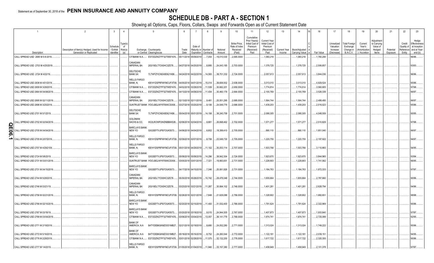### **SCHEDULE DB - PART A - SECTION 1**

|           |                                                                         | $\overline{2}$                                                             | 3                       | $\overline{4}$                 | 5                                                            | 6                     | $\overline{7}$        | 8                                  | - Q                      | 10                             | 11                                                        | 12                                                | 13                     | 14                              | 16         |                          | 17                      | 18                            | 19                             | 20                                    | 21                    | 22                   | 23                                    |
|-----------|-------------------------------------------------------------------------|----------------------------------------------------------------------------|-------------------------|--------------------------------|--------------------------------------------------------------|-----------------------|-----------------------|------------------------------------|--------------------------|--------------------------------|-----------------------------------------------------------|---------------------------------------------------|------------------------|---------------------------------|------------|--------------------------|-------------------------|-------------------------------|--------------------------------|---------------------------------------|-----------------------|----------------------|---------------------------------------|
|           |                                                                         |                                                                            | Schedule                | Type(s)<br>of                  |                                                              |                       | Date of               |                                    |                          | Strike Price,<br>Rate of Index | Cumulative<br>Prior Year(s)<br>Initial Cost of<br>Premium | <b>Current Year</b><br>Initial Cost of<br>Premium |                        |                                 |            |                          | Unrealized<br>Valuation | otal Foreign<br>Exchange      | Current<br>Year's              | Adjustment<br>to Carrying<br>Value of |                       | Credit<br>Quality of | Hedge<br>Effectivenes<br>at Inception |
|           | Description                                                             | Description of Item(s) Hedged, Used for Income<br>Generation or Replicated | / Exhibit<br>Identifier | Risk(s)<br>(a)                 | Exchange, Counterparty<br>or Central Clearinghouse           | Trade<br>Date         | Expiration            | Maturity or Number of<br>Contracts | Notional<br>Amount       | Received<br>(Paid)             | (Received)<br>Paid                                        | (Received)<br>Paid                                | Current Year<br>Income | Book/Adjusted<br>Carrying Value | Fair Value |                          | Increase<br>(Decrease)  | Change in<br><b>B./A.C.V.</b> | (Amortization<br>) / Accretion | Hedged<br>Items                       | Potential<br>Exposure | Entity               | Reference and at Year<br>end (b)      |
|           | CALL SPREAD USD 2695 M 5-9-2019.                                        |                                                                            |                         | CITIBANK N.A                   | E57ODZWZ7FF32TWEFA76                                         | 05/11/2018 05/09/2019 |                       | 7,054                              | 19,010,530               | 2,695.0000                     |                                                           | .1,060,216                                        |                        | .1,060,216                      |            | .1,760,256               |                         |                               |                                |                                       |                       |                      | 96/96.                                |
|           | CALL SPREAD USD 2703 M 4/25/2019.                                       |                                                                            |                         | CANADIAN<br><b>IMPERIAL BA</b> | 2IGI19DL77OX0HC3ZE78.                                        |                       | 04/27/2018 04/25/2019 | 8,895                              | 24,043,185               | 2,703.0000                     |                                                           | .1,378,725                                        |                        | 1,378,725                       |            | .2,506,857               |                         |                               |                                |                                       |                       |                      | 93/93.                                |
|           | CALL SPREAD USD 2724 M 4/22/19.                                         |                                                                            |                         | DEUTSCHE<br><b>BANK SA</b>     | 7LTWFZYICNSX8D621K86                                         |                       | 04/24/2018 04/22/2019 | 14,593                             | 39,751,332               | 2,724.0000                     |                                                           | .2,057,613                                        |                        | 2,057,613                       |            | .3,844,036               |                         |                               |                                |                                       |                       |                      | 96/96.                                |
|           | CALL SPREAD USD 2638 M 4/01/2019.                                       |                                                                            |                         | <b>WELLS FARGO</b><br>BANK, N. | KB1H1DSPRFMYMCUFXT09.                                        | 04/05/2018 04/01/2019 |                       | 15,014                             | 39,606,932               | 2,638.0000                     |                                                           | 3,013,010                                         |                        | 3,013,010                       |            | .4,929,524               |                         |                               |                                |                                       |                       |                      | 95/96.                                |
|           | CALL SPREAD USD 2659 M 3/28/2019.                                       |                                                                            |                         | CITIBANK N.A                   | E57ODZWZ7FF32TWEFA76.                                        |                       | 04/02/2018 03/28/2019 | 11,539                             | 30,682,201               | 2,659.0000                     |                                                           | 1,774,814                                         |                        | 1,774,814                       |            | .3,560,905               |                         |                               |                                |                                       |                       |                      | 97/98.                                |
|           | CALL SPREAD USD 2664 M 04/08/2019.                                      |                                                                            |                         | CITIBANK N.A                   | E57ODZWZ7FF32TWEFA76                                         | 04/13/2018 04/08/2019 |                       | 11,434                             | 30,460,176               | 2,664.0000                     |                                                           | 2,100,769                                         |                        | 2,100,769                       |            | 3,526,339                |                         |                               |                                |                                       |                       |                      | 96/97                                 |
|           | CALL SPREAD USD 2695 M 02/11/2019.<br>CALL SPREAD USD 2696 M 3/25/2019. |                                                                            |                         | CANADIAN<br>IMPERIAL BA        | 2IGI19DL77OX0HC3ZE78.<br>SUNTRUST BANK IYDOJBGJWY9T8XKCSX06. | 03/27/2018 03/25/2019 | 02/13/2018 02/11/2019 | 9,481<br>9,106                     | 25,551,295<br>24,549,776 | 2,695.0000<br>2,696.0000       |                                                           | 1,564,744<br>1,439,203                            |                        | 1,564,744<br>1,439,203          |            | .2,488,495<br>.2,516,023 |                         |                               |                                |                                       |                       |                      | 96/97.<br>95/96.                      |
|           |                                                                         |                                                                            |                         |                                |                                                              |                       |                       |                                    |                          |                                |                                                           |                                                   |                        |                                 |            |                          |                         |                               |                                |                                       |                       |                      |                                       |
|           | CALL SPREAD USD 2701 M 5/1/2019.                                        |                                                                            |                         | DEUTSCHE<br>BANK SA            | 7LTWFZYICNSX8D621K86                                         |                       | 05/04/2018 05/01/2019 | 14,158                             | 38,240,758               | 2,701.0000                     |                                                           | 2,088,305                                         |                        | 2,088,305                       |            | .4,048,559               |                         |                               |                                |                                       |                       |                      | 95/95.                                |
| O         | ALL SPREAD USD 2702 M 02/04/2019.                                       |                                                                            |                         | <b>GOLDMAN</b><br>SACHS & CO,  | W22LROWP2IHZNBB6K528                                         | 02/06/2018 02/04/2019 |                       | 9,881                              | 26,698,462               | 2,702.0000                     |                                                           | .1,571,277                                        |                        | 1,571,277                       |            | .2,510,829               |                         |                               |                                |                                       |                       |                      | 97/98.                                |
| m<br>ဓ္တု | CALL SPREAD USD 2705 M 04/04/2019.                                      |                                                                            |                         | <b>BARCLAYS BANK</b><br>NEW YO | G5GSEF7VJP5I7OUK5573                                         |                       | 04/06/2018 04/04/2019 | 6,802                              | 18,399,410               | 2,705.0000                     |                                                           | .890,110                                          |                        | .890,110                        |            | .1,851,040               |                         |                               |                                |                                       |                       |                      | 96/97.                                |
| ا د       | CALL SPREAD USD 2705 M 2/07/2019.                                       |                                                                            |                         | <b>WELLS FARGO</b><br>BANK, N. | KB1H1DSPRFMYMCUFXT09. 02/09/2018 02/07/2019                  |                       |                       | 8,706                              | 23,549,730               | 2,705.0000                     |                                                           | .1,220,755                                        |                        | .1,220,755                      |            | 2,197,922                |                         |                               |                                |                                       |                       |                      | 94/97.                                |
|           | CALL SPREAD USD 2707 M 4/29/2109.                                       |                                                                            |                         | <b>WELLS FARGO</b><br>BANK, N. | KB1H1DSPRFMYMCUFXT09.                                        | 05/01/2018 04/29/2019 |                       | 11,102                             | .30,053,114              | 2,707.0000                     |                                                           | 1,503,766                                         |                        | 1,503,766                       |            | 3,110,883                |                         |                               |                                |                                       |                       |                      | 94/95.                                |
|           | CALL SPREAD USD 2724 M 5/6/2019                                         |                                                                            |                         | <b>BARCLAYS BANK</b><br>NEW YO | G5GSEF7VJP5I7OUK5573                                         |                       | 05/08/2018 05/06/2019 | 14,296                             | 38,942,304               | 2,724.0000                     |                                                           | 1,923,670                                         |                        | 1,923,670                       |            | 3,844,965                |                         |                               |                                |                                       |                       |                      | 93/94                                 |
|           | CALL SPREAD USD 2731 M 03/01/2019.                                      |                                                                            |                         |                                | SUNTRUST BANK IYDOJBGJWY9T8XKCSX06                           | 03/05/2018 03/01/2019 |                       | 7,321                              | 19,993,651               | 2,731.0000                     |                                                           | .1,228,903                                        |                        | 1,228,903                       |            | .1,741,562               |                         |                               |                                |                                       |                       |                      | 96/95.                                |
|           | CALL SPREAD USD 2731 M 04/15/2019.                                      |                                                                            |                         | <b>BARCLAYS BANK</b><br>NEW YO | G5GSEF7VJP5I7OUK5573                                         |                       | 04/17/2018 04/15/2019 | 7,346                              | 20,061,926               | 2,731.0000                     |                                                           | .1,184,763                                        |                        | 1,184,763                       |            | .1,872,333               |                         |                               |                                |                                       |                       |                      | 97/97.                                |
|           | CALL SPREAD USD 2744 M 5/28/2019.                                       |                                                                            |                         | CANADIAN<br><b>IMPERIAL BA</b> | 2IGI19DL77OX0HC3ZE78.                                        |                       | 05/30/2018 05/28/2019 | 10,742                             | 29,476,048               | 2,744.0000                     |                                                           | .1,655,664                                        |                        | 1,655,664                       |            | 2,787,660                |                         |                               |                                |                                       |                       |                      | 95/96.                                |
|           | CALL SPREAD USD 2746 M 03/21/19                                         |                                                                            |                         | CANADIAN<br><b>IMPERIAL BA</b> | 2IGI19DL77OX0HC3ZE78.                                        |                       | 03/23/2018 03/21/2019 | .11,287                            | 30,994,102               | 2,746.0000                     |                                                           | .1,401,281                                        |                        | 1,401,281                       |            | 2,628,794                |                         |                               |                                |                                       |                       |                      | 94/96.                                |
|           | CALL SPREAD USD 2756 M 02/21/2019.                                      |                                                                            |                         | <b>WELLS FARGO</b><br>BANK, N. | KB1H1DSPRFMYMCUFXT09.                                        | 02/26/2018 02/21/2019 |                       | 7,848                              | 21,629,088               | 2,756.0000                     |                                                           | .1,328,902                                        |                        | 1,328,902                       |            | .1,682,651               |                         |                               |                                |                                       |                       |                      | 98/98.                                |
|           | CALL SPREAD USD 2766 M 02/15/2019                                       |                                                                            |                         | <b>BARCLAYS BANK</b><br>NEW YO | G5GSEF7VJP5I7OUK5573                                         | 02/20/2018 02/15/2019 |                       | 11,400                             | 31,532,400               | 2,766.0000                     |                                                           | 1,791,624                                         |                        | 1,791,624                       |            | .2,322,969               |                         |                               |                                |                                       |                       |                      | 95/96.                                |
|           | CALL SPREAD USD 2767 M 03/18/19                                         |                                                                            |                         | <b>BARCLAYS BANK</b><br>NEW YO | G5GSEF7VJP5I7OUK5573                                         |                       | 03/20/2018 03/18/2019 | 9,015                              | 24,944,505               | 2,767.0000                     |                                                           | 1,407,873                                         |                        | 1,407,873                       |            | .1,933,840               |                         |                               |                                |                                       |                       |                      | 97/97.                                |
|           | CALL SPREAD USD 2768 M 03/04/2019.                                      |                                                                            |                         | CITIBANK N.A.                  | E57ODZWZ7FF32TWEFA76                                         | 03/06/2018 03/04/2019 |                       | .13,057                            | 36,141,776               | 2,768.0000                     |                                                           | .1,974,741                                        |                        | 1,974,741                       |            | 2,725,089                |                         |                               |                                |                                       |                       |                      | 92/95.                                |
|           | CALL SPREAD USD 2771 M 2/19/2019.                                       |                                                                            |                         | <b>BANK OF</b><br>AMERICA, N.A | B4TYDEB6GKMZO031MB27                                         | 02/21/2018 02/19/2019 |                       | 8,680                              | 24,052,280               | 2,771.0000                     |                                                           | 1,313,024                                         |                        | 1,313,024                       |            | .1,749,222               |                         |                               |                                |                                       |                       |                      | 95/96.                                |
|           |                                                                         |                                                                            |                         | <b>BANK OF</b>                 |                                                              |                       |                       |                                    |                          |                                |                                                           |                                                   |                        |                                 |            |                          |                         |                               |                                |                                       |                       |                      |                                       |
|           | CALL SPREAD USD 2772 M 5/16/2019.                                       |                                                                            |                         | AMERICA, N.A.                  | B4TYDEB6GKMZO031MB27.                                        | 05/18/2018 05/16/2019 |                       | 8,752                              | 24,260,544               | 2,772.0000                     |                                                           | 1,122,181                                         |                        | .1,122,181                      |            | .2,039,151               |                         |                               |                                |                                       |                       |                      | 94/95.                                |
|           | CALL SPREAD USD 2776 M 2/28/2019.                                       |                                                                            |                         | CITIBANK N.A                   | E57ODZWZ7FF32TWEFA76                                         | 03/01/2018 02/28/2019 |                       | .11,575                            | 32,132,200               | 2,776.0000                     |                                                           | 1,617,722                                         |                        | 1,617,722                       |            | 2,320,355                |                         |                               |                                |                                       |                       |                      | 95/96.                                |
|           | CALL SPREAD USD 2777 M 1/4/2019.                                        |                                                                            |                         | <b>WELLS FARGO</b><br>BANK, N. | KB1H1DSPRFMYMCUFXT09. 01/05/2018 01/04/2019                  |                       |                       | 11,940                             | 33,157,380               | 2,777.0000                     |                                                           | .1,458,949                                        |                        | .1,458,949                      |            | 2,101,378                |                         |                               |                                |                                       |                       |                      | 97/97.                                |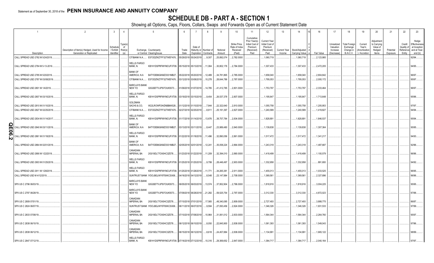### **SCHEDULE DB - PART A - SECTION 1**

|                 |                                    | $\overline{2}$                                                             | -3                                  |                                | 5                                                                             | 6                     |                       | -8                                 | - 9                | 10                                                   | 11                                                                              | 12                                                                      | 13<br>14                                                         | 16         | 17                                                | 18                                                                | 19                                                  | 20                                                      | 21                    | 22                                         | 23                                                              |
|-----------------|------------------------------------|----------------------------------------------------------------------------|-------------------------------------|--------------------------------|-------------------------------------------------------------------------------|-----------------------|-----------------------|------------------------------------|--------------------|------------------------------------------------------|---------------------------------------------------------------------------------|-------------------------------------------------------------------------|------------------------------------------------------------------|------------|---------------------------------------------------|-------------------------------------------------------------------|-----------------------------------------------------|---------------------------------------------------------|-----------------------|--------------------------------------------|-----------------------------------------------------------------|
|                 | Description                        | Description of Item(s) Hedged, Used for Income<br>Generation or Replicated | Schedule<br>/ Exhibit<br>Identifier | Гуре(s<br>of<br>Risk(s)<br>(a) | Exchange, Counterparty<br>or Central Clearinghouse                            | Trade<br>Date         | Date of<br>Expiration | Maturity or Number of<br>Contracts | Notional<br>Amount | Strike Price,<br>Rate of Index<br>Received<br>(Paid) | Cumulative<br>Prior Year(s)<br>Initial Cost of<br>Premium<br>(Received)<br>Paid | <b>Current Year</b><br>Initial Cost of<br>Premium<br>(Received)<br>Paid | Book/Adjusted<br><b>Current Year</b><br>Income<br>Carrying Value | Fair Value | Unrealized<br>Valuation<br>Increase<br>(Decrease) | <b>Total Foreign</b><br>Exchange<br>Change in<br><b>B./A.C.V.</b> | Current<br>Year's<br>(Amortization<br>) / Accretion | Adjustmen<br>to Carrying<br>Value of<br>Hedged<br>Items | Potential<br>Exposure | Credit<br>Quality o<br>Reference<br>Entity | Hedge<br>Effectivenes<br>at Inception<br>and at Year<br>end (b) |
|                 | CALL SPREAD USD 2782 M 5/24/2019   |                                                                            |                                     |                                | CITIBANK N.A E57ODZWZ7FF32TWEFA76                                             | 05/29/2018 05/24/2019 |                       |                                    | .25,892,074        | 2,782.0000                                           |                                                                                 | 1,060,719                                                               | 1,060,719                                                        | 2,123,985  |                                                   |                                                                   |                                                     |                                                         |                       |                                            | 32/94.                                                          |
|                 |                                    |                                                                            |                                     |                                |                                                                               |                       |                       | 9,307                              |                    |                                                      |                                                                                 |                                                                         |                                                                  |            |                                                   |                                                                   |                                                     |                                                         |                       |                                            |                                                                 |
|                 | CALL SPREAD USD 2784 M 5-13-2019   |                                                                            |                                     |                                | <b>WELLS FARGO</b><br>BANK, N.<br>KB1H1DSPRFMYMCUFXT09.                       | 05/15/2018 05/13/2019 |                       | 11,064                             | 30,802,176         | 2,784.0000                                           |                                                                                 | 1,307,433                                                               | 1,307,433                                                        | 2,472,205  |                                                   |                                                                   |                                                     |                                                         |                       |                                            | 94/95                                                           |
|                 | CALL SPREAD USD 2785 M 5/20/2019   |                                                                            |                                     |                                | <b>BANK OF</b><br>AMERICA, N.A.<br>B4TYDEB6GKMZO031MB27.                      | 05/22/201             | 05/20/2019            | 12,489                             | 34,781,865         | 2,785.0000                                           |                                                                                 | .1,658,040                                                              | 1,658,040                                                        | 2,804,842  |                                                   |                                                                   |                                                     |                                                         |                       |                                            | 96/97.                                                          |
|                 | CALL SPREAD USD 2787 M 03/08/2019. |                                                                            |                                     |                                | CITIBANK N.A.<br>E57ODZWZ7FF32TWEFA76                                         | 03/12/2018            | 03/08/2019            | .10,278                            | 28,644,786         | 2,787.0000                                           |                                                                                 | 1,795,053                                                               | 1,795,053                                                        | .2,000,172 |                                                   |                                                                   |                                                     |                                                         |                       |                                            | 95/97                                                           |
|                 |                                    |                                                                            |                                     |                                |                                                                               |                       |                       |                                    |                    |                                                      |                                                                                 |                                                                         |                                                                  |            |                                                   |                                                                   |                                                     |                                                         |                       |                                            |                                                                 |
|                 | CALL SPREAD USD 2801 M 1/4/2019    |                                                                            |                                     |                                | <b>BARCLAYS BANK</b><br>NEW YO<br>G5GSEF7VJP5I7OUK5573                        |                       | 01/09/2018 01/07/2019 | 14,785                             | 41,412,785         | .2,801.0000                                          |                                                                                 | 1,753,797                                                               | 1,753,797                                                        | 2,333,464  |                                                   |                                                                   |                                                     |                                                         |                       |                                            | 96/97.                                                          |
|                 | CALL SPREAD USD 2807 M 03/15/2019. |                                                                            |                                     |                                | <b>WELLS FARGO</b><br>BANK, N.<br>KB1H1DSPRFMYMCUFXT09.                       | 03/19/2018 03/15/2019 |                       | 9,454                              | 26,537,378         | .2,807.0000                                          |                                                                                 | 1,195,647                                                               | 1,195,647                                                        | 1,713,648  |                                                   |                                                                   |                                                     |                                                         |                       |                                            | 95/96.                                                          |
|                 | CALL SPREAD USD 2810 M 01/10/2019. |                                                                            |                                     |                                | GOLDMAN<br>SACHS & CO,<br>W22LROWP2IHZNBB6K528                                |                       | 01/12/2018 01/10/2019 | 7,944                              | 22,322,640         | 2,810.0000                                           |                                                                                 | .1,055,758                                                              | 1,055,758                                                        | .1,205,953 |                                                   |                                                                   |                                                     |                                                         |                       |                                            | 97/97.                                                          |
|                 |                                    |                                                                            |                                     |                                | CITIBANK N.A.                                                                 |                       |                       |                                    |                    |                                                      |                                                                                 |                                                                         |                                                                  |            |                                                   |                                                                   |                                                     |                                                         |                       |                                            |                                                                 |
|                 | CALL SPREAD USD 2827 M 02/25/2019. |                                                                            |                                     |                                | E57ODZWZ7FF32TWEFA76                                                          | 02/27/2018 02/25/2019 |                       | 8,911                              | 25,191,397         | 2,827.0000                                           |                                                                                 | 1,240,589                                                               | 1,240,589                                                        | 1,419,827  |                                                   |                                                                   |                                                     |                                                         |                       |                                            | 94/94.                                                          |
|                 | CALL SPREAD USD 2834 M 01/14/2017. |                                                                            |                                     |                                | <b>WELLS FARGO</b><br>BANK, N.<br>KB1H1DSPRFMYMCUFXT09. 01/17/2018 01/14/2019 |                       |                       | 13,676                             | 38,757,784         | 2,834.0000                                           |                                                                                 | 1,828,891                                                               | 1,828,891                                                        | .1,846,537 |                                                   |                                                                   |                                                     |                                                         |                       |                                            | 95/94                                                           |
| O<br>$\bar{5}0$ | CALL SPREAD USD 2840 M 03/11/2019. |                                                                            |                                     |                                | <b>BANK OF</b><br>AMERICA, N.A.<br>B4TYDEB6GKMZO031MB27.                      |                       | 03/13/2018 03/11/2019 | 8,447                              | 23,989,480         | 2,840.0000                                           |                                                                                 | 1,139,838                                                               | 1,139,838                                                        | 1,307,364  |                                                   |                                                                   |                                                     |                                                         |                       |                                            | 95/95                                                           |
| N               | CALL SPREAD USD 2861 M 01/18/2019. |                                                                            |                                     |                                | <b>WELLS FARGO</b><br>BANK, N.<br>KB1H1DSPRFMYMCUFXT09.                       | 01/22/2018 01/18/2019 |                       | 11,496                             | 32,890,056         | .2,861.0000                                          |                                                                                 | 1,517,472                                                               | .1,517,472                                                       | .1,341,217 |                                                   |                                                                   |                                                     |                                                         |                       |                                            | 94/93.                                                          |
|                 | CALL SPREAD USD 2864 M 02/01/2019. |                                                                            |                                     |                                | <b>BANK OF</b><br>AMERICA, N.A.<br>B4TYDEB6GKMZO031MB27.                      |                       | 02/05/2018 02/01/2019 | 12,241                             | 35,058,224         | .2,864.0000                                          |                                                                                 | 1,243,318                                                               | 1,243,318                                                        | .1,487,687 |                                                   |                                                                   |                                                     |                                                         |                       |                                            | 92/96.                                                          |
|                 | CALL SPREAD USD 2890 M 1/22/2019.  |                                                                            |                                     |                                | CANADIAN<br><b>IMPERIAL BA</b><br>2IGI19DL77OX0HC3ZE78                        |                       | 01/23/2018 01/22/2019 | 11,209                             | 32,394,010         | 2,890.0000                                           |                                                                                 | 1,418,499                                                               | 1,418,499                                                        | .1,100,579 |                                                   |                                                                   |                                                     |                                                         |                       |                                            | 96/96.                                                          |
|                 | CALL SPREAD USD 2903 M 01/25/2019. |                                                                            |                                     |                                | <b>WELLS FARGO</b><br>BANK, N.<br>KB1H1DSPRFMYMCUFXT09.                       | 01/25/2018 01/25/2019 |                       | 9,799                              | 28,446,497         | 2,903.0000                                           |                                                                                 | .1,332,958                                                              | 1,332,958                                                        | 891,693    |                                                   |                                                                   |                                                     |                                                         |                       |                                            | 94/92.                                                          |
|                 | CALL SPREAD USD 2911 M 1/28/2019   |                                                                            |                                     |                                | <b>WELLS FARGO</b><br>BANK. N.<br>KB1H1DSPRFMYMCUFXT09.                       | 01/25/201             | 01/28/2019            | .11,771                            | 34,265,38'         | 2,911.0000                                           |                                                                                 | 1,455,013                                                               | 1,455,013                                                        | .1,033,525 |                                                   |                                                                   |                                                     |                                                         |                       |                                            | 96/95.                                                          |
|                 | CALL SPREAD USD M 4/12/2019.       |                                                                            |                                     |                                | SUNTRUST BANK IYDOJBGJWY9T8XKCSX06.                                           |                       | 04/16/2018 04/12/2019 | 0.8,548                            | 23,147,984         | .2,708.0000                                          |                                                                                 | 1,369,561                                                               | 1,369,561                                                        | 2,327,896  |                                                   |                                                                   |                                                     |                                                         |                       |                                            | 96/96.                                                          |
|                 | SPX US C 2796 06/03/19.            |                                                                            |                                     |                                | <b>BARCLAYS BANK</b><br>NEW YO<br>G5GSEF7VJP5I7OUK5573                        |                       | 06/05/2018 06/03/2019 | 13,574                             | 37,952,904         | .2,796.0000                                          |                                                                                 | 1,818,916                                                               | 1,818,916                                                        | .3,004,225 |                                                   |                                                                   |                                                     |                                                         |                       |                                            | 95/95.                                                          |
|                 | SPX US C 2797 06/28/19.            |                                                                            |                                     |                                | <b>BARCLAYS BANK</b><br>NEW YO<br>G5GSEF7VJP5I7OUK5573                        |                       | 07/09/2018 06/28/2019 | 21,282                             | 59,525,754         | .2,797.0000                                          |                                                                                 | 3,312,330                                                               | 3,312,330                                                        | .4,872,023 |                                                   |                                                                   |                                                     |                                                         |                       |                                            | 37/88.                                                          |
|                 | SPX US C 2809 07/01/19.            |                                                                            |                                     |                                | CANADIAN<br><b>IMPERIAL BA</b><br>2IGI19DL77OX0HC3ZE78.                       |                       | 07/10/2018 07/01/2019 | 17,565                             | 49,340,085         | 2,809.0000                                           |                                                                                 | 2,727,493                                                               | 2,727,493                                                        | .3,888,775 |                                                   |                                                                   |                                                     |                                                         |                       |                                            | 36/87.                                                          |
|                 | SPX US C 2824 06/07/19.            |                                                                            |                                     |                                | SUNTRUST BANK IYDOJBGJWY9T8XKCSX06.                                           |                       | 06/11/2018 06/07/2019 | 9,594                              | 27,093,456         | .2,824.0000                                          |                                                                                 | 1,346,326                                                               | 1,346,326                                                        | .1,931,533 |                                                   |                                                                   |                                                     |                                                         |                       |                                            | 37/99.                                                          |
|                 | SPX US C 2833 07/08/19.            |                                                                            |                                     |                                | CANADIAN<br><b>IMPERIAL BA</b><br>2IGI19DL77OX0HC3ZE78                        |                       | 07/10/2018 07/08/2019 | 10,964                             | 31,061,012         | 2,833.0000                                           |                                                                                 | 1,564,344                                                               | 1,564,344                                                        | 2,264,760  |                                                   |                                                                   |                                                     |                                                         |                       |                                            | 95/97                                                           |
|                 | SPX US C 2838 06/10/19.            |                                                                            |                                     |                                | CANADIAN<br><b>IMPERIAL BA</b><br>2IGI19DL77OX0HC3ZE78                        |                       | 06/12/2018 06/10/2019 | 8,050                              | 22,845,900         | 2,838.0000                                           |                                                                                 | 1,061,393                                                               | 1,061,393                                                        | 1,549,043  |                                                   |                                                                   |                                                     |                                                         |                       |                                            | 97/96.                                                          |
|                 | SPX US C 2838 06/12/19.            |                                                                            |                                     |                                | CANADIAN<br><b>IMPERIAL BA</b><br>2IGI19DL77OX0HC3ZE78                        |                       | 06/15/2018 06/12/2019 | 8.618                              | 24,457,884         | .2,838.0000                                          |                                                                                 | 1,134,991                                                               | 1,134,991                                                        | .1,665,122 |                                                   |                                                                   |                                                     |                                                         |                       |                                            | 98/99.                                                          |
|                 | SPX US C 2847 07/12/19.            |                                                                            |                                     |                                | <b>WELLS FARGO</b><br>BANK. N.<br>KB1H1DSPRFMYMCUFXT09. 07/16/2018 07/12/2019 |                       |                       | 10.316                             | 29.369.652         | .2.847.0000                                          |                                                                                 | 1.384.717                                                               | 1.384.717                                                        | .2.040.164 |                                                   |                                                                   |                                                     |                                                         |                       |                                            | 97/97                                                           |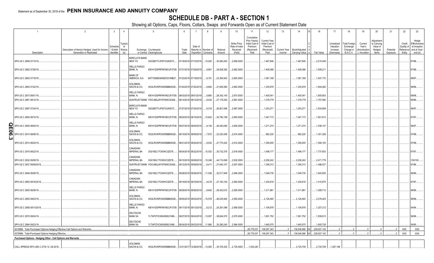#### **SCHEDULE DB - PART A - SECTION 1**

|                                                                              | $\overline{2}$                                 | 3                     | $\overline{4}$                             | 5                                                  |       | $\overline{7}$               | 8                     | -9          | 10                                         | 11                                                                      | 12                                                              | 13           | 14                  | 16          | 17                                  | 18                                            | 19                                 | 20                                              | 21        | 22                                | 23                                                     |
|------------------------------------------------------------------------------|------------------------------------------------|-----------------------|--------------------------------------------|----------------------------------------------------|-------|------------------------------|-----------------------|-------------|--------------------------------------------|-------------------------------------------------------------------------|-----------------------------------------------------------------|--------------|---------------------|-------------|-------------------------------------|-----------------------------------------------|------------------------------------|-------------------------------------------------|-----------|-----------------------------------|--------------------------------------------------------|
|                                                                              | Description of Item(s) Hedged, Used for Income | Schedule<br>/ Exhibit | Type(s)<br>of<br>Risk(s)                   | Exchange, Counterparty                             | Trade | Date of                      | Maturity or Number of | Notional    | Strike Price,<br>Rate of Index<br>Received | Cumulative<br>Prior Year(s)<br>Initial Cost of<br>Premium<br>(Received) | <b>Current Year</b><br>Initial Cost of<br>Premium<br>(Received) | Current Year | Book/Adjusted       |             | Unrealized<br>Valuation<br>Increase | <b>Total Foreign</b><br>Exchange<br>Change in | Current<br>Year's<br>(Amortization | Adjustment<br>to Carrying<br>Value of<br>Hedged | Potential | Credit<br>Quality of<br>Reference | Hedge<br>Effectiveness<br>at Inception<br>and at Year- |
| Description                                                                  | Generation or Replicated                       | Identifier            | (a)                                        | or Central Clearinghouse                           | Date  |                              | Expiration Contracts  | Amount      | (Paid)                                     | Paid                                                                    | Paid                                                            | Income       | Carrying Value e    | Fair Value  | (Decrease)                          | <b>B./A.C.V.</b>                              | ) / Accretion                      | Items                                           | Exposure  | Entity                            | end (b)                                                |
| SPX US C 2858 07/15/19.                                                      |                                                |                       | BARCLAYS BANK<br>NEW YO                    | G5GSEF7VJP5I7OUK5573                               |       | 07/18/2018 07/15/2019 10,525 |                       | 30,080,450  | 2,858.0000                                 |                                                                         | 1,467,606                                                       |              | 1,467,606           | 2,015,449   |                                     |                                               |                                    |                                                 |           |                                   | 97/98                                                  |
| SPX US C 2862 07/29/19.                                                      |                                                |                       | WELLS FARGO<br>BANK, N.                    | KB1H1DSPRFMYMCUFXT09. 07/31/2018 07/29/2019        |       |                              | 9,961                 | 28,508,382  | 2,862.0000                                 |                                                                         | 1,408,386                                                       |              | .1,408,386          | .1,939,211  |                                     |                                               |                                    |                                                 |           |                                   | 97/98.                                                 |
| SPX US C 2863 07/19/19.                                                      |                                                |                       | <b>BANK OF</b><br>AMERICA, N.A.            | B4TYDEB6GKMZO031MB27.                              |       | 07/23/2018 07/19/2019 8,161  |                       | 23,364,943  | 2,863.0000                                 |                                                                         | 1,081,169                                                       |              | .1,081,169          | 1,547,170   |                                     |                                               |                                    |                                                 |           |                                   | 98/97.                                                 |
| SPX US C 2863 07/22/19.                                                      |                                                |                       | GOLDMAN<br>SACHS & CO.                     | W22LROWP2IHZNBB6K528                               |       | 07/24/2018 07/22/2019        | 9,660                 | 27,656,580  | 2,863.0000                                 |                                                                         | 1,335,978                                                       |              | .1,335,978          | .1,844,282  |                                     |                                               |                                    |                                                 |           |                                   | 98/98.                                                 |
| SPX US C 2873 08/01/19.                                                      |                                                |                       | <b>WELLS FARGO</b><br>BANK, N.             | KB1H1DSPRFMYMCUFXT09.                              |       | 08/03/2018 08/01/2019        | 9,865                 | 28,342,145  | 2,873.0000                                 |                                                                         | 1,400,041                                                       |              | .1,400,041          | .1,855,803  |                                     |                                               |                                    |                                                 |           |                                   | 98/98.                                                 |
| SPX US C 2881 08/12/19.                                                      |                                                |                       |                                            | SUNTRUST BANK IYDOJBGJWY9T8XKCSX06                 |       | 08/14/2018 08/12/2019        | 9,434                 | 27,179,354  | 2,881.0000                                 |                                                                         | 1,378,779                                                       |              | 1,378,779           | .1,757,060  |                                     |                                               |                                    |                                                 |           |                                   | 96/96.                                                 |
| SPX US C 2887 07/24/19                                                       |                                                |                       | <b>BARCLAYS BANK</b><br>NEW YO             | G5GSEF7VJP5I7OUK5573                               |       | 07/27/2018 07/24/2019 .      | 9,318                 | 26,901,066  | 2,887.0000                                 |                                                                         | 1,253,27'                                                       |              | .1,253,27'          | .1,634,959  |                                     |                                               |                                    |                                                 |           |                                   | 96/97.                                                 |
| SPX US C 2893 08/15/19.                                                      |                                                |                       | <b>WELLS FARGO</b><br>BANK, N.             | KB1H1DSPRFMYMCUFXT09. 08/20/2018 08/15/2019 10,643 |       |                              |                       | 30,790,199  | 2,893.0000                                 |                                                                         | .1,547,173                                                      |              | .1,547,173          | .1,901,813  |                                     |                                               |                                    |                                                 |           |                                   | 97/97.                                                 |
| <b>QE06</b><br>SPX US C 2905 08/05/19                                        |                                                |                       | <b>WELLS FARGO</b><br>BANK, N.             | KB1H1DSPRFMYMCUFXT09. 08/07/2018 08/05/2019        |       |                              | 9,136                 | 26,540,080  | 2,905.0000                                 |                                                                         | 1,271,274                                                       |              | .1,271,274          | 1,538,147   |                                     |                                               |                                    |                                                 |           |                                   | 96/97.                                                 |
| SPX US C 2914 08/08/19.<br>ω                                                 |                                                |                       | GOLDMAN<br>SACHS & CO,                     | W22LROWP2IHZNBB6K528                               |       | 08/10/2018 08/08/2019        | 7,972                 | 23,230,408  | 2,914.0000                                 |                                                                         | .962,220                                                        |              | .962,220            | .1,301,329  |                                     |                                               |                                    |                                                 |           |                                   | 97/98                                                  |
| SPX US C 2914 08/20/19.                                                      |                                                |                       | GOLDMAN<br>SACHS & CO.                     | W22LROWP2IHZNBB6K528                               |       | 08/21/2018 08/20/2019 .      | 9,530                 | 27,770,420  | 2,914.0000                                 |                                                                         | 1,359,455                                                       |              | .1,359,455          | .1,590,105  |                                     |                                               |                                    |                                                 |           |                                   | 97/98.                                                 |
| SPX US C 2918 08/22/19.                                                      |                                                |                       | CANADIAN<br><b>IMPERIAL BA</b><br>CANADIAN | 2IGI19DL77OX0HC3ZE78                               |       | 08/24/2018 08/22/2019 .      | 10,532                | 30,732,376  | 2,918.0000                                 |                                                                         | 1,498,177                                                       |              | .1,498,177          | .1,737,653  |                                     |                                               |                                    |                                                 |           |                                   | 97/97.                                                 |
| SPX US C 2932 09/09/19.                                                      |                                                |                       | <b>IMPERIAL BA</b>                         | 2IGI19DL77OX0HC3ZE78                               |       | 09/10/2018 09/09/2019        | 15,249                | .44,710,068 | 2,932.0000                                 |                                                                         | 2,256,242                                                       |              | .2,256,242          | 2,471,779   |                                     |                                               |                                    |                                                 |           |                                   | 100/100                                                |
| SPX US C 2937 09/09/2019.                                                    |                                                |                       |                                            | SUNTRUST BANK IYDOJBGJWY9T8XKCSX06.                |       | 09/12/2018 09/09/2019        | 9,411                 | 27,640,107  | 2,937.0000                                 |                                                                         | 1,356,313                                                       |              | .1,356,313          | .1,496,037  |                                     |                                               |                                    |                                                 |           |                                   | 97/96.                                                 |
| SPX US C 2946 08/26/19.                                                      |                                                |                       | CANADIAN<br><b>IMPERIAL BA</b>             | 2IGI19DL77OX0HC3ZE78                               |       | 08/28/2018 08/26/2019 11,038 |                       | 32,517,948  | 2,946.0000                                 |                                                                         | 1,549,735                                                       |              | .1,549,735          | .1,643,935  |                                     |                                               |                                    |                                                 |           |                                   | 96/96.                                                 |
| SPX US C 2950 09/16/2019                                                     |                                                |                       | CANADIAN<br><b>IMPERIAL BA</b>             | 2IGI19DL77OX0HC3ZE78                               |       | 09/19/2018 09/16/2019        | 9,218                 | 27,193,100  | 2,950.0000                                 |                                                                         | 1,330,618                                                       |              | .1,330,618          | .1,410,875  |                                     |                                               |                                    |                                                 |           |                                   | 97/97.                                                 |
| SPX US C 2955 08/28/19.                                                      |                                                |                       | <b>WELLS FARGO</b><br>BANK, N.             | KB1H1DSPRFMYMCUFXT09.                              |       | 08/29/2018 08/28/2019        | 8,942                 | 26,423,610  | 2,955.0000                                 |                                                                         | 1,311,881                                                       |              | .1,311,881          | .1,289,712  |                                     |                                               |                                    |                                                 |           |                                   | 96/96.                                                 |
| SPX US C 2955 09/03/19.                                                      |                                                |                       | <b>GOLDMAN</b><br>SACHS & CO,              | W22LROWP2IHZNBB6K528                               |       | 09/05/2018 09/03/2019 15,579 |                       | .46,035,945 | 2,955.0000                                 |                                                                         | 2,126,460                                                       |              | 2,126,460           | 2,276,403   |                                     |                                               |                                    |                                                 |           |                                   | 98/98.                                                 |
| SPX US C 2958 09/13/2019                                                     |                                                |                       | <b>WELLS FARGO</b><br>BANK, N.             | KB1H1DSPRFMYMCUFXT09. 09/17/2018 09/13/2019 .      |       |                              | 8.212                 | 24,291,096  | 2,958.0000                                 |                                                                         | 1,106,978                                                       |              | .1,106,978          | .1,207,212  |                                     |                                               |                                    |                                                 |           |                                   | 94/94.                                                 |
| SPX US C 2975 09/24/19.                                                      |                                                |                       | <b>DEUTSCHE</b><br><b>BANK SA</b>          | 7LTWFZYICNSX8D621K86                               |       | 09/27/2018 09/24/2019 13,057 |                       | 38,844,575  | 2,975.0000                                 |                                                                         | 1,901,752                                                       |              | .1,901,752          | .1,839,913  |                                     |                                               |                                    |                                                 |           |                                   | 96/96.                                                 |
| SPX US C 2984 09/23/19                                                       |                                                |                       | <b>DEUTSCHE</b><br><b>BANK SA</b>          | 7LTWFZYICNSX8D621K86.                              |       | 09/24/2018 09/23/2019        | 11,860                | 35,390,240  | 2,984.0000                                 |                                                                         | .1,645,575                                                      |              | .1,645,575          | 1,605,728   |                                     |                                               |                                    |                                                 |           |                                   | 95/95                                                  |
| 0019999. Total-Purchased Options-Hedging Effective-Call Options and Warrants |                                                |                       |                                            |                                                    |       |                              |                       |             |                                            | 29,779,537                                                              | 109,267,343                                                     |              | .139,046,880 XX     | 229,937,142 |                                     |                                               |                                    |                                                 |           | XXX                               | XXX                                                    |
| 0079999. Total-Purchased Options-Hedging Effective.                          |                                                |                       |                                            |                                                    |       |                              |                       |             |                                            | 29,779,537                                                              | .109,267,343                                                    | .0           | .139,046,880<br>XX. | 229,937,142 |                                     |                                               |                                    |                                                 |           | <b>XXX</b>                        | XXX                                                    |
| Purchased Options - Hedging Other - Call Options and Warrants                |                                                |                       |                                            |                                                    |       |                              |                       |             |                                            |                                                                         |                                                                 |              |                     |             |                                     |                                               |                                    |                                                 |           |                                   |                                                        |
| CALL SPREAD SPX USD C 2735 12 -28-2018.                                      |                                                |                       | <b>GOLDMAN</b><br>SACHS & CO.              | W22LROWP2IHZNBB6K528                               |       | 12/31/2017 12/28/2018 13,055 |                       | 35,705,425  | 2,735.0000                                 | 1,552,240                                                               |                                                                 |              | .2,725,709          | .2,725,709  | 1,287,168                           |                                               |                                    |                                                 |           |                                   |                                                        |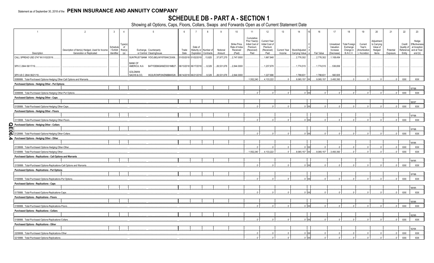#### **SCHEDULE DB - PART A - SECTION 1**

| $\overline{1}$                                                           | $\overline{2}$<br>$5\overline{)}$<br>10<br>$\mathbf{3}$<br>6<br>$\overline{7}$<br>11<br>4<br>- 8<br>- 9<br>Strike Price,<br>Type(s)<br>of<br>Schedule<br>Date of<br>Rate of Index<br>/ Exhibit<br>Description of Item(s) Hedged, Used for Income<br>Risk(s)<br>(a)<br>Exchange, Counterparty<br>Trade<br>Maturity or<br>Number of<br>Notional<br>Received<br>Generation or Replicated<br>Identifier<br>or Central Clearinghouse<br>(Paid)<br>Date<br>Paid<br>Expiration Contracts<br>Amount<br>SUNTRUST BANK IYDOJBGJWY9T8XKCSX06.<br>01/03/2018 01/02/2019<br>13,825<br>37,977,275<br>2,747.0000<br><b>BANK OF</b><br>AMERICA, N.A<br>B4TYDEB6GKMZO031MB27<br>06/13/2018 06/17/2019<br>26,531,676<br>2,844.0000<br>9,329<br>GOLDMAN<br>SACHS & CO,<br>W22LROWP2IHZNBB6K528<br>06/14/2018 06/21/2019<br>9,329<br>26,531,676<br>2,844.0000<br>0089999. Total-Purchased Options-Hedging Other-Call Options and Warrants.<br>Purchased Options - Hedging Other - Put Options |  |  |  |  |  |  |  |  |  |                                                                         |                                                                 |              |                 | 16         | 17                                  | 18                                            | 19                                 | 20                                              | 21        | 22                                | 23                                                     |
|--------------------------------------------------------------------------|---------------------------------------------------------------------------------------------------------------------------------------------------------------------------------------------------------------------------------------------------------------------------------------------------------------------------------------------------------------------------------------------------------------------------------------------------------------------------------------------------------------------------------------------------------------------------------------------------------------------------------------------------------------------------------------------------------------------------------------------------------------------------------------------------------------------------------------------------------------------------------------------------------------------------------------------------------------------------|--|--|--|--|--|--|--|--|--|-------------------------------------------------------------------------|-----------------------------------------------------------------|--------------|-----------------|------------|-------------------------------------|-----------------------------------------------|------------------------------------|-------------------------------------------------|-----------|-----------------------------------|--------------------------------------------------------|
|                                                                          |                                                                                                                                                                                                                                                                                                                                                                                                                                                                                                                                                                                                                                                                                                                                                                                                                                                                                                                                                                           |  |  |  |  |  |  |  |  |  | Cumulative<br>Prior Year(s)<br>Initial Cost of<br>Premium<br>(Received) | <b>Current Year</b><br>Initial Cost of<br>Premium<br>(Received) | Current Year | Book/Adjusted   |            | Unrealized<br>Valuation<br>Increase | <b>Total Foreign</b><br>Exchange<br>Change in | Current<br>Year's<br>(Amortization | Adjustment<br>to Carrying<br>Value of<br>Hedged | Potential | Credit<br>Quality of<br>Reference | Hedge<br>Effectiveness<br>at Inception<br>and at Year- |
| Description                                                              |                                                                                                                                                                                                                                                                                                                                                                                                                                                                                                                                                                                                                                                                                                                                                                                                                                                                                                                                                                           |  |  |  |  |  |  |  |  |  |                                                                         | Paid                                                            | Income       | Carrying Value  | Fair Value | (Decrease)                          | <b>B./A.C.V.</b>                              | / Accretion                        | Items                                           | Exposure  | Entity                            | end (b)                                                |
| CALL SPREAD USD 2747 M 01/02/2019.                                       |                                                                                                                                                                                                                                                                                                                                                                                                                                                                                                                                                                                                                                                                                                                                                                                                                                                                                                                                                                           |  |  |  |  |  |  |  |  |  |                                                                         | .1,667,848                                                      |              | 2,776,302       | 2,776,302  | 1,108,454                           |                                               |                                    |                                                 |           |                                   |                                                        |
| SPX C 2844 06/17/19.                                                     |                                                                                                                                                                                                                                                                                                                                                                                                                                                                                                                                                                                                                                                                                                                                                                                                                                                                                                                                                                           |  |  |  |  |  |  |  |  |  |                                                                         | 1,237,678                                                       |              | 1,774,515       | .1,774,515 | 536,836                             |                                               |                                    |                                                 |           |                                   |                                                        |
| SPX US C 2844 06/21/19.                                                  |                                                                                                                                                                                                                                                                                                                                                                                                                                                                                                                                                                                                                                                                                                                                                                                                                                                                                                                                                                           |  |  |  |  |  |  |  |  |  |                                                                         | .1,227,696                                                      |              | 1,788,631       | 1,788,631  | .560,935                            |                                               |                                    |                                                 |           |                                   |                                                        |
|                                                                          |                                                                                                                                                                                                                                                                                                                                                                                                                                                                                                                                                                                                                                                                                                                                                                                                                                                                                                                                                                           |  |  |  |  |  |  |  |  |  | 1,552,240                                                               | 4,133,222                                                       | $\cap$       | $.9,065,157$ XX | 9,065,157  | 3.493.393                           |                                               |                                    |                                                 | $\Omega$  | <b>XXX</b>                        | XXX                                                    |
|                                                                          |                                                                                                                                                                                                                                                                                                                                                                                                                                                                                                                                                                                                                                                                                                                                                                                                                                                                                                                                                                           |  |  |  |  |  |  |  |  |  |                                                                         |                                                                 |              |                 |            |                                     |                                               |                                    |                                                 |           |                                   |                                                        |
|                                                                          |                                                                                                                                                                                                                                                                                                                                                                                                                                                                                                                                                                                                                                                                                                                                                                                                                                                                                                                                                                           |  |  |  |  |  |  |  |  |  |                                                                         |                                                                 |              |                 |            |                                     |                                               |                                    |                                                 |           |                                   | 97/98.                                                 |
| 0099999. Total-Purchased Options-Hedging Other-Put Options.              |                                                                                                                                                                                                                                                                                                                                                                                                                                                                                                                                                                                                                                                                                                                                                                                                                                                                                                                                                                           |  |  |  |  |  |  |  |  |  |                                                                         |                                                                 |              |                 |            |                                     |                                               |                                    |                                                 |           | <b>XXX</b>                        | <b>XXX</b>                                             |
| Purchased Options - Hedging Other - Caps                                 |                                                                                                                                                                                                                                                                                                                                                                                                                                                                                                                                                                                                                                                                                                                                                                                                                                                                                                                                                                           |  |  |  |  |  |  |  |  |  |                                                                         |                                                                 |              |                 |            |                                     |                                               |                                    |                                                 |           |                                   |                                                        |
|                                                                          |                                                                                                                                                                                                                                                                                                                                                                                                                                                                                                                                                                                                                                                                                                                                                                                                                                                                                                                                                                           |  |  |  |  |  |  |  |  |  |                                                                         |                                                                 |              |                 |            |                                     |                                               |                                    |                                                 |           |                                   | 96/97.                                                 |
| 0109999. Total-Purchased Options-Hedging Other-Caps.                     |                                                                                                                                                                                                                                                                                                                                                                                                                                                                                                                                                                                                                                                                                                                                                                                                                                                                                                                                                                           |  |  |  |  |  |  |  |  |  |                                                                         |                                                                 |              |                 |            |                                     |                                               |                                    |                                                 |           | <b>XXX</b>                        | XXX                                                    |
| Purchased Options - Hedging Other - Floors                               |                                                                                                                                                                                                                                                                                                                                                                                                                                                                                                                                                                                                                                                                                                                                                                                                                                                                                                                                                                           |  |  |  |  |  |  |  |  |  |                                                                         |                                                                 |              |                 |            |                                     |                                               |                                    |                                                 |           |                                   |                                                        |
|                                                                          |                                                                                                                                                                                                                                                                                                                                                                                                                                                                                                                                                                                                                                                                                                                                                                                                                                                                                                                                                                           |  |  |  |  |  |  |  |  |  |                                                                         |                                                                 |              |                 |            |                                     |                                               |                                    |                                                 |           |                                   | 97/98.                                                 |
| 0119999. Total-Purchased Options-Hedging Other-Floors                    |                                                                                                                                                                                                                                                                                                                                                                                                                                                                                                                                                                                                                                                                                                                                                                                                                                                                                                                                                                           |  |  |  |  |  |  |  |  |  |                                                                         |                                                                 |              |                 |            |                                     |                                               |                                    |                                                 |           | <b>XXX</b>                        | <b>XXX</b>                                             |
|                                                                          |                                                                                                                                                                                                                                                                                                                                                                                                                                                                                                                                                                                                                                                                                                                                                                                                                                                                                                                                                                           |  |  |  |  |  |  |  |  |  |                                                                         |                                                                 |              |                 |            |                                     |                                               |                                    |                                                 |           |                                   |                                                        |
| Purchased Options - Hedging Other - Collars                              |                                                                                                                                                                                                                                                                                                                                                                                                                                                                                                                                                                                                                                                                                                                                                                                                                                                                                                                                                                           |  |  |  |  |  |  |  |  |  |                                                                         |                                                                 |              |                 |            |                                     |                                               |                                    |                                                 |           |                                   | 17/98.                                                 |
| 0129999. Total-Purchased Options-Hedging Other-Collars                   |                                                                                                                                                                                                                                                                                                                                                                                                                                                                                                                                                                                                                                                                                                                                                                                                                                                                                                                                                                           |  |  |  |  |  |  |  |  |  |                                                                         |                                                                 |              |                 |            |                                     |                                               |                                    |                                                 |           | <b>XXX</b>                        | <b>XXX</b>                                             |
| Purchased Options - Hedging Other - Other                                |                                                                                                                                                                                                                                                                                                                                                                                                                                                                                                                                                                                                                                                                                                                                                                                                                                                                                                                                                                           |  |  |  |  |  |  |  |  |  |                                                                         |                                                                 |              |                 |            |                                     |                                               |                                    |                                                 |           |                                   |                                                        |
|                                                                          |                                                                                                                                                                                                                                                                                                                                                                                                                                                                                                                                                                                                                                                                                                                                                                                                                                                                                                                                                                           |  |  |  |  |  |  |  |  |  |                                                                         |                                                                 |              |                 |            |                                     |                                               |                                    |                                                 |           |                                   | 95/96.                                                 |
| 0139999. Total-Purchased Options-Hedging Other-Other                     |                                                                                                                                                                                                                                                                                                                                                                                                                                                                                                                                                                                                                                                                                                                                                                                                                                                                                                                                                                           |  |  |  |  |  |  |  |  |  |                                                                         |                                                                 | $\Omega$     | $0 \times x$    |            |                                     |                                               |                                    |                                                 |           | <b>XXX</b>                        | XXX                                                    |
| 0149999. Total-Purchased Options-Hedging Other.                          |                                                                                                                                                                                                                                                                                                                                                                                                                                                                                                                                                                                                                                                                                                                                                                                                                                                                                                                                                                           |  |  |  |  |  |  |  |  |  | .1,552,240                                                              | .4,133,222                                                      | $\Omega$     | .9,065,157 XX   | .9,065,157 | 3,493,393                           |                                               |                                    |                                                 |           | <b>XXX</b>                        | XXX                                                    |
| Purchased Options - Replications - Call Options and Warrants             |                                                                                                                                                                                                                                                                                                                                                                                                                                                                                                                                                                                                                                                                                                                                                                                                                                                                                                                                                                           |  |  |  |  |  |  |  |  |  |                                                                         |                                                                 |              |                 |            |                                     |                                               |                                    |                                                 |           |                                   |                                                        |
|                                                                          |                                                                                                                                                                                                                                                                                                                                                                                                                                                                                                                                                                                                                                                                                                                                                                                                                                                                                                                                                                           |  |  |  |  |  |  |  |  |  |                                                                         |                                                                 |              |                 |            |                                     |                                               |                                    |                                                 |           |                                   | 94/95.                                                 |
| 0159999. Total-Purchased Options-Replications-Call Options and Warrants. |                                                                                                                                                                                                                                                                                                                                                                                                                                                                                                                                                                                                                                                                                                                                                                                                                                                                                                                                                                           |  |  |  |  |  |  |  |  |  |                                                                         |                                                                 |              | $0$ XX          |            |                                     |                                               |                                    |                                                 |           | <b>XXX</b>                        | XXX                                                    |
| <b>Purchased Options - Replications - Put Options</b>                    |                                                                                                                                                                                                                                                                                                                                                                                                                                                                                                                                                                                                                                                                                                                                                                                                                                                                                                                                                                           |  |  |  |  |  |  |  |  |  |                                                                         |                                                                 |              |                 |            |                                     |                                               |                                    |                                                 |           |                                   |                                                        |
|                                                                          |                                                                                                                                                                                                                                                                                                                                                                                                                                                                                                                                                                                                                                                                                                                                                                                                                                                                                                                                                                           |  |  |  |  |  |  |  |  |  |                                                                         |                                                                 |              |                 |            |                                     |                                               |                                    |                                                 |           |                                   | 97/98.                                                 |
| 0169999. Total-Purchased Options-Replications-Put Options.               |                                                                                                                                                                                                                                                                                                                                                                                                                                                                                                                                                                                                                                                                                                                                                                                                                                                                                                                                                                           |  |  |  |  |  |  |  |  |  |                                                                         |                                                                 |              |                 |            |                                     |                                               |                                    |                                                 |           | <b>XXX</b>                        | <b>XXX</b>                                             |
| <b>Purchased Options - Replications - Caps</b>                           |                                                                                                                                                                                                                                                                                                                                                                                                                                                                                                                                                                                                                                                                                                                                                                                                                                                                                                                                                                           |  |  |  |  |  |  |  |  |  |                                                                         |                                                                 |              |                 |            |                                     |                                               |                                    |                                                 |           |                                   |                                                        |
|                                                                          |                                                                                                                                                                                                                                                                                                                                                                                                                                                                                                                                                                                                                                                                                                                                                                                                                                                                                                                                                                           |  |  |  |  |  |  |  |  |  |                                                                         |                                                                 |              |                 |            |                                     |                                               |                                    |                                                 |           |                                   | 96/95.                                                 |
| 0179999. Total-Purchased Options-Replications-Caps.                      |                                                                                                                                                                                                                                                                                                                                                                                                                                                                                                                                                                                                                                                                                                                                                                                                                                                                                                                                                                           |  |  |  |  |  |  |  |  |  |                                                                         |                                                                 |              | $.0 \times$     |            |                                     |                                               |                                    |                                                 |           | <b>XXX</b>                        | <b>XXX</b>                                             |
| <b>Purchased Options - Replications - Floors</b>                         |                                                                                                                                                                                                                                                                                                                                                                                                                                                                                                                                                                                                                                                                                                                                                                                                                                                                                                                                                                           |  |  |  |  |  |  |  |  |  |                                                                         |                                                                 |              |                 |            |                                     |                                               |                                    |                                                 |           |                                   |                                                        |
|                                                                          |                                                                                                                                                                                                                                                                                                                                                                                                                                                                                                                                                                                                                                                                                                                                                                                                                                                                                                                                                                           |  |  |  |  |  |  |  |  |  |                                                                         |                                                                 |              |                 |            |                                     |                                               |                                    |                                                 |           |                                   | 95/96.                                                 |
| 0189999. Total-Purchased Options-Replications-Floors.                    |                                                                                                                                                                                                                                                                                                                                                                                                                                                                                                                                                                                                                                                                                                                                                                                                                                                                                                                                                                           |  |  |  |  |  |  |  |  |  |                                                                         |                                                                 |              | 0 <sub>x</sub>  |            |                                     |                                               |                                    |                                                 | $\bigcap$ | <b>XXX</b>                        | <b>XXX</b>                                             |
| <b>Purchased Options - Replications - Collars</b>                        |                                                                                                                                                                                                                                                                                                                                                                                                                                                                                                                                                                                                                                                                                                                                                                                                                                                                                                                                                                           |  |  |  |  |  |  |  |  |  |                                                                         |                                                                 |              |                 |            |                                     |                                               |                                    |                                                 |           |                                   |                                                        |
|                                                                          |                                                                                                                                                                                                                                                                                                                                                                                                                                                                                                                                                                                                                                                                                                                                                                                                                                                                                                                                                                           |  |  |  |  |  |  |  |  |  |                                                                         |                                                                 |              |                 |            |                                     |                                               |                                    |                                                 |           |                                   | 92/95.                                                 |
| 0199999. Total-Purchased Options-Replications-Collars.                   |                                                                                                                                                                                                                                                                                                                                                                                                                                                                                                                                                                                                                                                                                                                                                                                                                                                                                                                                                                           |  |  |  |  |  |  |  |  |  |                                                                         |                                                                 |              |                 |            |                                     |                                               |                                    |                                                 |           | <b>XXX</b>                        | XXX                                                    |
| Purchased Options - Replications - Other                                 |                                                                                                                                                                                                                                                                                                                                                                                                                                                                                                                                                                                                                                                                                                                                                                                                                                                                                                                                                                           |  |  |  |  |  |  |  |  |  |                                                                         |                                                                 |              |                 |            |                                     |                                               |                                    |                                                 |           |                                   |                                                        |
|                                                                          |                                                                                                                                                                                                                                                                                                                                                                                                                                                                                                                                                                                                                                                                                                                                                                                                                                                                                                                                                                           |  |  |  |  |  |  |  |  |  |                                                                         |                                                                 |              |                 |            |                                     |                                               |                                    |                                                 |           |                                   | 92/94.                                                 |
| 0209999. Total-Purchased Options-Replications-Other.                     |                                                                                                                                                                                                                                                                                                                                                                                                                                                                                                                                                                                                                                                                                                                                                                                                                                                                                                                                                                           |  |  |  |  |  |  |  |  |  |                                                                         |                                                                 |              | 0 <sub>x</sub>  |            |                                     |                                               |                                    |                                                 |           | <b>XXX</b>                        | <b>XXX</b>                                             |
| 0219999. Total-Purchased Options-Replications.                           |                                                                                                                                                                                                                                                                                                                                                                                                                                                                                                                                                                                                                                                                                                                                                                                                                                                                                                                                                                           |  |  |  |  |  |  |  |  |  |                                                                         |                                                                 | $\sqrt{2}$   | $.0 \times$     | $\sqrt{ }$ |                                     |                                               |                                    |                                                 |           | <b>XXX</b>                        | XXX                                                    |
|                                                                          |                                                                                                                                                                                                                                                                                                                                                                                                                                                                                                                                                                                                                                                                                                                                                                                                                                                                                                                                                                           |  |  |  |  |  |  |  |  |  |                                                                         |                                                                 |              |                 |            |                                     |                                               |                                    |                                                 |           |                                   |                                                        |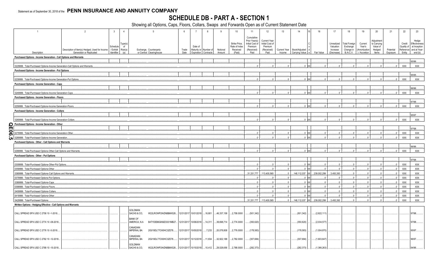#### **SCHEDULE DB - PART A - SECTION 1**

| $\overline{1}$                                                                | 2                                                                          | $\overline{3}$          | $\overline{4}$ | 5                                                                | 6             | $\overline{7}$        | 8                                             | $\mathsf{Q}$       | 10                 | 11                          | 12                  | 13                     | 14                                       | 16             | 17                     | 18                            | 19                            | 20              | 21                    | 22                  | 23                      |
|-------------------------------------------------------------------------------|----------------------------------------------------------------------------|-------------------------|----------------|------------------------------------------------------------------|---------------|-----------------------|-----------------------------------------------|--------------------|--------------------|-----------------------------|---------------------|------------------------|------------------------------------------|----------------|------------------------|-------------------------------|-------------------------------|-----------------|-----------------------|---------------------|-------------------------|
|                                                                               |                                                                            |                         |                |                                                                  |               |                       |                                               |                    |                    | Cumulative<br>Prior Year(s) | <b>Current Year</b> |                        |                                          |                |                        |                               |                               | Adjustment      |                       |                     | Hedge                   |
|                                                                               |                                                                            |                         | Гуре(s)        |                                                                  |               |                       |                                               |                    | Strike Price,      | Initial Cost of             | Initial Cost of     |                        |                                          |                | Unrealized             | <b>Total Foreign</b>          | Current                       | to Carrying     |                       | Credit              | Effectiveness           |
|                                                                               |                                                                            | Schedule                | of             |                                                                  |               | Date of               |                                               |                    | Rate of Index      | Premium                     | Premium             |                        |                                          |                | Valuation              | Exchange                      | Year's                        | Value of        |                       | Quality of          | at Inception            |
| Description                                                                   | Description of Item(s) Hedged, Used for Income<br>Generation or Replicated | / Exhibit<br>Identifier | Risk(s)<br>(a) | Exchange, Counterparty<br>or Central Clearinghouse               | Trade<br>Date |                       | Maturity or Number of<br>Expiration Contracts | Notional<br>Amount | Received<br>(Paid) | (Received)<br>Paid          | (Received)<br>Paid  | Current Year<br>Income | Book/Adjusted<br>Carrying Value<br>l e l | Fair Value     | Increase<br>(Decrease) | Change in<br><b>B./A.C.V.</b> | Amortization<br>) / Accretion | Hedged<br>Items | Potential<br>Exposure | Reference<br>Entity | and at Year-<br>end (b) |
|                                                                               |                                                                            |                         |                |                                                                  |               |                       |                                               |                    |                    |                             |                     |                        |                                          |                |                        |                               |                               |                 |                       |                     |                         |
| Purchased Options - Income Generation - Call Options and Warrants             |                                                                            |                         |                |                                                                  |               |                       |                                               |                    |                    |                             |                     |                        |                                          |                |                        |                               |                               |                 |                       |                     |                         |
|                                                                               |                                                                            |                         |                |                                                                  |               |                       |                                               |                    |                    |                             |                     |                        |                                          |                |                        |                               |                               |                 |                       |                     | 95/96.                  |
| 0229999. Total-Purchased Options-Income Generation-Call Options and Warrants. |                                                                            |                         |                |                                                                  |               |                       |                                               |                    |                    |                             | $\sim$              | $\sim$                 | <b>xx</b>                                |                |                        |                               | $\sqrt{ }$                    |                 |                       | <b>XXX</b>          | <b>XXX</b>              |
| Purchased Options - Income Generation - Put Options                           |                                                                            |                         |                |                                                                  |               |                       |                                               |                    |                    |                             |                     |                        |                                          |                |                        |                               |                               |                 |                       |                     |                         |
|                                                                               |                                                                            |                         |                |                                                                  |               |                       |                                               |                    |                    |                             |                     |                        |                                          |                |                        |                               |                               |                 |                       |                     | 95/95.                  |
| 0239999. Total-Purchased Options-Income Generation-Put Options.               |                                                                            |                         |                |                                                                  |               |                       |                                               |                    |                    |                             |                     |                        | xx                                       |                |                        |                               |                               |                 |                       | <b>XXX</b>          | <b>XXX</b>              |
| Purchased Options - Income Generation - Caps                                  |                                                                            |                         |                |                                                                  |               |                       |                                               |                    |                    |                             |                     |                        |                                          |                |                        |                               |                               |                 |                       |                     |                         |
|                                                                               |                                                                            |                         |                |                                                                  |               |                       |                                               |                    |                    |                             |                     |                        |                                          |                |                        |                               |                               |                 |                       |                     | 96/96.                  |
| 0249999. Total-Purchased Options-Income Generation-Caps.                      |                                                                            |                         |                |                                                                  |               |                       |                                               |                    |                    |                             |                     | $\Omega$               | 0 <sub>x</sub>                           |                |                        |                               |                               |                 |                       | XXX                 | <b>XXX</b>              |
| Purchased Options - Income Generation - Floors                                |                                                                            |                         |                |                                                                  |               |                       |                                               |                    |                    |                             |                     |                        |                                          |                |                        |                               |                               |                 |                       |                     |                         |
|                                                                               |                                                                            |                         |                |                                                                  |               |                       |                                               |                    |                    |                             |                     |                        |                                          |                |                        |                               |                               |                 |                       |                     | 87/88.                  |
|                                                                               |                                                                            |                         |                |                                                                  |               |                       |                                               |                    |                    |                             |                     |                        |                                          |                |                        |                               |                               |                 |                       |                     |                         |
| 0259999. Total-Purchased Options-Income Generation-Floors.                    |                                                                            |                         |                |                                                                  |               |                       |                                               |                    |                    |                             |                     |                        |                                          |                |                        |                               |                               |                 |                       | <b>XXX</b>          | <b>XXX</b>              |
| Purchased Options - Income Generation - Collars                               |                                                                            |                         |                |                                                                  |               |                       |                                               |                    |                    |                             |                     |                        |                                          |                |                        |                               |                               |                 |                       |                     |                         |
|                                                                               |                                                                            |                         |                |                                                                  |               |                       |                                               |                    |                    |                             |                     |                        |                                          |                |                        |                               |                               |                 |                       |                     | 95/97.                  |
| 0269999. Total-Purchased Options-Income Generation-Collars                    |                                                                            |                         |                |                                                                  |               |                       |                                               |                    |                    |                             | $\Omega$            | $\Omega$               | <b>XX</b>                                |                |                        |                               |                               |                 |                       | <b>XXX</b>          | <b>XXX</b>              |
| Purchased Options - Income Generation - Other                                 |                                                                            |                         |                |                                                                  |               |                       |                                               |                    |                    |                             |                     |                        |                                          |                |                        |                               |                               |                 |                       |                     |                         |
|                                                                               |                                                                            |                         |                |                                                                  |               |                       |                                               |                    |                    |                             |                     |                        |                                          |                |                        |                               |                               |                 |                       |                     | 97/98.                  |
| QE06.5<br>0279999. Total-Purchased Options-Income Generation-Other            |                                                                            |                         |                |                                                                  |               |                       |                                               |                    |                    |                             | 0                   | $\Omega$               | <b>XX</b>                                | $\Omega$       |                        | $\Omega$ .                    | $\Omega$ .                    | $\Omega$        | $\Omega$              | <b>XXX</b>          | <b>XXX</b>              |
| 0289999. Total-Purchased Options-Income Generation.                           |                                                                            |                         |                |                                                                  |               |                       |                                               |                    |                    |                             | $\Omega$            | $\bigcap$              | $.0 \times x$                            |                |                        | $\Omega$                      | $\sqrt{ }$                    |                 | $\Omega$              | XXX                 | <b>XXX</b>              |
| Purchased Options - Other - Call Options and Warrants                         |                                                                            |                         |                |                                                                  |               |                       |                                               |                    |                    |                             |                     |                        |                                          |                |                        |                               |                               |                 |                       |                     |                         |
|                                                                               |                                                                            |                         |                |                                                                  |               |                       |                                               |                    |                    |                             |                     |                        |                                          |                |                        |                               |                               |                 |                       |                     | 96/96                   |
| 0299999. Total-Purchased Options-Other-Call Options and Warrants.             |                                                                            |                         |                |                                                                  |               |                       |                                               |                    |                    |                             |                     |                        | xx                                       |                |                        |                               |                               |                 |                       | <b>XXX</b>          | <b>XXX</b>              |
|                                                                               |                                                                            |                         |                |                                                                  |               |                       |                                               |                    |                    |                             |                     |                        |                                          |                |                        |                               |                               |                 |                       |                     |                         |
| Purchased Options - Other - Put Options                                       |                                                                            |                         |                |                                                                  |               |                       |                                               |                    |                    |                             |                     |                        |                                          |                |                        |                               |                               |                 |                       |                     |                         |
|                                                                               |                                                                            |                         |                |                                                                  |               |                       |                                               |                    |                    |                             |                     |                        |                                          |                |                        |                               |                               |                 |                       |                     | 97/98.                  |
| 0309999. Total-Purchased Options-Other-Put Options                            |                                                                            |                         |                |                                                                  |               |                       |                                               |                    |                    |                             | 0                   | $\bigcap$              | <b>XX</b>                                | $\Omega$       |                        | 0                             | $\overline{0}$                |                 | $\Omega$              | <b>XXX</b>          | <b>XXX</b>              |
| 0359999. Total-Purchased Options-Other                                        |                                                                            |                         |                |                                                                  |               |                       |                                               |                    |                    |                             | 0                   | $\Omega$               | $0 \times x$                             | $\Omega$       | - 0                    | $\mathbb{C}$                  | $\mathbf{0}$                  | $\Omega$        | $\Omega$              | <b>XXX</b>          | <b>XXX</b>              |
| 0369999. Total-Purchased Options-Call Options and Warrants.                   |                                                                            |                         |                |                                                                  |               |                       |                                               |                    |                    | .31,331,777                 | 113,400,565         |                        | <b>xx</b><br>$0$ 148,112,037             | 239,002,299    | 3,493,393              | 0                             | 0                             | $\Omega$        |                       | XXX                 | <b>XXX</b>              |
| 0379999. Total-Purchased Options-Put Options.                                 |                                                                            |                         |                |                                                                  |               |                       |                                               |                    |                    |                             | $\bigcap$           | $\Omega$               | xx                                       | $\Omega$       |                        | 0                             | $\Omega$                      | $\Omega$        |                       | <b>XXX</b>          | <b>XXX</b>              |
| 0389999. Total-Purchased Options-Caps.                                        |                                                                            |                         |                |                                                                  |               |                       |                                               |                    |                    |                             | 0                   | 0                      | 0 <sub>x</sub>                           | $\Omega$       | $\sqrt{ }$             | $\Omega$ .                    | 0                             | $\Omega$        |                       | XXX                 | XXX                     |
| 0399999. Total-Purchased Options-Floors.                                      |                                                                            |                         |                |                                                                  |               |                       |                                               |                    |                    |                             | 0                   | $\Omega$               | xx<br>$\mathsf{n}$                       | $0$ .          | $\Omega$               | $\mathbf{0}$                  | $\Omega$                      | $\Omega$        |                       | XXX                 | <b>XXX</b>              |
| 0409999. Total-Purchased Options-Collars.                                     |                                                                            |                         |                |                                                                  |               |                       |                                               |                    |                    |                             | $\sqrt{ }$          | $\bigcap$              | xx                                       | $\Omega$       |                        | $\Omega$                      | $\bigcap$                     |                 |                       | <b>XXX</b>          | XXX                     |
| 0419999. Total-Purchased Options-Other                                        |                                                                            |                         |                |                                                                  |               |                       |                                               |                    |                    |                             | 0                   | $\Omega$               | xx                                       | $\Omega$       |                        | $\mathbf{0}$                  | $\Omega$                      | $\Omega$        |                       | <b>XXX</b>          | <b>XXX</b>              |
| 0429999. Total-Purchased Options.                                             |                                                                            |                         |                |                                                                  |               |                       |                                               |                    |                    | .31,331,777                 | .113,400,565        | $\Omega$               | 148,112,037                              | XX 239,002,299 | 3,493,393              | $\Omega$                      |                               |                 |                       | <b>XXX</b>          | <b>XXX</b>              |
|                                                                               |                                                                            |                         |                |                                                                  |               |                       |                                               |                    |                    |                             |                     |                        |                                          |                |                        |                               |                               |                 |                       |                     |                         |
| Written Options - Hedging Effective - Call Options and Warrants               |                                                                            |                         |                |                                                                  |               |                       |                                               |                    |                    |                             |                     |                        |                                          |                |                        |                               |                               |                 |                       |                     |                         |
|                                                                               |                                                                            |                         |                | <b>GOLDMAN</b>                                                   |               |                       |                                               |                    |                    |                             |                     |                        |                                          |                |                        |                               |                               |                 |                       |                     |                         |
| CALL SPREAD SPX USD C 2758 10 -1-2018.                                        |                                                                            |                         |                | SACHS & CO,<br>W22LROWP2IHZNBB6K528                              |               | 12/31/2017 10/01/2018 | .16,801                                       | .46,337,158        | 2,758.0000         | (501, 342)                  |                     |                        | (501, 342)                               | (2,622,111)    |                        |                               |                               |                 |                       |                     | 97/98.                  |
|                                                                               |                                                                            |                         |                | <b>BANK OF</b>                                                   |               |                       |                                               |                    |                    |                             |                     |                        |                                          |                |                        |                               |                               |                 |                       |                     |                         |
| CALL SPREAD SPX USD C 2774 10 -08-2018.                                       |                                                                            |                         |                | AMERICA, N.A.<br>B4TYDEB6GKMZO031MB27                            |               | 12/31/2017 10/08/2018 | 14,311                                        | 39,698,714         | 2,774.0000         | .(350,620                   |                     |                        | (350, 620)                               | (2,034,577)    |                        |                               |                               |                 |                       |                     | 97/98.                  |
|                                                                               |                                                                            |                         |                | CANADIAN                                                         |               |                       |                                               |                    |                    |                             |                     |                        |                                          |                |                        |                               |                               |                 |                       |                     |                         |
| CALL SPREAD SPX USD C 2776 10 -5-2018.                                        |                                                                            |                         |                | <b>IMPERIAL BA</b><br>2IGI19DL77OX0HC3ZE78                       |               | 12/31/2017 10/05/2018 | $\dots$ 7,233                                 | 20,078,808         | 2,776.0000         | (178, 583)                  |                     |                        | (178,583)                                | (1,004,870)    |                        |                               |                               |                 |                       |                     | 95/97.                  |
|                                                                               |                                                                            |                         |                | CANADIAN                                                         |               |                       |                                               |                    |                    |                             |                     |                        |                                          |                |                        |                               |                               |                 |                       |                     |                         |
| CALL SPREAD SPX USD C 2782 10 -12-2018.                                       |                                                                            |                         |                | <b>IMPERIAL BA</b><br>2IGI19DL77OX0HC3ZE78                       |               | 12/31/2017 10/12/2018 | 11,834                                        | 32,922,188         | 2,782.0000         | (307,684                    |                     |                        | (307, 684)                               | (1,603,647)    |                        |                               |                               |                 |                       |                     | 96/97.                  |
|                                                                               |                                                                            |                         |                | <b>GOLDMAN</b>                                                   |               |                       |                                               |                    |                    |                             |                     |                        |                                          |                |                        |                               |                               |                 |                       |                     |                         |
| CALL SPREAD SPX USD C 2788 10 -15-2018.                                       |                                                                            |                         |                | W22LROWP2IHZNBB6K528 12/31/2017 10/15/2018 10,412<br>SACHS & CO, |               |                       |                                               | 29,028,656         | 2.788.0000         | (282, 373)                  |                     |                        | (282.373)                                | (1,366,263)    |                        |                               |                               |                 |                       |                     | 94/96.                  |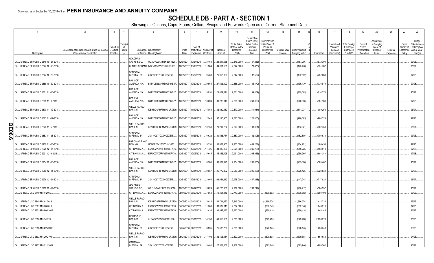### **SCHEDULE DB - PART A - SECTION 1**

|                                | $\overline{1}$                                                                     | $\overline{2}$                                                             | $\mathbf{3}$            | $\overline{4}$                  | 5                                                            | 6                     |                              | R                                  | $\overline{9}$     | 10                                                   | 11                                                                              | 12                                                                      | 13                     | 14                              | 16                     | 17                                                | 18                                                         | 19                                                  | 20                                                      | 21                    | 22                                         | 23                                                              |
|--------------------------------|------------------------------------------------------------------------------------|----------------------------------------------------------------------------|-------------------------|---------------------------------|--------------------------------------------------------------|-----------------------|------------------------------|------------------------------------|--------------------|------------------------------------------------------|---------------------------------------------------------------------------------|-------------------------------------------------------------------------|------------------------|---------------------------------|------------------------|---------------------------------------------------|------------------------------------------------------------|-----------------------------------------------------|---------------------------------------------------------|-----------------------|--------------------------------------------|-----------------------------------------------------------------|
|                                | Description                                                                        | Description of Item(s) Hedged, Used for Income<br>Generation or Replicated | / Exhibit<br>Identifier | ype(s<br>of<br>$Risk(s)$<br>(a) | Exchange, Counterparty<br>or Central Clearinghouse           | Trade<br>Date         | Date of<br><b>Expiration</b> | Maturity or Number of<br>Contracts | Notional<br>Amount | Strike Price,<br>Rate of Index<br>Received<br>(Paid) | Cumulative<br>Prior Year(s)<br>Initial Cost of<br>Premium<br>(Received)<br>Paid | <b>Current Year</b><br>Initial Cost of<br>Premium<br>(Received)<br>Paid | Current Year<br>Income | Book/Adjusted<br>Carrying Value | Fair Value             | Unrealized<br>Valuation<br>Increase<br>(Decrease) | <b>Total Foreign</b><br>Exchange<br>Change in<br>B./A.C.V. | Current<br>Year's<br>(Amortizatior<br>) / Accretion | Adjustmen<br>to Carrying<br>Value of<br>Hedged<br>Items | Potential<br>Exposure | Credit<br>Quality c<br>Reference<br>Entity | Hedge<br>Effectivenes<br>at Inception<br>and at Year<br>end (b) |
|                                |                                                                                    |                                                                            |                         |                                 | GOLDMAN<br>SACHS & CO,                                       | 12/31/201             | 10/24/2018                   | 8,158                              | 23,217,668         | .2,846.0000                                          |                                                                                 |                                                                         |                        | (157,286)                       |                        |                                                   |                                                            |                                                     |                                                         |                       |                                            | 93/95.                                                          |
|                                | CALL SPREAD SPX USD C 2846 10 -24-2018.<br>CALL SPREAD SPX USD C 2847 10 -19-2018. |                                                                            |                         |                                 | W22LROWP2IHZNBB6K528.<br>SUNTRUST BANK IYDOJBGJWY9T8XKCSX06. | 12/31/201             | 10/19/2018                   | 11,964                             | 34,061,508         | .2,847.0000                                          | .(157,286)<br>(173,478)                                                         |                                                                         |                        | (173,478).                      | (672,394)<br>(931,787) |                                                   |                                                            |                                                     |                                                         |                       |                                            | 95/97.                                                          |
|                                | CALL SPREAD SPX USD C 2847 10 -22-2018.                                            |                                                                            |                         |                                 | CANADIAN<br><b>IMPERIAL BA</b><br>2IGI19DL77OX0HC3ZE78       | 12/31/201             | 10/22/2018                   | 9,468                              | 26,955,396         | 2,847.0000                                           | (132,552)                                                                       |                                                                         |                        | (132, 552)                      | (757,683)              |                                                   |                                                            |                                                     |                                                         |                       |                                            | 97/98.                                                          |
|                                | CALL SPREAD SPX USD C 2858 10 -29-2018.                                            |                                                                            |                         |                                 | <b>BANK OF</b><br>AMERICA, N.A<br>B4TYDEB6GKMZO031MB27.      | 12/31/201             | 10/29/2018                   | 9,655                              | 27,593,990         | 2,858.0000                                           | (135,170)                                                                       |                                                                         |                        | (135, 170)                      | (730,979)              |                                                   |                                                            |                                                     |                                                         |                       |                                            | 97/98.                                                          |
|                                | CALL SPREAD SPX USD C 2861 11 -16-2018.                                            |                                                                            |                         |                                 | <b>BANK OF</b><br>AMERICA, N.A<br>B4TYDEB6GKMZO031MB27.      | 12/31/201             | 1/16/2018                    | 9,951                              | .28,469,81         | 2,861.0000                                           | .(189,069)                                                                      |                                                                         |                        | (189,069).                      | (814, 775)             |                                                   |                                                            |                                                     |                                                         |                       |                                            | 95/97.                                                          |
|                                | CALL SPREAD SPX USD C 2865 11 -1-2018                                              |                                                                            |                         |                                 | <b>BANK OF</b><br>AMERICA, N.A<br>B4TYDEB6GKMZO031MB27.      | 12/31/201             | 11/01/2018                   | 13,694                             | 39,233,310         | .2,865.0000                                          | (240, 056)                                                                      |                                                                         |                        | (240,056)                       | (981,189)              |                                                   |                                                            |                                                     |                                                         |                       |                                            | 97/98.                                                          |
|                                | CALL SPREAD SPX USD C 2870 11 -12-2018.                                            |                                                                            |                         |                                 | WELLS FARGO<br>BANK, N.<br>KB1H1DSPRFMYMCUFXT09.             | 12/31/201             | 11/12/2018                   | .14,854                            | .42,630,980        | .2,870.0000                                          | (311, 934)                                                                      |                                                                         |                        | (311, 934)                      | (1,089,250)            |                                                   |                                                            |                                                     |                                                         |                       |                                            | 96/97                                                           |
|                                | CALL SPREAD SPX USD C 2873 11 -19-2018.                                            |                                                                            |                         |                                 | <b>BANK OF</b><br>AMERICA, N.A<br>B4TYDEB6GKMZO031MB27.      | 12/31/2017            | 11/19/2018                   | 12,945                             | 37,190,985         | .2,873.0000                                          | (220,065)                                                                       |                                                                         |                        | (220,065)                       | (960,324)              |                                                   |                                                            |                                                     |                                                         |                       |                                            | 97/98.                                                          |
| m                              | CALL SPREAD SPX USD C 2876 11 -5-2018                                              |                                                                            |                         |                                 | <b>WELLS FARGO</b><br>BANK, N.<br>KB1H1DSPRFMYMCUFXT09.      | 12/31/2017            | 11/05/2018                   | 10,159                             | 29,217,284         | 2,876.0000                                           | .(193,021)                                                                      |                                                                         |                        | (193,021).                      | (662, 753)             |                                                   |                                                            |                                                     |                                                         |                       |                                            | 95/97.                                                          |
| န္တ<br>$\overline{\mathbf{c}}$ | CALL SPREAD SPX USD C 2887 11 -23-2018.                                            |                                                                            |                         |                                 | CANADIAN<br><b>IMPERIAL BA</b><br>2IGI19DL77OX0HC3ZE78       | 12/31/201             | 11/23/2018                   | 10,622                             | 30,665,714         | 2,887.0000                                           | (182, 805)                                                                      |                                                                         |                        | (182, 805)                      | (705,638).             |                                                   |                                                            |                                                     |                                                         |                       |                                            | 93/95.                                                          |
|                                | CALL SPREAD SPX USD C 2900 11 -28-2018.                                            |                                                                            |                         |                                 | <b>BARCLAYS BANK</b><br>NEW YO<br>G5GSEF7VJP5I7OUK5573.      | 12/31/201             | 11/28/2018                   | 19,251                             | 55,827,900         | .2,900.0000                                          | (404, 271)                                                                      |                                                                         |                        | .(404, 271)                     | .(1,168,453)           |                                                   |                                                            |                                                     |                                                         |                       |                                            | 97/98.                                                          |
|                                | CALL SPREAD SPX USD C 2928 12 -07-2018.                                            |                                                                            |                         |                                 | CITIBANK N.A E57ODZWZ7FF32TWEFA76.                           | 12/31/201             | 12/07/2018                   | 11,725                             | 34,330,800         | .2,928.0000                                          | (246, 225)                                                                      |                                                                         |                        | (246, 225)                      | (558, 513)             |                                                   |                                                            |                                                     |                                                         |                       |                                            | 97/98.                                                          |
|                                | CALL SPREAD SPX USD C 2931 12 -3-2018                                              |                                                                            |                         |                                 | CITIBANK N.A E57ODZWZ7FF32TWEFA76                            | 12/31/201             | 12/03/2018                   | 15,645                             | .45,855,495        | .2,931.0000                                          | (265, 965)                                                                      |                                                                         |                        | (265, 965)                      | (691,340)              |                                                   |                                                            |                                                     |                                                         |                       |                                            | 37/98.                                                          |
|                                | CALL SPREAD SPX USD C 2954 12 -10-2018.                                            |                                                                            |                         |                                 | <b>BANK OF</b><br>AMERICA, N.A<br>B4TYDEB6GKMZO031MB27.      | 12/31/201             | 12/10/2018                   | 10,280                             | 30,367,120         | .2,954.0000                                          | (205,600)                                                                       |                                                                         |                        | (205,600)                       | (365, 467)             |                                                   |                                                            |                                                     |                                                         |                       |                                            | 95/97.                                                          |
|                                | CALL SPREAD SPX USD C 2956 12 -14-2018.                                            |                                                                            |                         |                                 | <b>WELLS FARGO</b><br>BANK, N.<br>KB1H1DSPRFMYMCUFXT09.      | 12/31/201             | 12/14/2018                   | 9,057                              | 26,772,492         | 2,956.0000                                           | (226, 425)                                                                      |                                                                         |                        | (226, 425)                      | (328, 532)             |                                                   |                                                            |                                                     |                                                         |                       |                                            | 97/98.                                                          |
|                                | CALL SPREAD SPX USD C 2978 12 -24-2018.                                            |                                                                            |                         |                                 | CANADIAN<br><b>IMPERIAL BA</b><br>2IGI19DL77OX0HC3ZE78       | 12/31/2017            | 12/24/2018                   | 23,054                             | 68,654,812         | 2,978.0000                                           | (447, 248)                                                                      |                                                                         |                        | (447, 248)                      | (717,820)              |                                                   |                                                            |                                                     |                                                         |                       |                                            | 96/97                                                           |
|                                | CALL SPREAD SPX USD C 2982 12 -17-2018.                                            |                                                                            |                         |                                 | GOLDMAN<br>SACHS & CO,<br>W22LROWP2IHZNBB6K528.              | 12/31/201             | 12/17/2018                   | .13,824                            | .41,223,168        | 2,982.0000                                           | (280, 212)                                                                      |                                                                         |                        | (280, 212)                      | (364,337               |                                                   |                                                            |                                                     |                                                         |                       |                                            | 96/97.                                                          |
|                                | CALL SPREAD USD 2749 M 5-9-2019.                                                   |                                                                            |                         |                                 | CITIBANK N.A<br>E57ODZWZ7FF32TWEFA76                         | 05/11/2018 05/09/2019 |                              | 7,054                              | .19,391,446        | .2,749.0000                                          |                                                                                 | (338, 592)                                                              |                        | (338, 592)                      | (689, 492)             |                                                   |                                                            |                                                     |                                                         |                       |                                            | 96/96.                                                          |
|                                | CALL SPREAD USD 2845 M 4/01/2019.                                                  |                                                                            |                         |                                 | WELLS FARGO<br>BANK, N.<br>KB1H1DSPRFMYMCUFXT09              |                       | 04/05/2018 04/01/2019        | 15,014                             | .42,714,830        | 2,845.0000                                           |                                                                                 | (1,366,274                                                              |                        | (1,366,274)                     | (2,412,734)            |                                                   |                                                            |                                                     |                                                         |                       |                                            | 95/96.                                                          |
|                                | CALL SPREAD USD 2867 M 3/28/2019.                                                  |                                                                            |                         |                                 | CITIBANK N.A<br>E57ODZWZ7FF32TWEFA76                         | 04/02/201             | 03/28/2019                   | 11,539                             | 33,082,313         | 2,867.0000                                           |                                                                                 | (692, 340)                                                              |                        | (692,340)                       | .(1,646,210            |                                                   |                                                            |                                                     |                                                         |                       |                                            | 37/98.                                                          |
|                                | CALL SPREAD USD 2873 M 04/08/2019.                                                 |                                                                            |                         |                                 | CITIBANK N.A<br>E57ODZWZ7FF32TWEFA76                         | 04/13/2018 04/08/2019 |                              | 11,434                             | 32,849,882         | 2,873.0000                                           |                                                                                 | (880, 418)                                                              |                        | (880, 418)                      | (1,644,145)            |                                                   |                                                            |                                                     |                                                         |                       |                                            | 96/97.                                                          |
|                                | CALL SPREAD USD 2886 M 5/1/2019                                                    |                                                                            |                         |                                 | DEUTSCHE<br><b>BANK SA</b><br>7LTWFZYICNSX8D621K86           |                       | 05/04/2018 05/01/2019        | 14,158                             | .40,859,988        | .2,886.0000                                          |                                                                                 | (849, 480)                                                              |                        | (849, 480)                      | (2,053,273)            |                                                   |                                                            |                                                     |                                                         |                       |                                            | 35/95.                                                          |
|                                | CALL SPREAD USD 2888 M 04/25/2019.                                                 |                                                                            |                         |                                 | CANADIAN<br><b>IMPERIAL BA</b><br>2IGI19DL77OX0HC3ZE78       |                       | 04/27/2018 04/25/2019        | 8,895                              | 25,688,760         | .2,888.0000                                          |                                                                                 | (578, 175)                                                              |                        | (578, 175)                      | (1,253,248)            |                                                   |                                                            |                                                     |                                                         |                       |                                            | 93/93.                                                          |
|                                | CALL SPREAD USD 2892 M 4/29/2109.                                                  |                                                                            |                         |                                 | <b>WELLS FARGO</b><br>BANK, N.<br>KB1H1DSPRFMYMCUFXT09.      | 05/01/2018 04/29/2019 |                              | 11,102                             | 32,106,984         | 2,892.0000                                           |                                                                                 | (599,508)                                                               |                        | (599,508).                      | (1,554,586)            |                                                   |                                                            |                                                     |                                                         |                       |                                            | 34/95.                                                          |
|                                | CALL SPREAD USD 2907 M 02/11/2019                                                  |                                                                            |                         |                                 | CANADIAN<br><b>IMPERIAL BA</b><br>2IGI19DL77OX0HC3ZE78       |                       | 02/13/2018 02/11/2019        | 9,481                              | 27,561,267         | .2,907.0000                                          |                                                                                 | (625.746)                                                               |                        | (625.746)                       | (909, 562)             |                                                   |                                                            |                                                     |                                                         |                       |                                            | 96/97.                                                          |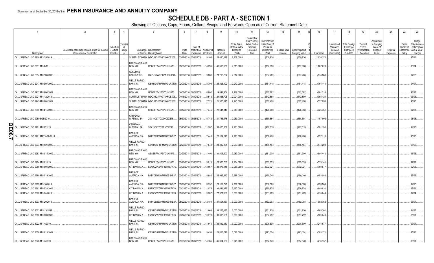### **SCHEDULE DB - PART A - SECTION 1**

|                 |                                     | 2                                              |                       | $\overline{4}$                     | -5                                          | 6                     |                        | -8        |             | 10                                         | 11                                                                      | 12                                                              | 13                  | 14             | 16                 | 17                                  | 18                                            | 19                                 | 20                                             | 21        | 22                               | 23                                                   |
|-----------------|-------------------------------------|------------------------------------------------|-----------------------|------------------------------------|---------------------------------------------|-----------------------|------------------------|-----------|-------------|--------------------------------------------|-------------------------------------------------------------------------|-----------------------------------------------------------------|---------------------|----------------|--------------------|-------------------------------------|-----------------------------------------------|------------------------------------|------------------------------------------------|-----------|----------------------------------|------------------------------------------------------|
|                 |                                     | Description of Item(s) Hedged, Used for Income | Schedule<br>/ Exhibit | Type(s<br>of<br>Risk(s)            | Exchange, Counterparty                      | Trade                 | Date of<br>Maturity or | Number of | Notional    | Strike Price,<br>Rate of Index<br>Received | Cumulative<br>Prior Year(s)<br>Initial Cost of<br>Premium<br>(Received) | <b>Current Year</b><br>Initial Cost of<br>Premium<br>(Received) | <b>Current Year</b> | Book/Adjusted  |                    | Unrealized<br>Valuation<br>Increase | <b>Total Foreign</b><br>Exchange<br>Change in | Current<br>Year's<br>(Amortization | Adjustmen<br>to Carrying<br>Value of<br>Hedged | Potential | Credit<br>Quality o<br>Reference | Hedge<br>Effectivenes<br>at Inception<br>and at Year |
|                 | Description                         | Generation or Replicated                       | Identifier            |                                    | or Central Clearinghouse                    | Date                  | <b>Expiration</b>      | Contracts | Amount      | (Paid)                                     | Paid                                                                    | Paid                                                            | Income              | Carrying Value | Fair Value         | (Decrease)                          | <b>B./A.C.V.</b>                              | ) / Accretion                      | Items                                          | Exposure  | Entity                           | end (b)                                              |
|                 | CALL SPREAD USD 2908 M 3/25/2019.   |                                                |                       |                                    | SUNTRUST BANK IYDOJBGJWY9T8XKCSX06          |                       | 03/27/2018 03/25/2019  | 9,106     | .26,480,248 | 2,908.0000                                 |                                                                         | (509, 936)                                                      |                     | .(509,936)     | (1,030,372)        |                                     |                                               |                                    |                                                |           |                                  | 95/96.                                               |
|                 | CALL SPREAD USD 2911 M 5/6/19.      |                                                |                       | BARCLAYS BANK<br>NEW YO            | G5GSEF7VJP5I7OUK5573                        |                       | 05/08/2018 05/06/2019  | 14,296    | 41,615,656  | 2,911.0000                                 |                                                                         | (757, 688)                                                      |                     | .(757,688)     | (1,862,673)        |                                     |                                               |                                    |                                                |           |                                  | 93/94.                                               |
|                 | CALL SPREAD USD 2914 M 02/04/2019   |                                                |                       | GOLDMAN<br>SACHS & CO.             | W22LROWP2IHZNBB6K528.                       |                       | 02/06/2018 02/04/2019  | 9,881     | 28,793,234  | 2,914.0000                                 |                                                                         | (607,286).                                                      |                     | (607,286)      | (874,583)          |                                     |                                               |                                    |                                                |           |                                  | 97/98.                                               |
|                 | CALL SPREAD USD 2917 M 02/07/2019.  |                                                |                       | <b>WELLS FARGO</b><br>BANK, N.     | KB1H1DSPRFMYMCUFXT09.                       |                       | 02/09/2018 02/07/2019  | 8,706     | 25,395,402  | 2,917.0000                                 |                                                                         | (461,418).                                                      |                     | .(461,418).    | (764,140)          |                                     |                                               |                                    |                                                |           |                                  | 94/97.                                               |
|                 | CALL SPREAD USD 2917 M 04/04/2019   |                                                |                       | <b>BARCLAYS BANK</b><br>NEW YO     | G5GSEF7VJP5I7OUK5573                        |                       | 04/06/2018 04/04/2019  | 6,802     | .19,841,434 | 2,917.0000                                 |                                                                         | (312, 892)                                                      |                     | (312,892)      | (761,714)          |                                     |                                               |                                    |                                                |           |                                  | 96/97.                                               |
|                 | CALL SPREAD USD 2921 M 4/12/2019.   |                                                |                       |                                    | SUNTRUST BANK IYDOJBGJWY9T8XKCSX06.         |                       | 04/16/2018 04/12/2019  | 8,548     | 24,968,708  | 2,921.0000                                 |                                                                         | (512,880)                                                       |                     | (512,880)      | .(965,124)         |                                     |                                               |                                    |                                                |           |                                  | 96/96.                                               |
|                 | CALL SPREAD USD 2945 M 03/01/2019   |                                                |                       |                                    | SUNTRUST BANK IYDOJBGJWY9T8XKCSX06.         |                       | 03/05/2018 03/01/2019  | ,7,321    | 21,560,345  | 2,945.0000                                 |                                                                         | (512, 470)                                                      |                     | (512, 470)     | (577,990)          |                                     |                                               |                                    |                                                |           |                                  | 96/95.                                               |
|                 | CALL SPREAD USD 2946 M 04/15/2019.  |                                                |                       | BARCLAYS BANK<br>NEW YO            | G5GSEF7VJP5I7OUK5573                        |                       | 04/17/2018 04/15/2019  | 7,346     | 21,641,316  | 2,946.0000                                 |                                                                         | (426,068).                                                      |                     | (426,068)      | $\ldots$ (726,751) |                                     |                                               |                                    |                                                |           |                                  | 97/97.                                               |
|                 | CALL SPREAD USD 2959 5/28/2019.     |                                                |                       | CANADIAN<br><b>IMPERIAL BA</b>     | 2IGI19DL77OX0HC3ZE78.                       |                       | 05/30/2018 05/28/2019  | .10,742   | 31,785,578  | 2,959.0000                                 |                                                                         | (558, 584)                                                      |                     | (558, 584)     | (1,157,902)        |                                     |                                               |                                    |                                                |           |                                  | 95/96.                                               |
| ဥူ<br>$\bullet$ | CALL SPREAD USD 2961 M 03/21/19     |                                                |                       | CANADIAN<br><b>IMPERIAL BA</b>     | 2IGI19DL77OX0HC3ZE78.                       |                       | 03/23/2018 03/21/2019  | 11,287    | 33,420,807  | 2,961.0000                                 |                                                                         | (417,619).                                                      |                     | .(417,619).    | (881,190)          |                                     |                                               |                                    |                                                |           |                                  | 94/96.                                               |
| თ               | CALL SPREAD USD 2971 MAT 4-18-2019. |                                                |                       | BANK OF<br>AMERICA, N.A            | B4TYDEB6GKMZO031MB27                        |                       | 04/20/2018 04/18/2019  | 7,440     | 22,104,240  | 2,971.0000                                 |                                                                         | (260, 400)                                                      |                     | .(260,400)     | (637, 118)         |                                     |                                               |                                    |                                                |           |                                  | 95/96.                                               |
|                 | CALL SPREAD USD 2973 M 02/21/2019.  |                                                |                       | <b>WELLS FARGO</b><br>BANK, N.     | KB1H1DSPRFMYMCUFXT09.                       | 02/26/2018 02/21/2019 |                        | 7,848     | 23,332,104  | 2,973.0000                                 |                                                                         | (455, 184)                                                      |                     | .(455, 184)    | (474,204)          |                                     |                                               |                                    |                                                |           |                                  | 98/98.                                               |
|                 | CALL SPREAD USD 2983 M 02/15/2019.  |                                                |                       | <b>BARCLAYS BANK</b><br>NEW YO     | G5GSEF7VJP5I7OUK5573                        |                       | 02/20/2018 02/15/2019  | 11,400    | 34,006,200  | 2,983.0000                                 |                                                                         | (661,200).                                                      |                     | .(661,200)     | (604, 442)         |                                     |                                               |                                    |                                                |           |                                  | 35/96.                                               |
|                 | CALL SPREAD USD 2984 M 03/18/19.    |                                                |                       | <b>BARCLAYS BANK</b><br>NEW YO     | G5GSEF7VJP5I7OUK5573                        |                       | 03/20/2018 03/18/2019  | 9,015     | 26,900,760  | 2,984.0000                                 |                                                                         | (513, 855)                                                      |                     | (513, 855)     | (575, 141)         |                                     |                                               |                                    |                                                |           |                                  | 97/97.                                               |
|                 | CALL SPREAD USD 2985 M 03/04/2019.  |                                                |                       | CITIBANK N.A.                      | E57ODZWZ7FF32TWEFA76                        |                       | 03/06/2018 03/04/2019  | .13,057   | .38,975,145 | 2,985.0000                                 |                                                                         | (692, 021)                                                      |                     | .(692,021)     | (759,577)          |                                     |                                               |                                    |                                                |           |                                  | 92/95.                                               |
|                 | CALL SPREAD USD 2988 M 02/19/2019.  |                                                |                       | <b>BANK OF</b><br>AMERICA, N.A.    | B4TYDEB6GKMZO031MB27                        |                       | 02/21/2018 02/19/2019  | 8,680     | 25,935,840  | 2,988.0000                                 |                                                                         | (460,040).                                                      |                     | (460, 040)     | (453,088)          |                                     |                                               |                                    |                                                |           |                                  | 95/96.                                               |
|                 | CALL SPREAD USD 2989 M 5/16/2019.   |                                                |                       | <b>BANK OF</b><br>AMERICA, N.A     | B4TYDEB6GKMZO031MB27.                       |                       | 05/18/2018 05/16/2019  | 8,752     | 26,159,728  | 2,989.0000                                 |                                                                         | (306, 320)                                                      |                     | (306, 320)     | (753,989)          |                                     |                                               |                                    |                                                |           |                                  | 94/95                                                |
|                 | CALL SPREAD USD 2993 M 02/28/2019   |                                                |                       | CITIBANK N.A.                      | E57ODZWZ7FF32TWEFA76.                       |                       | 03/01/2018 02/28/2019  | .11,575   | 34,643,975  | 2,993.0000                                 |                                                                         | (520,875).                                                      |                     | (520, 875)     | .(609,831          |                                     |                                               |                                    |                                                |           |                                  | 95/96.                                               |
|                 | CALL SPREAD USD 3000 M 5/24/2019.   |                                                |                       | CITIBANK N.A<br><b>BANK OF</b>     | E57ODZWZ7FF32TWEFA76                        |                       | 05/29/2018 05/24/2019  | 9,307     | 27,921,000  | 3,000.0000                                 |                                                                         | (251, 289)                                                      |                     | .(251,289)     | (774,044)          |                                     |                                               |                                    |                                                |           |                                  | 92/94                                                |
|                 | CALL SPREAD USD 3003 M 5/20/2019.   |                                                |                       | AMERICA, N.A<br><b>WELLS FARGO</b> | B4TYDEB6GKMZO031MB27                        |                       | 05/22/2018 05/20/2019  | 12,489    | 37,504,467  | 3,003.0000                                 |                                                                         | (462,093).                                                      |                     | (462,093)      | (1,002,352)        |                                     |                                               |                                    |                                                |           |                                  | 96/97.                                               |
|                 | CALL SPREAD USD 3003 M 5-13-2019    |                                                |                       | bank, n.                           | KB1H1DSPRFMYMCUFXT09.                       |                       | 05/15/2018 05/13/2019  | 11,064    | 33,225,192  | 3,003.0000                                 |                                                                         | (331,920)                                                       |                     | .(331,920)     | .(865,301          |                                     |                                               |                                    |                                                |           |                                  | 94/95                                                |
|                 | CALL SPREAD USD 3006 M 03/08/2019.  |                                                |                       | CITIBANK N.A                       | E57ODZWZ7FF32TWEFA76                        |                       | 03/12/2018 03/08/2019  | .10,278   | 30,895,668  | 3,006.0000                                 |                                                                         | (657, 792)                                                      |                     | (657, 792)     | (506, 043)         |                                     |                                               |                                    |                                                |           |                                  | 95/97                                                |
|                 | CALL SPREAD USD 3022 M 1/4/2019.    |                                                |                       | <b>WELLS FARGO</b><br>BANK, N.     | KB1H1DSPRFMYMCUFXT09. 01/05/2018 01/04/2019 |                       |                        | 11,940    | 36,082,680  | 3,022.0000                                 |                                                                         | (298,500)                                                       |                     | (298,500)      | (244,577           |                                     |                                               |                                    |                                                |           |                                  | 97/97.                                               |
|                 | CALL SPREAD USD 3028 M 03/15/2019   |                                                |                       | <b>WELLS FARGO</b><br>bank, n.     | KB1H1DSPRFMYMCUFXT09.                       | 03/19/2018 03/15/2019 |                        | 9,454     | 28,626,712  | 3,028.0000                                 |                                                                         | (293,074).                                                      |                     | (293,074).     | (395,171           |                                     |                                               |                                    |                                                |           |                                  | 95/96.                                               |
|                 | CALL SPREAD USD 3048 M 1/7/2019     |                                                |                       | <b>BARCLAYS BANK</b><br>NEW YO     | G5GSEF7VJP5I7OUK5573                        |                       | 01/09/2018 01/07/2019  | 14,785    | 45,064,680  | 3,048.0000                                 |                                                                         | (354.840)                                                       |                     | (354.840)      | (216, 132)         |                                     |                                               |                                    |                                                |           |                                  | 96/97                                                |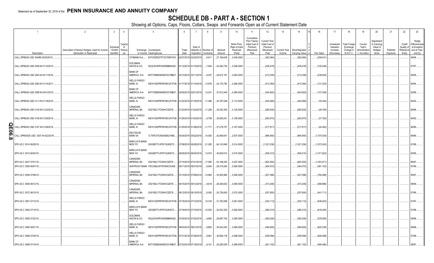### **SCHEDULE DB - PART A - SECTION 1**

|          |                                                    | $\overline{2}$                                 | $\mathbf{3}$         |                                                      | 5                                            | 6                     |                                                | 8                     |                           | 10                                         | 11                                                                      | 12                                                              | 13           | 14                        | 16                         |            | 17                                  | 18                                            | 19                                 | 20                                             | 21        | 22                               | 23                                                   |
|----------|----------------------------------------------------|------------------------------------------------|----------------------|------------------------------------------------------|----------------------------------------------|-----------------------|------------------------------------------------|-----------------------|---------------------------|--------------------------------------------|-------------------------------------------------------------------------|-----------------------------------------------------------------|--------------|---------------------------|----------------------------|------------|-------------------------------------|-----------------------------------------------|------------------------------------|------------------------------------------------|-----------|----------------------------------|------------------------------------------------------|
|          |                                                    | Description of Item(s) Hedged, Used for Income | Schedul<br>/ Exhibit | Type(s<br>of<br>Risk(s)                              | Exchange, Counterparty                       | Trade                 | Date of                                        | Maturity or Number of | Notional                  | Strike Price,<br>Rate of Index<br>Received | Cumulative<br>Prior Year(s)<br>Initial Cost of<br>Premium<br>(Received) | <b>Current Year</b><br>Initial Cost of<br>Premium<br>(Received) | Current Year | Book/Adjusted             |                            |            | Unrealized<br>Valuation<br>Increase | <b>Total Foreign</b><br>Exchange<br>Change in | Current<br>Year's<br>(Amortizatior | Adjustmen<br>to Carrying<br>Value of<br>Hedged | Potential | Credit<br>Quality o<br>Reference | Hedge<br>Effectivenes<br>at Inception<br>and at Year |
|          | Description                                        | Generation or Replicated                       | Identifier           | (a)                                                  | or Central Clearinghouse                     | Date                  | Expiration                                     | Contracts             | Amount                    | (Paid)                                     | Paid                                                                    | Paid                                                            | Income       | Carrying Value            | Fair Value                 |            | (Decrease)                          | <b>B./A.C.V.</b>                              | / Accretion                        | Items                                          | Exposure  | Entity                           | end (b)                                              |
|          | CALL SPREAD USD 3049M 02/25/2019.                  |                                                |                      | CITIBANK N.A                                         | E57ODZWZ7FF32TWEFA76                         | 02/27/2018 02/25/2019 |                                                | 8,911                 | 27,169,639                | 3,049.0000                                 |                                                                         | (392,084)                                                       |              | (392,084)                 |                            | (259, 041) |                                     |                                               |                                    |                                                |           |                                  | 94/94.                                               |
|          | CALL SPREAD USD 3058 M 01/10/2019.                 |                                                |                      | <b>GOLDMAN</b><br>SACHS & CO,                        | W22LROWP2IHZNBB6K528.                        |                       | 01/12/2018 01/10/2019                          | 7.944                 | 24,292,752                | 3,058.0000                                 |                                                                         | (238,479)                                                       |              | (238, 479)                |                            | (105,249)  |                                     |                                               |                                    |                                                |           |                                  | 97/97.                                               |
|          | CALL SPREAD USD 3063 M 03/11/2019.                 |                                                |                      | <b>BANK OF</b><br>AMERICA, N.A                       | B4TYDEB6GKMZO031MB27                         | 03/13/2018 03/11/2019 |                                                | 8,447                 | 25,873,161                | 3,063.0000                                 |                                                                         | (312, 539)                                                      |              | (312, 539)                |                            | (238,935)  |                                     |                                               |                                    |                                                |           |                                  | 95/95.                                               |
|          | CALL SPREAD USD 3084 M 01/14/2017.                 |                                                |                      | <b>WELLS FARGO</b><br>Bank, N.                       | KB1H1DSPRFMYMCUFXT09.                        | 01/17/2018 01/14/2019 |                                                | 13,676                | .42,176,784               | 3,084.0000                                 |                                                                         | (410, 280)                                                      |              | (410,280)                 |                            | (131,323)  |                                     |                                               |                                    |                                                |           |                                  | 95/94                                                |
|          | CALL SPREAD USD 3089 M 02/01/2019.                 |                                                |                      | <b>BANK OF</b><br>AMERICA, N.A<br><b>WELLS FARGO</b> | B4TYDEB6GKMZO031MB27.                        | 02/05/2018 02/01/2019 |                                                | 12,241                | 37,812,449                | 3,089.0000                                 |                                                                         | (244, 820)                                                      |              | (244,820)                 |                            | (157, 309) |                                     |                                               |                                    |                                                |           |                                  | 92/96.                                               |
|          | CALL SPREAD USD 3113 M 01/18/2019.                 |                                                |                      | Bank, N.<br>CANADIAN                                 | KB1H1DSPRFMYMCUFXT09.                        | 01/22/2018 01/18/2019 |                                                | 11,496                | 35,787,048                | 3,113.0000                                 |                                                                         | (304,069).                                                      |              | .(304,069).               |                            | (76, 440)  |                                     |                                               |                                    |                                                |           |                                  | 94/93.                                               |
|          | CALL SPREAD USD 3145 M 01/22/2019.                 |                                                |                      | <b>IMPERIAL BA</b><br><b>WELLS FARGO</b>             | 2IGI19DL77OX0HC3ZE78.                        |                       | 01/23/2018 01/22/2019                          | 11,209                | 35,252,305                | 3,145.0000                                 |                                                                         | (285,830)                                                       |              | (285, 830)                |                            | (49,708)   |                                     |                                               |                                    |                                                |           |                                  | 96/96.                                               |
|          | CALL SPREAD USD 3159 M 01/25/2019.                 |                                                |                      | Bank, N.<br><b>WELLS FARGO</b>                       | KB1H1DSPRFMYMCUFXT09.                        | 01/25/2018 01/25/2019 |                                                | 9,799                 | 30,955,041                | 3,159.0000                                 |                                                                         | (293,970)                                                       |              | (293, 970)                |                            | (37, 782)  |                                     |                                               |                                    |                                                |           |                                  | 94/92.                                               |
| ဌ<br>န္တ | CALL SPREAD USD 3167 M 01/28/2019                  |                                                |                      | Bank, N.<br><b>DEUTSCHE</b>                          | KB1H1DSPRFMYMCUFXT09.                        | 01/25/2018 01/28/2019 |                                                | 11,771                | 37,278,757                | 3,167.0000                                 |                                                                         | (317, 817)                                                      |              | .(317,817).               |                            | (44, 492)  |                                     |                                               |                                    |                                                |           |                                  | 96/95.                                               |
| ထ        | CALL SPREADS USD 2937 M 4/22/2019                  |                                                |                      | <b>BANK SA</b><br><b>BARCLAYS BANK</b>               | 7LTWFZYICNSX8D621K86                         |                       | 04/24/2018 04/22/2019                          | 14,593                | 42,859,641                | 2,937.0000                                 |                                                                         | (666,900).                                                      |              | .(666,900)                | (1,570,534)                |            |                                     |                                               |                                    |                                                |           |                                  | 96/96.                                               |
|          | SPX US C 3014 06/28/19.<br>SPX US C 3015 06/03/19. |                                                |                      | NEW YO<br><b>BARCLAYS BANK</b><br>NEW YO             | G5GSEF7VJP5I7OUK5573<br>G5GSEF7VJP5I7OUK5573 |                       | 07/09/2018 06/28/2019<br>06/05/2018 06/03/2019 | .21,282<br>.13,574    | 64,143,948<br>.40,925,610 | 3,014.0000<br>3,015.0000                   |                                                                         | (1,021,536)<br>(506, 310)                                       |              | (1,021,536)<br>(506, 310) | (1,872,043)<br>(1,071,822) |            |                                     |                                               |                                    |                                                |           |                                  | 87/88.<br>95/95.                                     |
|          | SPX US C 3027 07/01/19                             |                                                |                      | CANADIAN<br><b>IMPERIAL BA</b>                       | 2IGI19DL77OX0HC3ZE78.                        |                       | 07/10/2018 07/01/2019                          | .17,565               | 53,169,255                | 3,027.0000                                 |                                                                         | (825, 555)                                                      |              | (825, 555)                | (1,453,271                 |            |                                     |                                               |                                    |                                                |           |                                  | 86/87.                                               |
|          | SPX US C 3056 06/07/19.                            |                                                |                      |                                                      | SUNTRUST BANK IYDOJBGJWY9T8XKCSX06.          |                       | 06/11/2018 06/07/2019                          | 9,594                 | 29,319,264                | 3,056.0000                                 |                                                                         | (364, 572)                                                      |              | (364, 572)                |                            | (581,102)  |                                     |                                               |                                    |                                                |           |                                  | 97/99.                                               |
|          | SPX US C 3056 07/08/19.                            |                                                |                      | CANADIAN<br><b>IMPERIAL BA</b>                       | 2IGI19DL77OX0HC3ZE78.                        |                       | 07/10/2018 07/08/2019                          | 10,964                | .33,505,984               | 3,056.0000                                 |                                                                         | (427, 596)                                                      |              | (427,596)                 |                            | (784,499)  |                                     |                                               |                                    |                                                |           |                                  | 95/97.                                               |
|          | SPX US C 3069 06/12/19.                            |                                                |                      | CANADIAN<br><b>IMPERIAL BA</b>                       | 2IGI19DL77OX0HC3ZE78.                        |                       | 06/15/2018 06/12/2019                          | 8,618                 | 26,448,642                | 3,069.0000                                 |                                                                         | (310, 248)                                                      |              | (310, 248)                |                            | (488,886)  |                                     |                                               |                                    |                                                |           |                                  | 98/99.                                               |
|          | SPX US C 3072 06/10/19.                            |                                                |                      | CANADIAN<br><b>IMPERIAL BA</b>                       | 2IGI19DL77OX0HC3ZE78.                        |                       | 06/12/2018 06/10/2019                          | 8,050                 | 24,729,600                | 3,072.0000                                 |                                                                         | (257,600)                                                       |              | (257,600)                 | (441,711                   |            |                                     |                                               |                                    |                                                |           |                                  | 97/96.                                               |
|          | SPX US C 3081 07/12/19.                            |                                                |                      | <b>WELLS FARGO</b><br>BANK, N.                       | KB1H1DSPRFMYMCUFXT09.                        | 07/16/2018 07/12/2019 |                                                | .10,316               | 31,783,596                | 3,081.0000                                 |                                                                         | (330, 112)                                                      |              | (330, 112)                |                            | .(638,203) |                                     |                                               |                                    |                                                |           |                                  | 97/97.                                               |
|          | SPX US C 3092 07/15/19                             |                                                |                      | <b>BARCLAYS BANK</b><br>NEW YO                       | G5GSEF7VJP5I7OUK5573                         |                       | 07/18/2018 07/15/2019                          | .10,525               | .32,543,300               | 3,092.0000                                 |                                                                         | (385, 215)                                                      |              | (385, 215)                |                            | (616, 455) |                                     |                                               |                                    |                                                |           |                                  | 97/98.                                               |
|          | SPX US C 3095 07/22/19.                            |                                                |                      | GOLDMAN<br>SACHS & CO,                               | W22LROWP2IHZNBB6K528                         |                       | 07/24/2018 07/22/2019                          | ,9,660                | 29,897,700                | 3,095.0000                                 |                                                                         | (360, 028)                                                      |              | (360, 028)                |                            | (578,085)  |                                     |                                               |                                    |                                                |           |                                  | 98/98                                                |
|          | SPX US C 3096 08/01/19.                            |                                                |                      | <b>WELLS FARGO</b><br>BANK, N.                       | KB1H1DSPRFMYMCUFXT09.                        | 08/03/2018 08/01/2019 |                                                | 9,865                 | .30,542,040               | 3,096.0000                                 |                                                                         | (394,600)                                                       |              | (394,600)                 |                            | (620, 339) |                                     |                                               |                                    |                                                |           |                                  | 98/98.                                               |
|          | SPX US C 3098 07/29/19.                            |                                                |                      | <b>WELLS FARGO</b><br>bank, n.<br><b>BANK OF</b>     | KB1H1DSPRFMYMCUFXT09.                        | 07/31/2018 07/29/2019 |                                                | 9,961                 | 30,859,178                | 3,098.0000                                 |                                                                         | (358, 596)                                                      |              | (358, 596)                |                            | .609,498). |                                     |                                               |                                    |                                                |           |                                  | 37/98                                                |
|          | SPX US C 3099 07/19/19.                            |                                                |                      | AMERICA, N.A.                                        | B4TYDEB6GKMZO031MB27                         | 07/23/2018 07/19/2019 |                                                | 8,161                 | 25,290,939                | 3,099.0000                                 |                                                                         | (261, 152)                                                      |              | (261, 152)                |                            | .(466,488) |                                     |                                               |                                    |                                                |           |                                  | 98/97                                                |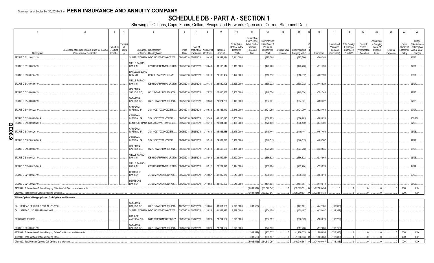### **SCHEDULE DB - PART A - SECTION 1**

| $\overline{1}$                                                              | $\overline{2}$                                                             | $\overline{3}$                      | $\overline{4}$                | 5                                                                             | 6             |                       | -8                                            | -9                   | 10                                                   | 11                                                                              | 12                                                                      | 13<br>14                                                         | 16             | 17                                                | 18                                                                | 19                                               | 20                                                      | 21                    | 22                                          | 23                                                                |
|-----------------------------------------------------------------------------|----------------------------------------------------------------------------|-------------------------------------|-------------------------------|-------------------------------------------------------------------------------|---------------|-----------------------|-----------------------------------------------|----------------------|------------------------------------------------------|---------------------------------------------------------------------------------|-------------------------------------------------------------------------|------------------------------------------------------------------|----------------|---------------------------------------------------|-------------------------------------------------------------------|--------------------------------------------------|---------------------------------------------------------|-----------------------|---------------------------------------------|-------------------------------------------------------------------|
| Description                                                                 | Description of Item(s) Hedged, Used for Income<br>Generation or Replicated | Schedule<br>/ Exhibit<br>Identifier | ype(s<br>of<br>Risk(s)<br>(a) | Exchange, Counterparty<br>or Central Clearinghouse                            | Trade<br>Date | Date of               | Maturity or Number of<br>Expiration Contracts | Notional<br>Amount   | Strike Price,<br>Rate of Index<br>Received<br>(Paid) | Cumulative<br>Prior Year(s)<br>Initial Cost of<br>Premium<br>(Received)<br>Paid | <b>Current Year</b><br>Initial Cost of<br>Premium<br>(Received)<br>Paid | Book/Adjusted<br><b>Current Year</b><br>Income<br>Carrying Value | Fair Value     | Unrealized<br>Valuation<br>Increase<br>(Decrease) | <b>Total Foreign</b><br>Exchange<br>Change in<br><b>B./A.C.V.</b> | Current<br>Year's<br>Amortization<br>/ Accretion | Adjustmen<br>to Carrying<br>Value of<br>Hedged<br>Items | Potential<br>Exposure | Credit<br>Quality of<br>Reference<br>Entity | Hedge<br>Effectivenes:<br>at Inception<br>and at Year-<br>end (b) |
| SPX US C 3111 08/12/19.                                                     |                                                                            |                                     |                               | SUNTRUST BANK IYDOJBGJWY9T8XKCSX06.                                           |               | 08/14/2018 08/12/2019 | 9,434                                         | 29,349,174           | 3,111.0000                                           |                                                                                 | .(377,360                                                               | .(377,360)                                                       | (566, 288)     |                                                   |                                                                   |                                                  |                                                         |                       |                                             | 06/96.                                                            |
|                                                                             |                                                                            |                                     |                               |                                                                               |               |                       |                                               |                      |                                                      |                                                                                 |                                                                         |                                                                  |                |                                                   |                                                                   |                                                  |                                                         |                       |                                             |                                                                   |
| SPX US C 3119 08/15/19.                                                     |                                                                            |                                     |                               | <b>WELLS FARGO</b><br>BANK, N.<br>KB1H1DSPRFMYMCUFXT09. 08/20/2018 08/15/2019 |               |                       | 10,643                                        | 33,195,517           | 3,119.0000                                           |                                                                                 | (425,720                                                                | (425, 720)                                                       | (611,793)      |                                                   |                                                                   |                                                  |                                                         |                       |                                             | 97/97.                                                            |
| SPX US C 3124 07/24/19.                                                     |                                                                            |                                     |                               | <b>BARCLAYS BANK</b><br>NEW YO<br>G5GSEF7VJP5I7OUK5573                        |               | 07/27/2018 07/24/2019 | 9,318                                         | 29,109,432           | 3,124.0000                                           |                                                                                 | (316,812)                                                               | (316,812)                                                        | (462,190)      |                                                   |                                                                   |                                                  |                                                         |                       |                                             | 96/97                                                             |
| SPX US C 3136 08/05/19.                                                     |                                                                            |                                     |                               | <b>WELLS FARGO</b><br>BANK, N.<br>KB1H1DSPRFMYMCUFXT09. 08/07/2018 08/05/2019 |               |                       | 9,136                                         | 28,650,496           | 3,136.0000                                           |                                                                                 | (338,032)                                                               | .(338,032)                                                       | .(448,829)     |                                                   |                                                                   |                                                  |                                                         |                       |                                             | 96/97.                                                            |
| SPX US C 3138 08/08/19.                                                     |                                                                            |                                     |                               | <b>GOLDMAN</b><br>SACHS & CO.<br>W22LROWP2IHZNBB6K528                         |               | 08/10/2018 08/08/2019 | 7,972                                         | 25,016,136           | 3,138.0000                                           |                                                                                 | (249, 524)                                                              | (249, 524)                                                       | (391,343)      |                                                   |                                                                   |                                                  |                                                         |                       |                                             | 37/98.                                                            |
| SPX US C 3140 08/20/19.                                                     |                                                                            |                                     |                               | <b>GOLDMAN</b><br>SACHS & CO,<br>W22LROWP2IHZNBB6K528                         |               | 08/21/2018 08/20/2019 | 9,530                                         | 29,924,200           | 3,140.0000                                           |                                                                                 | (384,631                                                                | .(384,631                                                        | (489,322)      |                                                   |                                                                   |                                                  |                                                         |                       |                                             | 97/98.                                                            |
| SPX US C 3145 08/22/19.                                                     |                                                                            |                                     |                               | CANADIAN<br><b>IMPERIAL BA</b><br>2IGI19DL77OX0HC3ZE78                        |               | 08/24/2018 08/22/2019 | 10,532                                        | 33,123,140           | 3,145.0000                                           |                                                                                 | (421,280                                                                | (421,280)                                                        | (528, 468)     |                                                   |                                                                   |                                                  |                                                         |                       |                                             | 97/97                                                             |
| SPX US C 3155 09/09/2019.                                                   |                                                                            |                                     |                               | CANADIAN<br><b>IMPERIAL BA</b><br>2IGI19DL77OX0HC3ZE78                        |               | 09/10/2018 09/09/2019 | 15,249                                        | 48,110,595           | .3,155.0000                                          |                                                                                 | (686,205)                                                               | (686, 205)                                                       | (783, 624)     |                                                   |                                                                   |                                                  |                                                         |                       |                                             | 100/100.                                                          |
| SPX US C 3168 09/09/2019.                                                   |                                                                            |                                     |                               | SUNTRUST BANK IYDOJBGJWY9T8XKCSX06.                                           |               | 09/12/2018 09/09/2019 | 9,411                                         | 29,814,048           | 3,168.0000                                           |                                                                                 | (376, 440)                                                              | .(376,440)                                                       | (443,701)      |                                                   |                                                                   |                                                  |                                                         |                       |                                             | 97/96.                                                            |
| Ω<br>$\overline{90}$<br>SPX US C 3176 08/26/19.                             |                                                                            |                                     |                               | CANADIAN<br><b>IMPERIAL BA</b><br>2IGI19DL77OX0HC3ZE78                        |               | 08/28/2018 08/26/2019 | 11,038                                        | 35,056,688           | 3,176.0000                                           |                                                                                 | (419,444)                                                               | .(419,444).                                                      | (457, 453)     |                                                   |                                                                   |                                                  |                                                         |                       |                                             | G/96.                                                             |
| ဖ<br>SPX US C 3182 09/16/2019.                                              |                                                                            |                                     |                               | CANADIAN<br><b>IMPERIAL BA</b><br>2IGI19DL77OX0HC3ZE78                        |               | 09/19/2018 09/16/2019 | 9,218                                         | 29,331,676           | 3,182.0000                                           |                                                                                 | (340,513)                                                               | (340,513)                                                        | (409, 387)     |                                                   |                                                                   |                                                  |                                                         |                       |                                             | 97/97.                                                            |
| SPX US C 3184 09/03/19.                                                     |                                                                            |                                     |                               | <b>GOLDMAN</b><br>SACHS & CO,<br>W22LROWP2IHZNBB6K528                         |               | 09/05/2018 09/03/2019 | 15,579                                        | 49,603,536           | 3,184.0000                                           |                                                                                 | (624, 258)                                                              | (624, 258)                                                       | (638, 835)     |                                                   |                                                                   |                                                  |                                                         |                       |                                             | 98/98.                                                            |
| SPX US C 3192 08/28/19.                                                     |                                                                            |                                     |                               | <b>WELLS FARGO</b><br>BANK, N.<br>KB1H1DSPRFMYMCUFXT09. 08/29/2018 08/28/2019 |               |                       | 8,942                                         | 28,542,864           | 3,192.0000                                           |                                                                                 | .(366,622                                                               | (366, 622)                                                       | (334, 964)     |                                                   |                                                                   |                                                  |                                                         |                       |                                             | 96/96.                                                            |
| SPX US C 3194 09/13/2019.                                                   |                                                                            |                                     |                               | <b>WELLS FARGO</b><br>BANK, N.<br>KB1H1DSPRFMYMCUFXT09. 09/17/2018 09/13/2019 |               |                       | 8,212                                         | 26,229,128           | 3,194.0000                                           |                                                                                 | (262, 784)                                                              | (262, 784)                                                       | (329, 924)     |                                                   |                                                                   |                                                  |                                                         |                       |                                             | 94/94.                                                            |
| SPX US C 3210 09/24/19.                                                     |                                                                            |                                     |                               | DEUTSCHE<br><b>BANK SA</b><br>7LTWFZYICNSX8D621K86                            |               | 09/27/2018 09/24/2019 | 13,057                                        | 41,912,970           | 3,210.0000                                           |                                                                                 | .(536,643                                                               | (536, 643)                                                       | (504, 618)     |                                                   |                                                                   |                                                  |                                                         |                       |                                             | 96/96.                                                            |
| SPX US C 3215 09/23/19.                                                     |                                                                            |                                     |                               | DEUTSCHE<br><b>BANK SA</b><br>7LTWFZYICNSX8D621K86                            |               | 09/24/2018 09/23/2019 | 11,860                                        | 38,129,900           | 3,215.0000                                           |                                                                                 | (454,594).                                                              | (454, 594)                                                       | (440,079)      |                                                   |                                                                   |                                                  |                                                         |                       |                                             | 35/95.                                                            |
| 0439999. Total-Written Options-Hedging Effective-Call Options and Warrants. |                                                                            |                                     |                               |                                                                               |               |                       |                                               |                      |                                                      | (5,631,984)                                                                     | (33, 377, 547)                                                          | (39,009,531)                                                     | (72, 503, 434) |                                                   |                                                                   |                                                  |                                                         |                       | XXX                                         | XXX                                                               |
| 0499999. Total-Written Options-Hedging Effective.                           |                                                                            |                                     |                               |                                                                               |               |                       |                                               |                      |                                                      | (5,631,984)                                                                     | (33, 377, 547)                                                          | (39.009.531)                                                     | (72,503,434)   |                                                   |                                                                   |                                                  |                                                         |                       | <b>XXX</b>                                  | XXX                                                               |
| Written Options - Hedging Other - Call Options and Warrants                 |                                                                            |                                     |                               |                                                                               |               |                       |                                               |                      |                                                      |                                                                                 |                                                                         |                                                                  |                |                                                   |                                                                   |                                                  |                                                         |                       |                                             |                                                                   |
| CALL SPREAD SPX USD C 2976 12 -28-2018.                                     |                                                                            |                                     |                               | <b>GOLDMAN</b><br>SACHS & CO,<br>W22LROWP2IHZNBB6K528                         |               | 12/31/2017 12/28/2018 | 13,055                                        | 38,851,680           | 2,976.0000                                           | (303, 529)                                                                      |                                                                         | .(447, 181)                                                      | (447,181)      | (189,998)                                         |                                                                   |                                                  |                                                         |                       |                                             |                                                                   |
| CALL SPREAD USD 2989 M 01/02/2019                                           |                                                                            |                                     |                               | SUNTRUST BANK IYDOJBGJWY9T8XKCSX06                                            |               | 01/03/2018 01/02/2019 | 13,825                                        | 41,322,925           | 2,989.0000                                           |                                                                                 | (304,150)                                                               | (435, 487)                                                       | (435,487)      | (131,337)                                         |                                                                   |                                                  |                                                         |                       |                                             |                                                                   |
| SPX C 3078 06/17/19.                                                        |                                                                            |                                     |                               | <b>BANK OF</b><br>AMERICA, N.A.<br>B4TYDEB6GKMZO031MB27                       |               | 06/13/2018 06/17/2019 | 9,329                                         | 28,714,662           | 3,078.0000                                           |                                                                                 | (307, 857)                                                              | (506,079)                                                        | (506,079)      | (198,222)                                         |                                                                   |                                                  |                                                         |                       |                                             |                                                                   |
| SPX US C 3078 06/21/19.                                                     |                                                                            |                                     |                               | GOLDMAN<br>SACHS & CO,<br>W22LROWP2IHZNBB6K528                                |               | 06/14/2018 06/21/2019 |                                               | $9,329$ $28,714,662$ | 3,078.0000                                           |                                                                                 | .(323,530                                                               | (517, 286)                                                       | (517, 286)     | (193,756).                                        |                                                                   |                                                  |                                                         |                       |                                             |                                                                   |
| 0509999. Total-Written Options-Hedging Other-Call Options and Warrants.     |                                                                            |                                     |                               |                                                                               |               |                       |                                               |                      |                                                      | (303,529).                                                                      | .(935,537                                                               | (1,906,033)                                                      | (1,906,033)    | (713,313)                                         |                                                                   |                                                  |                                                         |                       | <b>XXX</b>                                  | XXX                                                               |
| 0569999. Total-Written Options-Hedging Other                                |                                                                            |                                     |                               |                                                                               |               |                       |                                               |                      |                                                      | .(303,529)                                                                      | (935,537                                                                | (1,906,033)                                                      | (1,906,033     | (713, 313)                                        |                                                                   |                                                  |                                                         |                       | <b>XXX</b>                                  | XXX                                                               |
| 0789999. Total-Written Options-Call Options and Warrants.                   |                                                                            |                                     |                               |                                                                               |               |                       |                                               |                      |                                                      | (5.935.513)                                                                     | (34.313.084)                                                            | (40.915.564) XX                                                  | (74.409.467)   | (713.313)                                         |                                                                   |                                                  |                                                         |                       | <b>XXX</b>                                  | <b>XXX</b>                                                        |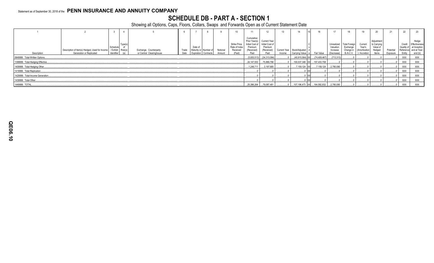### **SCHEDULE DB - PART A - SECTION 1**

|                                   |                                                                            |                                             |               |                                                    |               |                               |                      |                    |                                                      |                                     | 12                                                                                             |        |                                                |              |                                                   |                                                    |                                                     | 20                                                       | 21                    | 22         | 23                                                                                            |
|-----------------------------------|----------------------------------------------------------------------------|---------------------------------------------|---------------|----------------------------------------------------|---------------|-------------------------------|----------------------|--------------------|------------------------------------------------------|-------------------------------------|------------------------------------------------------------------------------------------------|--------|------------------------------------------------|--------------|---------------------------------------------------|----------------------------------------------------|-----------------------------------------------------|----------------------------------------------------------|-----------------------|------------|-----------------------------------------------------------------------------------------------|
| Description                       | Description of Item(s) Hedged, Used for Income<br>Generation or Replicated | Schedule<br>/ Exhibit Risk(s)<br>Identifier | Type(s<br>(a) | Exchange, Counterparty<br>or Central Clearinghouse | Trade<br>Date | Date of<br>Maturity or Number | Expiration Contracts | Notional<br>Amount | Strike Price,<br>Rate of Index<br>Received<br>(Paid) | Cumulative<br>Premium<br>(Received) | Prior Year(s) Current Year<br>Initial Cost of Initial Cost of<br>Premium<br>(Received)<br>Paid | Income | Current Year   Book/Adjusted<br>Carrying Value | Fair Value   | Unrealized<br>Valuation<br>Increase<br>(Decrease) | Total Foreign<br>Exchange<br>Change in<br>B./A.C.V | Current<br>Year's<br>(Amortization<br>) / Accretion | Adjustment<br>to Carrying<br>Value of<br>Hedged<br>Items | Potential<br>Exposure | Credit     | Hedge<br>Effectiveness<br>Quality of at Inception<br>Reference and at Year-<br>Entity end (b) |
| 0849999. Total-Written Options    |                                                                            |                                             |               |                                                    |               |                               |                      |                    |                                                      | (5,935,513)                         | (34,313,084)                                                                                   |        | $(40.915.564)$ XX                              | (74,409,467) | (713, 313)                                        |                                                    |                                                     |                                                          |                       | XXX        | XXX                                                                                           |
| 1399999. Total-Hedging Effective. |                                                                            |                                             |               |                                                    |               |                               |                      |                    |                                                      | 24,147,553                          | 75,889,796                                                                                     |        | 100,037,349 XX                                 | 157,433,708  |                                                   |                                                    |                                                     |                                                          |                       | <b>XXX</b> | <b>XXX</b>                                                                                    |
| 1409999. Total-Hedging Other.     |                                                                            |                                             |               |                                                    |               |                               |                      |                    |                                                      | .1.248.711                          | 3.197.685                                                                                      |        | 7,159,124 XX                                   |              | $7,159,124$ 2,780,080                             |                                                    |                                                     |                                                          |                       | XXX        | <b>XXX</b>                                                                                    |
| 1419999. Total-Replication        |                                                                            |                                             |               |                                                    |               |                               |                      |                    |                                                      |                                     |                                                                                                |        |                                                |              |                                                   |                                                    |                                                     |                                                          |                       | XXX        | XXX                                                                                           |
| 1429999. Total-Income Generation. |                                                                            |                                             |               |                                                    |               |                               |                      |                    |                                                      |                                     |                                                                                                |        |                                                |              |                                                   |                                                    |                                                     |                                                          |                       | XXX        | XXX                                                                                           |
| 1439999. Total-Other.             |                                                                            |                                             |               |                                                    |               |                               |                      |                    |                                                      |                                     |                                                                                                |        |                                                |              |                                                   |                                                    |                                                     |                                                          |                       | XXX        | XXX                                                                                           |
| 1449999. TOTAL.                   |                                                                            |                                             |               |                                                    |               |                               |                      |                    |                                                      | 25,396,264                          | 79,087,481                                                                                     |        | 107,196,473 XX                                 |              | $164,592,832$ $2,780,080$                         |                                                    |                                                     |                                                          |                       | <b>XXX</b> | <b>XXX</b>                                                                                    |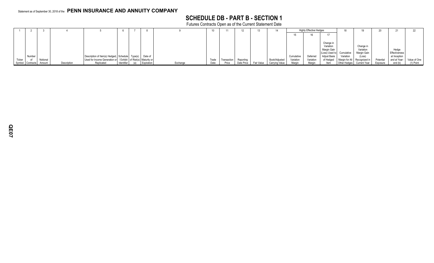### **SCHEDULE DB - PART B - SECTION 1**

Futures Contracts Open as of the Current Statement Date

|        |                  |          |             |                                                                    |              |            |          |       |             | 12         |            |                |            | <b>Highly Effective Hedges</b> |                           |                                            |              |           |               |                      |
|--------|------------------|----------|-------------|--------------------------------------------------------------------|--------------|------------|----------|-------|-------------|------------|------------|----------------|------------|--------------------------------|---------------------------|--------------------------------------------|--------------|-----------|---------------|----------------------|
|        |                  |          |             |                                                                    |              |            |          |       |             |            |            |                |            |                                |                           |                                            |              |           |               |                      |
|        |                  |          |             |                                                                    |              |            |          |       |             |            |            |                |            |                                |                           |                                            |              |           |               |                      |
|        |                  |          |             |                                                                    |              |            |          |       |             |            |            |                |            |                                | Change in                 |                                            |              |           |               |                      |
|        |                  |          |             |                                                                    |              |            |          |       |             |            |            |                |            |                                | Variation                 |                                            | Change in    |           |               |                      |
|        |                  |          |             |                                                                    |              |            |          |       |             |            |            |                |            |                                | Margin Gain               |                                            | Variation    |           | Hedge         |                      |
|        |                  |          |             |                                                                    |              |            |          |       |             |            |            |                |            |                                | (Loss) Used to Cumulative |                                            | Margin Gain  |           | Effectiveness |                      |
|        | Number           |          |             | Description of Item(s) Hedged, Schedule   Type(s)                  |              | Date of    |          |       |             |            |            |                | Cumulative | Deferred                       | Adjust Basis              | Variation                                  | (Loss)       |           | at Inception  |                      |
| Ticker |                  | Notional |             | Used for Income Generation or / Exhibit   of Risk(s)   Maturity or |              |            |          | Trade | Transactior | Reporting  |            | Book/Adjusted  | Variation  | Variation                      |                           | of Hedged   Margin for All   Recognized in |              | Potential | and at Year-  | Value of One         |
|        | Symbol Contracts | Amount   | Description | Replicated                                                         | Identifier i | Expiration | Exchange | Date  | Price       | Date Price | Fair Value | Carrying Value | Margin     | Margin                         | Item                      | Other Hedges                               | Current Year | Exposure  | end (b)       | <sup>1</sup> ) Point |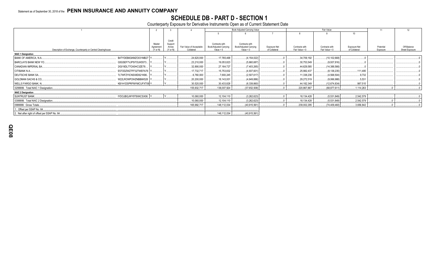## SCHEDULE DB - PART D - SECTION 1<br>Counterparty Exposure for Derivative Instruments Open as of Current Statement Date

|                                                                |                       |                  |                          |                                                 | Book Adjusted Carrying Value             |                     |                | Fair Value     |               | 11        | 12             |
|----------------------------------------------------------------|-----------------------|------------------|--------------------------|-------------------------------------------------|------------------------------------------|---------------------|----------------|----------------|---------------|-----------|----------------|
|                                                                |                       |                  |                          |                                                 |                                          |                     |                |                | 10            |           |                |
|                                                                |                       |                  |                          |                                                 |                                          |                     |                |                |               |           |                |
|                                                                |                       | Credit           |                          |                                                 |                                          |                     |                |                |               |           |                |
|                                                                | Master                | Support<br>Annex | Fair Value of Acceptable | Contracts with<br><b>Book/Adjusted Carrying</b> | Contracts with<br>Book/Adjusted Carrying | <b>Exposure Net</b> | Contracts with | Contracts with | Exposure Net  | Potential | Off-Balance    |
| Description of Exchange, Counterparty or Central Clearinghouse | Agreement<br>(Y or N) | (Y or N)         | Collateral               | Value $> 0$                                     | Value $< 0$                              | of Collateral       | Fair Value > 0 | Fair Value < 0 | of Collateral | Exposure  | Sheet Exposure |
| <b>NAIC 1 Designation</b>                                      |                       |                  |                          |                                                 |                                          |                     |                |                |               |           |                |
| B4TYDEB6GKMZO031MB27<br>BANK OF AMERICA, N.A.                  |                       |                  | .24,620,000              | .17,765,468                                     | (4, 154, 022)                            |                     | .34,709,192    | (10, 102, 668) |               |           |                |
| BARCLAYS BANK NEW YO<br>G5GSEF7VJP5I7OUK5573                   |                       |                  | .23,210,000              | .19,053,823                                     | (5,660,687)                              |                     | .30,753,549    | (9,937,816)    |               |           |                |
| CANADIAN IMPERIAL BA.<br>2IGI19DL77OX0HC3ZE78                  |                       |                  | .32,890,000              | .27,164,727                                     | (7,403,265)                              |                     | .44,629,585    | (14, 388, 566) |               |           |                |
| CITIBANK N.A<br>E57ODZWZ7FF32TWEFA76                           |                       |                  | 17,732,717               | 15,753,832                                      | (4,937,601)                              |                     | .25,982,437    | (8, 138, 235)  | .111.485      |           |                |
| DEUTSCHE BANK SA.<br>7LTWFZYICNSX8D621K86                      |                       |                  | 6,760,000                | .7,693,245                                      | (2,507,617)                              |                     | .11,338,236    | (4,568,504)    | .9.732        |           |                |
| <b>GOLDMAN SACHS &amp; CO</b><br>W22LROWP2IHZNBB6K528          |                       |                  | .20,200,000              | .18,143,001                                     | (4,649,886)                              |                     | .29,272,519    | (9,066,988)    | .5.531        |           |                |
| KB1H1DSPRFMYMCUFXT09 Y<br><b>WELLS FARGO BANK, N.</b>          |                       |                  | .30,520,000              | .30,433,828                                     | (8,339,860)                              |                     | .44,182,349    | (12,674,834)   | 987.515       |           |                |
| 0299999. Total NAIC 1 Designation                              |                       |                  | 155,932,717              | 136,007,924                                     | (37,652,938)                             |                     | .220,867,867   | (68, 877, 611) | 1,114,263     |           |                |
| <b>NAIC 2 Designation</b>                                      |                       |                  |                          |                                                 |                                          |                     |                |                |               |           |                |
| IYDOJBGJWY9T8XKCSX06. Y<br>SUNTRUST BANK.                      |                       |                  | .10,060,000              | .12,104,110                                     | (3,262,623)                              |                     | .18,134,428    | (5,531,849)    | .2,542,579    |           |                |
| 0399999. Total NAIC 2 Designation.                             |                       |                  | 10,060,000               | .12,104,110                                     | (3,262,623)                              |                     | .18,134,428    | (5,531,849)    | .2,542,579    |           |                |
| 0999999. Gross Totals                                          |                       |                  | .165.992.717             | .148,112,034                                    | (40, 915, 561)                           |                     | .239,002,295   | (74, 409, 460) | .3,656,842    |           |                |
| 1. Offset per SSAP No. 64.                                     |                       |                  |                          |                                                 |                                          |                     |                |                |               |           |                |
| 2. Net after right of offset per SSAP No. 64                   |                       |                  |                          | 148,112,034                                     | (40, 915, 561)                           |                     |                |                |               |           |                |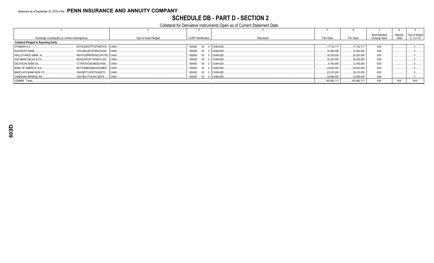#### **SCHEDULE DB - PART D - SECTION 2**

#### Collateral for Derivative Instruments Open as of Current Statement Date

|                                                 |                            |                       |                      |               |             |             | Book/Adjusted  | Maturity   | Type of Margin |
|-------------------------------------------------|----------------------------|-----------------------|----------------------|---------------|-------------|-------------|----------------|------------|----------------|
| Exchange, Counterparty or Central Clearinghouse |                            | Type of Asset Pledged | CUSIP Identification | Description   | Fair Value  | Par Value   | Carrying Value | Date       | (I, V or IV)   |
| <b>Collateral Pledged to Reporting Entity</b>   |                            |                       |                      |               |             |             |                |            |                |
| CITIBANK N.A                                    | E57ODZWZ7FF32TWEFA76 CASH  |                       | 000000               | 00 0 CASHUSD. | .17.732.717 | 17.732.717  | <b>XXX</b>     |            |                |
| <b>SUNTRUST BANK</b>                            | IYDOJBGJWY9T8XKCSX06 CASH. |                       | 000000               | 00 0 CASHUSD. | .10,060,000 | .10,060,000 | <b>XXX</b>     |            |                |
| <b>WELLS FARGO BANK, N.,</b>                    | KB1H1DSPRFMYMCUFXT09. CASH |                       | 000000               | 00 0 CASHUSD. | .30,520,000 | 30.520.000  | <b>XXX</b>     |            |                |
| <b>GOLDMAN SACHS &amp; CO</b>                   | KD3XUN7C6T14HNAYLU02 CASH. |                       | 000000               | 00 0 CASHUSD. | .20.200.000 | .20.200.000 | <b>XXX</b>     |            |                |
| <b>DEUTSCHE BANK SA</b>                         | 7LTWFZYICNSX8D621K86 CASH. |                       | 000000               | 00 0 CASHUSD. | .6,760,000  | .6.760.000  | <b>XXX</b>     |            |                |
| BANK OF AMERICA, N.A.,                          | B4TYDEB6GKMZO031MB27 CASH  |                       | 000000               | 00 0 CASHUSD. | .24,620,000 | 24.620.000  | <b>XXX</b>     |            |                |
| <b>BARCLAYS BANK NEW YO</b>                     | G5GSEF7VJP5I7OUK5573 CASH  |                       | 000000               | 00 0 CASHUSD. | 23,210,000  | 23.210.000  | <b>XXX</b>     |            |                |
| CANADIAN IMPERIAL BA.                           | 2IGI19DL77OX0HC3ZE78 CASH. |                       | 000000               | 00 0 CASHUSD  | .32.890.000 | 32,890,000  | XXX            |            |                |
| 0299999. Totals                                 |                            |                       |                      |               | 165,992,717 | 165,992,717 | <b>XXX</b>     | <b>XXX</b> | XXX            |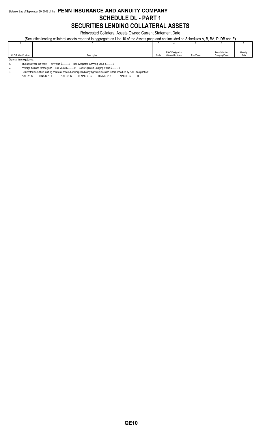#### Statement as of September 30, 2018 of the **PENN INSURANCE AND ANNUITY COMPANY SCHEDULE DL - PART 1 SECURITIES LENDING COLLATERAL ASSETS**

Reinvested Collateral Assets Owned Current Statement Date

(Securities lending collateral assets reported in aggregate on Line 10 of the Assets page and not included on Schedules A, B, BA, D, DB and E)

|                          |             |      | NAIC Designation   |            | Book/Adjusted  | Maturity |
|--------------------------|-------------|------|--------------------|------------|----------------|----------|
| CUSIP Identification     | Description | Code | / Market Indicator | Fair Value | Carrying Value | Date     |
| General Interrogatories: |             |      |                    |            |                |          |

1. The activity for the year: Fair Value \$..........0 Book/Adjusted Carrying Value \$..........0<br>2. Average balance for the year: Fair Value \$..........0 Book/Adjusted Carrying Value \$.....

Average balance for the year: Fair Value \$...........0 Book/Adjusted Carrying Value \$..........0

3. Reinvested securities lending collateral assets book/adjusted carrying value included in this schedule by NAIC designation:

NAIC 1: \$..........0 NAIC 2: \$..........0 NAIC 3: \$..........0 NAIC 4: \$..........0 NAIC 5: \$..........0 NAIC 6: \$..........0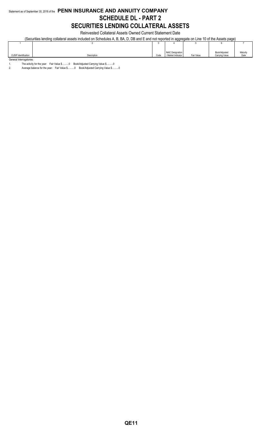#### Statement as of September 30, 2018 of the **PENN INSURANCE AND ANNUITY COMPANY SCHEDULE DL - PART 2 SECURITIES LENDING COLLATERAL ASSETS**

Reinvested Collateral Assets Owned Current Statement Date

(Securities lending collateral assets included on Schedules A, B, BA, D, DB and E and not reported in aggregate on Line 10 of the Assets page)

|                          |             |      | NAIC Designation   |            | Book/Adjusted  | Maturity |
|--------------------------|-------------|------|--------------------|------------|----------------|----------|
| CUSIP Identification     | Description | Code | / Market Indicator | Fair Value | Carrying Value | Date     |
| General Interrogatories: |             |      |                    |            |                |          |

1. The activity for the year: Fair Value \$..........0 Book/Adjusted Carrying Value \$..........0<br>2. Average balance for the year: Fair Value \$..........0 Book/Adjusted Carrying Value \$.....

Average balance for the year: Fair Value \$...........0 Book/Adjusted Carrying Value \$..........0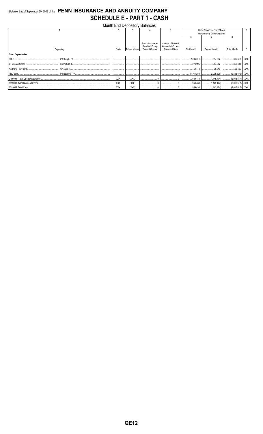#### Statement as of September 30, 2018 of the PENN INSURANCE AND ANNUITY COMPANY **SCHEDULE E - PART 1 - CASH**  $\ddot{\phantom{a}}$  $\mathbf{a}$   $\mathbf{b}$   $\mathbf{c}$   $\mathbf{a}$   $\mathbf{b}$  $\mathbf{H}$

|                          |      |                  | Month End Depository Balances                                          |                                                                   |             |                              |             |            |
|--------------------------|------|------------------|------------------------------------------------------------------------|-------------------------------------------------------------------|-------------|------------------------------|-------------|------------|
|                          |      |                  |                                                                        |                                                                   |             | Book Balance at End of Each  |             |            |
|                          |      |                  |                                                                        |                                                                   |             | Month During Current Quarter |             |            |
|                          |      |                  |                                                                        |                                                                   |             |                              |             |            |
| Depository               | Code | Rate of Interest | Amount of Interest<br><b>Received During</b><br><b>Current Quarter</b> | Amount of Interest<br>Accrued at Current<br><b>Statement Date</b> | First Month | Second Month                 | Third Month |            |
| <b>Open Depositories</b> |      |                  |                                                                        |                                                                   |             |                              |             |            |
|                          |      |                  |                                                                        |                                                                   | 2,394,311   | 394,862   395,411            |             | <b>XXX</b> |
|                          |      |                  |                                                                        |                                                                   | 278,995     | 657,052 362,383              |             | XXX        |
|                          |      |                  |                                                                        |                                                                   |             | 38,310   29,465              |             | XXX        |
|                          |      |                  |                                                                        |                                                                   |             |                              |             | XXX        |
|                          | XXX  | <b>XXX</b>       |                                                                        | 0                                                                 |             |                              |             | XXX        |
|                          | XXX  | <b>XXX</b>       |                                                                        | 0                                                                 |             |                              |             | XXX        |
|                          | XXX  | <b>XXX</b>       |                                                                        |                                                                   |             |                              |             | XXX        |